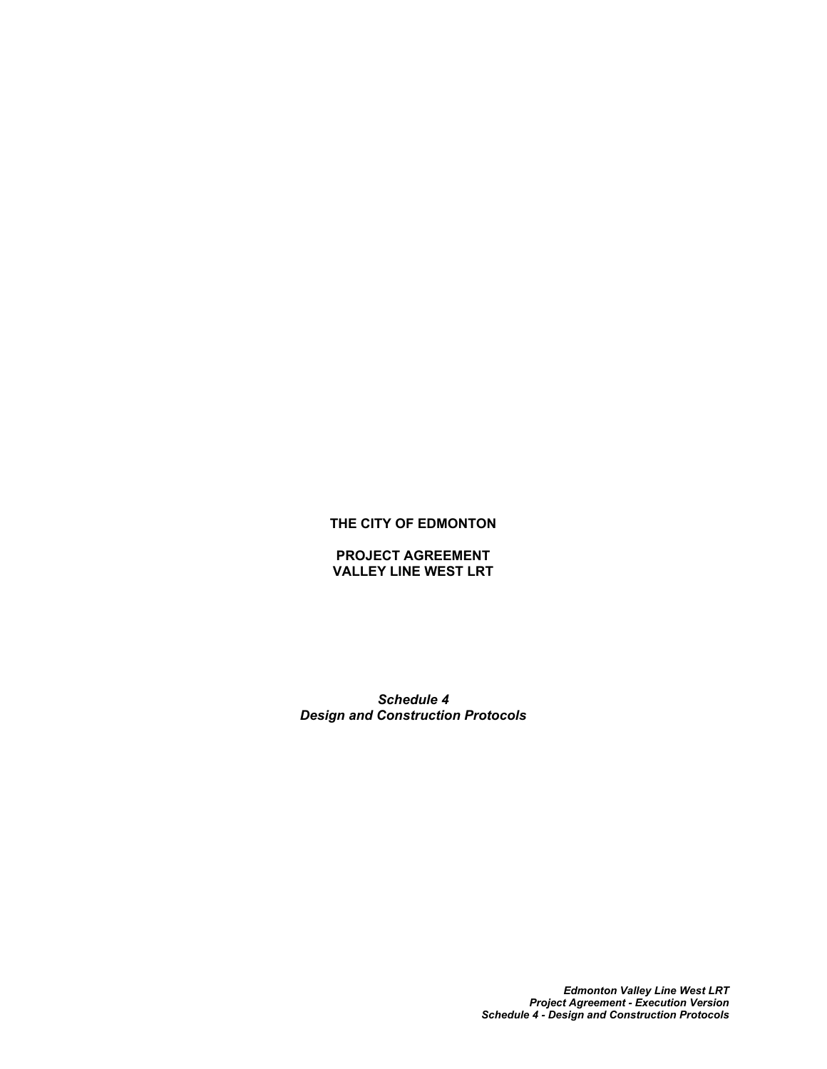## **THE CITY OF EDMONTON**

### **PROJECT AGREEMENT VALLEY LINE WEST LRT**

*Schedule 4 Design and Construction Protocols*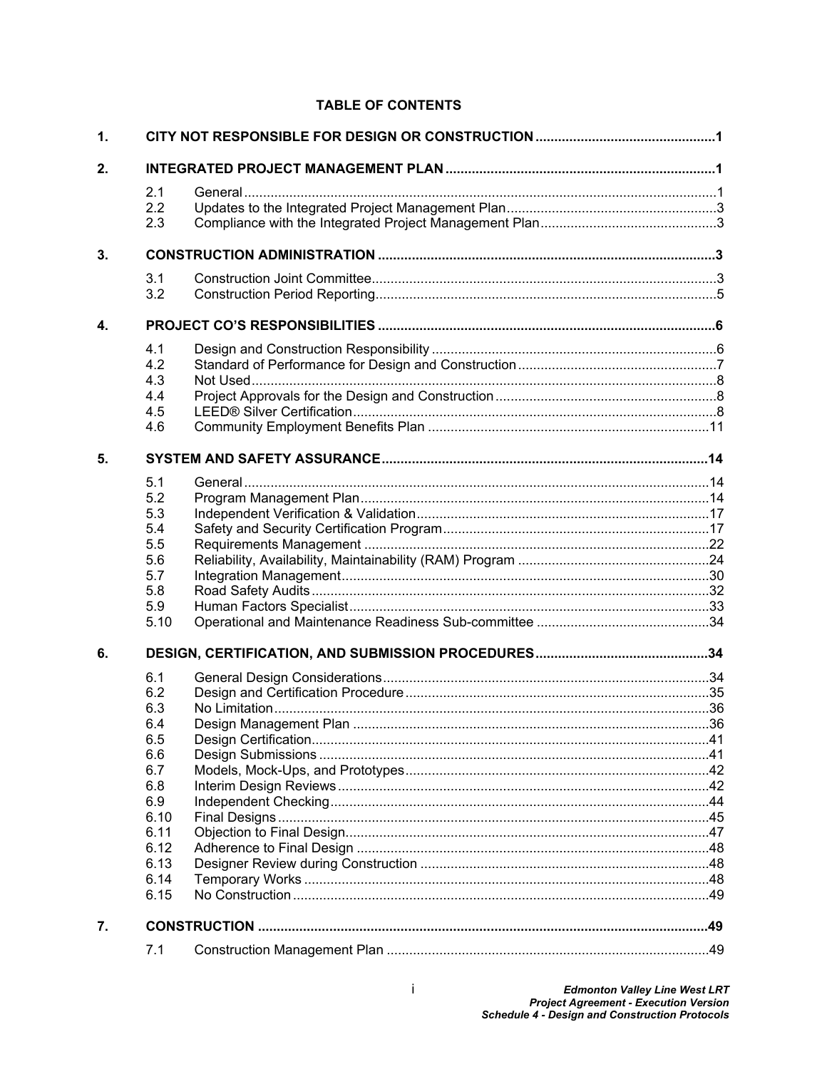# **TABLE OF CONTENTS**

| $\mathbf 1$ . |      |  |  |  |
|---------------|------|--|--|--|
| 2.            |      |  |  |  |
|               | 2.1  |  |  |  |
|               | 2.2  |  |  |  |
|               | 2.3  |  |  |  |
|               |      |  |  |  |
| 3.            |      |  |  |  |
|               | 3.1  |  |  |  |
|               | 3.2  |  |  |  |
| 4.            |      |  |  |  |
|               | 4.1  |  |  |  |
|               | 4.2  |  |  |  |
|               | 4.3  |  |  |  |
|               | 4.4  |  |  |  |
|               | 4.5  |  |  |  |
|               | 4.6  |  |  |  |
| 5.            |      |  |  |  |
|               | 5.1  |  |  |  |
|               | 5.2  |  |  |  |
|               | 5.3  |  |  |  |
|               | 5.4  |  |  |  |
|               | 5.5  |  |  |  |
|               | 5.6  |  |  |  |
|               | 5.7  |  |  |  |
|               | 5.8  |  |  |  |
|               | 5.9  |  |  |  |
|               | 5.10 |  |  |  |
| 6.            |      |  |  |  |
|               | 6.1  |  |  |  |
|               | 6.2  |  |  |  |
|               | 6.3  |  |  |  |
|               | 6.4  |  |  |  |
|               | 6.5  |  |  |  |
|               | 6.6  |  |  |  |
|               | 6.7  |  |  |  |
|               | 6.8  |  |  |  |
|               | 6.9  |  |  |  |
|               | 6.10 |  |  |  |
|               | 6.11 |  |  |  |
|               | 6.12 |  |  |  |
|               | 6.13 |  |  |  |
|               | 6.14 |  |  |  |
|               | 6.15 |  |  |  |
| 7.            |      |  |  |  |
|               | 7.1  |  |  |  |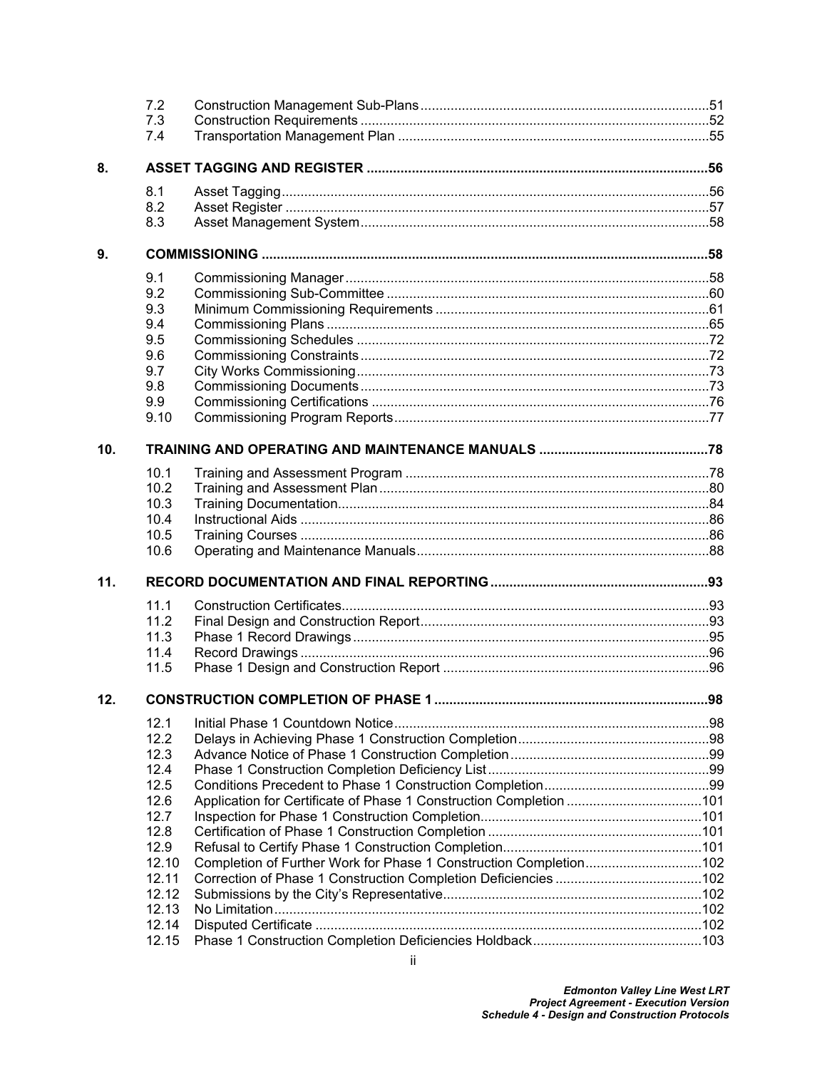|     | 7.2   |                                                                    |     |
|-----|-------|--------------------------------------------------------------------|-----|
|     | 7.3   |                                                                    |     |
|     | 7.4   |                                                                    |     |
| 8.  |       |                                                                    |     |
|     | 8.1   |                                                                    |     |
|     | 8.2   |                                                                    |     |
|     | 8.3   |                                                                    |     |
| 9.  |       |                                                                    |     |
|     | 9.1   |                                                                    |     |
|     | 9.2   |                                                                    |     |
|     | 9.3   |                                                                    |     |
|     | 9.4   |                                                                    |     |
|     | 9.5   |                                                                    |     |
|     | 9.6   |                                                                    |     |
|     | 9.7   |                                                                    |     |
|     | 9.8   |                                                                    |     |
|     | 9.9   |                                                                    |     |
|     | 9.10  |                                                                    |     |
| 10. |       |                                                                    |     |
|     | 10.1  |                                                                    |     |
|     | 10.2  |                                                                    |     |
|     | 10.3  |                                                                    |     |
|     | 10.4  |                                                                    |     |
|     | 10.5  |                                                                    |     |
|     | 10.6  |                                                                    |     |
| 11. |       |                                                                    |     |
|     | 11.1  |                                                                    |     |
|     | 11.2  |                                                                    |     |
|     | 11.3  |                                                                    |     |
|     | 11.4  |                                                                    |     |
|     | 11.5  |                                                                    |     |
| 12. |       | <b>CONSTRUCTION COMPLETION OF PHASE 1</b>                          | 98. |
|     | 12.1  |                                                                    |     |
|     | 12.2  |                                                                    |     |
|     | 12.3  |                                                                    |     |
|     | 12.4  |                                                                    |     |
|     | 12.5  |                                                                    |     |
|     | 12.6  | Application for Certificate of Phase 1 Construction Completion 101 |     |
|     | 12.7  |                                                                    |     |
|     | 12.8  |                                                                    |     |
|     | 12.9  |                                                                    |     |
|     | 12.10 | Completion of Further Work for Phase 1 Construction Completion102  |     |
|     | 12.11 |                                                                    |     |
|     | 12.12 |                                                                    |     |
|     | 12.13 |                                                                    |     |
|     | 12.14 |                                                                    |     |
|     | 12.15 |                                                                    |     |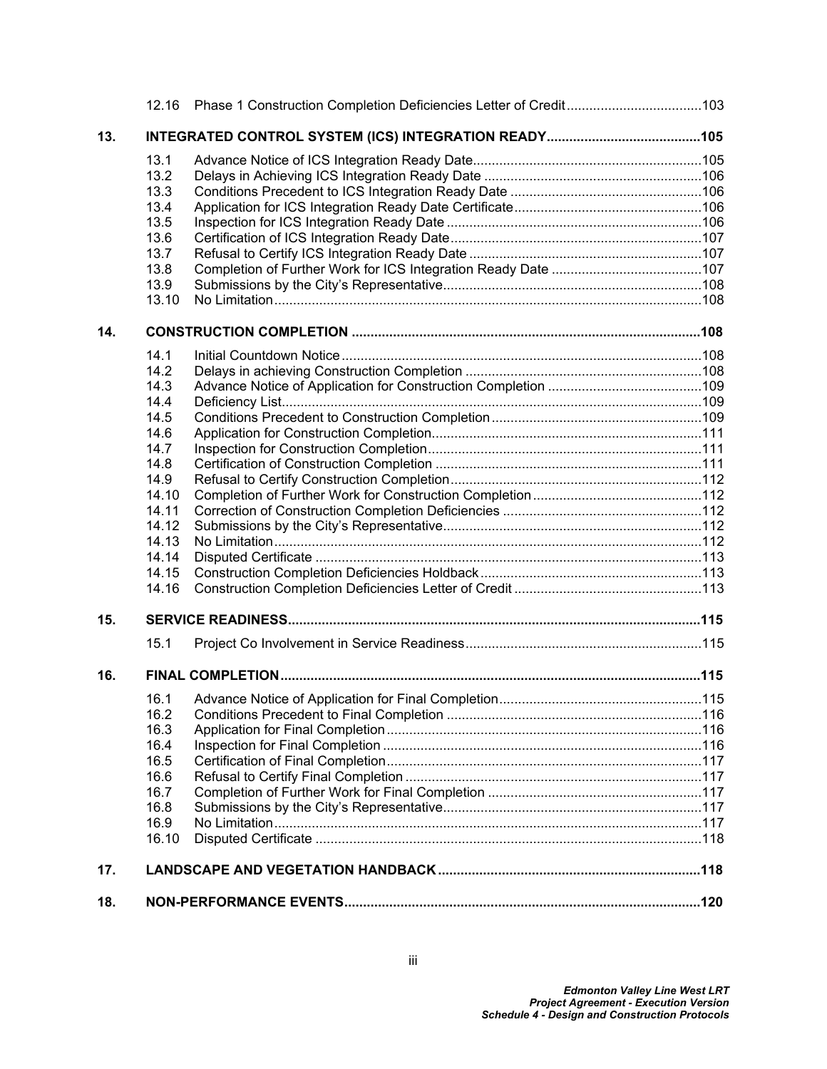|     |       | 12.16 Phase 1 Construction Completion Deficiencies Letter of Credit103 |  |  |
|-----|-------|------------------------------------------------------------------------|--|--|
| 13. |       |                                                                        |  |  |
|     | 13.1  |                                                                        |  |  |
|     | 13.2  |                                                                        |  |  |
|     | 13.3  |                                                                        |  |  |
|     | 13.4  |                                                                        |  |  |
|     | 13.5  |                                                                        |  |  |
|     | 13.6  |                                                                        |  |  |
|     | 13.7  |                                                                        |  |  |
|     | 13.8  |                                                                        |  |  |
|     | 13.9  |                                                                        |  |  |
|     | 13.10 |                                                                        |  |  |
| 14. |       |                                                                        |  |  |
|     | 14.1  |                                                                        |  |  |
|     | 14.2  |                                                                        |  |  |
|     | 14.3  |                                                                        |  |  |
|     | 14.4  |                                                                        |  |  |
|     | 14.5  |                                                                        |  |  |
|     | 14.6  |                                                                        |  |  |
|     | 14.7  |                                                                        |  |  |
|     | 14.8  |                                                                        |  |  |
|     | 14.9  |                                                                        |  |  |
|     | 14.10 |                                                                        |  |  |
|     | 14.11 |                                                                        |  |  |
|     | 14.12 |                                                                        |  |  |
|     | 14.13 |                                                                        |  |  |
|     | 14.14 |                                                                        |  |  |
|     | 14.15 |                                                                        |  |  |
|     | 14.16 |                                                                        |  |  |
| 15. |       |                                                                        |  |  |
|     | 15.1  |                                                                        |  |  |
| 16. |       |                                                                        |  |  |
|     | 16.1  |                                                                        |  |  |
|     | 16.2  |                                                                        |  |  |
|     | 16.3  |                                                                        |  |  |
|     | 16.4  |                                                                        |  |  |
|     | 16.5  |                                                                        |  |  |
|     | 16.6  |                                                                        |  |  |
|     | 16.7  |                                                                        |  |  |
|     | 16.8  |                                                                        |  |  |
|     | 16.9  |                                                                        |  |  |
|     | 16.10 |                                                                        |  |  |
| 17. |       |                                                                        |  |  |
| 18. |       |                                                                        |  |  |
|     |       |                                                                        |  |  |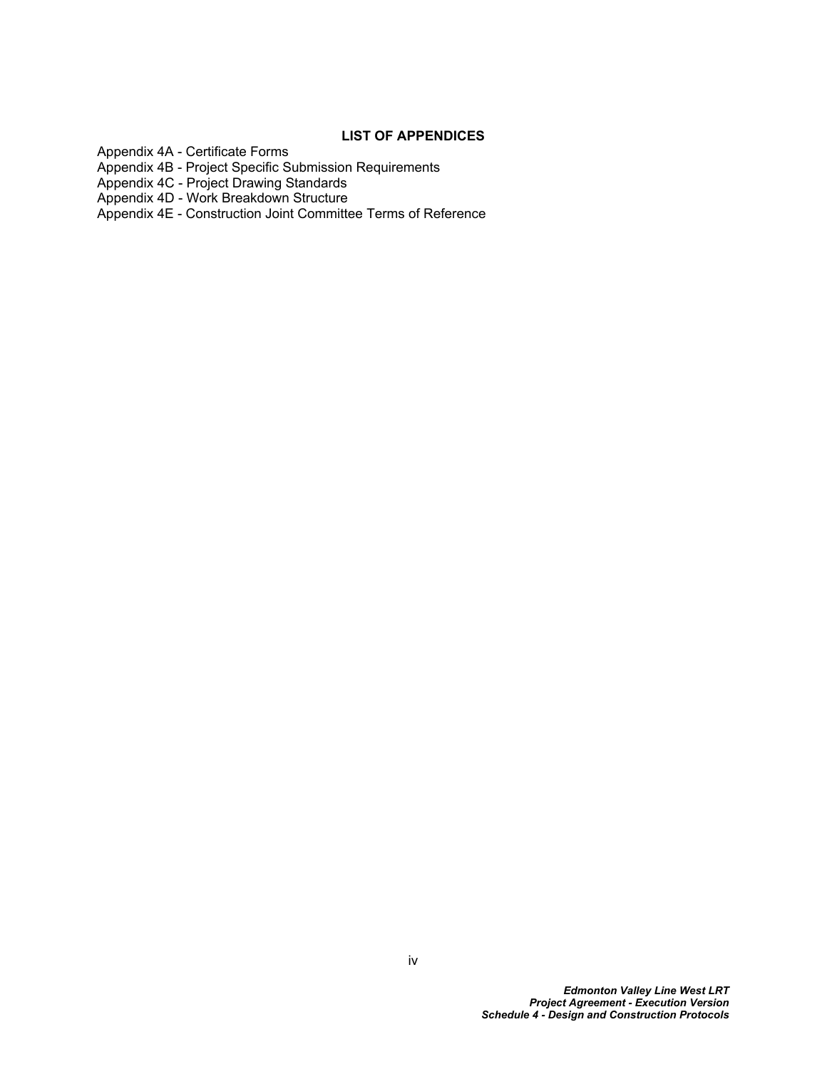### **LIST OF APPENDICES**

Appendix 4A - Certificate Forms

Appendix 4B - Project Specific Submission Requirements

Appendix 4C - Project Drawing Standards

Appendix 4D - Work Breakdown Structure

Appendix 4E - Construction Joint Committee Terms of Reference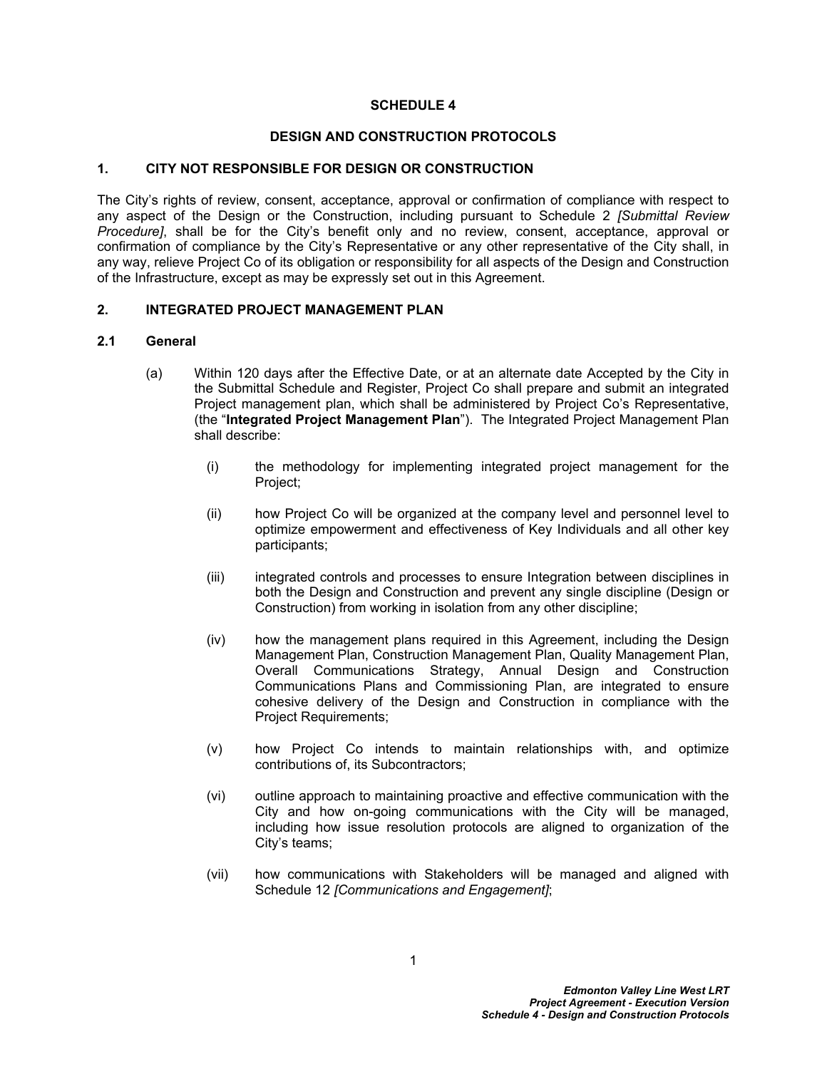#### **SCHEDULE 4**

#### **DESIGN AND CONSTRUCTION PROTOCOLS**

#### <span id="page-5-0"></span>**1. CITY NOT RESPONSIBLE FOR DESIGN OR CONSTRUCTION**

The City's rights of review, consent, acceptance, approval or confirmation of compliance with respect to any aspect of the Design or the Construction, including pursuant to Schedule 2 *[Submittal Review Procedure]*, shall be for the City's benefit only and no review, consent, acceptance, approval or confirmation of compliance by the City's Representative or any other representative of the City shall, in any way, relieve Project Co of its obligation or responsibility for all aspects of the Design and Construction of the Infrastructure, except as may be expressly set out in this Agreement.

#### <span id="page-5-1"></span>**2. INTEGRATED PROJECT MANAGEMENT PLAN**

#### <span id="page-5-2"></span>**2.1 General**

- (a) Within 120 days after the Effective Date, or at an alternate date Accepted by the City in the Submittal Schedule and Register, Project Co shall prepare and submit an integrated Project management plan, which shall be administered by Project Co's Representative, (the "**Integrated Project Management Plan**"). The Integrated Project Management Plan shall describe:
	- (i) the methodology for implementing integrated project management for the Project;
	- (ii) how Project Co will be organized at the company level and personnel level to optimize empowerment and effectiveness of Key Individuals and all other key participants;
	- (iii) integrated controls and processes to ensure Integration between disciplines in both the Design and Construction and prevent any single discipline (Design or Construction) from working in isolation from any other discipline;
	- (iv) how the management plans required in this Agreement, including the Design Management Plan, Construction Management Plan, Quality Management Plan, Overall Communications Strategy, Annual Design and Construction Communications Plans and Commissioning Plan, are integrated to ensure cohesive delivery of the Design and Construction in compliance with the Project Requirements;
	- (v) how Project Co intends to maintain relationships with, and optimize contributions of, its Subcontractors;
	- (vi) outline approach to maintaining proactive and effective communication with the City and how on-going communications with the City will be managed, including how issue resolution protocols are aligned to organization of the City's teams;
	- (vii) how communications with Stakeholders will be managed and aligned with Schedule 12 *[Communications and Engagement]*;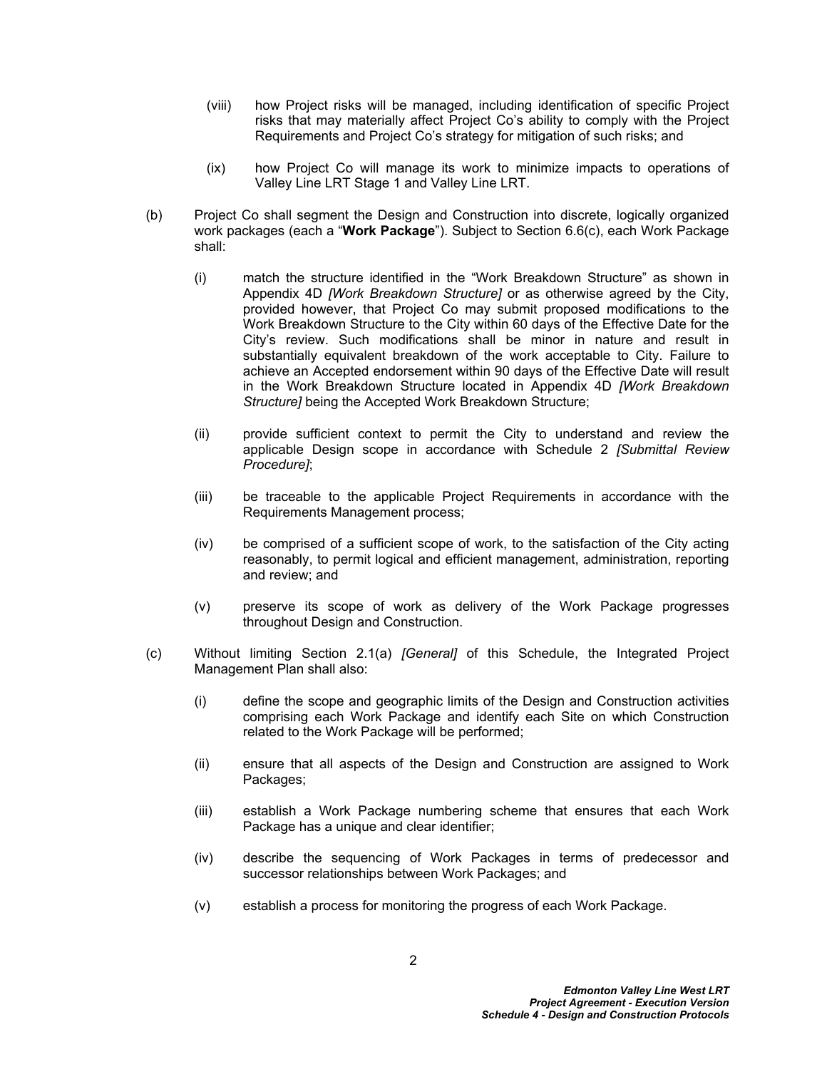- (viii) how Project risks will be managed, including identification of specific Project risks that may materially affect Project Co's ability to comply with the Project Requirements and Project Co's strategy for mitigation of such risks; and
- (ix) how Project Co will manage its work to minimize impacts to operations of Valley Line LRT Stage 1 and Valley Line LRT.
- (b) Project Co shall segment the Design and Construction into discrete, logically organized work packages (each a "**Work Package**"). Subject to Section [6.6\(c\)](#page-46-2), each Work Package shall:
	- (i) match the structure identified in the "Work Breakdown Structure" as shown in Appendix 4D *[Work Breakdown Structure]* or as otherwise agreed by the City, provided however, that Project Co may submit proposed modifications to the Work Breakdown Structure to the City within 60 days of the Effective Date for the City's review. Such modifications shall be minor in nature and result in substantially equivalent breakdown of the work acceptable to City. Failure to achieve an Accepted endorsement within 90 days of the Effective Date will result in the Work Breakdown Structure located in Appendix 4D *[Work Breakdown Structure]* being the Accepted Work Breakdown Structure;
	- (ii) provide sufficient context to permit the City to understand and review the applicable Design scope in accordance with Schedule 2 *[Submittal Review Procedure]*;
	- (iii) be traceable to the applicable Project Requirements in accordance with the Requirements Management process;
	- (iv) be comprised of a sufficient scope of work, to the satisfaction of the City acting reasonably, to permit logical and efficient management, administration, reporting and review; and
	- (v) preserve its scope of work as delivery of the Work Package progresses throughout Design and Construction.
- (c) Without limiting Section [2.1\(](#page-5-2)a) *[General]* of this Schedule, the Integrated Project Management Plan shall also:
	- (i) define the scope and geographic limits of the Design and Construction activities comprising each Work Package and identify each Site on which Construction related to the Work Package will be performed;
	- (ii) ensure that all aspects of the Design and Construction are assigned to Work Packages;
	- (iii) establish a Work Package numbering scheme that ensures that each Work Package has a unique and clear identifier;
	- (iv) describe the sequencing of Work Packages in terms of predecessor and successor relationships between Work Packages; and
	- (v) establish a process for monitoring the progress of each Work Package.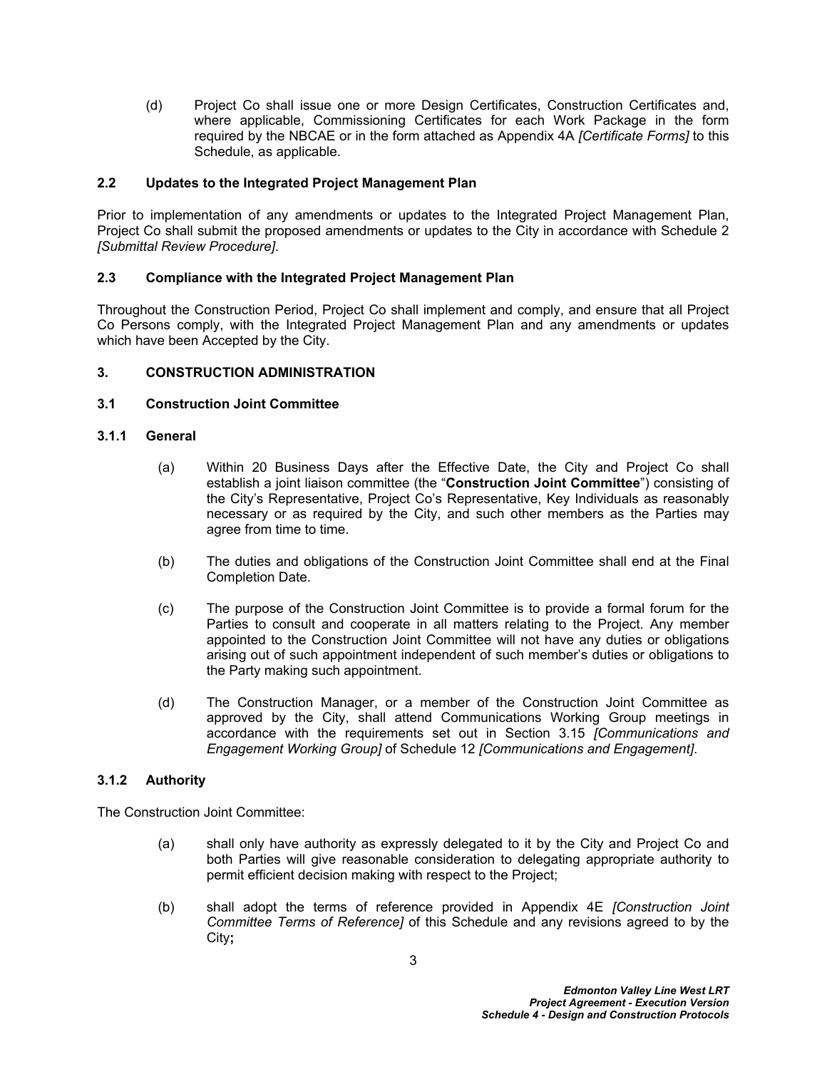(d) Project Co shall issue one or more Design Certificates, Construction Certificates and, where applicable, Commissioning Certificates for each Work Package in the form required by the NBCAE or in the form attached as Appendix 4A *[Certificate Forms]* to this Schedule, as applicable.

### <span id="page-7-0"></span>**2.2 Updates to the Integrated Project Management Plan**

Prior to implementation of any amendments or updates to the Integrated Project Management Plan, Project Co shall submit the proposed amendments or updates to the City in accordance with Schedule 2 *[Submittal Review Procedure]*.

### <span id="page-7-1"></span>**2.3 Compliance with the Integrated Project Management Plan**

Throughout the Construction Period, Project Co shall implement and comply, and ensure that all Project Co Persons comply, with the Integrated Project Management Plan and any amendments or updates which have been Accepted by the City.

### <span id="page-7-2"></span>**3. CONSTRUCTION ADMINISTRATION**

#### <span id="page-7-3"></span>**3.1 Construction Joint Committee**

#### **3.1.1 General**

- (a) Within 20 Business Days after the Effective Date, the City and Project Co shall establish a joint liaison committee (the "**Construction Joint Committee**") consisting of the City's Representative, Project Co's Representative, Key Individuals as reasonably necessary or as required by the City, and such other members as the Parties may agree from time to time.
- (b) The duties and obligations of the Construction Joint Committee shall end at the Final Completion Date.
- (c) The purpose of the Construction Joint Committee is to provide a formal forum for the Parties to consult and cooperate in all matters relating to the Project. Any member appointed to the Construction Joint Committee will not have any duties or obligations arising out of such appointment independent of such member's duties or obligations to the Party making such appointment.
- (d) The Construction Manager, or a member of the Construction Joint Committee as approved by the City, shall attend Communications Working Group meetings in accordance with the requirements set out in Section 3.15 *[Communications and Engagement Working Group]* of Schedule 12 *[Communications and Engagement]*.

### **3.1.2 Authority**

The Construction Joint Committee:

- (a) shall only have authority as expressly delegated to it by the City and Project Co and both Parties will give reasonable consideration to delegating appropriate authority to permit efficient decision making with respect to the Project;
- (b) shall adopt the terms of reference provided in Appendix 4E *[Construction Joint Committee Terms of Reference]* of this Schedule and any revisions agreed to by the City**;**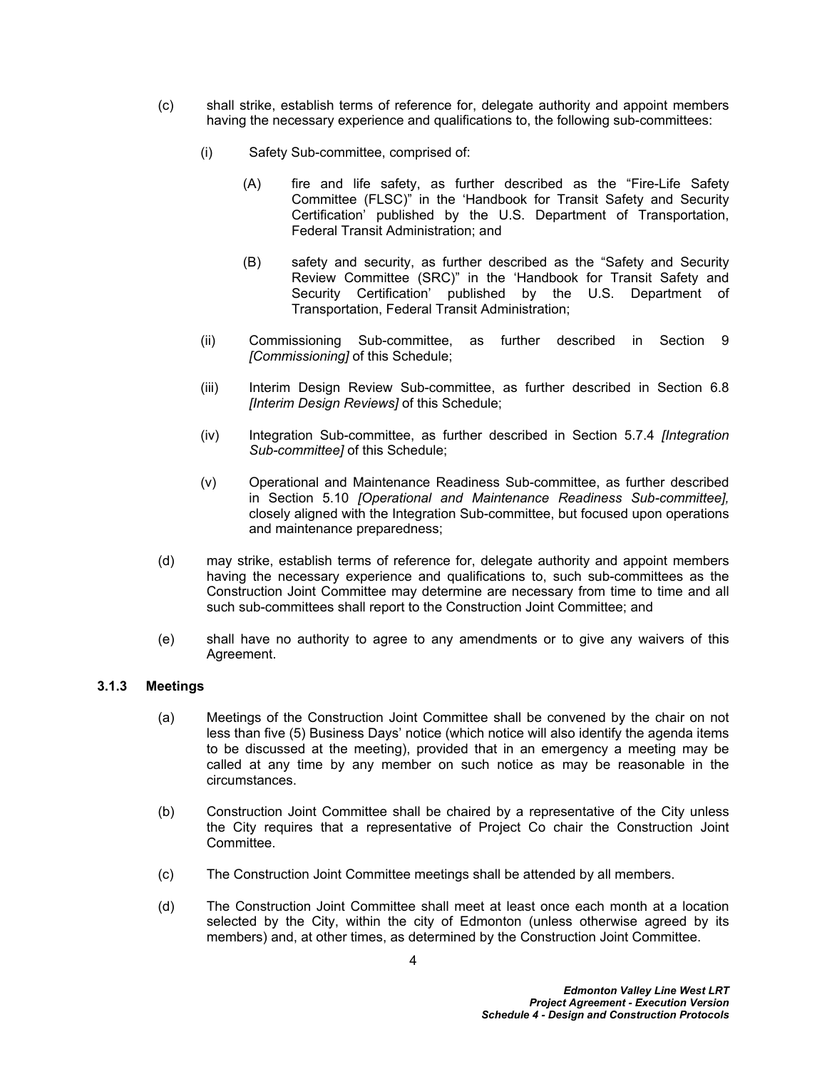- (c) shall strike, establish terms of reference for, delegate authority and appoint members having the necessary experience and qualifications to, the following sub-committees:
	- (i) Safety Sub-committee, comprised of:
		- (A) fire and life safety, as further described as the "Fire-Life Safety Committee (FLSC)" in the 'Handbook for Transit Safety and Security Certification' published by the U.S. Department of Transportation, Federal Transit Administration; and
		- (B) safety and security, as further described as the "Safety and Security Review Committee (SRC)" in the 'Handbook for Transit Safety and Security Certification' published by the U.S. Department of Transportation, Federal Transit Administration;
	- (ii) Commissioning Sub-committee, as further described in Section [9](#page-62-1)  *[Commissioning]* of this Schedule;
	- (iii) Interim Design Review Sub-committee, as further described in Section [6.8](#page-46-1)  *[Interim Design Reviews]* of this Schedule;
	- (iv) Integration Sub-committee, as further described in Section [5.7.4](#page-36-1) *[Integration Sub-committee]* of this Schedule;
	- (v) Operational and Maintenance Readiness Sub-committee, as further described in Section [5.10](#page-38-0) *[Operational and Maintenance Readiness Sub-committee],* closely aligned with the Integration Sub-committee, but focused upon operations and maintenance preparedness;
- (d) may strike, establish terms of reference for, delegate authority and appoint members having the necessary experience and qualifications to, such sub-committees as the Construction Joint Committee may determine are necessary from time to time and all such sub-committees shall report to the Construction Joint Committee; and
- (e) shall have no authority to agree to any amendments or to give any waivers of this Agreement.

#### **3.1.3 Meetings**

- (a) Meetings of the Construction Joint Committee shall be convened by the chair on not less than five (5) Business Days' notice (which notice will also identify the agenda items to be discussed at the meeting), provided that in an emergency a meeting may be called at any time by any member on such notice as may be reasonable in the circumstances.
- (b) Construction Joint Committee shall be chaired by a representative of the City unless the City requires that a representative of Project Co chair the Construction Joint Committee.
- (c) The Construction Joint Committee meetings shall be attended by all members.
- (d) The Construction Joint Committee shall meet at least once each month at a location selected by the City, within the city of Edmonton (unless otherwise agreed by its members) and, at other times, as determined by the Construction Joint Committee.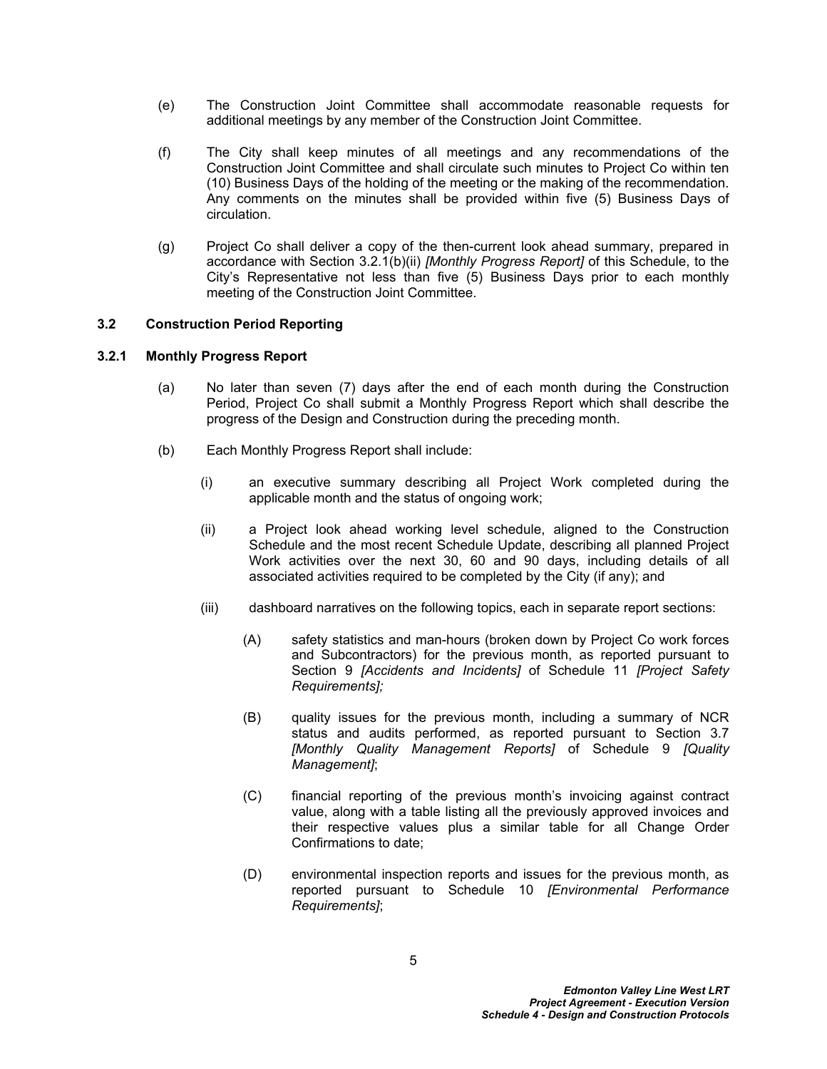- (e) The Construction Joint Committee shall accommodate reasonable requests for additional meetings by any member of the Construction Joint Committee.
- (f) The City shall keep minutes of all meetings and any recommendations of the Construction Joint Committee and shall circulate such minutes to Project Co within ten (10) Business Days of the holding of the meeting or the making of the recommendation. Any comments on the minutes shall be provided within five (5) Business Days of circulation.
- (g) Project Co shall deliver a copy of the then-current look ahead summary, prepared in accordance with Section [3.2.1\(b\)\(ii\)](#page-9-1) *[Monthly Progress Report]* of this Schedule, to the City's Representative not less than five (5) Business Days prior to each monthly meeting of the Construction Joint Committee.

### <span id="page-9-0"></span>**3.2 Construction Period Reporting**

### **3.2.1 Monthly Progress Report**

- (a) No later than seven (7) days after the end of each month during the Construction Period, Project Co shall submit a Monthly Progress Report which shall describe the progress of the Design and Construction during the preceding month.
- <span id="page-9-1"></span>(b) Each Monthly Progress Report shall include:
	- (i) an executive summary describing all Project Work completed during the applicable month and the status of ongoing work;
	- (ii) a Project look ahead working level schedule, aligned to the Construction Schedule and the most recent Schedule Update, describing all planned Project Work activities over the next 30, 60 and 90 days, including details of all associated activities required to be completed by the City (if any); and
	- (iii) dashboard narratives on the following topics, each in separate report sections:
		- (A) safety statistics and man-hours (broken down by Project Co work forces and Subcontractors) for the previous month, as reported pursuant to Section 9 *[Accidents and Incidents]* of Schedule 11 *[Project Safety Requirements];*
		- (B) quality issues for the previous month, including a summary of NCR status and audits performed, as reported pursuant to Section 3.7 *[Monthly Quality Management Reports]* of Schedule 9 *[Quality Management]*;
		- (C) financial reporting of the previous month's invoicing against contract value, along with a table listing all the previously approved invoices and their respective values plus a similar table for all Change Order Confirmations to date;
		- (D) environmental inspection reports and issues for the previous month, as reported pursuant to Schedule 10 *[Environmental Performance Requirements]*;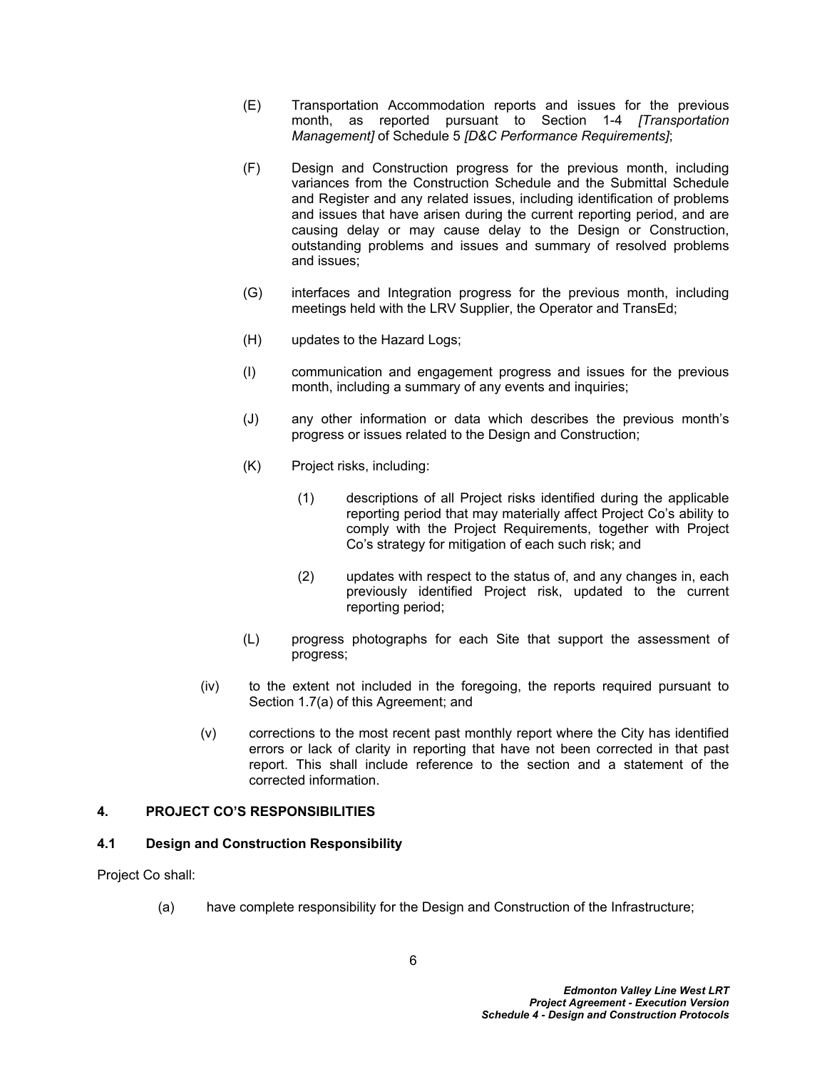- (E) Transportation Accommodation reports and issues for the previous month, as reported pursuant to Section 1-4 *[Transportation Management]* of Schedule 5 *[D&C Performance Requirements]*;
- (F) Design and Construction progress for the previous month, including variances from the Construction Schedule and the Submittal Schedule and Register and any related issues, including identification of problems and issues that have arisen during the current reporting period, and are causing delay or may cause delay to the Design or Construction, outstanding problems and issues and summary of resolved problems and issues;
- (G) interfaces and Integration progress for the previous month, including meetings held with the LRV Supplier, the Operator and TransEd;
- (H) updates to the Hazard Logs;
- (I) communication and engagement progress and issues for the previous month, including a summary of any events and inquiries;
- (J) any other information or data which describes the previous month's progress or issues related to the Design and Construction;
- (K) Project risks, including:
	- (1) descriptions of all Project risks identified during the applicable reporting period that may materially affect Project Co's ability to comply with the Project Requirements, together with Project Co's strategy for mitigation of each such risk; and
	- (2) updates with respect to the status of, and any changes in, each previously identified Project risk, updated to the current reporting period;
- (L) progress photographs for each Site that support the assessment of progress;
- (iv) to the extent not included in the foregoing, the reports required pursuant to Section 1.7(a) of this Agreement; and
- (v) corrections to the most recent past monthly report where the City has identified errors or lack of clarity in reporting that have not been corrected in that past report. This shall include reference to the section and a statement of the corrected information.

#### <span id="page-10-0"></span>**4. PROJECT CO'S RESPONSIBILITIES**

#### <span id="page-10-1"></span>**4.1 Design and Construction Responsibility**

Project Co shall:

(a) have complete responsibility for the Design and Construction of the Infrastructure;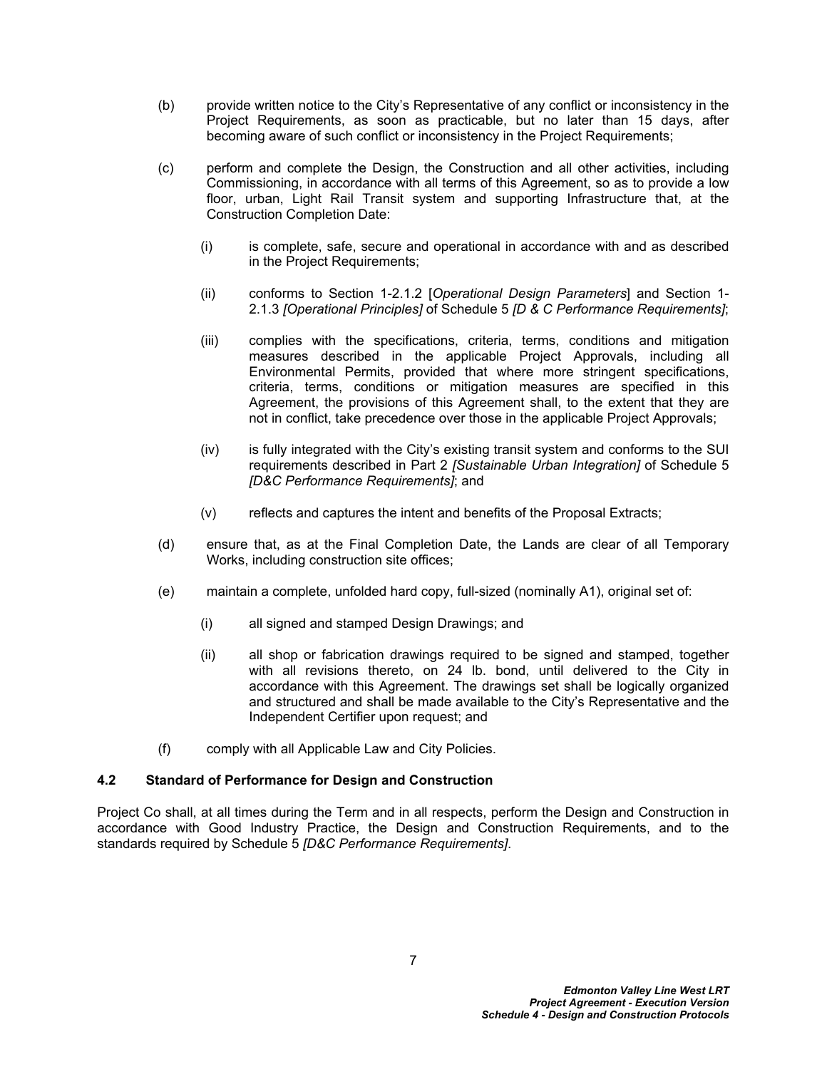- (b) provide written notice to the City's Representative of any conflict or inconsistency in the Project Requirements, as soon as practicable, but no later than 15 days, after becoming aware of such conflict or inconsistency in the Project Requirements;
- (c) perform and complete the Design, the Construction and all other activities, including Commissioning, in accordance with all terms of this Agreement, so as to provide a low floor, urban, Light Rail Transit system and supporting Infrastructure that, at the Construction Completion Date:
	- (i) is complete, safe, secure and operational in accordance with and as described in the Project Requirements;
	- (ii) conforms to Section 1-2.1.2 [*Operational Design Parameters*] and Section 1- 2.1.3 *[Operational Principles]* of Schedule 5 *[D & C Performance Requirements]*;
	- (iii) complies with the specifications, criteria, terms, conditions and mitigation measures described in the applicable Project Approvals, including all Environmental Permits, provided that where more stringent specifications, criteria, terms, conditions or mitigation measures are specified in this Agreement, the provisions of this Agreement shall, to the extent that they are not in conflict, take precedence over those in the applicable Project Approvals;
	- (iv) is fully integrated with the City's existing transit system and conforms to the SUI requirements described in Part 2 *[Sustainable Urban Integration]* of Schedule 5 *[D&C Performance Requirements]*; and
	- (v) reflects and captures the intent and benefits of the Proposal Extracts;
- (d) ensure that, as at the Final Completion Date, the Lands are clear of all Temporary Works, including construction site offices;
- (e) maintain a complete, unfolded hard copy, full-sized (nominally A1), original set of:
	- (i) all signed and stamped Design Drawings; and
	- (ii) all shop or fabrication drawings required to be signed and stamped, together with all revisions thereto, on 24 lb. bond, until delivered to the City in accordance with this Agreement. The drawings set shall be logically organized and structured and shall be made available to the City's Representative and the Independent Certifier upon request; and
- (f) comply with all Applicable Law and City Policies.

#### <span id="page-11-0"></span>**4.2 Standard of Performance for Design and Construction**

Project Co shall, at all times during the Term and in all respects, perform the Design and Construction in accordance with Good Industry Practice, the Design and Construction Requirements, and to the standards required by Schedule 5 *[D&C Performance Requirements]*.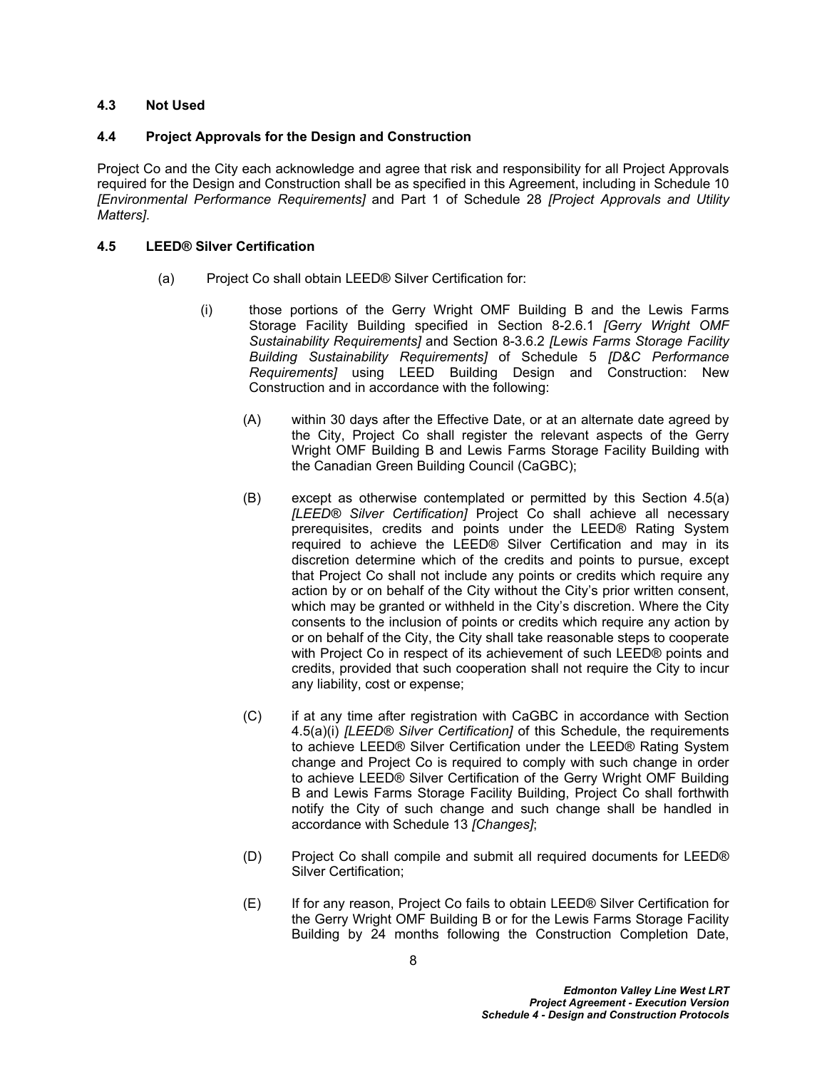### <span id="page-12-0"></span>**4.3 Not Used**

### <span id="page-12-1"></span>**4.4 Project Approvals for the Design and Construction**

Project Co and the City each acknowledge and agree that risk and responsibility for all Project Approvals required for the Design and Construction shall be as specified in this Agreement, including in Schedule 10 *[Environmental Performance Requirements]* and Part 1 of Schedule 28 *[Project Approvals and Utility Matters]*.

### <span id="page-12-2"></span>**4.5 LEED® Silver Certification**

- <span id="page-12-4"></span><span id="page-12-3"></span>(a) Project Co shall obtain LEED® Silver Certification for:
	- (i) those portions of the Gerry Wright OMF Building B and the Lewis Farms Storage Facility Building specified in Section 8-2.6.1 *[Gerry Wright OMF Sustainability Requirements]* and Section 8-3.6.2 *[Lewis Farms Storage Facility Building Sustainability Requirements]* of Schedule 5 *[D&C Performance Requirements]* using LEED Building Design and Construction: New Construction and in accordance with the following:
		- (A) within 30 days after the Effective Date, or at an alternate date agreed by the City, Project Co shall register the relevant aspects of the Gerry Wright OMF Building B and Lewis Farms Storage Facility Building with the Canadian Green Building Council (CaGBC);
		- (B) except as otherwise contemplated or permitted by this Section 4.5(a) *[LEED® Silver Certification]* Project Co shall achieve all necessary prerequisites, credits and points under the LEED® Rating System required to achieve the LEED® Silver Certification and may in its discretion determine which of the credits and points to pursue, except that Project Co shall not include any points or credits which require any action by or on behalf of the City without the City's prior written consent, which may be granted or withheld in the City's discretion. Where the City consents to the inclusion of points or credits which require any action by or on behalf of the City, the City shall take reasonable steps to cooperate with Project Co in respect of its achievement of such LEED® points and credits, provided that such cooperation shall not require the City to incur any liability, cost or expense;
		- (C) if at any time after registration with CaGBC in accordance with Section [4.5\(a\)\(i\)](#page-12-3) *[LEED® Silver Certification]* of this Schedule, the requirements to achieve LEED® Silver Certification under the LEED® Rating System change and Project Co is required to comply with such change in order to achieve LEED® Silver Certification of the Gerry Wright OMF Building B and Lewis Farms Storage Facility Building, Project Co shall forthwith notify the City of such change and such change shall be handled in accordance with Schedule 13 *[Changes]*;
		- (D) Project Co shall compile and submit all required documents for LEED® Silver Certification;
		- (E) If for any reason, Project Co fails to obtain LEED® Silver Certification for the Gerry Wright OMF Building B or for the Lewis Farms Storage Facility Building by 24 months following the Construction Completion Date,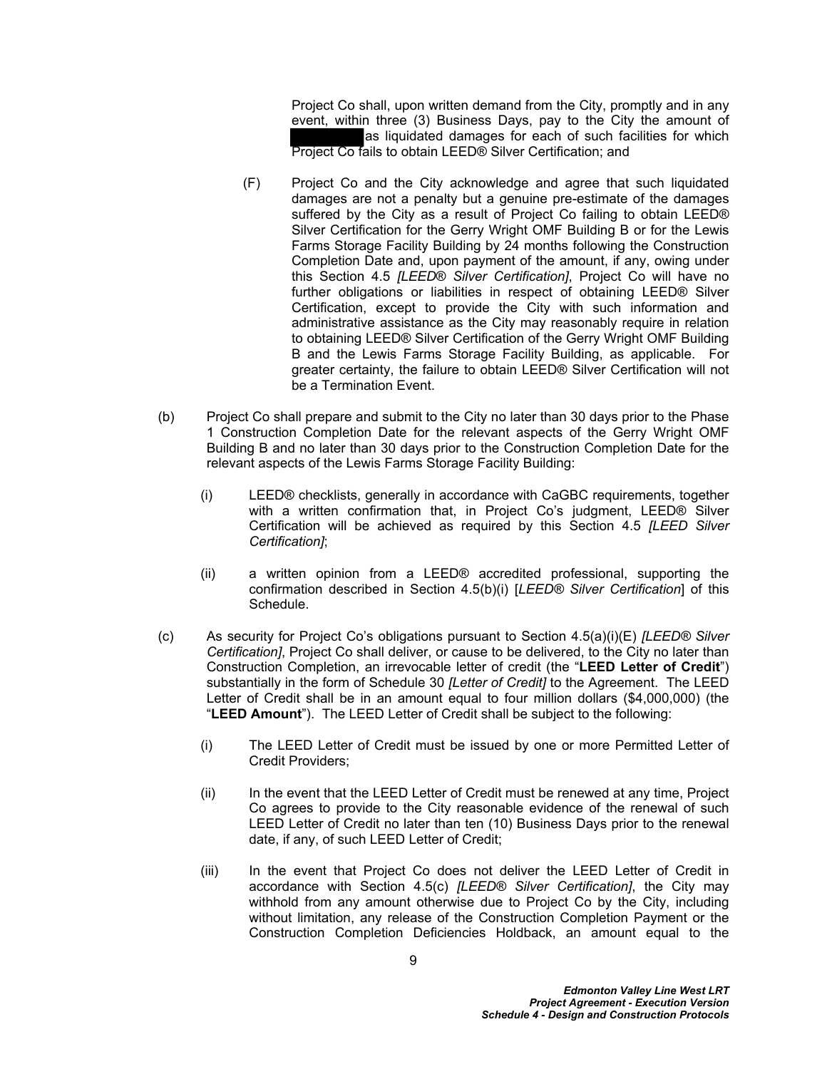Project Co shall, upon written demand from the City, promptly and in any event, within three (3) Business Days, pay to the City the amount of as liquidated damages for each of such facilities for which Project Co fails to obtain LEED® Silver Certification; and

- (F) Project Co and the City acknowledge and agree that such liquidated damages are not a penalty but a genuine pre-estimate of the damages suffered by the City as a result of Project Co failing to obtain LEED® Silver Certification for the Gerry Wright OMF Building B or for the Lewis Farms Storage Facility Building by 24 months following the Construction Completion Date and, upon payment of the amount, if any, owing under this Section 4.5 *[LEED*® *Silver Certification]*, Project Co will have no further obligations or liabilities in respect of obtaining LEED® Silver Certification, except to provide the City with such information and administrative assistance as the City may reasonably require in relation to obtaining LEED® Silver Certification of the Gerry Wright OMF Building B and the Lewis Farms Storage Facility Building, as applicable. For greater certainty, the failure to obtain LEED® Silver Certification will not be a Termination Event.
- (b) Project Co shall prepare and submit to the City no later than 30 days prior to the Phase 1 Construction Completion Date for the relevant aspects of the Gerry Wright OMF Building B and no later than 30 days prior to the Construction Completion Date for the relevant aspects of the Lewis Farms Storage Facility Building:
	- (i) LEED® checklists, generally in accordance with CaGBC requirements, together with a written confirmation that, in Project Co's judgment, LEED® Silver Certification will be achieved as required by this Section 4.5 *[LEED Silver Certification]*;
	- (ii) a written opinion from a LEED® accredited professional, supporting the confirmation described in Section 4.5(b)(i) [*LEED® Silver Certification*] of this Schedule.
- <span id="page-13-1"></span><span id="page-13-0"></span>(c) As security for Project Co's obligations pursuant to Section [4.5\(a\)\(i\)\(E\)](#page-12-4) *[LEED® Silver Certification]*, Project Co shall deliver, or cause to be delivered, to the City no later than Construction Completion, an irrevocable letter of credit (the "**LEED Letter of Credit**") substantially in the form of Schedule 30 *[Letter of Credit]* to the Agreement. The LEED Letter of Credit shall be in an amount equal to four million dollars (\$4,000,000) (the "**LEED Amount**"). The LEED Letter of Credit shall be subject to the following:
	- (i) The LEED Letter of Credit must be issued by one or more Permitted Letter of Credit Providers;
	- (ii) In the event that the LEED Letter of Credit must be renewed at any time, Project Co agrees to provide to the City reasonable evidence of the renewal of such LEED Letter of Credit no later than ten (10) Business Days prior to the renewal date, if any, of such LEED Letter of Credit;
	- (iii) In the event that Project Co does not deliver the LEED Letter of Credit in accordance with Section [4.5\(c\)](#page-13-0) *[LEED® Silver Certification]*, the City may withhold from any amount otherwise due to Project Co by the City, including without limitation, any release of the Construction Completion Payment or the Construction Completion Deficiencies Holdback, an amount equal to the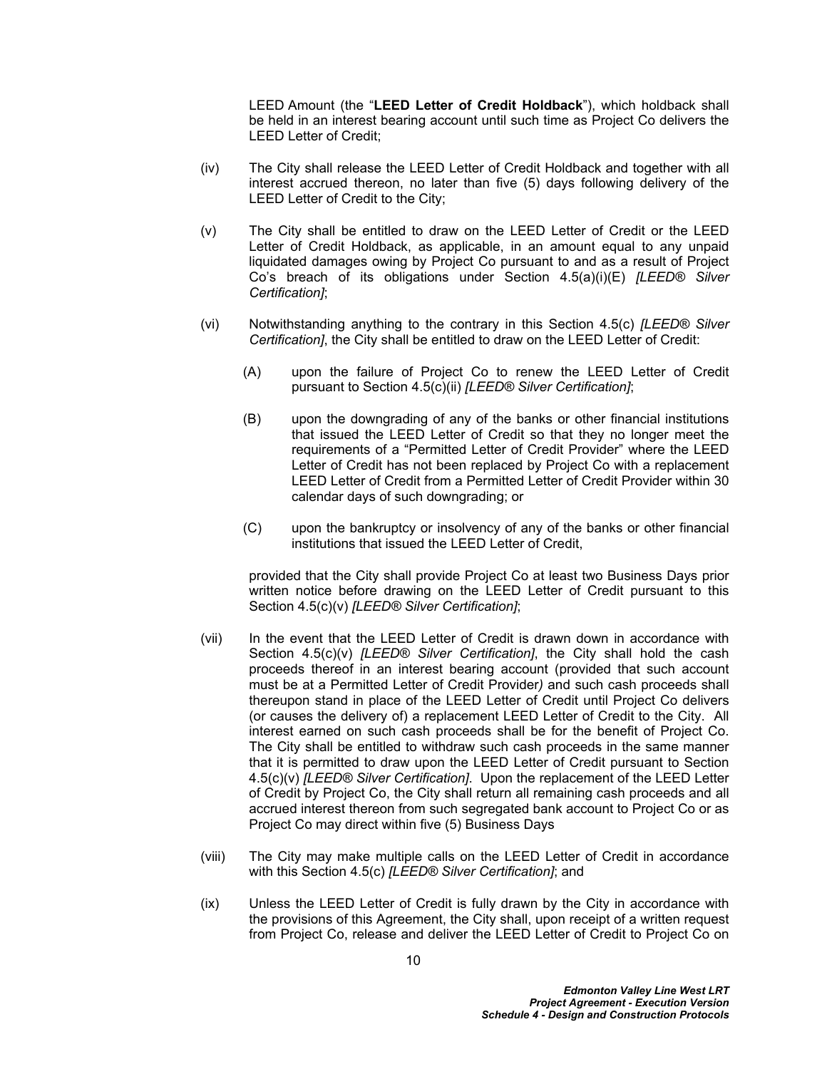LEED Amount (the "**LEED Letter of Credit Holdback**"), which holdback shall be held in an interest bearing account until such time as Project Co delivers the LEED Letter of Credit;

- (iv) The City shall release the LEED Letter of Credit Holdback and together with all interest accrued thereon, no later than five (5) days following delivery of the LEED Letter of Credit to the City;
- <span id="page-14-0"></span>(v) The City shall be entitled to draw on the LEED Letter of Credit or the LEED Letter of Credit Holdback, as applicable, in an amount equal to any unpaid liquidated damages owing by Project Co pursuant to and as a result of Project Co's breach of its obligations under Section 4.5(a)(i)(E) *[LEED® Silver Certification]*;
- (vi) Notwithstanding anything to the contrary in this Section [4.5\(c\)](#page-13-0) *[LEED® Silver Certification]*, the City shall be entitled to draw on the LEED Letter of Credit:
	- (A) upon the failure of Project Co to renew the LEED Letter of Credit pursuant to Section [4.5\(c\)\(ii\)](#page-13-1) *[LEED® Silver Certification]*;
	- (B) upon the downgrading of any of the banks or other financial institutions that issued the LEED Letter of Credit so that they no longer meet the requirements of a "Permitted Letter of Credit Provider" where the LEED Letter of Credit has not been replaced by Project Co with a replacement LEED Letter of Credit from a Permitted Letter of Credit Provider within 30 calendar days of such downgrading; or
	- (C) upon the bankruptcy or insolvency of any of the banks or other financial institutions that issued the LEED Letter of Credit,

provided that the City shall provide Project Co at least two Business Days prior written notice before drawing on the LEED Letter of Credit pursuant to this Section [4.5\(c\)\(v\)](#page-14-0) *[LEED® Silver Certification]*;

- (vii) In the event that the LEED Letter of Credit is drawn down in accordance with Section [4.5\(c\)\(v\)](#page-14-0) *[LEED® Silver Certification]*, the City shall hold the cash proceeds thereof in an interest bearing account (provided that such account must be at a Permitted Letter of Credit Provider*)* and such cash proceeds shall thereupon stand in place of the LEED Letter of Credit until Project Co delivers (or causes the delivery of) a replacement LEED Letter of Credit to the City. All interest earned on such cash proceeds shall be for the benefit of Project Co. The City shall be entitled to withdraw such cash proceeds in the same manner that it is permitted to draw upon the LEED Letter of Credit pursuant to Section [4.5\(c\)\(v\)](#page-14-0) *[LEED® Silver Certification]*. Upon the replacement of the LEED Letter of Credit by Project Co, the City shall return all remaining cash proceeds and all accrued interest thereon from such segregated bank account to Project Co or as Project Co may direct within five (5) Business Days
- (viii) The City may make multiple calls on the LEED Letter of Credit in accordance with this Section [4.5\(c\)](#page-13-0) *[LEED® Silver Certification]*; and
- (ix) Unless the LEED Letter of Credit is fully drawn by the City in accordance with the provisions of this Agreement, the City shall, upon receipt of a written request from Project Co, release and deliver the LEED Letter of Credit to Project Co on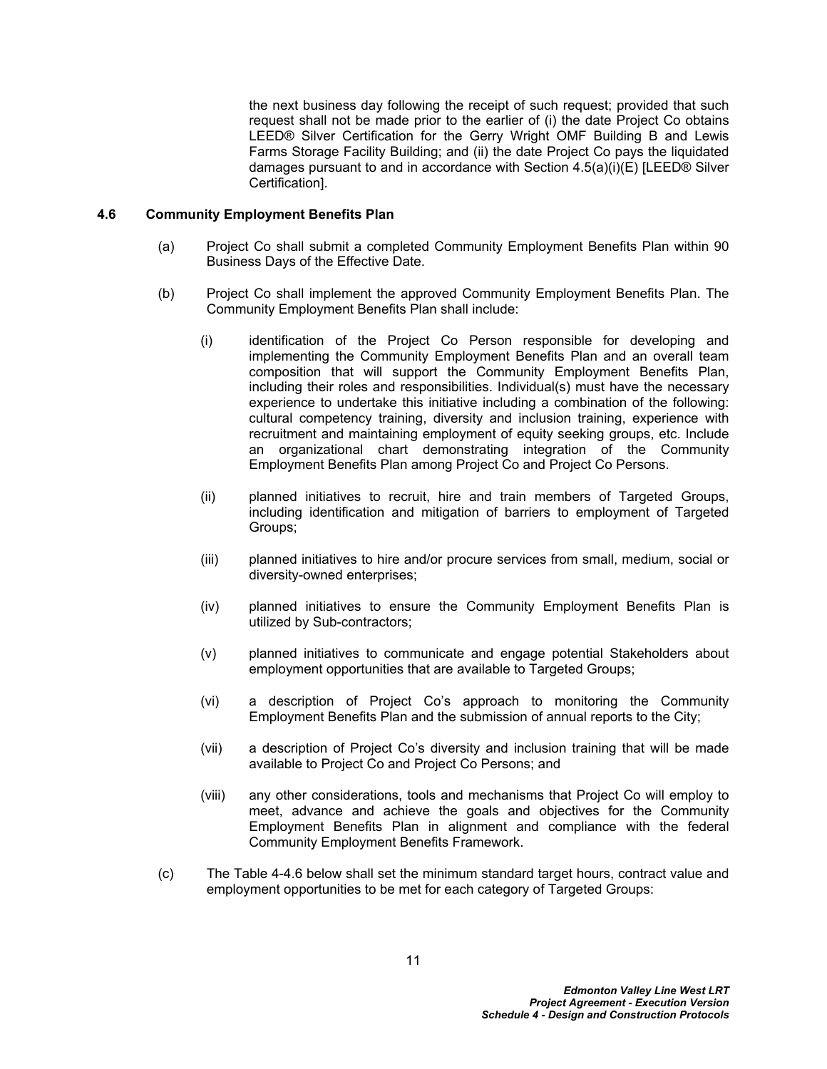the next business day following the receipt of such request; provided that such request shall not be made prior to the earlier of (i) the date Project Co obtains LEED® Silver Certification for the Gerry Wright OMF Building B and Lewis Farms Storage Facility Building; and (ii) the date Project Co pays the liquidated damages pursuant to and in accordance with Section [4.5\(a\)\(i\)\(E\)](#page-12-4) [LEED® Silver Certification].

#### <span id="page-15-0"></span>**4.6 Community Employment Benefits Plan**

- (a) Project Co shall submit a completed Community Employment Benefits Plan within 90 Business Days of the Effective Date.
- (b) Project Co shall implement the approved Community Employment Benefits Plan. The Community Employment Benefits Plan shall include:
	- (i) identification of the Project Co Person responsible for developing and implementing the Community Employment Benefits Plan and an overall team composition that will support the Community Employment Benefits Plan, including their roles and responsibilities. Individual(s) must have the necessary experience to undertake this initiative including a combination of the following: cultural competency training, diversity and inclusion training, experience with recruitment and maintaining employment of equity seeking groups, etc. Include an organizational chart demonstrating integration of the Community Employment Benefits Plan among Project Co and Project Co Persons.
	- (ii) planned initiatives to recruit, hire and train members of Targeted Groups, including identification and mitigation of barriers to employment of Targeted Groups;
	- (iii) planned initiatives to hire and/or procure services from small, medium, social or diversity-owned enterprises;
	- (iv) planned initiatives to ensure the Community Employment Benefits Plan is utilized by Sub-contractors;
	- (v) planned initiatives to communicate and engage potential Stakeholders about employment opportunities that are available to Targeted Groups;
	- (vi) a description of Project Co's approach to monitoring the Community Employment Benefits Plan and the submission of annual reports to the City;
	- (vii) a description of Project Co's diversity and inclusion training that will be made available to Project Co and Project Co Persons; and
	- (viii) any other considerations, tools and mechanisms that Project Co will employ to meet, advance and achieve the goals and objectives for the Community Employment Benefits Plan in alignment and compliance with the federal Community Employment Benefits Framework.
- (c) The Table 4-4.6 below shall set the minimum standard target hours, contract value and employment opportunities to be met for each category of Targeted Groups: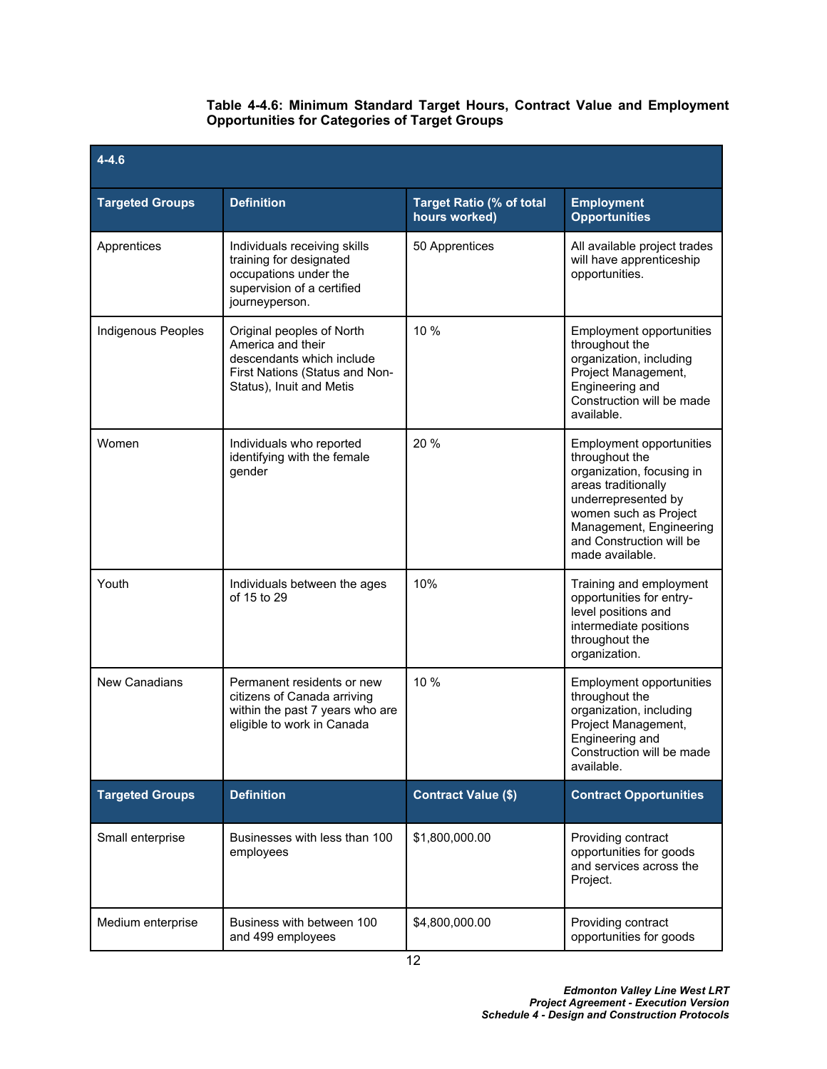### **Table 4-4.6: Minimum Standard Target Hours, Contract Value and Employment Opportunities for Categories of Target Groups**

| $4 - 4.6$              |                                                                                                                                           |                                                  |                                                                                                                                                                                                                          |
|------------------------|-------------------------------------------------------------------------------------------------------------------------------------------|--------------------------------------------------|--------------------------------------------------------------------------------------------------------------------------------------------------------------------------------------------------------------------------|
| <b>Targeted Groups</b> | <b>Definition</b>                                                                                                                         | <b>Target Ratio (% of total</b><br>hours worked) | <b>Employment</b><br><b>Opportunities</b>                                                                                                                                                                                |
| Apprentices            | Individuals receiving skills<br>training for designated<br>occupations under the<br>supervision of a certified<br>journeyperson.          | 50 Apprentices                                   | All available project trades<br>will have apprenticeship<br>opportunities.                                                                                                                                               |
| Indigenous Peoples     | Original peoples of North<br>America and their<br>descendants which include<br>First Nations (Status and Non-<br>Status), Inuit and Metis | 10 %                                             | Employment opportunities<br>throughout the<br>organization, including<br>Project Management,<br>Engineering and<br>Construction will be made<br>available.                                                               |
| Women                  | Individuals who reported<br>identifying with the female<br>gender                                                                         | 20 %                                             | Employment opportunities<br>throughout the<br>organization, focusing in<br>areas traditionally<br>underrepresented by<br>women such as Project<br>Management, Engineering<br>and Construction will be<br>made available. |
| Youth                  | Individuals between the ages<br>of 15 to 29                                                                                               | 10%                                              | Training and employment<br>opportunities for entry-<br>level positions and<br>intermediate positions<br>throughout the<br>organization.                                                                                  |
| <b>New Canadians</b>   | Permanent residents or new<br>citizens of Canada arriving<br>within the past 7 years who are<br>eligible to work in Canada                | 10 %                                             | Employment opportunities<br>throughout the<br>organization, including<br>Project Management,<br>Engineering and<br>Construction will be made<br>available.                                                               |
| <b>Targeted Groups</b> | <b>Definition</b>                                                                                                                         | <b>Contract Value (\$)</b>                       | <b>Contract Opportunities</b>                                                                                                                                                                                            |
| Small enterprise       | Businesses with less than 100<br>employees                                                                                                | \$1,800,000.00                                   | Providing contract<br>opportunities for goods<br>and services across the<br>Project.                                                                                                                                     |
| Medium enterprise      | Business with between 100<br>and 499 employees                                                                                            | \$4,800,000.00                                   | Providing contract<br>opportunities for goods                                                                                                                                                                            |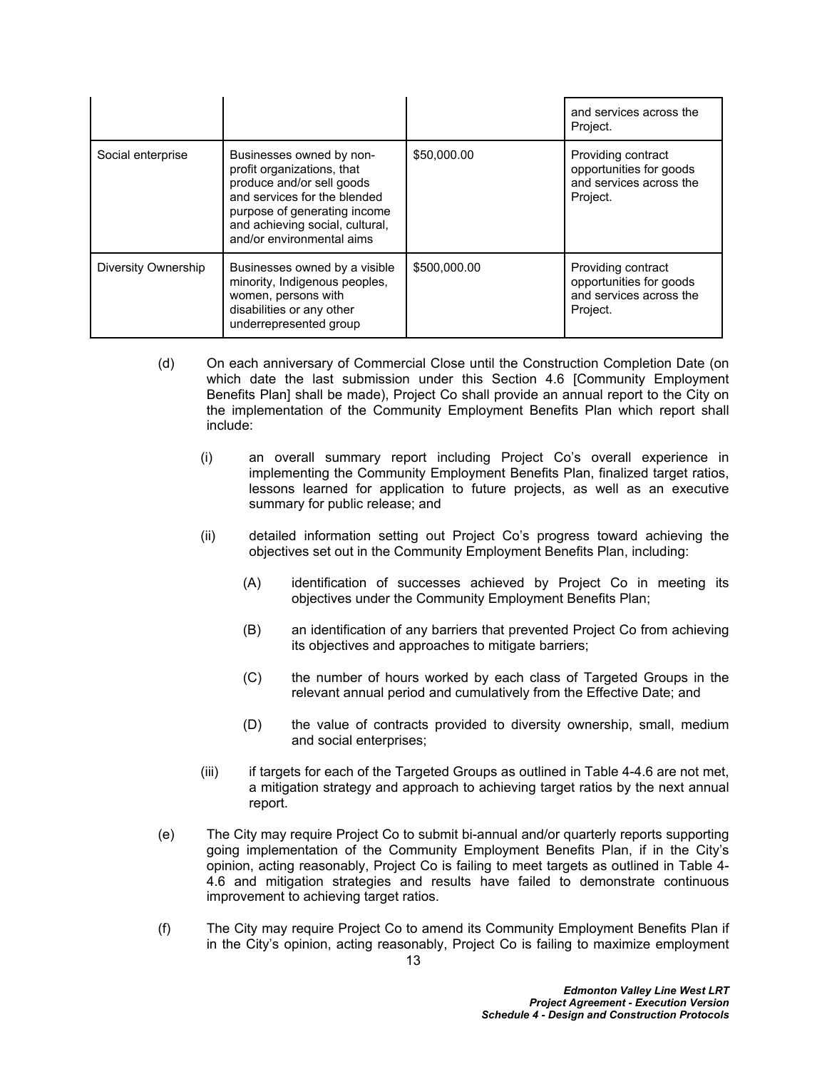|                     |                                                                                                                                                                                                                     |              | and services across the<br>Project.                                                  |
|---------------------|---------------------------------------------------------------------------------------------------------------------------------------------------------------------------------------------------------------------|--------------|--------------------------------------------------------------------------------------|
| Social enterprise   | Businesses owned by non-<br>profit organizations, that<br>produce and/or sell goods<br>and services for the blended<br>purpose of generating income<br>and achieving social, cultural,<br>and/or environmental aims | \$50,000.00  | Providing contract<br>opportunities for goods<br>and services across the<br>Project. |
| Diversity Ownership | Businesses owned by a visible<br>minority, Indigenous peoples,<br>women, persons with<br>disabilities or any other<br>underrepresented group                                                                        | \$500,000.00 | Providing contract<br>opportunities for goods<br>and services across the<br>Project. |

- (d) On each anniversary of Commercial Close until the Construction Completion Date (on which date the last submission under this Section 4.6 [Community Employment Benefits Plan] shall be made), Project Co shall provide an annual report to the City on the implementation of the Community Employment Benefits Plan which report shall include:
	- (i) an overall summary report including Project Co's overall experience in implementing the Community Employment Benefits Plan, finalized target ratios, lessons learned for application to future projects, as well as an executive summary for public release; and
	- (ii) detailed information setting out Project Co's progress toward achieving the objectives set out in the Community Employment Benefits Plan, including:
		- (A) identification of successes achieved by Project Co in meeting its objectives under the Community Employment Benefits Plan;
		- (B) an identification of any barriers that prevented Project Co from achieving its objectives and approaches to mitigate barriers;
		- (C) the number of hours worked by each class of Targeted Groups in the relevant annual period and cumulatively from the Effective Date; and
		- (D) the value of contracts provided to diversity ownership, small, medium and social enterprises;
	- (iii) if targets for each of the Targeted Groups as outlined in Table 4-4.6 are not met, a mitigation strategy and approach to achieving target ratios by the next annual report.
- (e) The City may require Project Co to submit bi-annual and/or quarterly reports supporting going implementation of the Community Employment Benefits Plan, if in the City's opinion, acting reasonably, Project Co is failing to meet targets as outlined in Table 4- 4.6 and mitigation strategies and results have failed to demonstrate continuous improvement to achieving target ratios.
- (f) The City may require Project Co to amend its Community Employment Benefits Plan if in the City's opinion, acting reasonably, Project Co is failing to maximize employment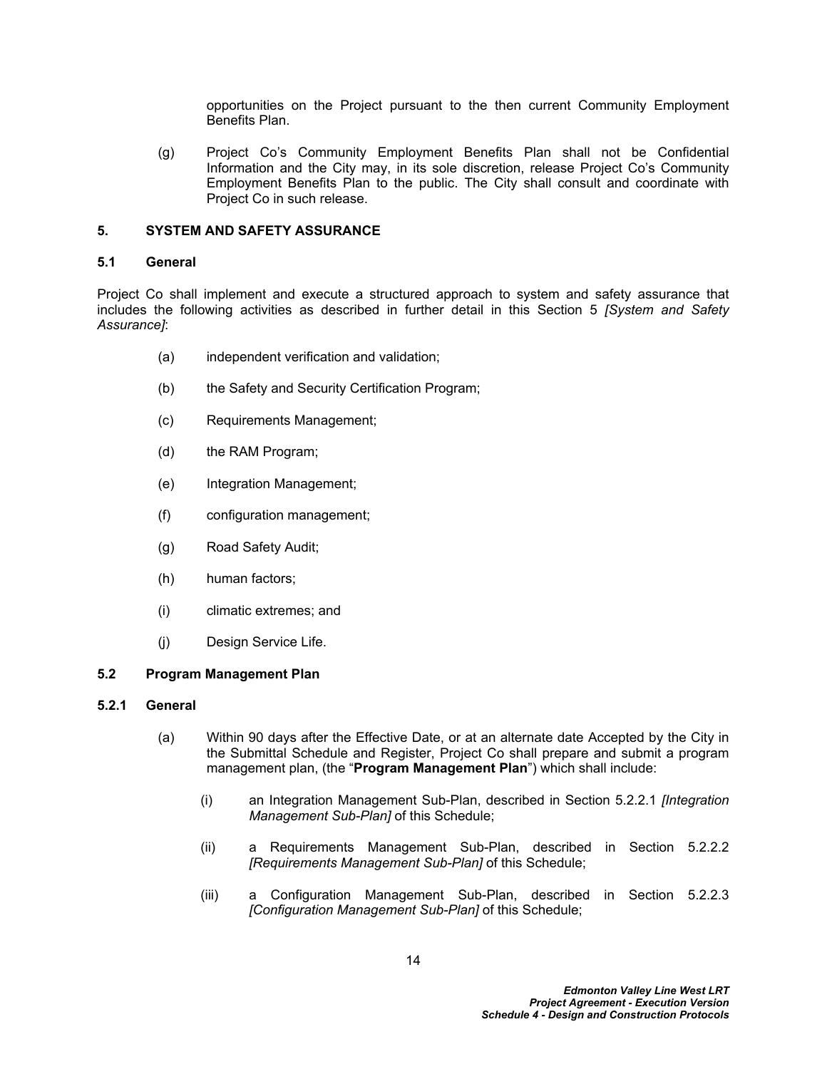opportunities on the Project pursuant to the then current Community Employment Benefits Plan.

(g) Project Co's Community Employment Benefits Plan shall not be Confidential Information and the City may, in its sole discretion, release Project Co's Community Employment Benefits Plan to the public. The City shall consult and coordinate with Project Co in such release.

### <span id="page-18-0"></span>**5. SYSTEM AND SAFETY ASSURANCE**

### <span id="page-18-1"></span>**5.1 General**

Project Co shall implement and execute a structured approach to system and safety assurance that includes the following activities as described in further detail in this Section 5 *[System and Safety Assurance]*:

- (a) independent verification and validation;
- (b) the Safety and Security Certification Program;
- (c) Requirements Management;
- (d) the RAM Program;
- (e) Integration Management;
- (f) configuration management;
- (g) Road Safety Audit;
- (h) human factors;
- (i) climatic extremes; and
- (j) Design Service Life.

#### <span id="page-18-2"></span>**5.2 Program Management Plan**

#### **5.2.1 General**

- (a) Within 90 days after the Effective Date, or at an alternate date Accepted by the City in the Submittal Schedule and Register, Project Co shall prepare and submit a program management plan, (the "**Program Management Plan**") which shall include:
	- (i) an Integration Management Sub-Plan, described in Section [5.2.2.1](#page-19-0) *[Integration Management Sub-Plan]* of this Schedule;
	- (ii) a Requirements Management Sub-Plan, described in Section [5.2.2.2](#page-19-1)  *[Requirements Management Sub-Plan]* of this Schedule;
	- (iii) a Configuration Management Sub-Plan, described in Section [5.2.2.3](#page-20-0)  *[Configuration Management Sub-Plan]* of this Schedule;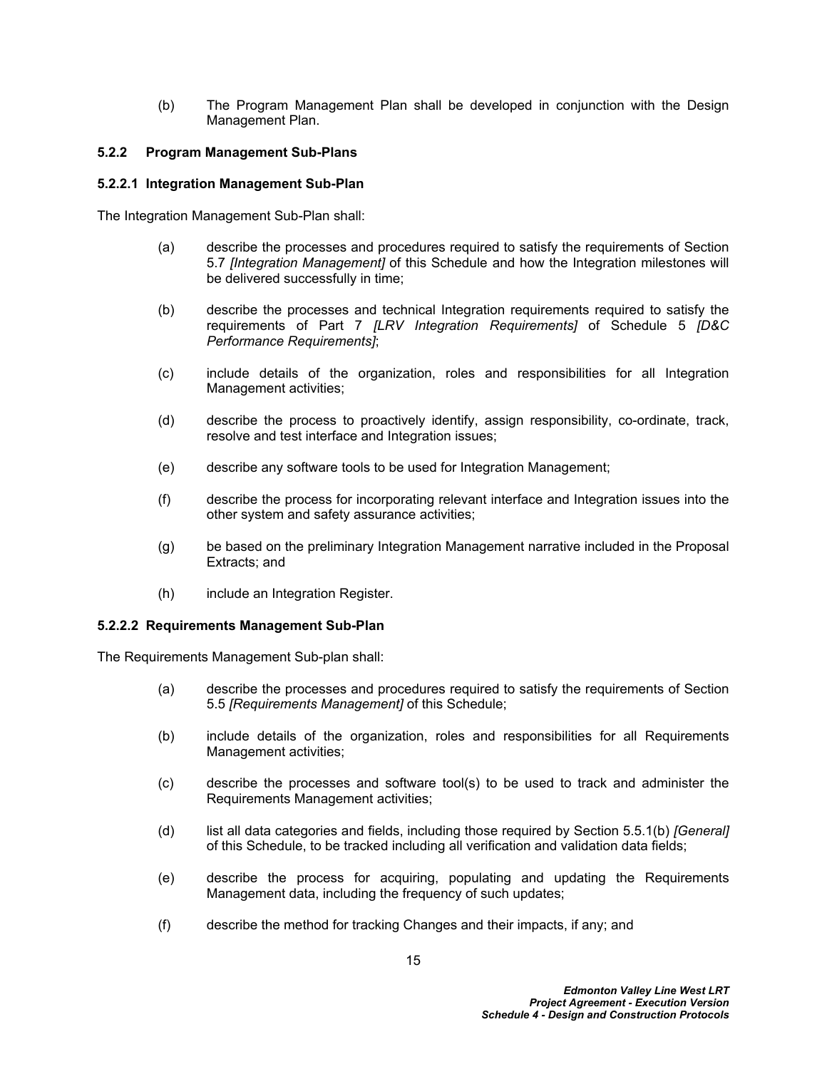(b) The Program Management Plan shall be developed in conjunction with the Design Management Plan.

### **5.2.2 Program Management Sub-Plans**

### <span id="page-19-0"></span>**5.2.2.1 Integration Management Sub-Plan**

The Integration Management Sub-Plan shall:

- (a) describe the processes and procedures required to satisfy the requirements of Section [5.7](#page-34-0) *[Integration Management]* of this Schedule and how the Integration milestones will be delivered successfully in time;
- (b) describe the processes and technical Integration requirements required to satisfy the requirements of Part 7 *[LRV Integration Requirements]* of Schedule 5 *[D&C Performance Requirements]*;
- (c) include details of the organization, roles and responsibilities for all Integration Management activities;
- (d) describe the process to proactively identify, assign responsibility, co-ordinate, track, resolve and test interface and Integration issues;
- (e) describe any software tools to be used for Integration Management;
- (f) describe the process for incorporating relevant interface and Integration issues into the other system and safety assurance activities;
- (g) be based on the preliminary Integration Management narrative included in the Proposal Extracts; and
- (h) include an Integration Register.

#### <span id="page-19-1"></span>**5.2.2.2 Requirements Management Sub-Plan**

The Requirements Management Sub-plan shall:

- (a) describe the processes and procedures required to satisfy the requirements of Section [5.5](#page-27-0) *[Requirements Management]* of this Schedule;
- (b) include details of the organization, roles and responsibilities for all Requirements Management activities;
- (c) describe the processes and software tool(s) to be used to track and administer the Requirements Management activities;
- (d) list all data categories and fields, including those required by Section [5.5.1\(b\)](#page-27-1) *[General]*  of this Schedule, to be tracked including all verification and validation data fields;
- (e) describe the process for acquiring, populating and updating the Requirements Management data, including the frequency of such updates;
- (f) describe the method for tracking Changes and their impacts, if any; and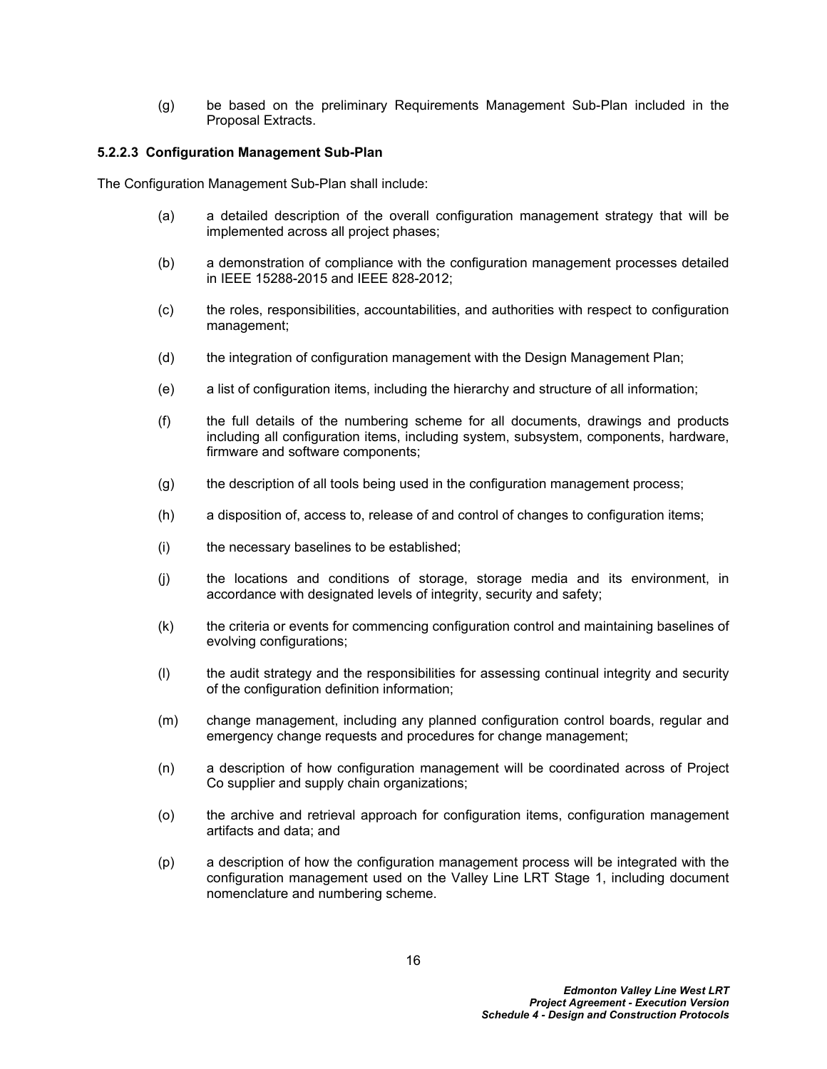(g) be based on the preliminary Requirements Management Sub-Plan included in the Proposal Extracts.

### <span id="page-20-0"></span>**5.2.2.3 Configuration Management Sub-Plan**

The Configuration Management Sub-Plan shall include:

- (a) a detailed description of the overall configuration management strategy that will be implemented across all project phases;
- (b) a demonstration of compliance with the configuration management processes detailed in IEEE 15288-2015 and IEEE 828-2012;
- (c) the roles, responsibilities, accountabilities, and authorities with respect to configuration management;
- (d) the integration of configuration management with the Design Management Plan;
- (e) a list of configuration items, including the hierarchy and structure of all information;
- (f) the full details of the numbering scheme for all documents, drawings and products including all configuration items, including system, subsystem, components, hardware, firmware and software components;
- (g) the description of all tools being used in the configuration management process;
- (h) a disposition of, access to, release of and control of changes to configuration items;
- (i) the necessary baselines to be established;
- (j) the locations and conditions of storage, storage media and its environment, in accordance with designated levels of integrity, security and safety;
- (k) the criteria or events for commencing configuration control and maintaining baselines of evolving configurations;
- (l) the audit strategy and the responsibilities for assessing continual integrity and security of the configuration definition information;
- (m) change management, including any planned configuration control boards, regular and emergency change requests and procedures for change management;
- (n) a description of how configuration management will be coordinated across of Project Co supplier and supply chain organizations;
- (o) the archive and retrieval approach for configuration items, configuration management artifacts and data; and
- (p) a description of how the configuration management process will be integrated with the configuration management used on the Valley Line LRT Stage 1, including document nomenclature and numbering scheme.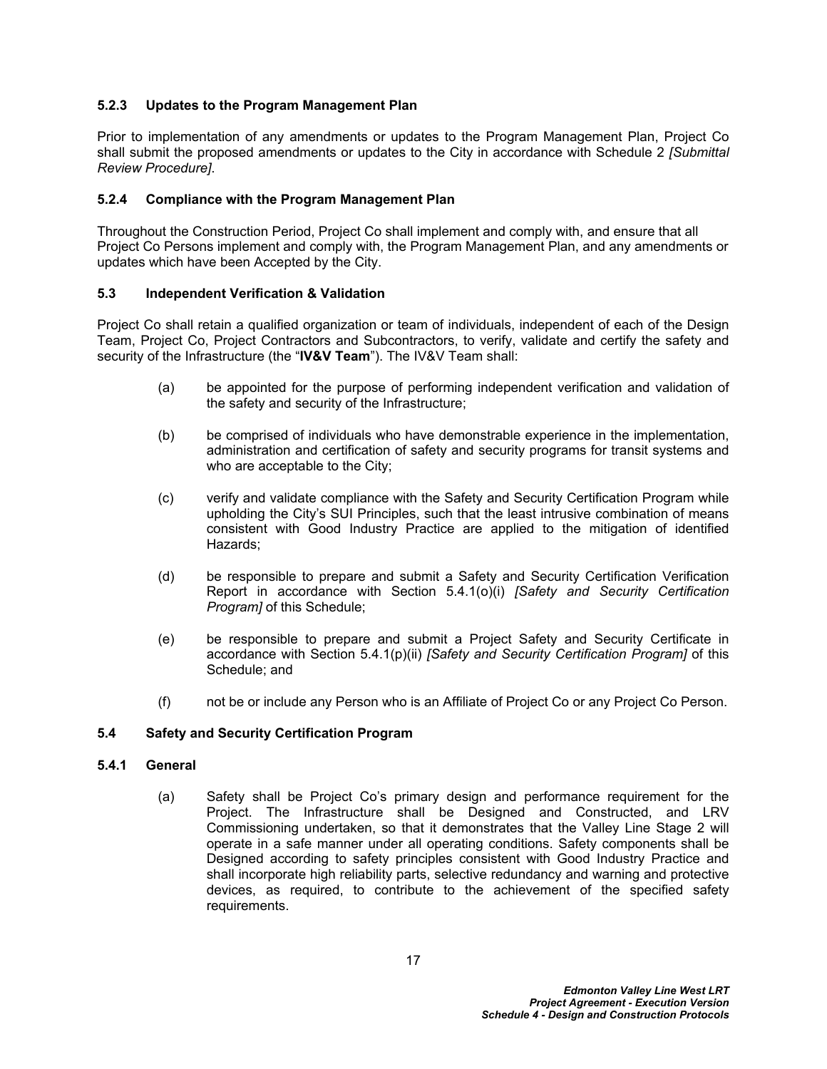### **5.2.3 Updates to the Program Management Plan**

Prior to implementation of any amendments or updates to the Program Management Plan, Project Co shall submit the proposed amendments or updates to the City in accordance with Schedule 2 *[Submittal Review Procedure]*.

### **5.2.4 Compliance with the Program Management Plan**

Throughout the Construction Period, Project Co shall implement and comply with, and ensure that all Project Co Persons implement and comply with, the Program Management Plan, and any amendments or updates which have been Accepted by the City.

### <span id="page-21-0"></span>**5.3 Independent Verification & Validation**

Project Co shall retain a qualified organization or team of individuals, independent of each of the Design Team, Project Co, Project Contractors and Subcontractors, to verify, validate and certify the safety and security of the Infrastructure (the "**IV&V Team**"). The IV&V Team shall:

- (a) be appointed for the purpose of performing independent verification and validation of the safety and security of the Infrastructure;
- (b) be comprised of individuals who have demonstrable experience in the implementation, administration and certification of safety and security programs for transit systems and who are acceptable to the City;
- (c) verify and validate compliance with the Safety and Security Certification Program while upholding the City's SUI Principles, such that the least intrusive combination of means consistent with Good Industry Practice are applied to the mitigation of identified Hazards;
- (d) be responsible to prepare and submit a Safety and Security Certification Verification Report in accordance with Section [5.4.1\(o\)\(i\)](#page-25-0) *[Safety and Security Certification Program]* of this Schedule;
- (e) be responsible to prepare and submit a Project Safety and Security Certificate in accordance with Section [5.4.1\(p\)\(ii\)](#page-26-0) *[Safety and Security Certification Program]* of this Schedule; and
- (f) not be or include any Person who is an Affiliate of Project Co or any Project Co Person.

#### <span id="page-21-1"></span>**5.4 Safety and Security Certification Program**

### **5.4.1 General**

(a) Safety shall be Project Co's primary design and performance requirement for the Project. The Infrastructure shall be Designed and Constructed, and LRV Commissioning undertaken, so that it demonstrates that the Valley Line Stage 2 will operate in a safe manner under all operating conditions. Safety components shall be Designed according to safety principles consistent with Good Industry Practice and shall incorporate high reliability parts, selective redundancy and warning and protective devices, as required, to contribute to the achievement of the specified safety requirements.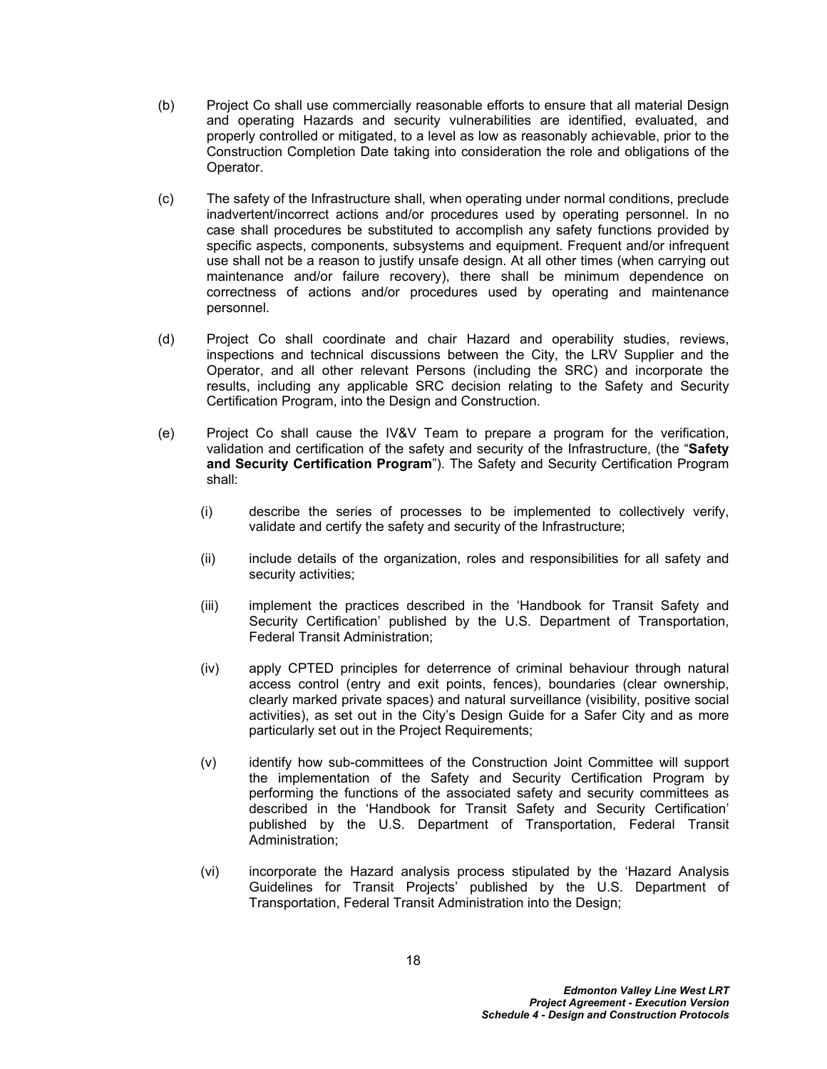- (b) Project Co shall use commercially reasonable efforts to ensure that all material Design and operating Hazards and security vulnerabilities are identified, evaluated, and properly controlled or mitigated, to a level as low as reasonably achievable, prior to the Construction Completion Date taking into consideration the role and obligations of the Operator.
- (c) The safety of the Infrastructure shall, when operating under normal conditions, preclude inadvertent/incorrect actions and/or procedures used by operating personnel. In no case shall procedures be substituted to accomplish any safety functions provided by specific aspects, components, subsystems and equipment. Frequent and/or infrequent use shall not be a reason to justify unsafe design. At all other times (when carrying out maintenance and/or failure recovery), there shall be minimum dependence on correctness of actions and/or procedures used by operating and maintenance personnel.
- (d) Project Co shall coordinate and chair Hazard and operability studies, reviews, inspections and technical discussions between the City, the LRV Supplier and the Operator, and all other relevant Persons (including the SRC) and incorporate the results, including any applicable SRC decision relating to the Safety and Security Certification Program, into the Design and Construction.
- (e) Project Co shall cause the IV&V Team to prepare a program for the verification, validation and certification of the safety and security of the Infrastructure, (the "**Safety and Security Certification Program**"). The Safety and Security Certification Program shall:
	- (i) describe the series of processes to be implemented to collectively verify, validate and certify the safety and security of the Infrastructure;
	- (ii) include details of the organization, roles and responsibilities for all safety and security activities;
	- (iii) implement the practices described in the 'Handbook for Transit Safety and Security Certification' published by the U.S. Department of Transportation, Federal Transit Administration;
	- (iv) apply CPTED principles for deterrence of criminal behaviour through natural access control (entry and exit points, fences), boundaries (clear ownership, clearly marked private spaces) and natural surveillance (visibility, positive social activities), as set out in the City's Design Guide for a Safer City and as more particularly set out in the Project Requirements;
	- (v) identify how sub-committees of the Construction Joint Committee will support the implementation of the Safety and Security Certification Program by performing the functions of the associated safety and security committees as described in the 'Handbook for Transit Safety and Security Certification' published by the U.S. Department of Transportation, Federal Transit Administration;
	- (vi) incorporate the Hazard analysis process stipulated by the 'Hazard Analysis Guidelines for Transit Projects' published by the U.S. Department of Transportation, Federal Transit Administration into the Design;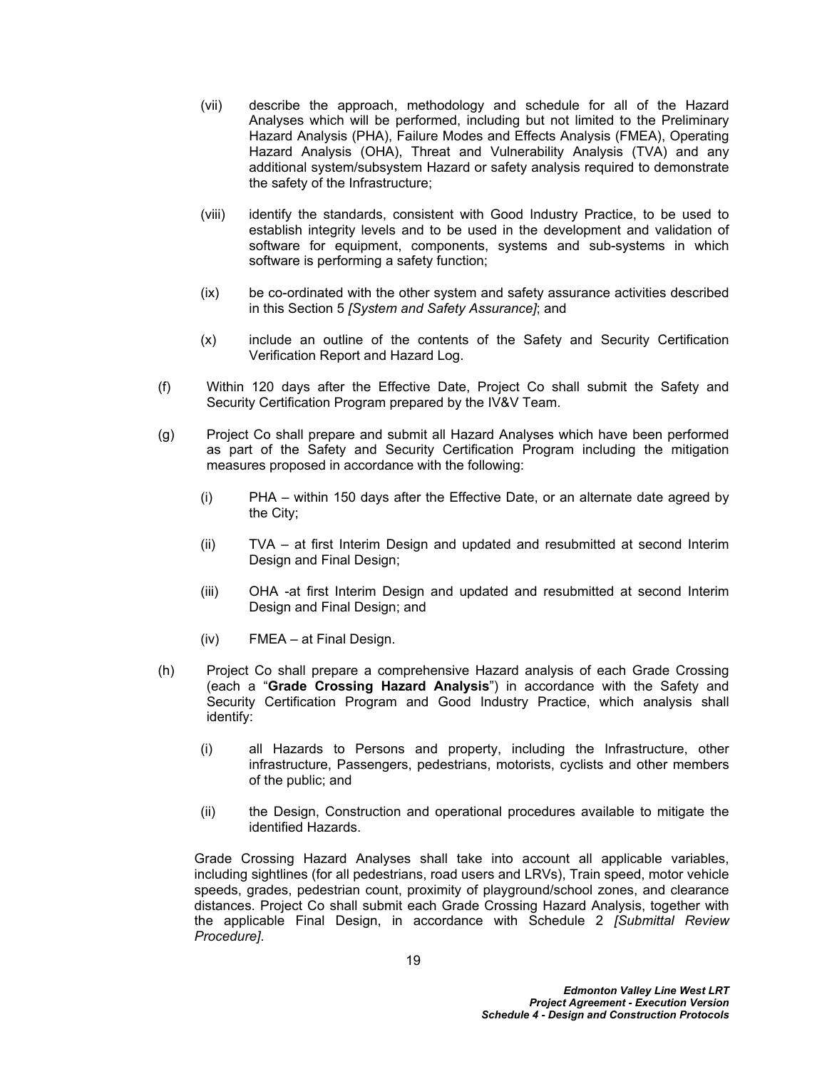- (vii) describe the approach, methodology and schedule for all of the Hazard Analyses which will be performed, including but not limited to the Preliminary Hazard Analysis (PHA), Failure Modes and Effects Analysis (FMEA), Operating Hazard Analysis (OHA), Threat and Vulnerability Analysis (TVA) and any additional system/subsystem Hazard or safety analysis required to demonstrate the safety of the Infrastructure;
- (viii) identify the standards, consistent with Good Industry Practice, to be used to establish integrity levels and to be used in the development and validation of software for equipment, components, systems and sub-systems in which software is performing a safety function;
- (ix) be co-ordinated with the other system and safety assurance activities described in this Section [5](#page-18-0) *[System and Safety Assurance]*; and
- (x) include an outline of the contents of the Safety and Security Certification Verification Report and Hazard Log.
- (f) Within 120 days after the Effective Date, Project Co shall submit the Safety and Security Certification Program prepared by the IV&V Team.
- (g) Project Co shall prepare and submit all Hazard Analyses which have been performed as part of the Safety and Security Certification Program including the mitigation measures proposed in accordance with the following:
	- (i) PHA within 150 days after the Effective Date, or an alternate date agreed by the City;
	- (ii) TVA at first Interim Design and updated and resubmitted at second Interim Design and Final Design:
	- (iii) OHA -at first Interim Design and updated and resubmitted at second Interim Design and Final Design; and
	- (iv) FMEA at Final Design.
- (h) Project Co shall prepare a comprehensive Hazard analysis of each Grade Crossing (each a "**Grade Crossing Hazard Analysis**") in accordance with the Safety and Security Certification Program and Good Industry Practice, which analysis shall identify:
	- (i) all Hazards to Persons and property, including the Infrastructure, other infrastructure, Passengers, pedestrians, motorists, cyclists and other members of the public; and
	- (ii) the Design, Construction and operational procedures available to mitigate the identified Hazards.

Grade Crossing Hazard Analyses shall take into account all applicable variables, including sightlines (for all pedestrians, road users and LRVs), Train speed, motor vehicle speeds, grades, pedestrian count, proximity of playground/school zones, and clearance distances. Project Co shall submit each Grade Crossing Hazard Analysis, together with the applicable Final Design, in accordance with Schedule 2 *[Submittal Review Procedure]*.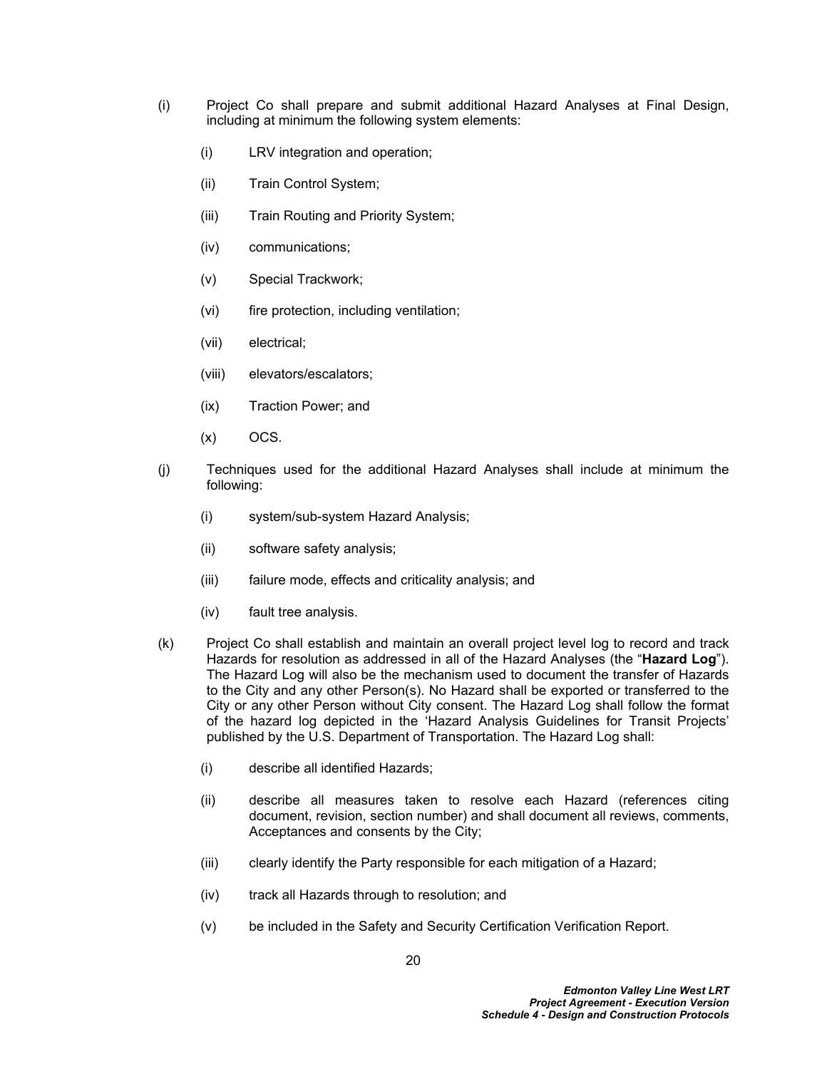- (i) Project Co shall prepare and submit additional Hazard Analyses at Final Design, including at minimum the following system elements:
	- (i) LRV integration and operation;
	- (ii) Train Control System;
	- (iii) Train Routing and Priority System;
	- (iv) communications;
	- (v) Special Trackwork;
	- (vi) fire protection, including ventilation;
	- (vii) electrical;
	- (viii) elevators/escalators;
	- (ix) Traction Power; and
	- $(x)$  OCS.
- (j) Techniques used for the additional Hazard Analyses shall include at minimum the following:
	- (i) system/sub-system Hazard Analysis;
	- (ii) software safety analysis;
	- (iii) failure mode, effects and criticality analysis; and
	- (iv) fault tree analysis.
- (k) Project Co shall establish and maintain an overall project level log to record and track Hazards for resolution as addressed in all of the Hazard Analyses (the "**Hazard Log**"). The Hazard Log will also be the mechanism used to document the transfer of Hazards to the City and any other Person(s). No Hazard shall be exported or transferred to the City or any other Person without City consent. The Hazard Log shall follow the format of the hazard log depicted in the 'Hazard Analysis Guidelines for Transit Projects' published by the U.S. Department of Transportation. The Hazard Log shall:
	- (i) describe all identified Hazards;
	- (ii) describe all measures taken to resolve each Hazard (references citing document, revision, section number) and shall document all reviews, comments, Acceptances and consents by the City;
	- (iii) clearly identify the Party responsible for each mitigation of a Hazard;
	- (iv) track all Hazards through to resolution; and
	- (v) be included in the Safety and Security Certification Verification Report.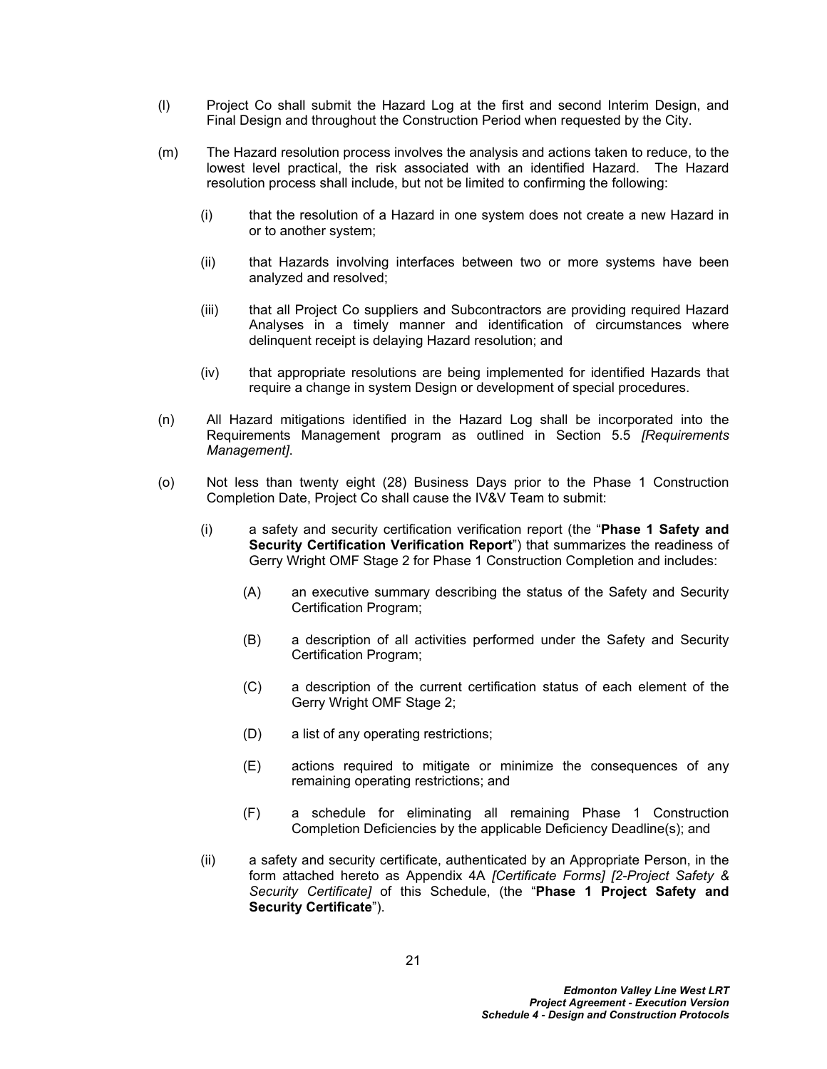- (l) Project Co shall submit the Hazard Log at the first and second Interim Design, and Final Design and throughout the Construction Period when requested by the City.
- (m) The Hazard resolution process involves the analysis and actions taken to reduce, to the lowest level practical, the risk associated with an identified Hazard. The Hazard resolution process shall include, but not be limited to confirming the following:
	- (i) that the resolution of a Hazard in one system does not create a new Hazard in or to another system;
	- (ii) that Hazards involving interfaces between two or more systems have been analyzed and resolved;
	- (iii) that all Project Co suppliers and Subcontractors are providing required Hazard Analyses in a timely manner and identification of circumstances where delinquent receipt is delaying Hazard resolution; and
	- (iv) that appropriate resolutions are being implemented for identified Hazards that require a change in system Design or development of special procedures.
- (n) All Hazard mitigations identified in the Hazard Log shall be incorporated into the Requirements Management program as outlined in Section [5.5](#page-27-0) *[Requirements Management]*.
- <span id="page-25-0"></span>(o) Not less than twenty eight (28) Business Days prior to the Phase 1 Construction Completion Date, Project Co shall cause the IV&V Team to submit:
	- (i) a safety and security certification verification report (the "**Phase 1 Safety and Security Certification Verification Report**") that summarizes the readiness of Gerry Wright OMF Stage 2 for Phase 1 Construction Completion and includes:
		- (A) an executive summary describing the status of the Safety and Security Certification Program;
		- (B) a description of all activities performed under the Safety and Security Certification Program;
		- (C) a description of the current certification status of each element of the Gerry Wright OMF Stage 2;
		- (D) a list of any operating restrictions;
		- (E) actions required to mitigate or minimize the consequences of any remaining operating restrictions; and
		- (F) a schedule for eliminating all remaining Phase 1 Construction Completion Deficiencies by the applicable Deficiency Deadline(s); and
	- (ii) a safety and security certificate, authenticated by an Appropriate Person, in the form attached hereto as Appendix 4A *[Certificate Forms] [2-Project Safety & Security Certificate]* of this Schedule, (the "**Phase 1 Project Safety and Security Certificate**").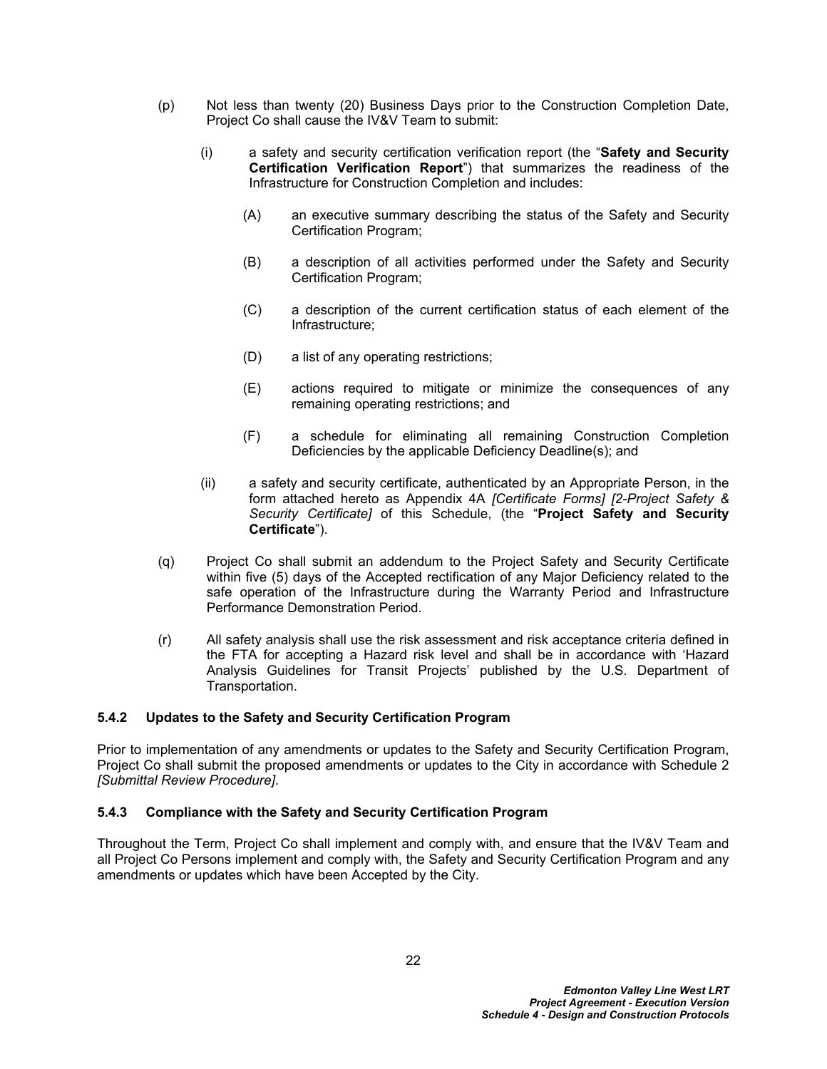- (p) Not less than twenty (20) Business Days prior to the Construction Completion Date, Project Co shall cause the IV&V Team to submit:
	- (i) a safety and security certification verification report (the "**Safety and Security Certification Verification Report**") that summarizes the readiness of the Infrastructure for Construction Completion and includes:
		- (A) an executive summary describing the status of the Safety and Security Certification Program;
		- (B) a description of all activities performed under the Safety and Security Certification Program;
		- (C) a description of the current certification status of each element of the Infrastructure;
		- (D) a list of any operating restrictions;
		- (E) actions required to mitigate or minimize the consequences of any remaining operating restrictions; and
		- (F) a schedule for eliminating all remaining Construction Completion Deficiencies by the applicable Deficiency Deadline(s); and
	- (ii) a safety and security certificate, authenticated by an Appropriate Person, in the form attached hereto as Appendix 4A *[Certificate Forms] [2-Project Safety & Security Certificate]* of this Schedule, (the "**Project Safety and Security Certificate**").
- <span id="page-26-0"></span>(q) Project Co shall submit an addendum to the Project Safety and Security Certificate within five (5) days of the Accepted rectification of any Major Deficiency related to the safe operation of the Infrastructure during the Warranty Period and Infrastructure Performance Demonstration Period.
- (r) All safety analysis shall use the risk assessment and risk acceptance criteria defined in the FTA for accepting a Hazard risk level and shall be in accordance with 'Hazard Analysis Guidelines for Transit Projects' published by the U.S. Department of Transportation.

#### **5.4.2 Updates to the Safety and Security Certification Program**

Prior to implementation of any amendments or updates to the Safety and Security Certification Program, Project Co shall submit the proposed amendments or updates to the City in accordance with Schedule 2 *[Submittal Review Procedure]*.

#### **5.4.3 Compliance with the Safety and Security Certification Program**

Throughout the Term, Project Co shall implement and comply with, and ensure that the IV&V Team and all Project Co Persons implement and comply with, the Safety and Security Certification Program and any amendments or updates which have been Accepted by the City.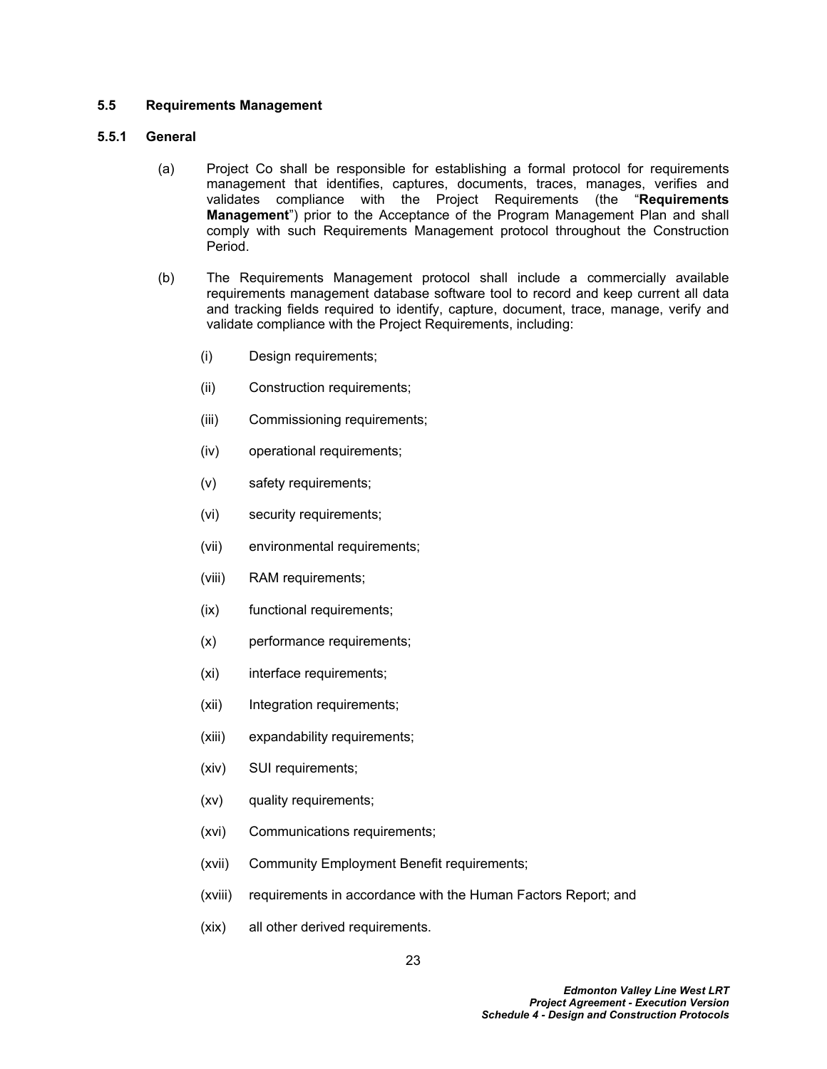### <span id="page-27-0"></span>**5.5 Requirements Management**

## **5.5.1 General**

- (a) Project Co shall be responsible for establishing a formal protocol for requirements management that identifies, captures, documents, traces, manages, verifies and validates compliance with the Project Requirements (the "**Requirements Management**") prior to the Acceptance of the Program Management Plan and shall comply with such Requirements Management protocol throughout the Construction Period.
- <span id="page-27-1"></span>(b) The Requirements Management protocol shall include a commercially available requirements management database software tool to record and keep current all data and tracking fields required to identify, capture, document, trace, manage, verify and validate compliance with the Project Requirements, including:
	- (i) Design requirements;
	- (ii) Construction requirements;
	- (iii) Commissioning requirements;
	- (iv) operational requirements;
	- (v) safety requirements;
	- (vi) security requirements;
	- (vii) environmental requirements;
	- (viii) RAM requirements;
	- (ix) functional requirements;
	- (x) performance requirements;
	- (xi) interface requirements;
	- (xii) Integration requirements;
	- (xiii) expandability requirements;
	- (xiv) SUI requirements;
	- (xv) quality requirements;
	- (xvi) Communications requirements;
	- (xvii) Community Employment Benefit requirements;
	- (xviii) requirements in accordance with the Human Factors Report; and
	- (xix) all other derived requirements.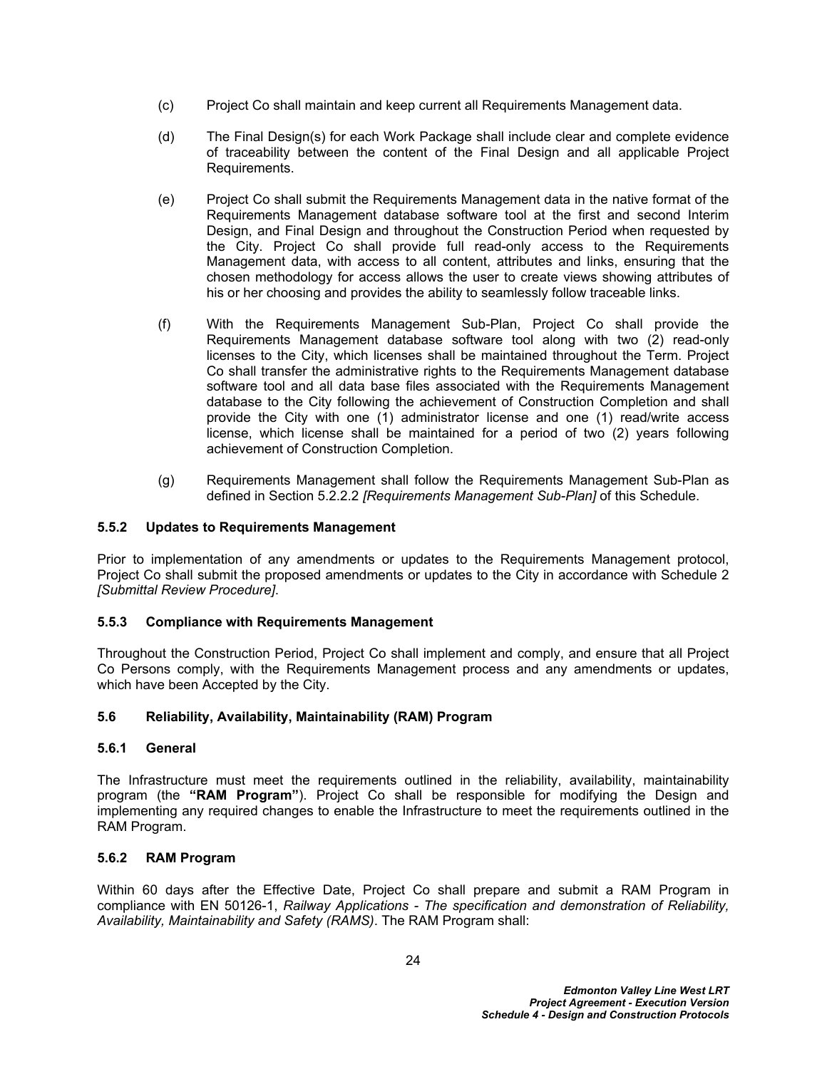- (c) Project Co shall maintain and keep current all Requirements Management data.
- (d) The Final Design(s) for each Work Package shall include clear and complete evidence of traceability between the content of the Final Design and all applicable Project Requirements.
- (e) Project Co shall submit the Requirements Management data in the native format of the Requirements Management database software tool at the first and second Interim Design, and Final Design and throughout the Construction Period when requested by the City. Project Co shall provide full read-only access to the Requirements Management data, with access to all content, attributes and links, ensuring that the chosen methodology for access allows the user to create views showing attributes of his or her choosing and provides the ability to seamlessly follow traceable links.
- (f) With the Requirements Management Sub-Plan, Project Co shall provide the Requirements Management database software tool along with two (2) read-only licenses to the City, which licenses shall be maintained throughout the Term. Project Co shall transfer the administrative rights to the Requirements Management database software tool and all data base files associated with the Requirements Management database to the City following the achievement of Construction Completion and shall provide the City with one (1) administrator license and one (1) read/write access license, which license shall be maintained for a period of two (2) years following achievement of Construction Completion.
- (g) Requirements Management shall follow the Requirements Management Sub-Plan as defined in Section [5.2.2.2](#page-19-1) *[Requirements Management Sub-Plan]* of this Schedule.

### **5.5.2 Updates to Requirements Management**

Prior to implementation of any amendments or updates to the Requirements Management protocol, Project Co shall submit the proposed amendments or updates to the City in accordance with Schedule 2 *[Submittal Review Procedure]*.

### **5.5.3 Compliance with Requirements Management**

Throughout the Construction Period, Project Co shall implement and comply, and ensure that all Project Co Persons comply, with the Requirements Management process and any amendments or updates, which have been Accepted by the City.

#### <span id="page-28-0"></span>**5.6 Reliability, Availability, Maintainability (RAM) Program**

#### **5.6.1 General**

The Infrastructure must meet the requirements outlined in the reliability, availability, maintainability program (the **"RAM Program"**). Project Co shall be responsible for modifying the Design and implementing any required changes to enable the Infrastructure to meet the requirements outlined in the RAM Program.

#### **5.6.2 RAM Program**

Within 60 days after the Effective Date, Project Co shall prepare and submit a RAM Program in compliance with EN 50126-1, *Railway Applications - The specification and demonstration of Reliability, Availability, Maintainability and Safety (RAMS)*. The RAM Program shall: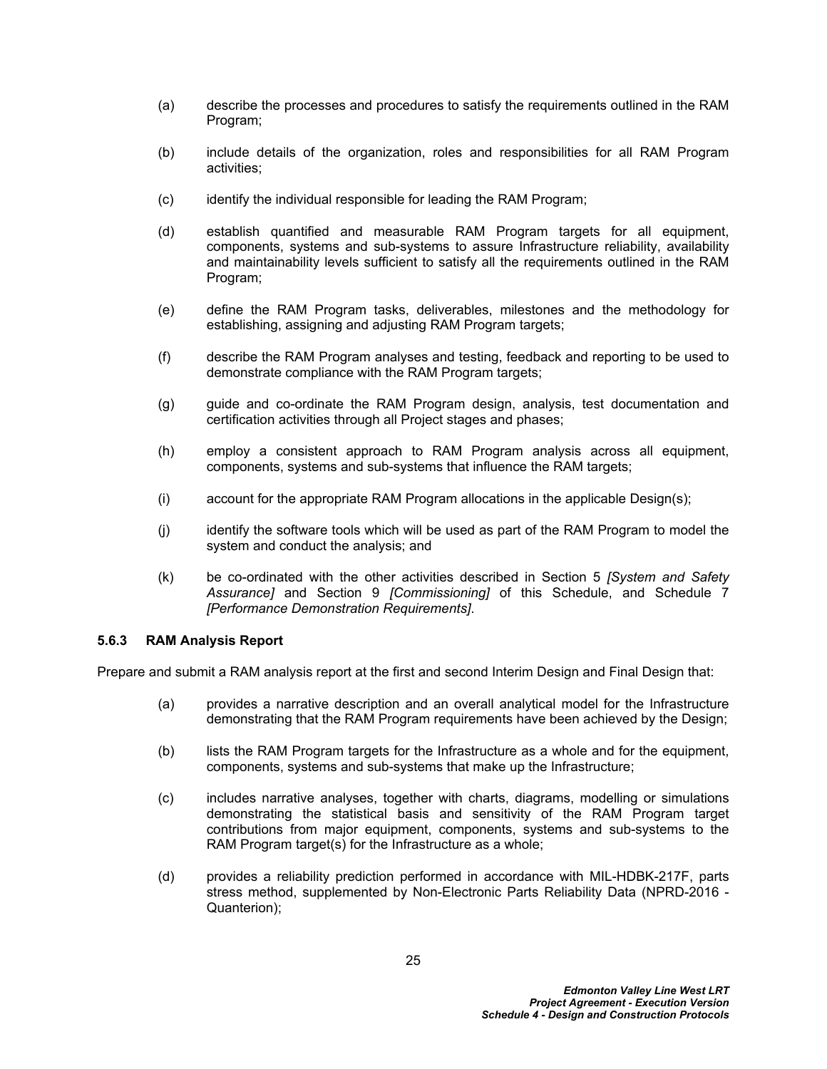- (a) describe the processes and procedures to satisfy the requirements outlined in the RAM Program;
- (b) include details of the organization, roles and responsibilities for all RAM Program activities;
- (c) identify the individual responsible for leading the RAM Program;
- (d) establish quantified and measurable RAM Program targets for all equipment, components, systems and sub-systems to assure Infrastructure reliability, availability and maintainability levels sufficient to satisfy all the requirements outlined in the RAM Program;
- (e) define the RAM Program tasks, deliverables, milestones and the methodology for establishing, assigning and adjusting RAM Program targets;
- (f) describe the RAM Program analyses and testing, feedback and reporting to be used to demonstrate compliance with the RAM Program targets;
- (g) guide and co-ordinate the RAM Program design, analysis, test documentation and certification activities through all Project stages and phases;
- (h) employ a consistent approach to RAM Program analysis across all equipment, components, systems and sub-systems that influence the RAM targets;
- (i) account for the appropriate RAM Program allocations in the applicable Design(s);
- (j) identify the software tools which will be used as part of the RAM Program to model the system and conduct the analysis; and
- (k) be co-ordinated with the other activities described in Section [5](#page-18-0) *[System and Safety Assurance]* and Section [9](#page-62-1) *[Commissioning]* of this Schedule, and Schedule 7 *[Performance Demonstration Requirements]*.

#### **5.6.3 RAM Analysis Report**

Prepare and submit a RAM analysis report at the first and second Interim Design and Final Design that:

- (a) provides a narrative description and an overall analytical model for the Infrastructure demonstrating that the RAM Program requirements have been achieved by the Design;
- (b) lists the RAM Program targets for the Infrastructure as a whole and for the equipment, components, systems and sub-systems that make up the Infrastructure;
- (c) includes narrative analyses, together with charts, diagrams, modelling or simulations demonstrating the statistical basis and sensitivity of the RAM Program target contributions from major equipment, components, systems and sub-systems to the RAM Program target(s) for the Infrastructure as a whole;
- (d) provides a reliability prediction performed in accordance with MIL-HDBK-217F, parts stress method, supplemented by Non-Electronic Parts Reliability Data (NPRD-2016 - Quanterion);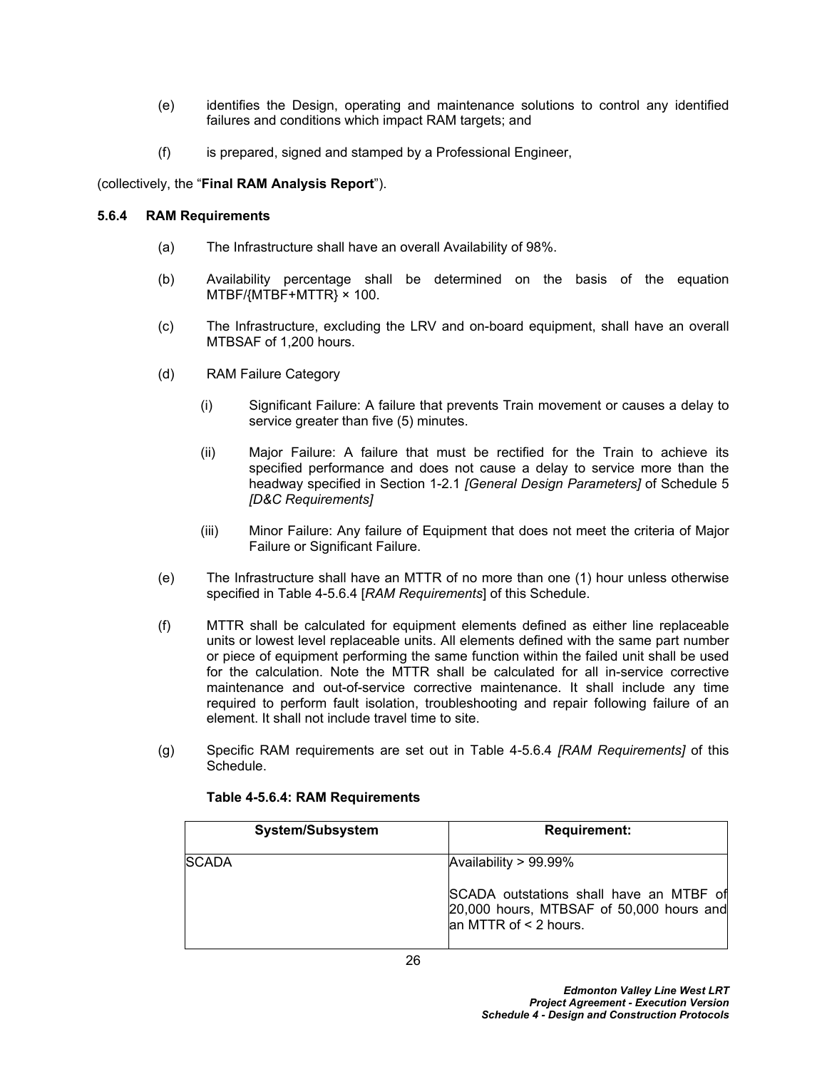- (e) identifies the Design, operating and maintenance solutions to control any identified failures and conditions which impact RAM targets; and
- (f) is prepared, signed and stamped by a Professional Engineer,

## (collectively, the "**Final RAM Analysis Report**").

### <span id="page-30-0"></span>**5.6.4 RAM Requirements**

- (a) The Infrastructure shall have an overall Availability of 98%.
- (b) Availability percentage shall be determined on the basis of the equation MTBF/{MTBF+MTTR} × 100.
- (c) The Infrastructure, excluding the LRV and on-board equipment, shall have an overall MTBSAF of 1,200 hours.
- (d) RAM Failure Category
	- (i) Significant Failure: A failure that prevents Train movement or causes a delay to service greater than five (5) minutes.
	- (ii) Major Failure: A failure that must be rectified for the Train to achieve its specified performance and does not cause a delay to service more than the headway specified in Section 1-2.1 *[General Design Parameters]* of Schedule 5 *[D&C Requirements]*
	- (iii) Minor Failure: Any failure of Equipment that does not meet the criteria of Major Failure or Significant Failure.
- (e) The Infrastructure shall have an MTTR of no more than one (1) hour unless otherwise specified in Table 4-5.6.4 [*RAM Requirements*] of this Schedule.
- (f) MTTR shall be calculated for equipment elements defined as either line replaceable units or lowest level replaceable units. All elements defined with the same part number or piece of equipment performing the same function within the failed unit shall be used for the calculation. Note the MTTR shall be calculated for all in-service corrective maintenance and out-of-service corrective maintenance. It shall include any time required to perform fault isolation, troubleshooting and repair following failure of an element. It shall not include travel time to site.
- (g) Specific RAM requirements are set out in Table 4-5.6.4 *[RAM Requirements]* of this Schedule.

| System/Subsystem | <b>Requirement:</b>                                                                                                    |
|------------------|------------------------------------------------------------------------------------------------------------------------|
| <b>SCADA</b>     | Availability $> 99.99\%$                                                                                               |
|                  | SCADA outstations shall have an MTBF of<br>$[20,000$ hours, MTBSAF of 50,000 hours and<br>$\lambda$ MTTR of < 2 hours. |

### **Table 4-5.6.4: RAM Requirements**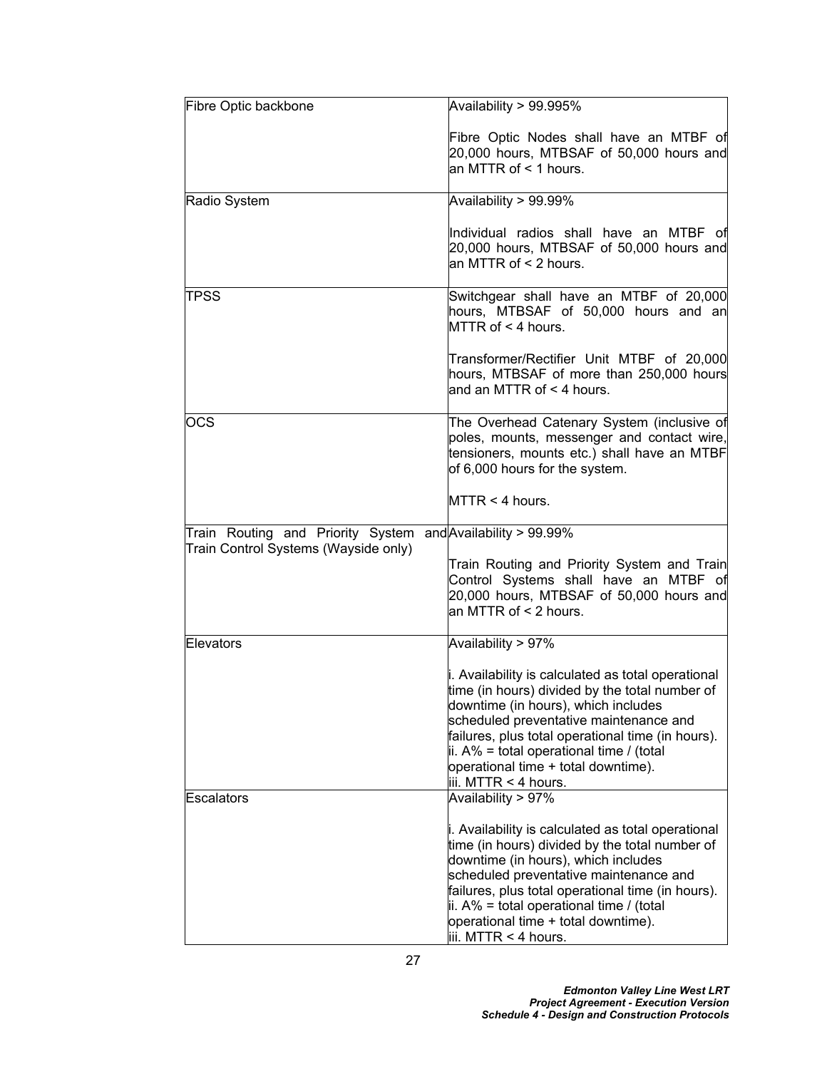| Fibre Optic backbone                                                                                | Availability > 99.995%                                                                                                                                                                                                                                                                                                                                            |
|-----------------------------------------------------------------------------------------------------|-------------------------------------------------------------------------------------------------------------------------------------------------------------------------------------------------------------------------------------------------------------------------------------------------------------------------------------------------------------------|
|                                                                                                     | Fibre Optic Nodes shall have an MTBF of<br>20,000 hours, MTBSAF of 50,000 hours and<br>an MTTR of $\leq$ 1 hours.                                                                                                                                                                                                                                                 |
| Radio System                                                                                        | Availability > 99.99%                                                                                                                                                                                                                                                                                                                                             |
|                                                                                                     | Individual radios shall have an MTBF of<br>20,000 hours, MTBSAF of 50,000 hours and<br>an MTTR of < 2 hours.                                                                                                                                                                                                                                                      |
| ∣TPSS                                                                                               | Switchgear shall have an MTBF of 20,000<br>hours, MTBSAF of 50,000 hours and an<br>$MTR$ of $\leq 4$ hours.                                                                                                                                                                                                                                                       |
|                                                                                                     | Transformer/Rectifier Unit MTBF of 20,000<br>hours, MTBSAF of more than 250,000 hours<br>and an MTTR of $<$ 4 hours.                                                                                                                                                                                                                                              |
| <b>OCS</b>                                                                                          | The Overhead Catenary System (inclusive of<br>poles, mounts, messenger and contact wire,<br>tensioners, mounts etc.) shall have an MTBF<br>of 6,000 hours for the system.                                                                                                                                                                                         |
|                                                                                                     | MTTR < 4 hours.                                                                                                                                                                                                                                                                                                                                                   |
| Train Routing and Priority System and Availability > 99.99%<br>Train Control Systems (Wayside only) |                                                                                                                                                                                                                                                                                                                                                                   |
|                                                                                                     | Train Routing and Priority System and Train<br>Control Systems shall have an MTBF of<br>20,000 hours, MTBSAF of 50,000 hours and<br>an MTTR of $\leq$ 2 hours.                                                                                                                                                                                                    |
| Elevators                                                                                           | Availability > 97%                                                                                                                                                                                                                                                                                                                                                |
|                                                                                                     | i. Availability is calculated as total operational<br>time (in hours) divided by the total number of<br>downtime (in hours), which includes<br>scheduled preventative maintenance and<br>failures, plus total operational time (in hours).<br>ii. A% = total operational time / (total<br>operational time + total downtime).<br>iii. MTTR < 4 hours.             |
| Escalators                                                                                          | Availability > 97%                                                                                                                                                                                                                                                                                                                                                |
|                                                                                                     | i. Availability is calculated as total operational<br>time (in hours) divided by the total number of<br>downtime (in hours), which includes<br>scheduled preventative maintenance and<br>failures, plus total operational time (in hours).<br>$\parallel$ ii. A% = total operational time / (total<br>operational time + total downtime).<br>iii. MTTR < 4 hours. |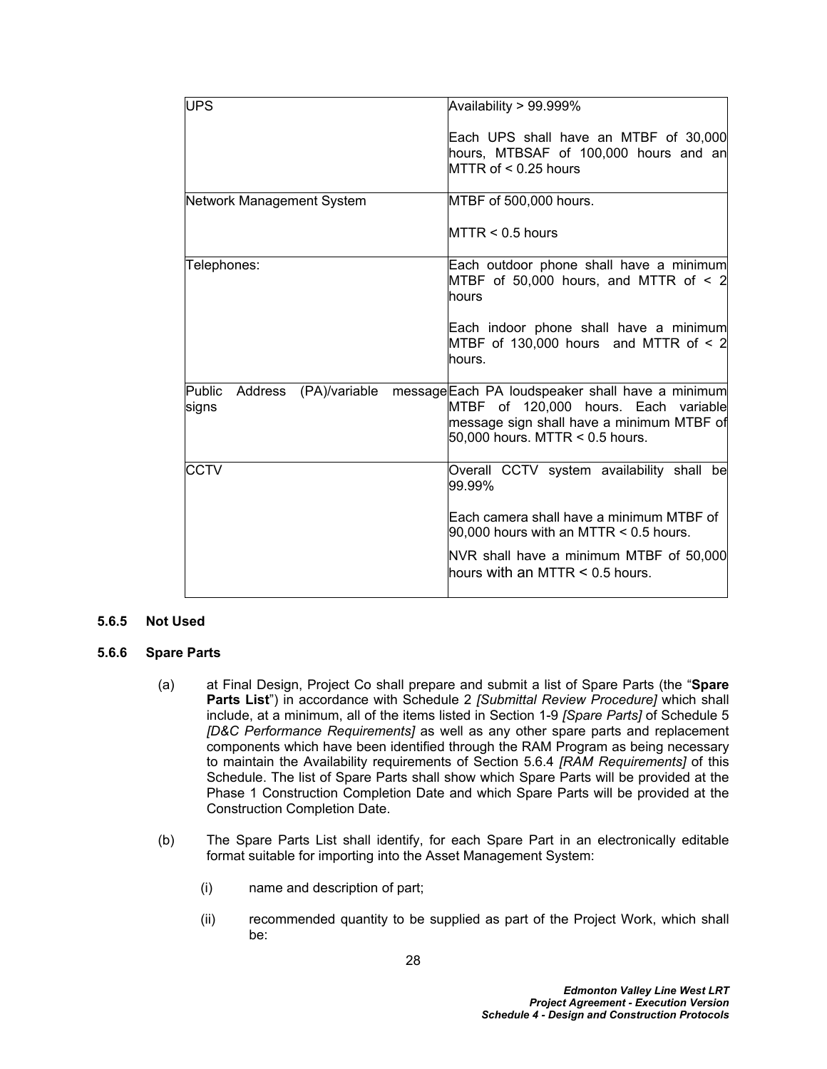| <b>UPS</b>                                  | Availability > 99.999%                                                                                                                                                     |
|---------------------------------------------|----------------------------------------------------------------------------------------------------------------------------------------------------------------------------|
|                                             | Each UPS shall have an MTBF of 30,000<br>hours, MTBSAF of 100,000 hours and an<br>MTTR of < 0.25 hours                                                                     |
| Network Management System                   | MTBF of 500,000 hours.                                                                                                                                                     |
|                                             | $M TTR < 0.5$ hours                                                                                                                                                        |
| Telephones:                                 | Each outdoor phone shall have a minimum<br>MTBF of 50,000 hours, and MTTR of $\leq$ 2<br>lhours                                                                            |
|                                             | Each indoor phone shall have a minimum<br>MTBF of 130,000 hours and MTTR of $\leq 2$<br>hours.                                                                             |
| Public<br>(PA)/variable<br>Address<br>signs | message Each PA loudspeaker shall have a minimum<br>MTBF of 120,000 hours. Each variable<br>message sign shall have a minimum MTBF of<br>$50,000$ hours. MTTR < 0.5 hours. |
| <b>CCTV</b>                                 | Overall CCTV system availability shall be<br>99.99%                                                                                                                        |
|                                             | Each camera shall have a minimum MTBF of<br>$90,000$ hours with an MTTR < 0.5 hours.                                                                                       |
|                                             | NVR shall have a minimum MTBF of 50,000<br>lhours with an MTTR $\leq$ 0.5 hours.                                                                                           |

#### **5.6.5 Not Used**

#### <span id="page-32-0"></span>**5.6.6 Spare Parts**

- (a) at Final Design, Project Co shall prepare and submit a list of Spare Parts (the "**Spare Parts List**") in accordance with Schedule 2 *[Submittal Review Procedure]* which shall include, at a minimum, all of the items listed in Section 1-9 *[Spare Parts]* of Schedule 5 *[D&C Performance Requirements]* as well as any other spare parts and replacement components which have been identified through the RAM Program as being necessary to maintain the Availability requirements of Section [5.6.4](#page-30-0) *[RAM Requirements]* of this Schedule. The list of Spare Parts shall show which Spare Parts will be provided at the Phase 1 Construction Completion Date and which Spare Parts will be provided at the Construction Completion Date.
- (b) The Spare Parts List shall identify, for each Spare Part in an electronically editable format suitable for importing into the Asset Management System:
	- (i) name and description of part;
	- (ii) recommended quantity to be supplied as part of the Project Work, which shall be: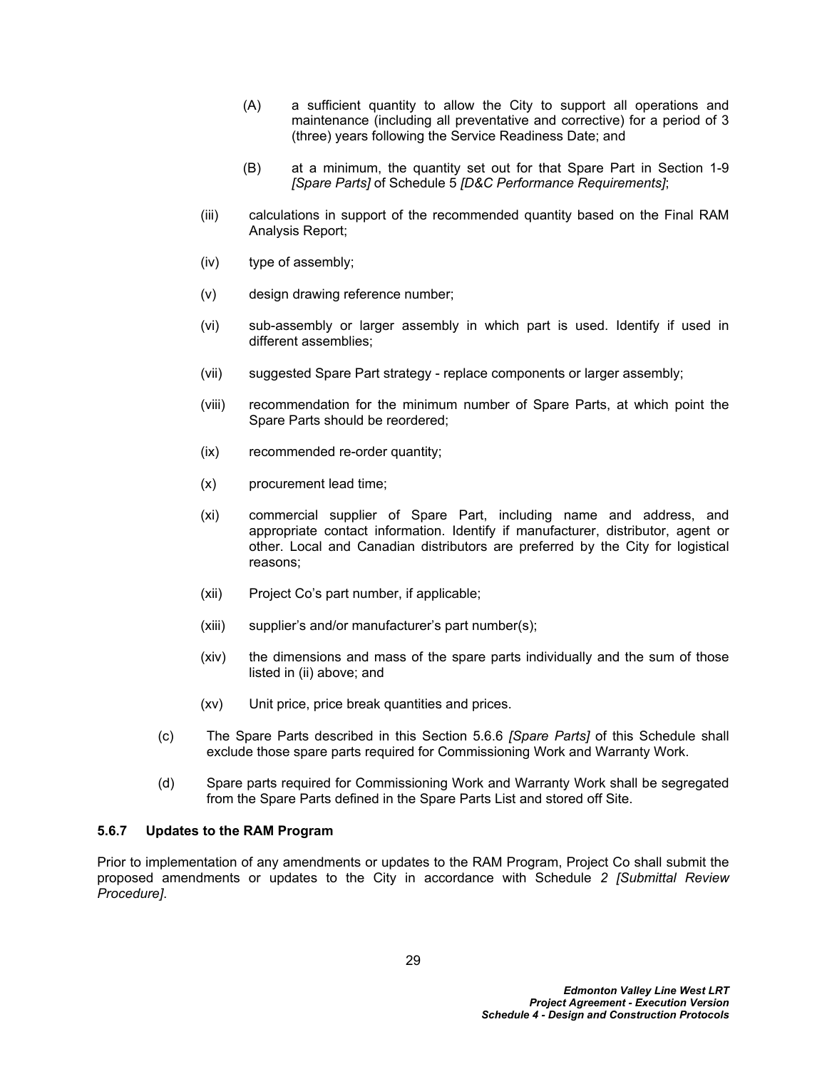- (A) a sufficient quantity to allow the City to support all operations and maintenance (including all preventative and corrective) for a period of 3 (three) years following the Service Readiness Date; and
- (B) at a minimum, the quantity set out for that Spare Part in Section 1-9 *[Spare Parts]* of Schedule 5 *[D&C Performance Requirements]*;
- (iii) calculations in support of the recommended quantity based on the Final RAM Analysis Report;
- (iv) type of assembly;
- (v) design drawing reference number;
- (vi) sub-assembly or larger assembly in which part is used. Identify if used in different assemblies;
- (vii) suggested Spare Part strategy replace components or larger assembly;
- (viii) recommendation for the minimum number of Spare Parts, at which point the Spare Parts should be reordered;
- (ix) recommended re-order quantity;
- (x) procurement lead time;
- (xi) commercial supplier of Spare Part, including name and address, and appropriate contact information. Identify if manufacturer, distributor, agent or other. Local and Canadian distributors are preferred by the City for logistical reasons;
- (xii) Project Co's part number, if applicable;
- (xiii) supplier's and/or manufacturer's part number(s);
- (xiv) the dimensions and mass of the spare parts individually and the sum of those listed in (ii) above; and
- (xv) Unit price, price break quantities and prices.
- (c) The Spare Parts described in this Section [5.6.6](#page-32-0) *[Spare Parts]* of this Schedule shall exclude those spare parts required for Commissioning Work and Warranty Work.
- (d) Spare parts required for Commissioning Work and Warranty Work shall be segregated from the Spare Parts defined in the Spare Parts List and stored off Site.

#### **5.6.7 Updates to the RAM Program**

Prior to implementation of any amendments or updates to the RAM Program, Project Co shall submit the proposed amendments or updates to the City in accordance with Schedule *2 [Submittal Review Procedure]*.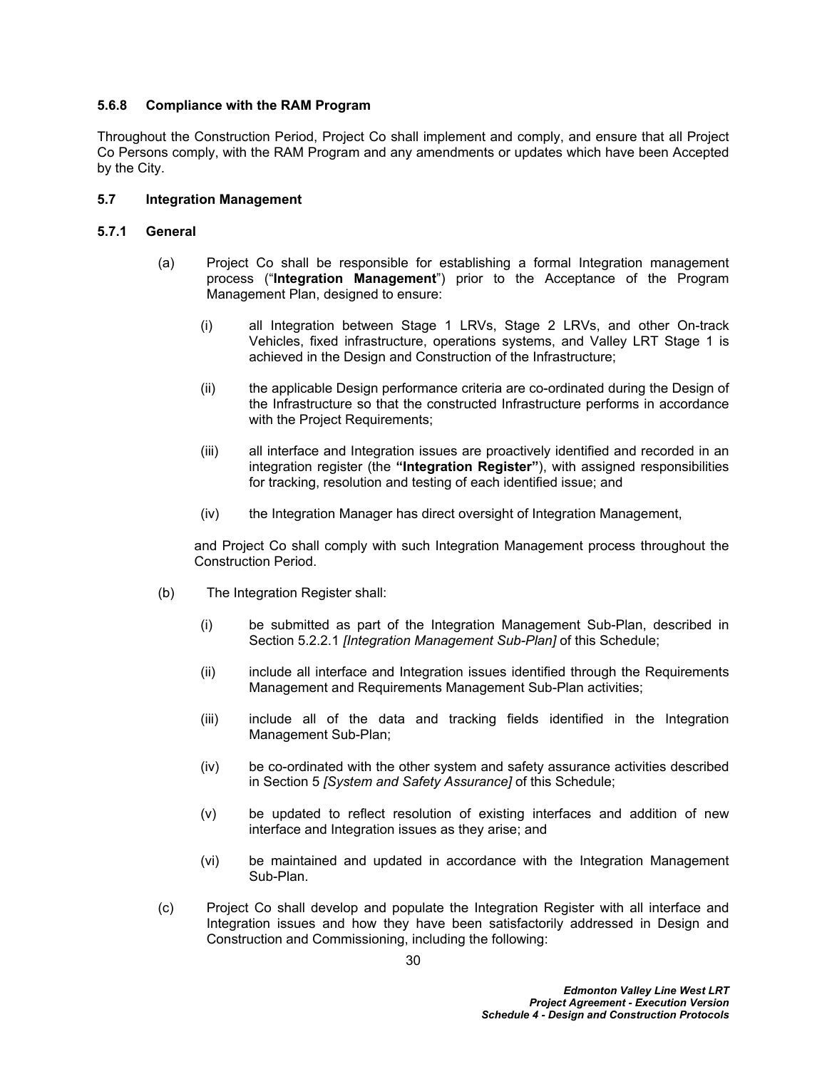### **5.6.8 Compliance with the RAM Program**

Throughout the Construction Period, Project Co shall implement and comply, and ensure that all Project Co Persons comply, with the RAM Program and any amendments or updates which have been Accepted by the City.

### <span id="page-34-0"></span>**5.7 Integration Management**

### **5.7.1 General**

- (a) Project Co shall be responsible for establishing a formal Integration management process ("**Integration Management**") prior to the Acceptance of the Program Management Plan, designed to ensure:
	- (i) all Integration between Stage 1 LRVs, Stage 2 LRVs, and other On-track Vehicles, fixed infrastructure, operations systems, and Valley LRT Stage 1 is achieved in the Design and Construction of the Infrastructure;
	- (ii) the applicable Design performance criteria are co-ordinated during the Design of the Infrastructure so that the constructed Infrastructure performs in accordance with the Project Requirements;
	- (iii) all interface and Integration issues are proactively identified and recorded in an integration register (the **"Integration Register"**), with assigned responsibilities for tracking, resolution and testing of each identified issue; and
	- (iv) the Integration Manager has direct oversight of Integration Management,

and Project Co shall comply with such Integration Management process throughout the Construction Period.

- (b) The Integration Register shall:
	- (i) be submitted as part of the Integration Management Sub-Plan, described in Section [5.2.2.1](#page-19-0) *[Integration Management Sub-Plan]* of this Schedule;
	- (ii) include all interface and Integration issues identified through the Requirements Management and Requirements Management Sub-Plan activities;
	- (iii) include all of the data and tracking fields identified in the Integration Management Sub-Plan;
	- (iv) be co-ordinated with the other system and safety assurance activities described in Section [5](#page-18-0) *[System and Safety Assurance]* of this Schedule;
	- (v) be updated to reflect resolution of existing interfaces and addition of new interface and Integration issues as they arise; and
	- (vi) be maintained and updated in accordance with the Integration Management Sub-Plan.
- (c) Project Co shall develop and populate the Integration Register with all interface and Integration issues and how they have been satisfactorily addressed in Design and Construction and Commissioning, including the following: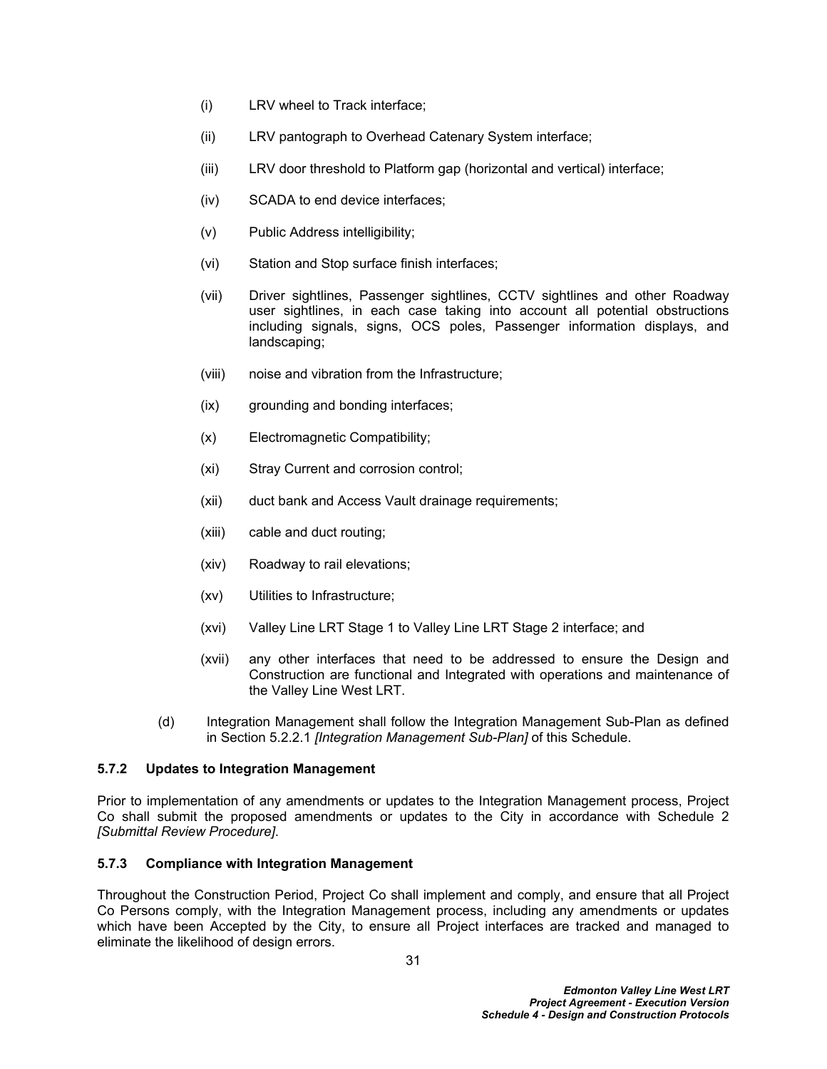- (i) LRV wheel to Track interface;
- (ii) LRV pantograph to Overhead Catenary System interface;
- (iii) LRV door threshold to Platform gap (horizontal and vertical) interface;
- (iv) SCADA to end device interfaces;
- (v) Public Address intelligibility;
- (vi) Station and Stop surface finish interfaces;
- (vii) Driver sightlines, Passenger sightlines, CCTV sightlines and other Roadway user sightlines, in each case taking into account all potential obstructions including signals, signs, OCS poles, Passenger information displays, and landscaping;
- (viii) noise and vibration from the Infrastructure;
- (ix) grounding and bonding interfaces;
- (x) Electromagnetic Compatibility;
- (xi) Stray Current and corrosion control;
- (xii) duct bank and Access Vault drainage requirements;
- (xiii) cable and duct routing;
- (xiv) Roadway to rail elevations;
- (xv) Utilities to Infrastructure;
- (xvi) Valley Line LRT Stage 1 to Valley Line LRT Stage 2 interface; and
- (xvii) any other interfaces that need to be addressed to ensure the Design and Construction are functional and Integrated with operations and maintenance of the Valley Line West LRT.
- (d) Integration Management shall follow the Integration Management Sub-Plan as defined in Section [5.2.2.1](#page-19-0) *[Integration Management Sub-Plan]* of this Schedule.

### **5.7.2 Updates to Integration Management**

Prior to implementation of any amendments or updates to the Integration Management process, Project Co shall submit the proposed amendments or updates to the City in accordance with Schedule 2 *[Submittal Review Procedure]*.

#### **5.7.3 Compliance with Integration Management**

Throughout the Construction Period, Project Co shall implement and comply, and ensure that all Project Co Persons comply, with the Integration Management process, including any amendments or updates which have been Accepted by the City, to ensure all Project interfaces are tracked and managed to eliminate the likelihood of design errors.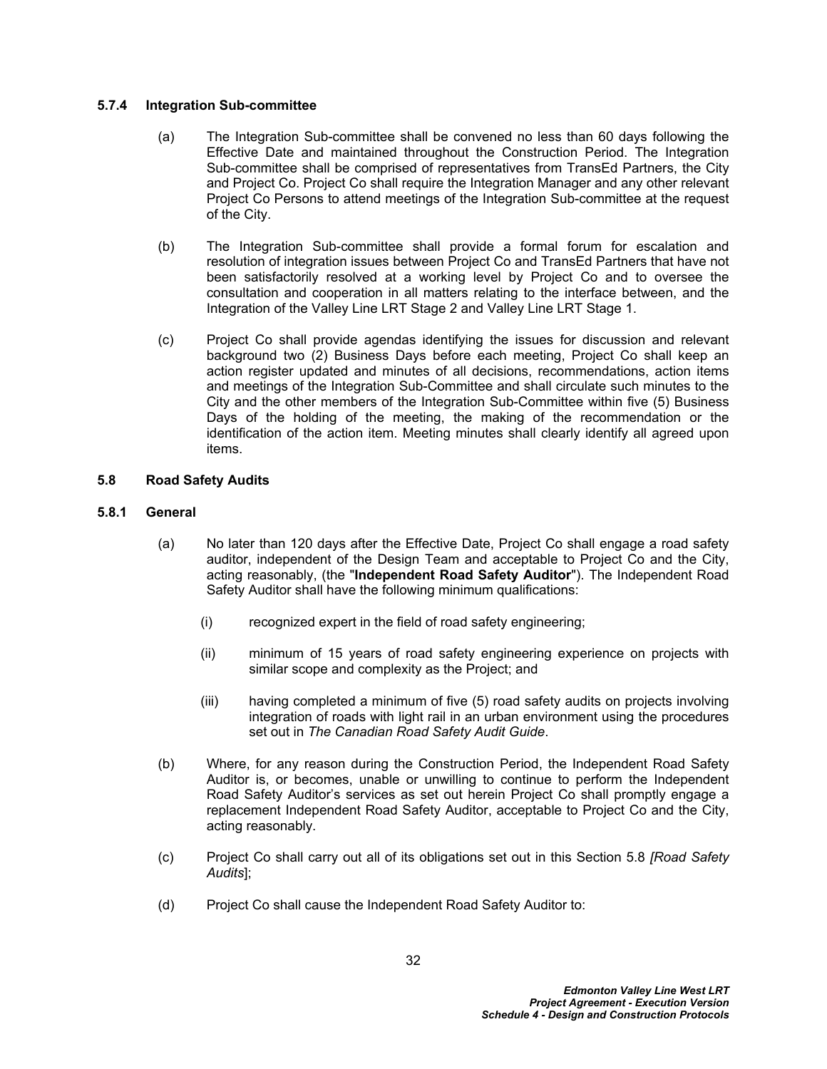### **5.7.4 Integration Sub-committee**

- (a) The Integration Sub-committee shall be convened no less than 60 days following the Effective Date and maintained throughout the Construction Period. The Integration Sub-committee shall be comprised of representatives from TransEd Partners, the City and Project Co. Project Co shall require the Integration Manager and any other relevant Project Co Persons to attend meetings of the Integration Sub-committee at the request of the City.
- (b) The Integration Sub-committee shall provide a formal forum for escalation and resolution of integration issues between Project Co and TransEd Partners that have not been satisfactorily resolved at a working level by Project Co and to oversee the consultation and cooperation in all matters relating to the interface between, and the Integration of the Valley Line LRT Stage 2 and Valley Line LRT Stage 1.
- (c) Project Co shall provide agendas identifying the issues for discussion and relevant background two (2) Business Days before each meeting, Project Co shall keep an action register updated and minutes of all decisions, recommendations, action items and meetings of the Integration Sub-Committee and shall circulate such minutes to the City and the other members of the Integration Sub-Committee within five (5) Business Days of the holding of the meeting, the making of the recommendation or the identification of the action item. Meeting minutes shall clearly identify all agreed upon items.

## <span id="page-36-0"></span>**5.8 Road Safety Audits**

## **5.8.1 General**

- (a) No later than 120 days after the Effective Date, Project Co shall engage a road safety auditor, independent of the Design Team and acceptable to Project Co and the City, acting reasonably, (the "**Independent Road Safety Auditor**"). The Independent Road Safety Auditor shall have the following minimum qualifications:
	- (i) recognized expert in the field of road safety engineering;
	- (ii) minimum of 15 years of road safety engineering experience on projects with similar scope and complexity as the Project; and
	- (iii) having completed a minimum of five (5) road safety audits on projects involving integration of roads with light rail in an urban environment using the procedures set out in *The Canadian Road Safety Audit Guide*.
- (b) Where, for any reason during the Construction Period, the Independent Road Safety Auditor is, or becomes, unable or unwilling to continue to perform the Independent Road Safety Auditor's services as set out herein Project Co shall promptly engage a replacement Independent Road Safety Auditor, acceptable to Project Co and the City, acting reasonably.
- (c) Project Co shall carry out all of its obligations set out in this Section [5.8](#page-36-0) *[Road Safety Audits*];
- (d) Project Co shall cause the Independent Road Safety Auditor to: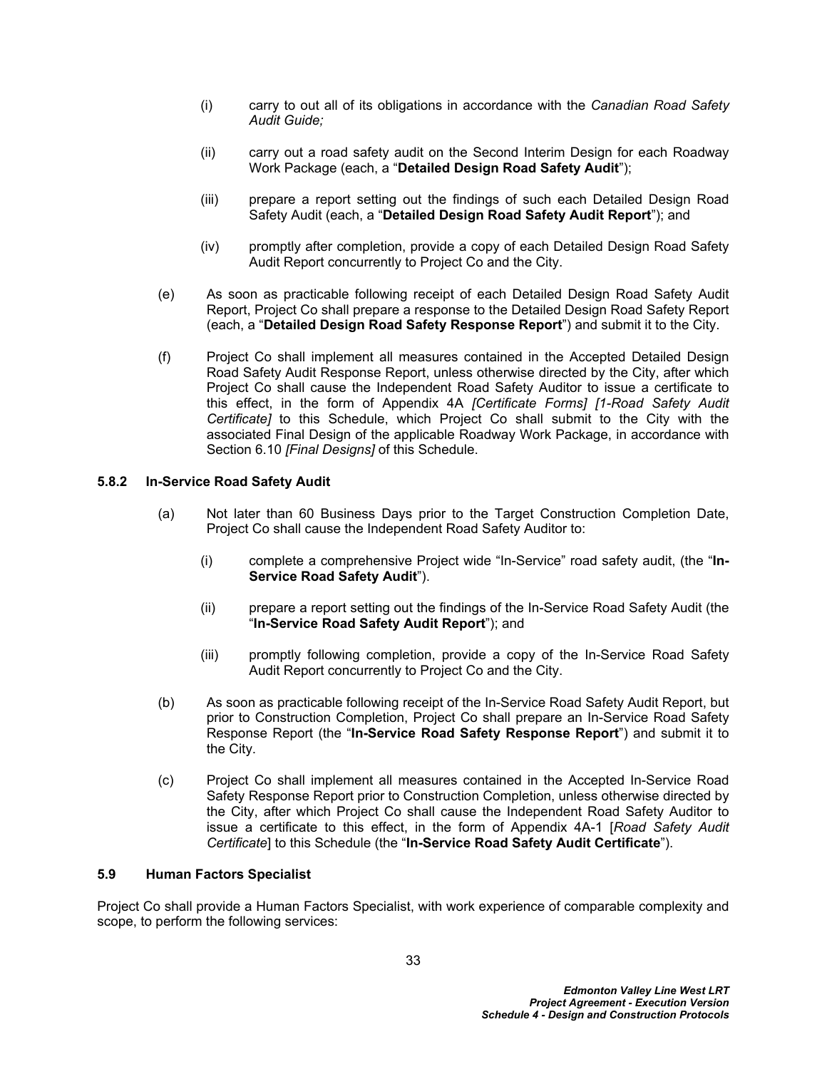- (i) carry to out all of its obligations in accordance with the *Canadian Road Safety Audit Guide;*
- (ii) carry out a road safety audit on the Second Interim Design for each Roadway Work Package (each, a "**Detailed Design Road Safety Audit**");
- (iii) prepare a report setting out the findings of such each Detailed Design Road Safety Audit (each, a "**Detailed Design Road Safety Audit Report**"); and
- (iv) promptly after completion, provide a copy of each Detailed Design Road Safety Audit Report concurrently to Project Co and the City.
- (e) As soon as practicable following receipt of each Detailed Design Road Safety Audit Report, Project Co shall prepare a response to the Detailed Design Road Safety Report (each, a "**Detailed Design Road Safety Response Report**") and submit it to the City.
- (f) Project Co shall implement all measures contained in the Accepted Detailed Design Road Safety Audit Response Report, unless otherwise directed by the City, after which Project Co shall cause the Independent Road Safety Auditor to issue a certificate to this effect, in the form of Appendix 4A *[Certificate Forms] [1-Road Safety Audit Certificate]* to this Schedule, which Project Co shall submit to the City with the associated Final Design of the applicable Roadway Work Package, in accordance with Section [6.10](#page-50-0) *[Final Designs]* of this Schedule.

## **5.8.2 In-Service Road Safety Audit**

- (a) Not later than 60 Business Days prior to the Target Construction Completion Date, Project Co shall cause the Independent Road Safety Auditor to:
	- (i) complete a comprehensive Project wide "In-Service" road safety audit, (the "**In-Service Road Safety Audit**").
	- (ii) prepare a report setting out the findings of the In-Service Road Safety Audit (the "**In-Service Road Safety Audit Report**"); and
	- (iii) promptly following completion, provide a copy of the In-Service Road Safety Audit Report concurrently to Project Co and the City.
- (b) As soon as practicable following receipt of the In-Service Road Safety Audit Report, but prior to Construction Completion, Project Co shall prepare an In-Service Road Safety Response Report (the "**In-Service Road Safety Response Report**") and submit it to the City.
- (c) Project Co shall implement all measures contained in the Accepted In-Service Road Safety Response Report prior to Construction Completion, unless otherwise directed by the City, after which Project Co shall cause the Independent Road Safety Auditor to issue a certificate to this effect, in the form of Appendix 4A-1 [*Road Safety Audit Certificate*] to this Schedule (the "**In-Service Road Safety Audit Certificate**").

### <span id="page-37-0"></span>**5.9 Human Factors Specialist**

Project Co shall provide a Human Factors Specialist, with work experience of comparable complexity and scope, to perform the following services: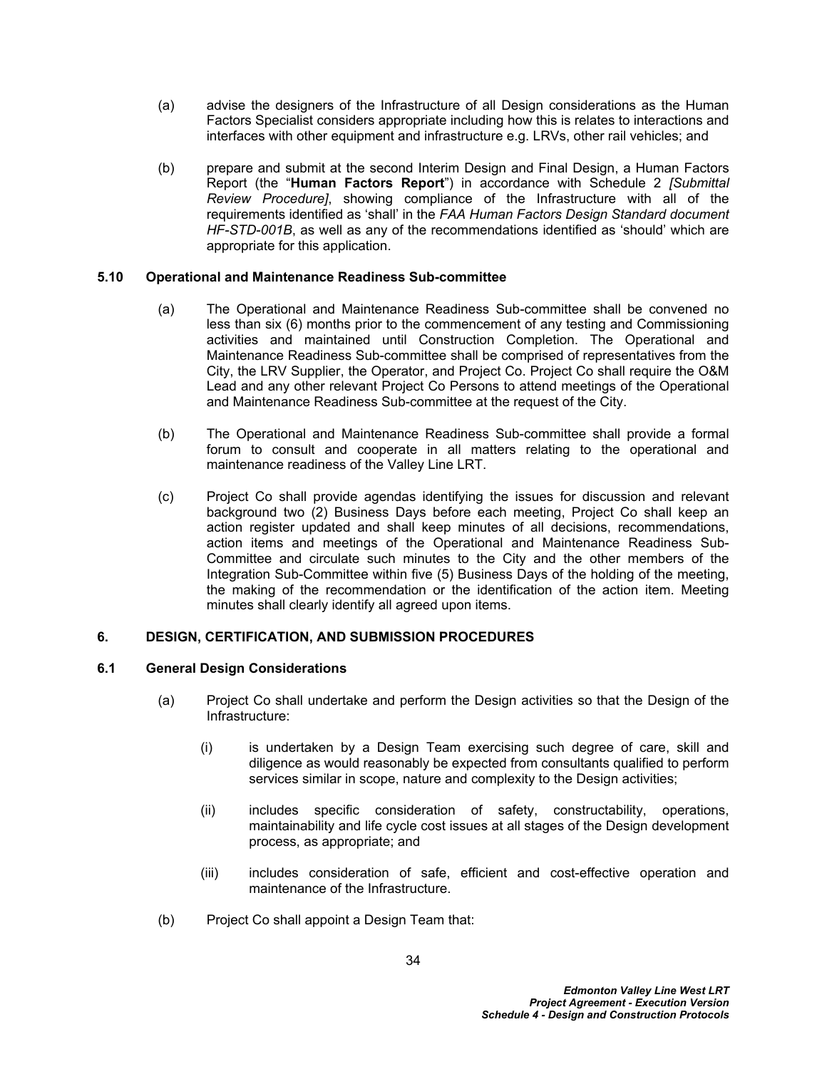- (a) advise the designers of the Infrastructure of all Design considerations as the Human Factors Specialist considers appropriate including how this is relates to interactions and interfaces with other equipment and infrastructure e.g. LRVs, other rail vehicles; and
- (b) prepare and submit at the second Interim Design and Final Design, a Human Factors Report (the "**Human Factors Report**") in accordance with Schedule 2 *[Submittal Review Procedure]*, showing compliance of the Infrastructure with all of the requirements identified as 'shall' in the *FAA Human Factors Design Standard document HF-STD-001B*, as well as any of the recommendations identified as 'should' which are appropriate for this application.

## **5.10 Operational and Maintenance Readiness Sub-committee**

- (a) The Operational and Maintenance Readiness Sub-committee shall be convened no less than six (6) months prior to the commencement of any testing and Commissioning activities and maintained until Construction Completion. The Operational and Maintenance Readiness Sub-committee shall be comprised of representatives from the City, the LRV Supplier, the Operator, and Project Co. Project Co shall require the O&M Lead and any other relevant Project Co Persons to attend meetings of the Operational and Maintenance Readiness Sub-committee at the request of the City.
- (b) The Operational and Maintenance Readiness Sub-committee shall provide a formal forum to consult and cooperate in all matters relating to the operational and maintenance readiness of the Valley Line LRT.
- (c) Project Co shall provide agendas identifying the issues for discussion and relevant background two (2) Business Days before each meeting, Project Co shall keep an action register updated and shall keep minutes of all decisions, recommendations, action items and meetings of the Operational and Maintenance Readiness Sub-Committee and circulate such minutes to the City and the other members of the Integration Sub-Committee within five (5) Business Days of the holding of the meeting, the making of the recommendation or the identification of the action item. Meeting minutes shall clearly identify all agreed upon items.

# **6. DESIGN, CERTIFICATION, AND SUBMISSION PROCEDURES**

### **6.1 General Design Considerations**

- (a) Project Co shall undertake and perform the Design activities so that the Design of the Infrastructure:
	- (i) is undertaken by a Design Team exercising such degree of care, skill and diligence as would reasonably be expected from consultants qualified to perform services similar in scope, nature and complexity to the Design activities;
	- (ii) includes specific consideration of safety, constructability, operations, maintainability and life cycle cost issues at all stages of the Design development process, as appropriate; and
	- (iii) includes consideration of safe, efficient and cost-effective operation and maintenance of the Infrastructure.
- (b) Project Co shall appoint a Design Team that: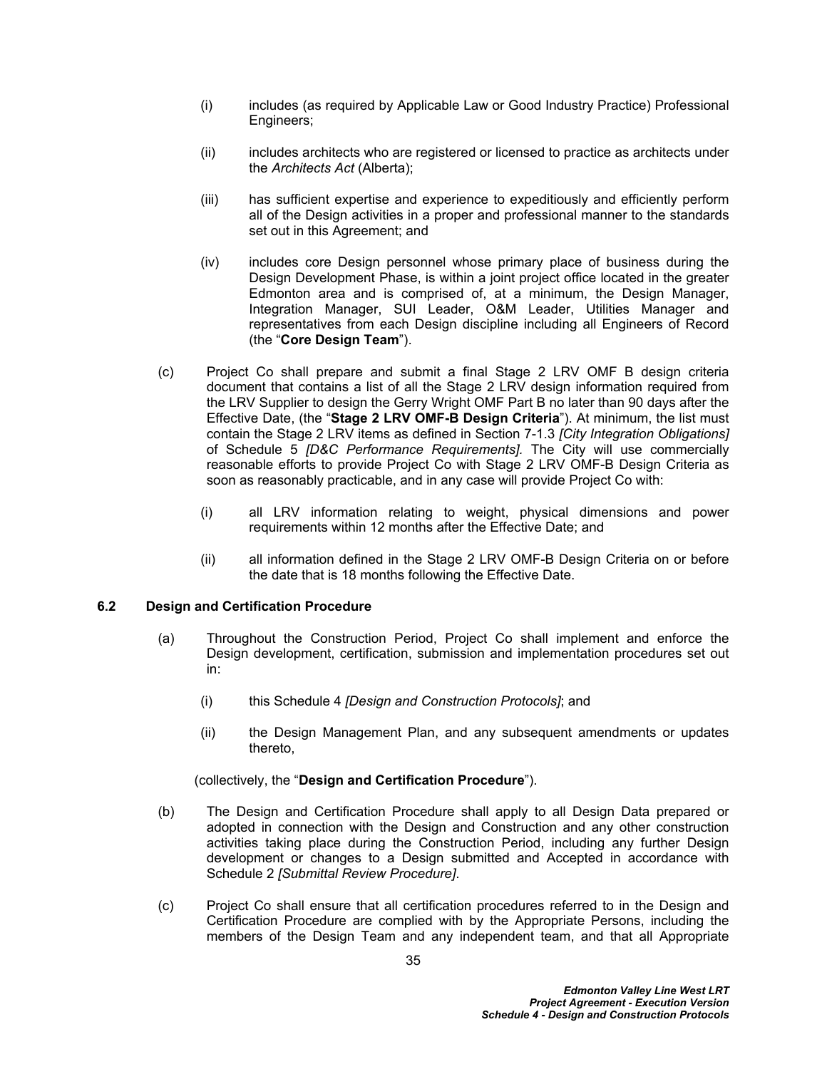- (i) includes (as required by Applicable Law or Good Industry Practice) Professional Engineers;
- (ii) includes architects who are registered or licensed to practice as architects under the *Architects Act* (Alberta);
- (iii) has sufficient expertise and experience to expeditiously and efficiently perform all of the Design activities in a proper and professional manner to the standards set out in this Agreement; and
- (iv) includes core Design personnel whose primary place of business during the Design Development Phase, is within a joint project office located in the greater Edmonton area and is comprised of, at a minimum, the Design Manager, Integration Manager, SUI Leader, O&M Leader, Utilities Manager and representatives from each Design discipline including all Engineers of Record (the "**Core Design Team**").
- (c) Project Co shall prepare and submit a final Stage 2 LRV OMF B design criteria document that contains a list of all the Stage 2 LRV design information required from the LRV Supplier to design the Gerry Wright OMF Part B no later than 90 days after the Effective Date, (the "**Stage 2 LRV OMF-B Design Criteria**"). At minimum, the list must contain the Stage 2 LRV items as defined in Section 7-1.3 *[City Integration Obligations]*  of Schedule 5 *[D&C Performance Requirements].* The City will use commercially reasonable efforts to provide Project Co with Stage 2 LRV OMF-B Design Criteria as soon as reasonably practicable, and in any case will provide Project Co with:
	- (i) all LRV information relating to weight, physical dimensions and power requirements within 12 months after the Effective Date; and
	- (ii) all information defined in the Stage 2 LRV OMF-B Design Criteria on or before the date that is 18 months following the Effective Date.

### **6.2 Design and Certification Procedure**

- (a) Throughout the Construction Period, Project Co shall implement and enforce the Design development, certification, submission and implementation procedures set out in:
	- (i) this Schedule 4 *[Design and Construction Protocols]*; and
	- (ii) the Design Management Plan, and any subsequent amendments or updates thereto,

(collectively, the "**Design and Certification Procedure**").

- (b) The Design and Certification Procedure shall apply to all Design Data prepared or adopted in connection with the Design and Construction and any other construction activities taking place during the Construction Period, including any further Design development or changes to a Design submitted and Accepted in accordance with Schedule 2 *[Submittal Review Procedure]*.
- (c) Project Co shall ensure that all certification procedures referred to in the Design and Certification Procedure are complied with by the Appropriate Persons, including the members of the Design Team and any independent team, and that all Appropriate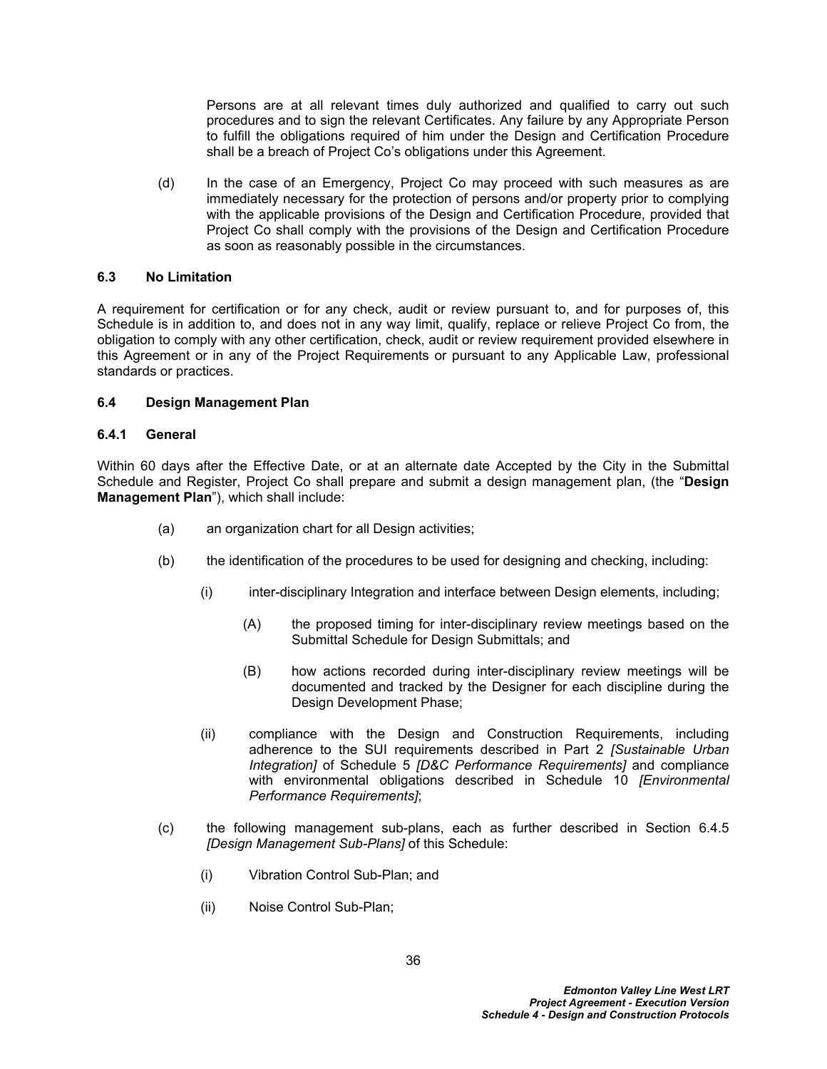Persons are at all relevant times duly authorized and qualified to carry out such procedures and to sign the relevant Certificates. Any failure by any Appropriate Person to fulfill the obligations required of him under the Design and Certification Procedure shall be a breach of Project Co's obligations under this Agreement.

(d) In the case of an Emergency, Project Co may proceed with such measures as are immediately necessary for the protection of persons and/or property prior to complying with the applicable provisions of the Design and Certification Procedure, provided that Project Co shall comply with the provisions of the Design and Certification Procedure as soon as reasonably possible in the circumstances.

## **6.3 No Limitation**

A requirement for certification or for any check, audit or review pursuant to, and for purposes of, this Schedule is in addition to, and does not in any way limit, qualify, replace or relieve Project Co from, the obligation to comply with any other certification, check, audit or review requirement provided elsewhere in this Agreement or in any of the Project Requirements or pursuant to any Applicable Law, professional standards or practices.

## **6.4 Design Management Plan**

## **6.4.1 General**

Within 60 days after the Effective Date, or at an alternate date Accepted by the City in the Submittal Schedule and Register, Project Co shall prepare and submit a design management plan, (the "**Design Management Plan**"), which shall include:

- (a) an organization chart for all Design activities;
- (b) the identification of the procedures to be used for designing and checking, including:
	- (i) inter-disciplinary Integration and interface between Design elements, including;
		- (A) the proposed timing for inter-disciplinary review meetings based on the Submittal Schedule for Design Submittals; and
		- (B) how actions recorded during inter-disciplinary review meetings will be documented and tracked by the Designer for each discipline during the Design Development Phase;
	- (ii) compliance with the Design and Construction Requirements, including adherence to the SUI requirements described in Part 2 *[Sustainable Urban Integration]* of Schedule 5 *[D&C Performance Requirements]* and compliance with environmental obligations described in Schedule 10 *[Environmental Performance Requirements]*;
- (c) the following management sub-plans, each as further described in Section [6.4.5](#page-44-0)  *[Design Management Sub-Plans]* of this Schedule:
	- (i) Vibration Control Sub-Plan; and
	- (ii) Noise Control Sub-Plan;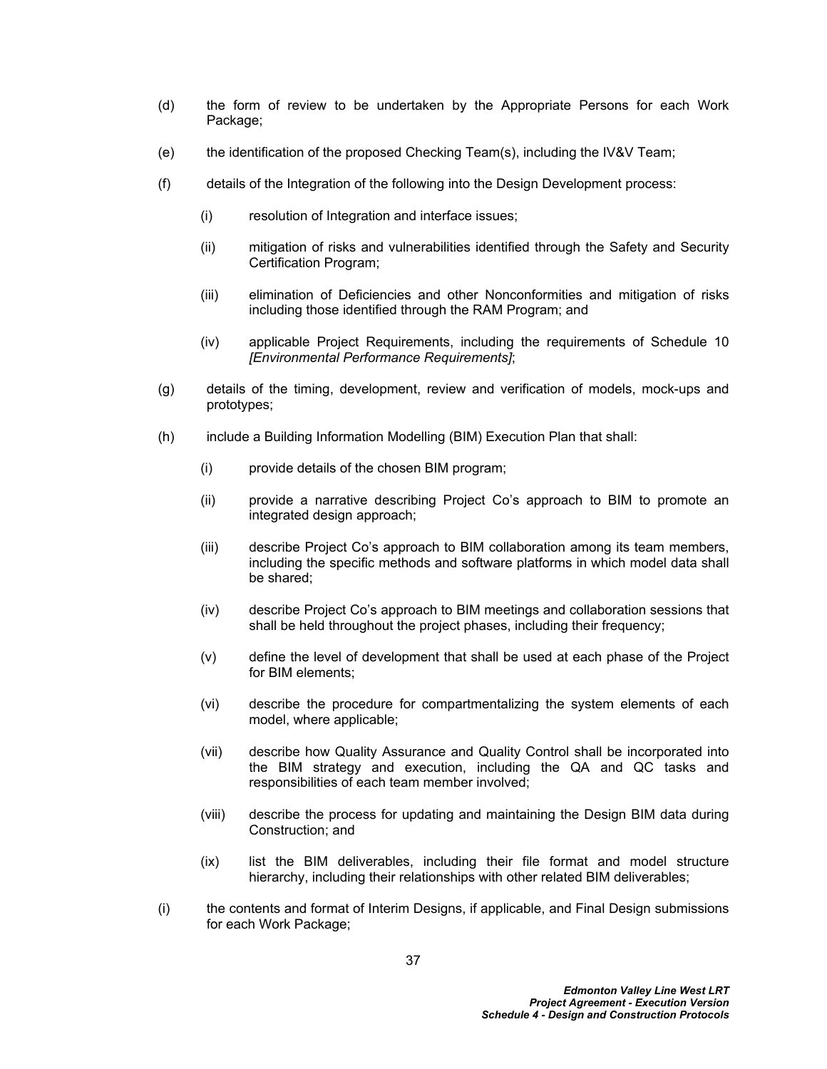- (d) the form of review to be undertaken by the Appropriate Persons for each Work Package:
- (e) the identification of the proposed Checking Team(s), including the IV&V Team;
- (f) details of the Integration of the following into the Design Development process:
	- (i) resolution of Integration and interface issues;
	- (ii) mitigation of risks and vulnerabilities identified through the Safety and Security Certification Program;
	- (iii) elimination of Deficiencies and other Nonconformities and mitigation of risks including those identified through the RAM Program; and
	- (iv) applicable Project Requirements, including the requirements of Schedule 10 *[Environmental Performance Requirements]*;
- (g) details of the timing, development, review and verification of models, mock-ups and prototypes;
- (h) include a Building Information Modelling (BIM) Execution Plan that shall:
	- (i) provide details of the chosen BIM program;
	- (ii) provide a narrative describing Project Co's approach to BIM to promote an integrated design approach;
	- (iii) describe Project Co's approach to BIM collaboration among its team members, including the specific methods and software platforms in which model data shall be shared;
	- (iv) describe Project Co's approach to BIM meetings and collaboration sessions that shall be held throughout the project phases, including their frequency;
	- (v) define the level of development that shall be used at each phase of the Project for BIM elements;
	- (vi) describe the procedure for compartmentalizing the system elements of each model, where applicable;
	- (vii) describe how Quality Assurance and Quality Control shall be incorporated into the BIM strategy and execution, including the QA and QC tasks and responsibilities of each team member involved;
	- (viii) describe the process for updating and maintaining the Design BIM data during Construction; and
	- (ix) list the BIM deliverables, including their file format and model structure hierarchy, including their relationships with other related BIM deliverables;
- (i) the contents and format of Interim Designs, if applicable, and Final Design submissions for each Work Package;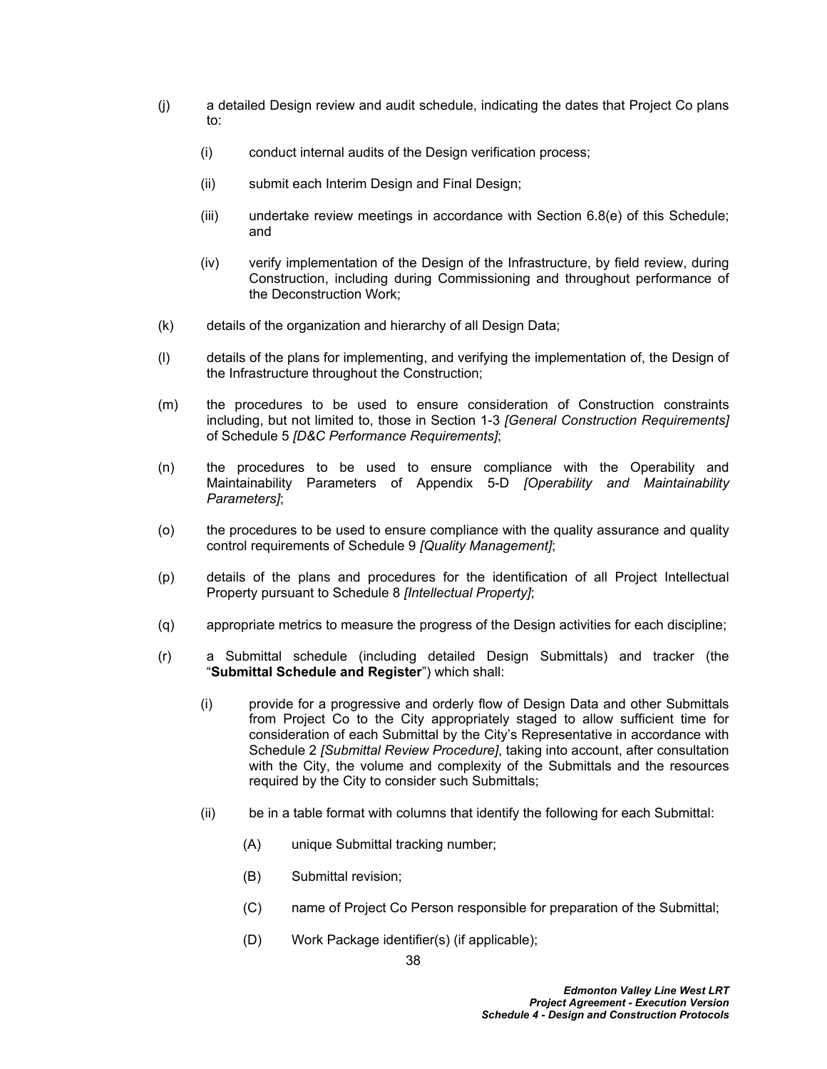- (j) a detailed Design review and audit schedule, indicating the dates that Project Co plans to:
	- (i) conduct internal audits of the Design verification process;
	- (ii) submit each Interim Design and Final Design;
	- (iii) undertake review meetings in accordance with Section [6.8\(e\)](#page-47-0) of this Schedule; and
	- (iv) verify implementation of the Design of the Infrastructure, by field review, during Construction, including during Commissioning and throughout performance of the Deconstruction Work;
- (k) details of the organization and hierarchy of all Design Data;
- (l) details of the plans for implementing, and verifying the implementation of, the Design of the Infrastructure throughout the Construction;
- (m) the procedures to be used to ensure consideration of Construction constraints including, but not limited to, those in Section 1-3 *[General Construction Requirements]* of Schedule 5 *[D&C Performance Requirements]*;
- (n) the procedures to be used to ensure compliance with the Operability and Maintainability Parameters of Appendix 5-D *[Operability and Maintainability Parameters]*;
- (o) the procedures to be used to ensure compliance with the quality assurance and quality control requirements of Schedule 9 *[Quality Management]*;
- (p) details of the plans and procedures for the identification of all Project Intellectual Property pursuant to Schedule 8 *[Intellectual Property]*;
- (q) appropriate metrics to measure the progress of the Design activities for each discipline;
- <span id="page-42-0"></span>(r) a Submittal schedule (including detailed Design Submittals) and tracker (the "**Submittal Schedule and Register**") which shall:
	- (i) provide for a progressive and orderly flow of Design Data and other Submittals from Project Co to the City appropriately staged to allow sufficient time for consideration of each Submittal by the City's Representative in accordance with Schedule 2 *[Submittal Review Procedure]*, taking into account, after consultation with the City, the volume and complexity of the Submittals and the resources required by the City to consider such Submittals;
	- (ii) be in a table format with columns that identify the following for each Submittal:
		- (A) unique Submittal tracking number;
		- (B) Submittal revision;
		- (C) name of Project Co Person responsible for preparation of the Submittal;
		- (D) Work Package identifier(s) (if applicable);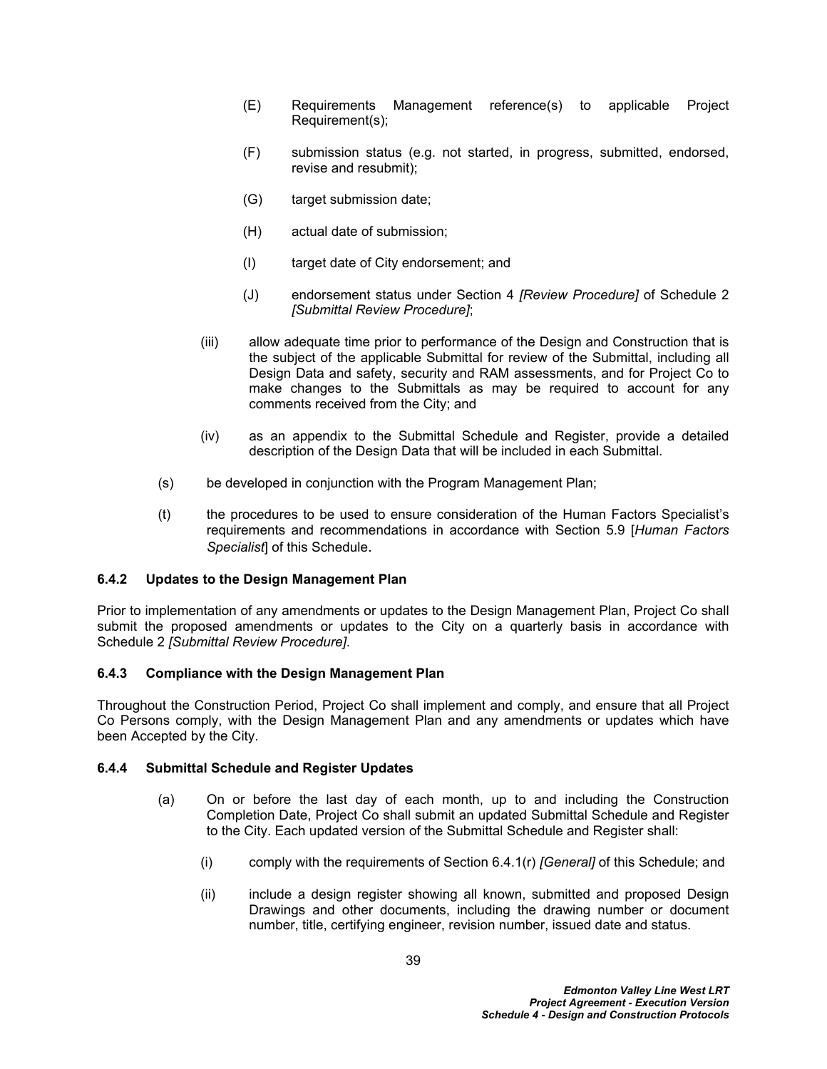- (E) Requirements Management reference(s) to applicable Project Requirement(s);
- (F) submission status (e.g. not started, in progress, submitted, endorsed, revise and resubmit);
- (G) target submission date;
- (H) actual date of submission;
- (I) target date of City endorsement; and
- (J) endorsement status under Section 4 *[Review Procedure]* of Schedule 2 *[Submittal Review Procedure]*;
- (iii) allow adequate time prior to performance of the Design and Construction that is the subject of the applicable Submittal for review of the Submittal, including all Design Data and safety, security and RAM assessments, and for Project Co to make changes to the Submittals as may be required to account for any comments received from the City; and
- (iv) as an appendix to the Submittal Schedule and Register, provide a detailed description of the Design Data that will be included in each Submittal.
- (s) be developed in conjunction with the Program Management Plan;
- (t) the procedures to be used to ensure consideration of the Human Factors Specialist's requirements and recommendations in accordance with Section [5.9](#page-37-0) [*Human Factors Specialist*] of this Schedule.

## **6.4.2 Updates to the Design Management Plan**

Prior to implementation of any amendments or updates to the Design Management Plan, Project Co shall submit the proposed amendments or updates to the City on a quarterly basis in accordance with Schedule 2 *[Submittal Review Procedure]*.

### **6.4.3 Compliance with the Design Management Plan**

Throughout the Construction Period, Project Co shall implement and comply, and ensure that all Project Co Persons comply, with the Design Management Plan and any amendments or updates which have been Accepted by the City.

### **6.4.4 Submittal Schedule and Register Updates**

- (a) On or before the last day of each month, up to and including the Construction Completion Date, Project Co shall submit an updated Submittal Schedule and Register to the City. Each updated version of the Submittal Schedule and Register shall:
	- (i) comply with the requirements of Section [6.4.1\(r\)](#page-42-0) *[General]* of this Schedule; and
	- (ii) include a design register showing all known, submitted and proposed Design Drawings and other documents, including the drawing number or document number, title, certifying engineer, revision number, issued date and status.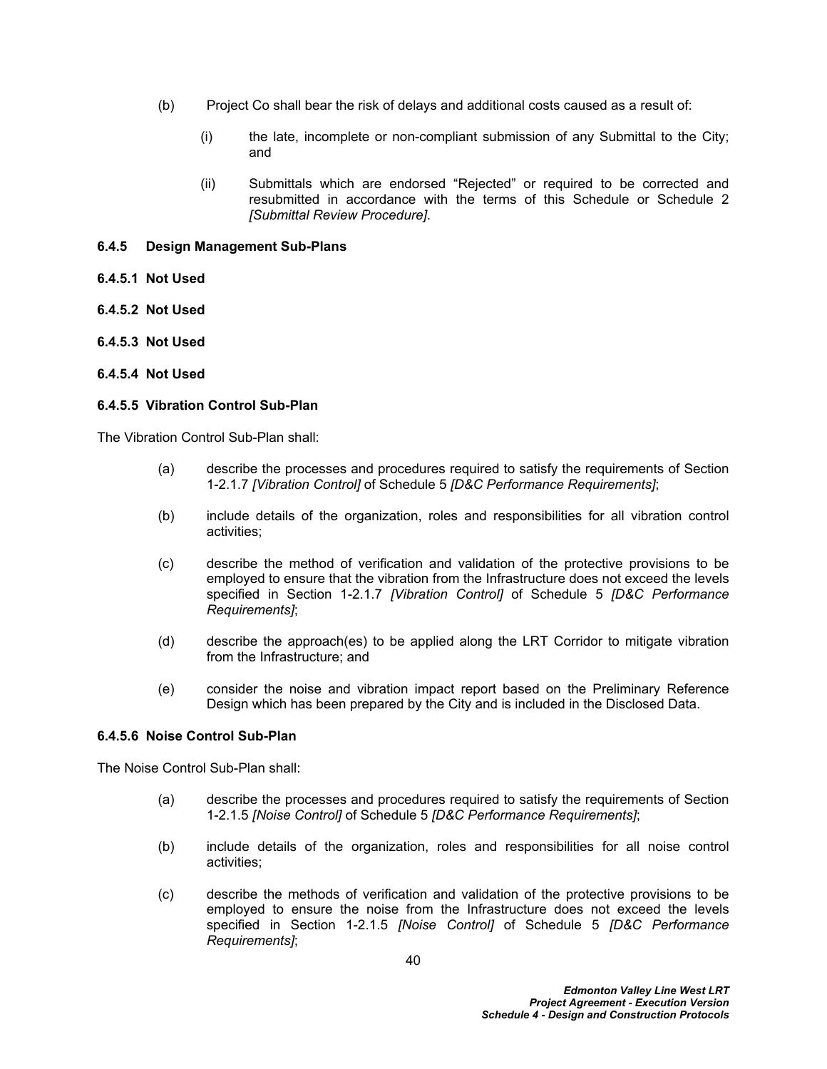- (b) Project Co shall bear the risk of delays and additional costs caused as a result of:
	- (i) the late, incomplete or non-compliant submission of any Submittal to the City; and
	- (ii) Submittals which are endorsed "Rejected" or required to be corrected and resubmitted in accordance with the terms of this Schedule or Schedule 2 *[Submittal Review Procedure]*.

### <span id="page-44-0"></span>**6.4.5 Design Management Sub-Plans**

- **6.4.5.1 Not Used**
- **6.4.5.2 Not Used**
- **6.4.5.3 Not Used**
- **6.4.5.4 Not Used**

### **6.4.5.5 Vibration Control Sub-Plan**

The Vibration Control Sub-Plan shall:

- (a) describe the processes and procedures required to satisfy the requirements of Section 1-2.1.7 *[Vibration Control]* of Schedule 5 *[D&C Performance Requirements]*;
- (b) include details of the organization, roles and responsibilities for all vibration control activities;
- (c) describe the method of verification and validation of the protective provisions to be employed to ensure that the vibration from the Infrastructure does not exceed the levels specified in Section 1-2.1.7 *[Vibration Control]* of Schedule 5 *[D&C Performance Requirements]*;
- (d) describe the approach(es) to be applied along the LRT Corridor to mitigate vibration from the Infrastructure; and
- (e) consider the noise and vibration impact report based on the Preliminary Reference Design which has been prepared by the City and is included in the Disclosed Data.

### **6.4.5.6 Noise Control Sub-Plan**

The Noise Control Sub-Plan shall:

- (a) describe the processes and procedures required to satisfy the requirements of Section 1-2.1.5 *[Noise Control]* of Schedule 5 *[D&C Performance Requirements]*;
- (b) include details of the organization, roles and responsibilities for all noise control activities;
- (c) describe the methods of verification and validation of the protective provisions to be employed to ensure the noise from the Infrastructure does not exceed the levels specified in Section 1-2.1.5 *[Noise Control]* of Schedule 5 *[D&C Performance Requirements]*;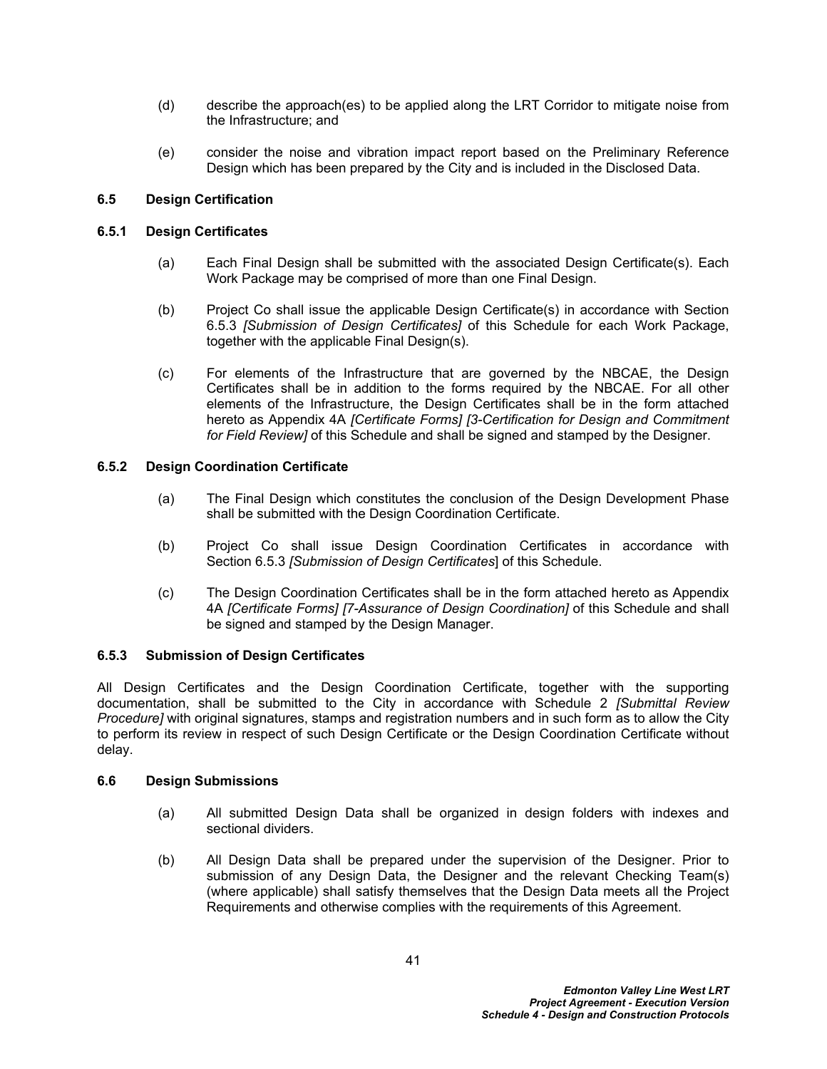- (d) describe the approach(es) to be applied along the LRT Corridor to mitigate noise from the Infrastructure; and
- (e) consider the noise and vibration impact report based on the Preliminary Reference Design which has been prepared by the City and is included in the Disclosed Data.

# **6.5 Design Certification**

# **6.5.1 Design Certificates**

- (a) Each Final Design shall be submitted with the associated Design Certificate(s). Each Work Package may be comprised of more than one Final Design.
- (b) Project Co shall issue the applicable Design Certificate(s) in accordance with Section [6.5.3](#page-45-0) *[Submission of Design Certificates]* of this Schedule for each Work Package, together with the applicable Final Design(s).
- (c) For elements of the Infrastructure that are governed by the NBCAE, the Design Certificates shall be in addition to the forms required by the NBCAE. For all other elements of the Infrastructure, the Design Certificates shall be in the form attached hereto as Appendix 4A *[Certificate Forms] [3-Certification for Design and Commitment for Field Review]* of this Schedule and shall be signed and stamped by the Designer.

# **6.5.2 Design Coordination Certificate**

- (a) The Final Design which constitutes the conclusion of the Design Development Phase shall be submitted with the Design Coordination Certificate.
- (b) Project Co shall issue Design Coordination Certificates in accordance with Section [6.5.3](#page-45-0) *[Submission of Design Certificates*] of this Schedule.
- (c) The Design Coordination Certificates shall be in the form attached hereto as Appendix 4A *[Certificate Forms] [7-Assurance of Design Coordination]* of this Schedule and shall be signed and stamped by the Design Manager.

# <span id="page-45-0"></span>**6.5.3 Submission of Design Certificates**

All Design Certificates and the Design Coordination Certificate, together with the supporting documentation, shall be submitted to the City in accordance with Schedule 2 *[Submittal Review Procedure]* with original signatures, stamps and registration numbers and in such form as to allow the City to perform its review in respect of such Design Certificate or the Design Coordination Certificate without delay.

# **6.6 Design Submissions**

- (a) All submitted Design Data shall be organized in design folders with indexes and sectional dividers.
- (b) All Design Data shall be prepared under the supervision of the Designer. Prior to submission of any Design Data, the Designer and the relevant Checking Team(s) (where applicable) shall satisfy themselves that the Design Data meets all the Project Requirements and otherwise complies with the requirements of this Agreement.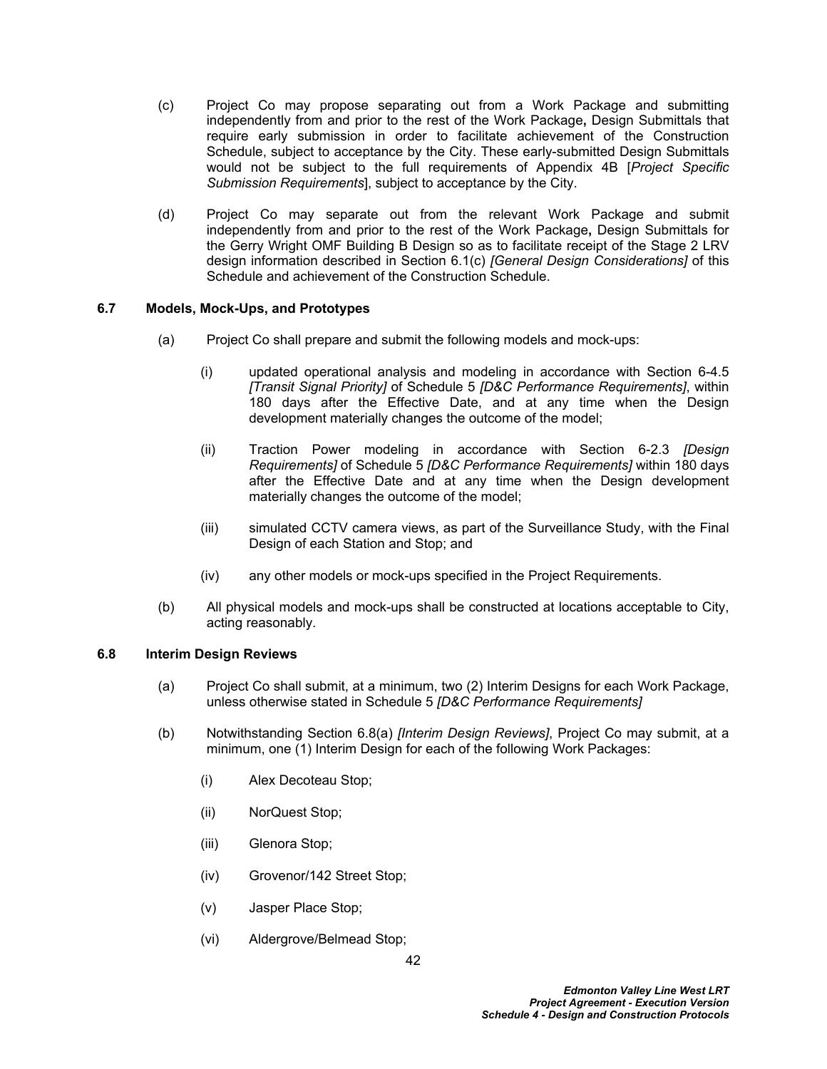- (c) Project Co may propose separating out from a Work Package and submitting independently from and prior to the rest of the Work Package**,** Design Submittals that require early submission in order to facilitate achievement of the Construction Schedule, subject to acceptance by the City. These early-submitted Design Submittals would not be subject to the full requirements of Appendix 4B [*Project Specific Submission Requirements*], subject to acceptance by the City.
- (d) Project Co may separate out from the relevant Work Package and submit independently from and prior to the rest of the Work Package**,** Design Submittals for the Gerry Wright OMF Building B Design so as to facilitate receipt of the Stage 2 LRV design information described in Section 6.1(c) *[General Design Considerations]* of this Schedule and achievement of the Construction Schedule.

# **6.7 Models, Mock-Ups, and Prototypes**

- (a) Project Co shall prepare and submit the following models and mock-ups:
	- (i) updated operational analysis and modeling in accordance with Section 6-4.5 *[Transit Signal Priority]* of Schedule 5 *[D&C Performance Requirements]*, within 180 days after the Effective Date, and at any time when the Design development materially changes the outcome of the model;
	- (ii) Traction Power modeling in accordance with Section 6-2.3 *[Design Requirements]* of Schedule 5 *[D&C Performance Requirements]* within 180 days after the Effective Date and at any time when the Design development materially changes the outcome of the model;
	- (iii) simulated CCTV camera views, as part of the Surveillance Study, with the Final Design of each Station and Stop; and
	- (iv) any other models or mock-ups specified in the Project Requirements.
- (b) All physical models and mock-ups shall be constructed at locations acceptable to City, acting reasonably.

### **6.8 Interim Design Reviews**

- <span id="page-46-0"></span>(a) Project Co shall submit, at a minimum, two (2) Interim Designs for each Work Package, unless otherwise stated in Schedule 5 *[D&C Performance Requirements]*
- <span id="page-46-1"></span>(b) Notwithstanding Section [6.8\(a\)](#page-46-0) *[Interim Design Reviews]*, Project Co may submit, at a minimum, one (1) Interim Design for each of the following Work Packages:
	- (i) Alex Decoteau Stop;
	- (ii) NorQuest Stop;
	- (iii) Glenora Stop;
	- (iv) Grovenor/142 Street Stop;
	- (v) Jasper Place Stop;
	- (vi) Aldergrove/Belmead Stop;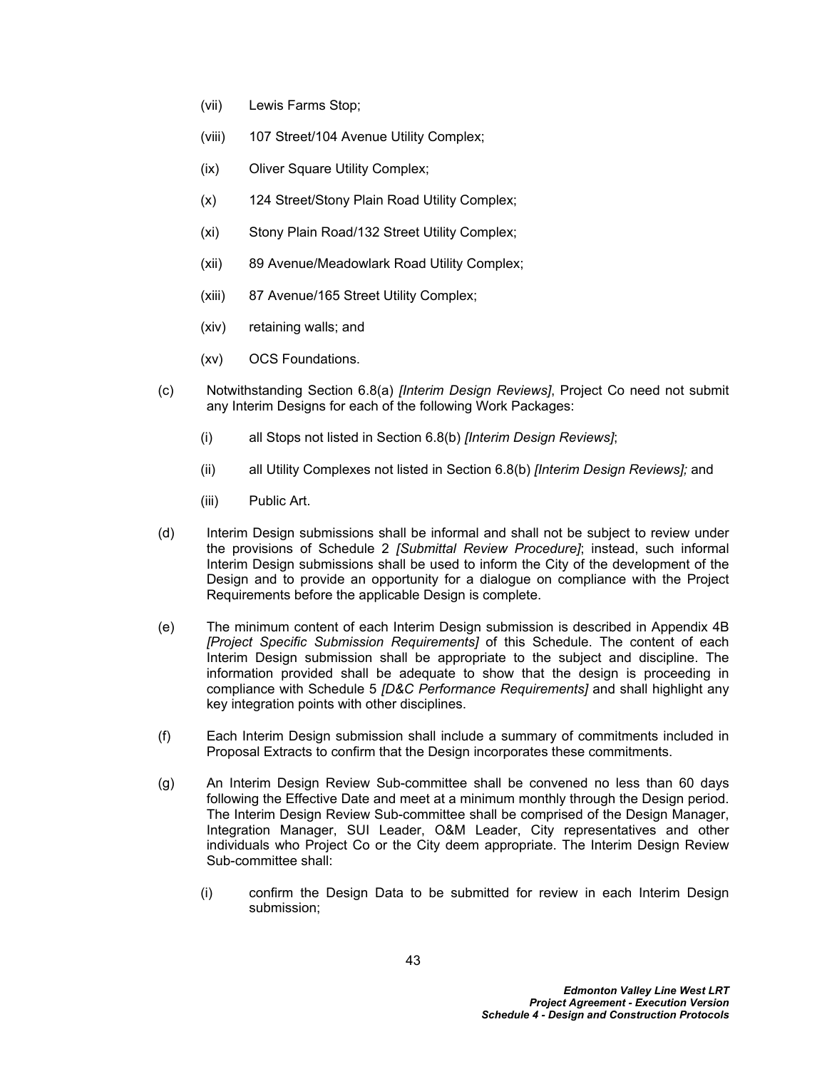- (vii) Lewis Farms Stop;
- (viii) 107 Street/104 Avenue Utility Complex;
- (ix) Oliver Square Utility Complex;
- (x) 124 Street/Stony Plain Road Utility Complex;
- (xi) Stony Plain Road/132 Street Utility Complex;
- (xii) 89 Avenue/Meadowlark Road Utility Complex;
- (xiii) 87 Avenue/165 Street Utility Complex;
- (xiv) retaining walls; and
- (xv) OCS Foundations.
- (c) Notwithstanding Section [6.8\(a\)](#page-46-0) *[Interim Design Reviews]*, Project Co need not submit any Interim Designs for each of the following Work Packages:
	- (i) all Stops not listed in Section [6.8\(b\)](#page-46-1) *[Interim Design Reviews]*;
	- (ii) all Utility Complexes not listed in Section [6.8\(b\)](#page-46-1) *[Interim Design Reviews];* and
	- (iii) Public Art.
- (d) Interim Design submissions shall be informal and shall not be subject to review under the provisions of Schedule 2 *[Submittal Review Procedure]*; instead, such informal Interim Design submissions shall be used to inform the City of the development of the Design and to provide an opportunity for a dialogue on compliance with the Project Requirements before the applicable Design is complete.
- <span id="page-47-0"></span>(e) The minimum content of each Interim Design submission is described in Appendix 4B *[Project Specific Submission Requirements]* of this Schedule. The content of each Interim Design submission shall be appropriate to the subject and discipline. The information provided shall be adequate to show that the design is proceeding in compliance with Schedule 5 *[D&C Performance Requirements]* and shall highlight any key integration points with other disciplines.
- (f) Each Interim Design submission shall include a summary of commitments included in Proposal Extracts to confirm that the Design incorporates these commitments.
- (g) An Interim Design Review Sub-committee shall be convened no less than 60 days following the Effective Date and meet at a minimum monthly through the Design period. The Interim Design Review Sub-committee shall be comprised of the Design Manager, Integration Manager, SUI Leader, O&M Leader, City representatives and other individuals who Project Co or the City deem appropriate. The Interim Design Review Sub-committee shall:
	- (i) confirm the Design Data to be submitted for review in each Interim Design submission;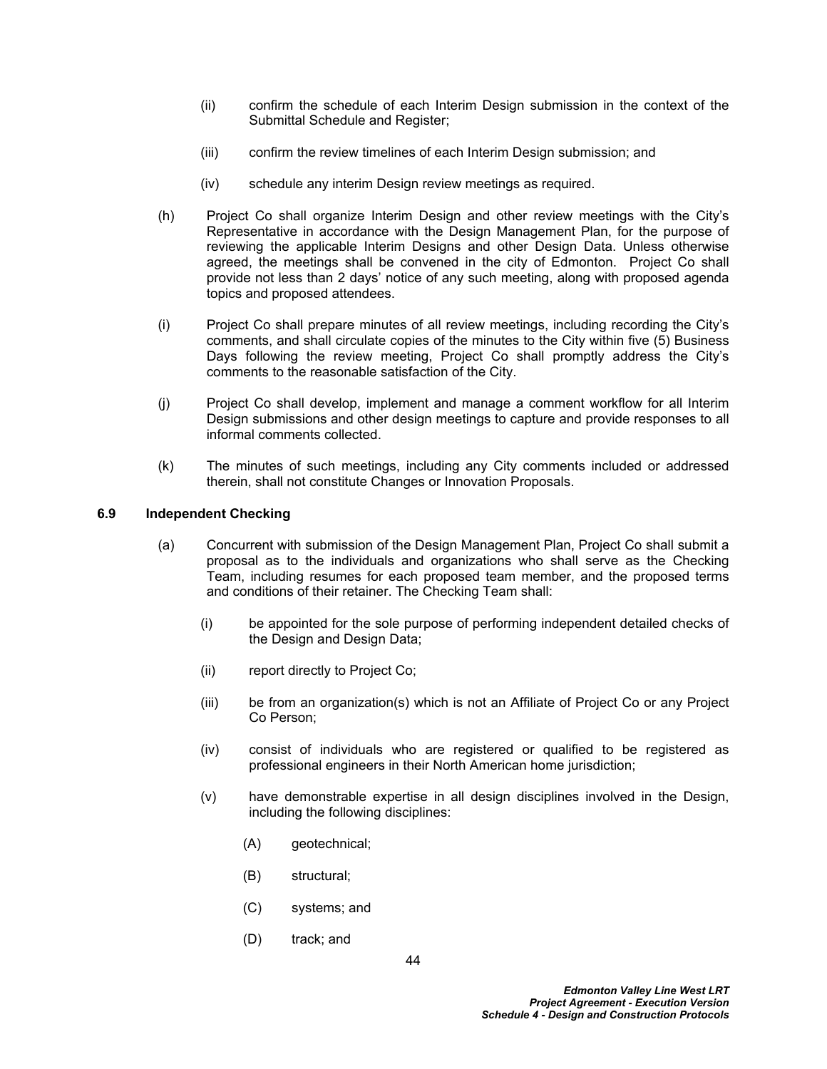- (ii) confirm the schedule of each Interim Design submission in the context of the Submittal Schedule and Register:
- (iii) confirm the review timelines of each Interim Design submission; and
- (iv) schedule any interim Design review meetings as required.
- (h) Project Co shall organize Interim Design and other review meetings with the City's Representative in accordance with the Design Management Plan, for the purpose of reviewing the applicable Interim Designs and other Design Data. Unless otherwise agreed, the meetings shall be convened in the city of Edmonton. Project Co shall provide not less than 2 days' notice of any such meeting, along with proposed agenda topics and proposed attendees.
- (i) Project Co shall prepare minutes of all review meetings, including recording the City's comments, and shall circulate copies of the minutes to the City within five (5) Business Days following the review meeting, Project Co shall promptly address the City's comments to the reasonable satisfaction of the City.
- (j) Project Co shall develop, implement and manage a comment workflow for all Interim Design submissions and other design meetings to capture and provide responses to all informal comments collected.
- (k) The minutes of such meetings, including any City comments included or addressed therein, shall not constitute Changes or Innovation Proposals.

## <span id="page-48-0"></span>**6.9 Independent Checking**

- (a) Concurrent with submission of the Design Management Plan, Project Co shall submit a proposal as to the individuals and organizations who shall serve as the Checking Team, including resumes for each proposed team member, and the proposed terms and conditions of their retainer. The Checking Team shall:
	- (i) be appointed for the sole purpose of performing independent detailed checks of the Design and Design Data;
	- (ii) report directly to Project Co;
	- (iii) be from an organization(s) which is not an Affiliate of Project Co or any Project Co Person;
	- (iv) consist of individuals who are registered or qualified to be registered as professional engineers in their North American home jurisdiction;
	- (v) have demonstrable expertise in all design disciplines involved in the Design, including the following disciplines:
		- (A) geotechnical;
		- (B) structural;
		- (C) systems; and
		- (D) track; and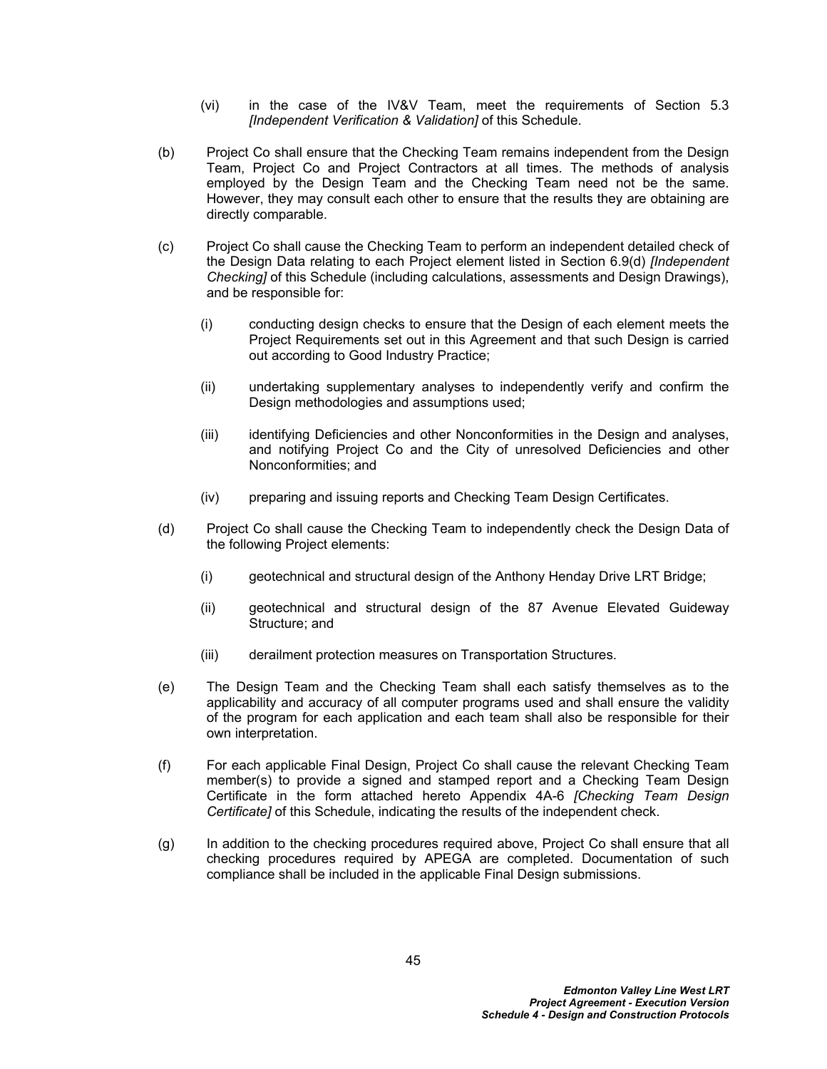- (vi) in the case of the IV&V Team, meet the requirements of Section [5.3](#page-21-0)  *[Independent Verification & Validation]* of this Schedule.
- (b) Project Co shall ensure that the Checking Team remains independent from the Design Team, Project Co and Project Contractors at all times. The methods of analysis employed by the Design Team and the Checking Team need not be the same. However, they may consult each other to ensure that the results they are obtaining are directly comparable.
- (c) Project Co shall cause the Checking Team to perform an independent detailed check of the Design Data relating to each Project element listed in Section [6.9\(d\)](#page-49-0) *[Independent Checking]* of this Schedule (including calculations, assessments and Design Drawings), and be responsible for:
	- (i) conducting design checks to ensure that the Design of each element meets the Project Requirements set out in this Agreement and that such Design is carried out according to Good Industry Practice;
	- (ii) undertaking supplementary analyses to independently verify and confirm the Design methodologies and assumptions used;
	- (iii) identifying Deficiencies and other Nonconformities in the Design and analyses, and notifying Project Co and the City of unresolved Deficiencies and other Nonconformities; and
	- (iv) preparing and issuing reports and Checking Team Design Certificates.
- <span id="page-49-0"></span>(d) Project Co shall cause the Checking Team to independently check the Design Data of the following Project elements:
	- (i) geotechnical and structural design of the Anthony Henday Drive LRT Bridge;
	- (ii) geotechnical and structural design of the 87 Avenue Elevated Guideway Structure; and
	- (iii) derailment protection measures on Transportation Structures.
- (e) The Design Team and the Checking Team shall each satisfy themselves as to the applicability and accuracy of all computer programs used and shall ensure the validity of the program for each application and each team shall also be responsible for their own interpretation.
- (f) For each applicable Final Design, Project Co shall cause the relevant Checking Team member(s) to provide a signed and stamped report and a Checking Team Design Certificate in the form attached hereto Appendix 4A-6 *[Checking Team Design Certificate]* of this Schedule, indicating the results of the independent check.
- (g) In addition to the checking procedures required above, Project Co shall ensure that all checking procedures required by APEGA are completed. Documentation of such compliance shall be included in the applicable Final Design submissions.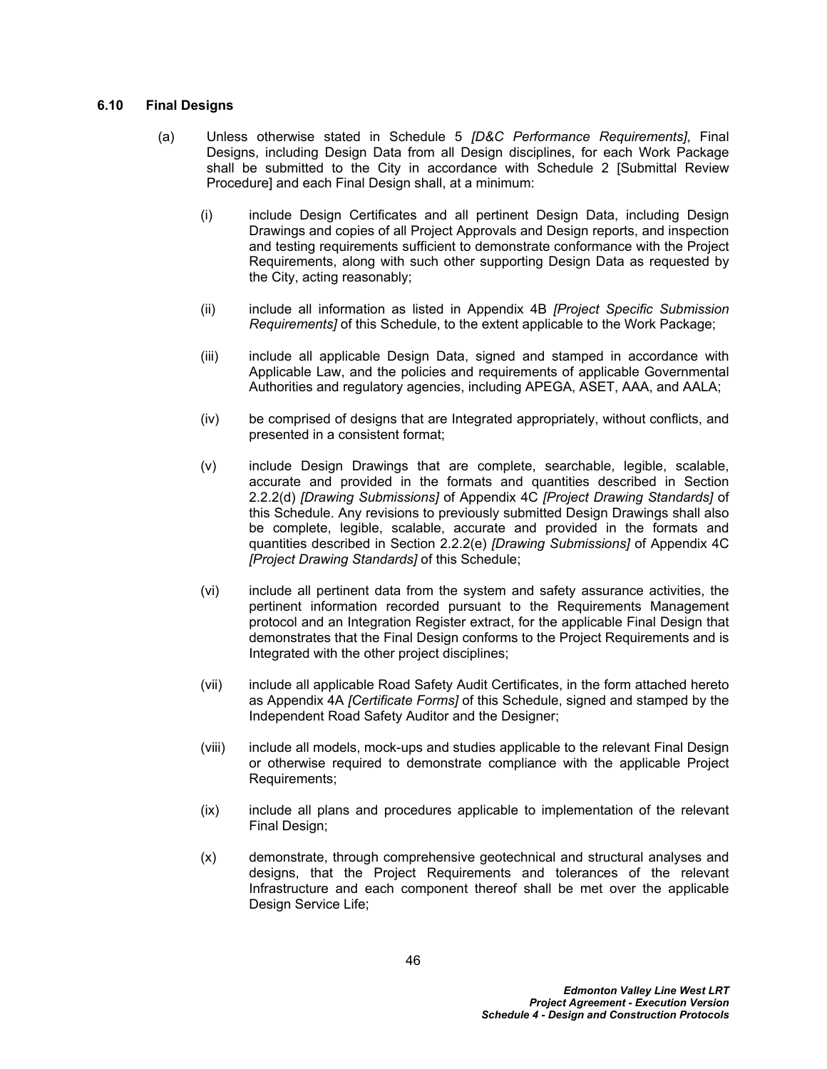### <span id="page-50-0"></span>**6.10 Final Designs**

- (a) Unless otherwise stated in Schedule 5 *[D&C Performance Requirements]*, Final Designs, including Design Data from all Design disciplines, for each Work Package shall be submitted to the City in accordance with Schedule 2 [Submittal Review Procedure] and each Final Design shall, at a minimum:
	- (i) include Design Certificates and all pertinent Design Data, including Design Drawings and copies of all Project Approvals and Design reports, and inspection and testing requirements sufficient to demonstrate conformance with the Project Requirements, along with such other supporting Design Data as requested by the City, acting reasonably;
	- (ii) include all information as listed in Appendix 4B *[Project Specific Submission Requirements]* of this Schedule, to the extent applicable to the Work Package;
	- (iii) include all applicable Design Data, signed and stamped in accordance with Applicable Law, and the policies and requirements of applicable Governmental Authorities and regulatory agencies, including APEGA, ASET, AAA, and AALA;
	- (iv) be comprised of designs that are Integrated appropriately, without conflicts, and presented in a consistent format;
	- (v) include Design Drawings that are complete, searchable, legible, scalable, accurate and provided in the formats and quantities described in Section 2.2.2(d) *[Drawing Submissions]* of Appendix 4C *[Project Drawing Standards]* of this Schedule. Any revisions to previously submitted Design Drawings shall also be complete, legible, scalable, accurate and provided in the formats and quantities described in Section 2.2.2(e) *[Drawing Submissions]* of Appendix 4C *[Project Drawing Standards]* of this Schedule;
	- (vi) include all pertinent data from the system and safety assurance activities, the pertinent information recorded pursuant to the Requirements Management protocol and an Integration Register extract, for the applicable Final Design that demonstrates that the Final Design conforms to the Project Requirements and is Integrated with the other project disciplines;
	- (vii) include all applicable Road Safety Audit Certificates, in the form attached hereto as Appendix 4A *[Certificate Forms]* of this Schedule, signed and stamped by the Independent Road Safety Auditor and the Designer;
	- (viii) include all models, mock-ups and studies applicable to the relevant Final Design or otherwise required to demonstrate compliance with the applicable Project Requirements;
	- (ix) include all plans and procedures applicable to implementation of the relevant Final Design;
	- (x) demonstrate, through comprehensive geotechnical and structural analyses and designs, that the Project Requirements and tolerances of the relevant Infrastructure and each component thereof shall be met over the applicable Design Service Life;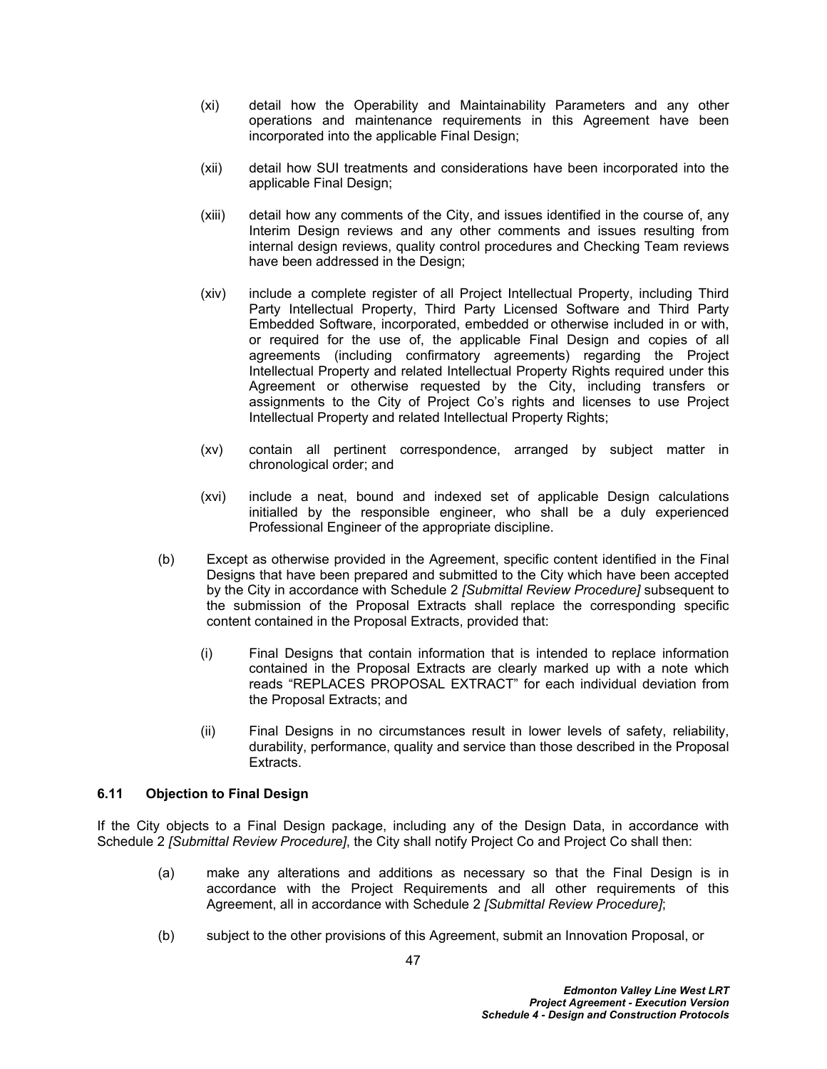- (xi) detail how the Operability and Maintainability Parameters and any other operations and maintenance requirements in this Agreement have been incorporated into the applicable Final Design;
- (xii) detail how SUI treatments and considerations have been incorporated into the applicable Final Design;
- (xiii) detail how any comments of the City, and issues identified in the course of, any Interim Design reviews and any other comments and issues resulting from internal design reviews, quality control procedures and Checking Team reviews have been addressed in the Design;
- (xiv) include a complete register of all Project Intellectual Property, including Third Party Intellectual Property, Third Party Licensed Software and Third Party Embedded Software, incorporated, embedded or otherwise included in or with, or required for the use of, the applicable Final Design and copies of all agreements (including confirmatory agreements) regarding the Project Intellectual Property and related Intellectual Property Rights required under this Agreement or otherwise requested by the City, including transfers or assignments to the City of Project Co's rights and licenses to use Project Intellectual Property and related Intellectual Property Rights;
- (xv) contain all pertinent correspondence, arranged by subject matter in chronological order; and
- (xvi) include a neat, bound and indexed set of applicable Design calculations initialled by the responsible engineer, who shall be a duly experienced Professional Engineer of the appropriate discipline.
- (b) Except as otherwise provided in the Agreement, specific content identified in the Final Designs that have been prepared and submitted to the City which have been accepted by the City in accordance with Schedule 2 *[Submittal Review Procedure]* subsequent to the submission of the Proposal Extracts shall replace the corresponding specific content contained in the Proposal Extracts, provided that:
	- (i) Final Designs that contain information that is intended to replace information contained in the Proposal Extracts are clearly marked up with a note which reads "REPLACES PROPOSAL EXTRACT" for each individual deviation from the Proposal Extracts; and
	- (ii) Final Designs in no circumstances result in lower levels of safety, reliability, durability, performance, quality and service than those described in the Proposal Extracts.

# **6.11 Objection to Final Design**

If the City objects to a Final Design package, including any of the Design Data, in accordance with Schedule 2 *[Submittal Review Procedure]*, the City shall notify Project Co and Project Co shall then:

- (a) make any alterations and additions as necessary so that the Final Design is in accordance with the Project Requirements and all other requirements of this Agreement, all in accordance with Schedule 2 *[Submittal Review Procedure]*;
- (b) subject to the other provisions of this Agreement, submit an Innovation Proposal, or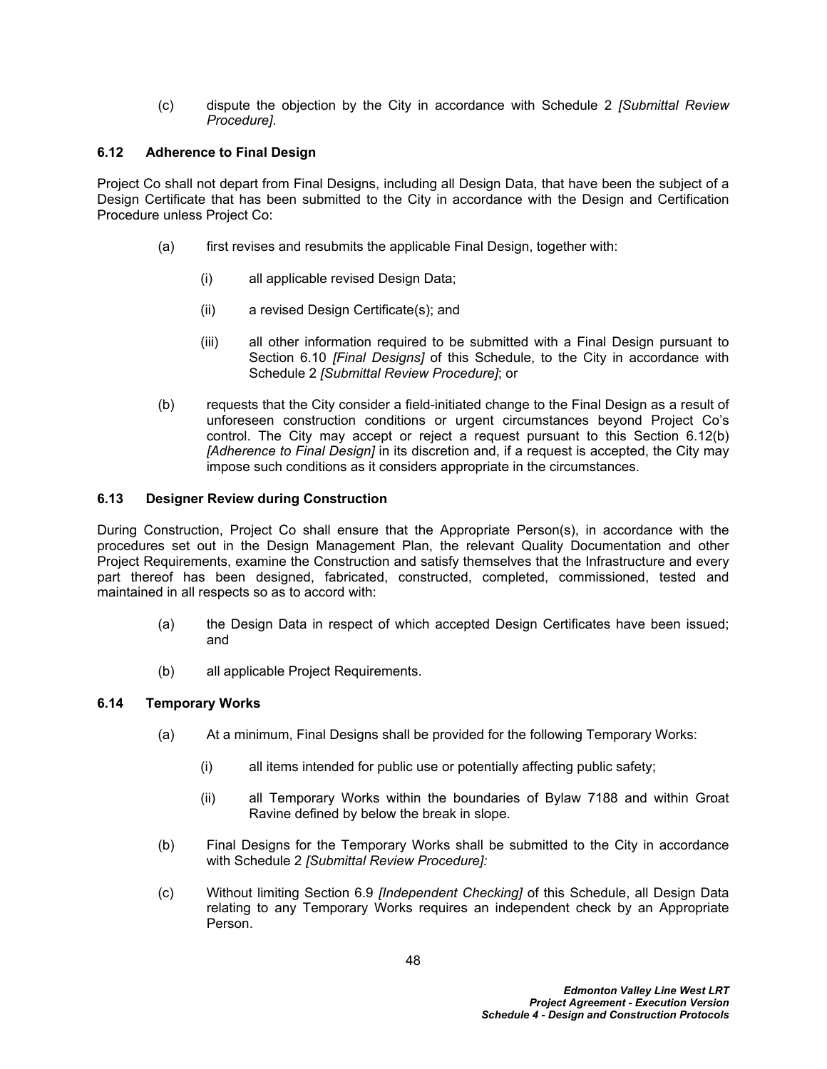(c) dispute the objection by the City in accordance with Schedule 2 *[Submittal Review Procedure]*.

# **6.12 Adherence to Final Design**

Project Co shall not depart from Final Designs, including all Design Data, that have been the subject of a Design Certificate that has been submitted to the City in accordance with the Design and Certification Procedure unless Project Co:

- <span id="page-52-2"></span>(a) first revises and resubmits the applicable Final Design, together with:
	- (i) all applicable revised Design Data;
	- (ii) a revised Design Certificate(s); and
	- (iii) all other information required to be submitted with a Final Design pursuant to Section [6.10](#page-50-0) *[Final Designs]* of this Schedule, to the City in accordance with Schedule 2 *[Submittal Review Procedure]*; or
- <span id="page-52-0"></span>(b) requests that the City consider a field-initiated change to the Final Design as a result of unforeseen construction conditions or urgent circumstances beyond Project Co's control. The City may accept or reject a request pursuant to this Section [6.12\(b\)](#page-52-0) *[Adherence to Final Design]* in its discretion and, if a request is accepted, the City may impose such conditions as it considers appropriate in the circumstances.

# **6.13 Designer Review during Construction**

During Construction, Project Co shall ensure that the Appropriate Person(s), in accordance with the procedures set out in the Design Management Plan, the relevant Quality Documentation and other Project Requirements, examine the Construction and satisfy themselves that the Infrastructure and every part thereof has been designed, fabricated, constructed, completed, commissioned, tested and maintained in all respects so as to accord with:

- (a) the Design Data in respect of which accepted Design Certificates have been issued; and
- (b) all applicable Project Requirements.

# <span id="page-52-3"></span>**6.14 Temporary Works**

- (a) At a minimum, Final Designs shall be provided for the following Temporary Works:
	- (i) all items intended for public use or potentially affecting public safety;
	- (ii) all Temporary Works within the boundaries of Bylaw 7188 and within Groat Ravine defined by below the break in slope.
- (b) Final Designs for the Temporary Works shall be submitted to the City in accordance with Schedule 2 *[Submittal Review Procedure]:*
- <span id="page-52-1"></span>(c) Without limiting Section [6.9](#page-48-0) *[Independent Checking]* of this Schedule, all Design Data relating to any Temporary Works requires an independent check by an Appropriate Person.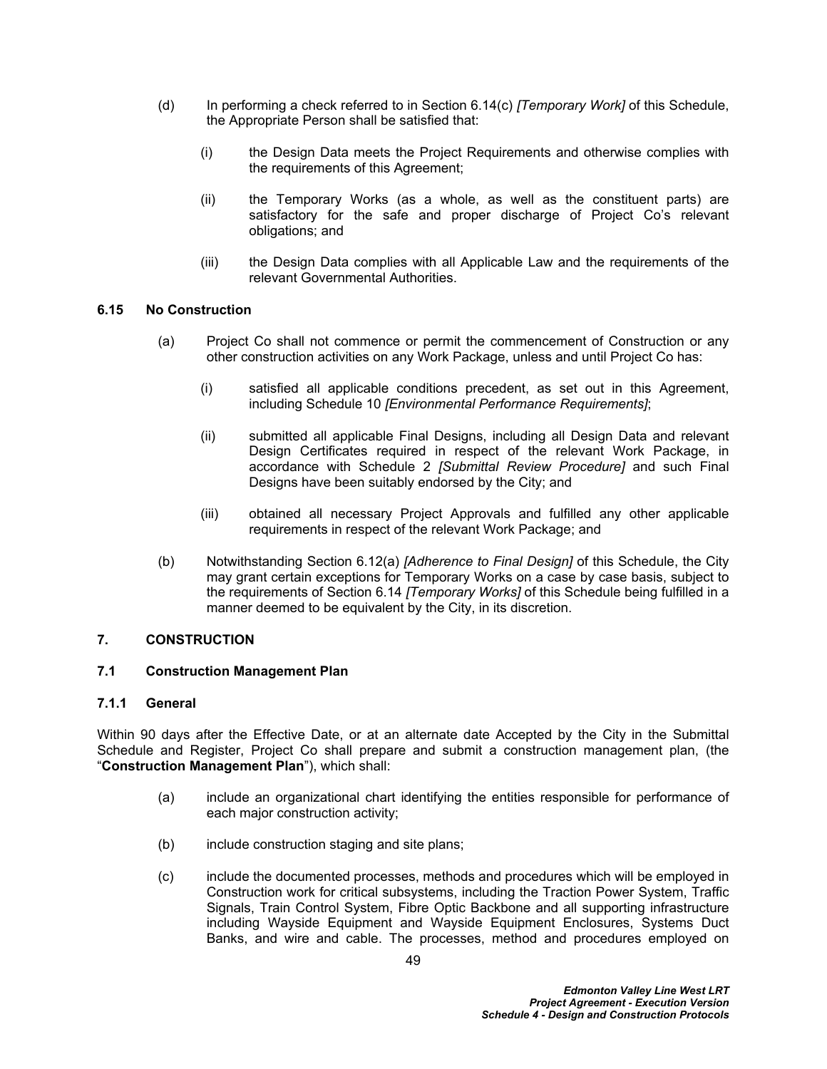- (d) In performing a check referred to in Section [6.14\(c\)](#page-52-1) *[Temporary Work]* of this Schedule, the Appropriate Person shall be satisfied that:
	- (i) the Design Data meets the Project Requirements and otherwise complies with the requirements of this Agreement;
	- (ii) the Temporary Works (as a whole, as well as the constituent parts) are satisfactory for the safe and proper discharge of Project Co's relevant obligations; and
	- (iii) the Design Data complies with all Applicable Law and the requirements of the relevant Governmental Authorities.

## **6.15 No Construction**

- (a) Project Co shall not commence or permit the commencement of Construction or any other construction activities on any Work Package, unless and until Project Co has:
	- (i) satisfied all applicable conditions precedent, as set out in this Agreement, including Schedule 10 *[Environmental Performance Requirements]*;
	- (ii) submitted all applicable Final Designs, including all Design Data and relevant Design Certificates required in respect of the relevant Work Package, in accordance with Schedule 2 *[Submittal Review Procedure]* and such Final Designs have been suitably endorsed by the City; and
	- (iii) obtained all necessary Project Approvals and fulfilled any other applicable requirements in respect of the relevant Work Package; and
- (b) Notwithstanding Section [6.12\(a\)](#page-52-2) *[Adherence to Final Design]* of this Schedule, the City may grant certain exceptions for Temporary Works on a case by case basis, subject to the requirements of Section [6.14](#page-52-3) *[Temporary Works]* of this Schedule being fulfilled in a manner deemed to be equivalent by the City, in its discretion.

### **7. CONSTRUCTION**

### **7.1 Construction Management Plan**

### **7.1.1 General**

Within 90 days after the Effective Date, or at an alternate date Accepted by the City in the Submittal Schedule and Register, Project Co shall prepare and submit a construction management plan, (the "**Construction Management Plan**"), which shall:

- (a) include an organizational chart identifying the entities responsible for performance of each major construction activity;
- (b) include construction staging and site plans;
- (c) include the documented processes, methods and procedures which will be employed in Construction work for critical subsystems, including the Traction Power System, Traffic Signals, Train Control System, Fibre Optic Backbone and all supporting infrastructure including Wayside Equipment and Wayside Equipment Enclosures, Systems Duct Banks, and wire and cable. The processes, method and procedures employed on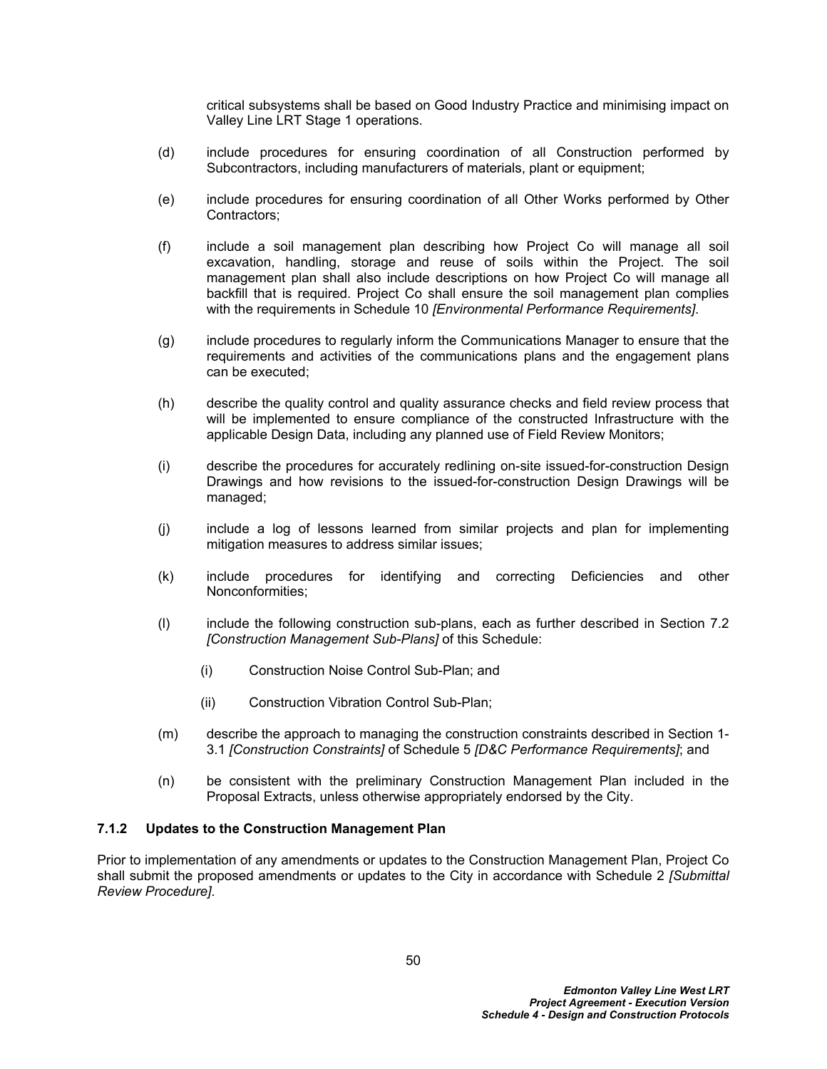critical subsystems shall be based on Good Industry Practice and minimising impact on Valley Line LRT Stage 1 operations.

- (d) include procedures for ensuring coordination of all Construction performed by Subcontractors, including manufacturers of materials, plant or equipment;
- (e) include procedures for ensuring coordination of all Other Works performed by Other Contractors;
- (f) include a soil management plan describing how Project Co will manage all soil excavation, handling, storage and reuse of soils within the Project. The soil management plan shall also include descriptions on how Project Co will manage all backfill that is required. Project Co shall ensure the soil management plan complies with the requirements in Schedule 10 *[Environmental Performance Requirements]*.
- (g) include procedures to regularly inform the Communications Manager to ensure that the requirements and activities of the communications plans and the engagement plans can be executed;
- (h) describe the quality control and quality assurance checks and field review process that will be implemented to ensure compliance of the constructed Infrastructure with the applicable Design Data, including any planned use of Field Review Monitors;
- (i) describe the procedures for accurately redlining on-site issued-for-construction Design Drawings and how revisions to the issued-for-construction Design Drawings will be managed;
- (j) include a log of lessons learned from similar projects and plan for implementing mitigation measures to address similar issues;
- (k) include procedures for identifying and correcting Deficiencies and other Nonconformities;
- (l) include the following construction sub-plans, each as further described in Section [7.2](#page-55-0)  *[Construction Management Sub-Plans]* of this Schedule:
	- (i) Construction Noise Control Sub-Plan; and
	- (ii) Construction Vibration Control Sub-Plan;
- (m) describe the approach to managing the construction constraints described in Section 1- 3.1 *[Construction Constraints]* of Schedule 5 *[D&C Performance Requirements]*; and
- (n) be consistent with the preliminary Construction Management Plan included in the Proposal Extracts, unless otherwise appropriately endorsed by the City.

### **7.1.2 Updates to the Construction Management Plan**

Prior to implementation of any amendments or updates to the Construction Management Plan, Project Co shall submit the proposed amendments or updates to the City in accordance with Schedule 2 *[Submittal Review Procedure]*.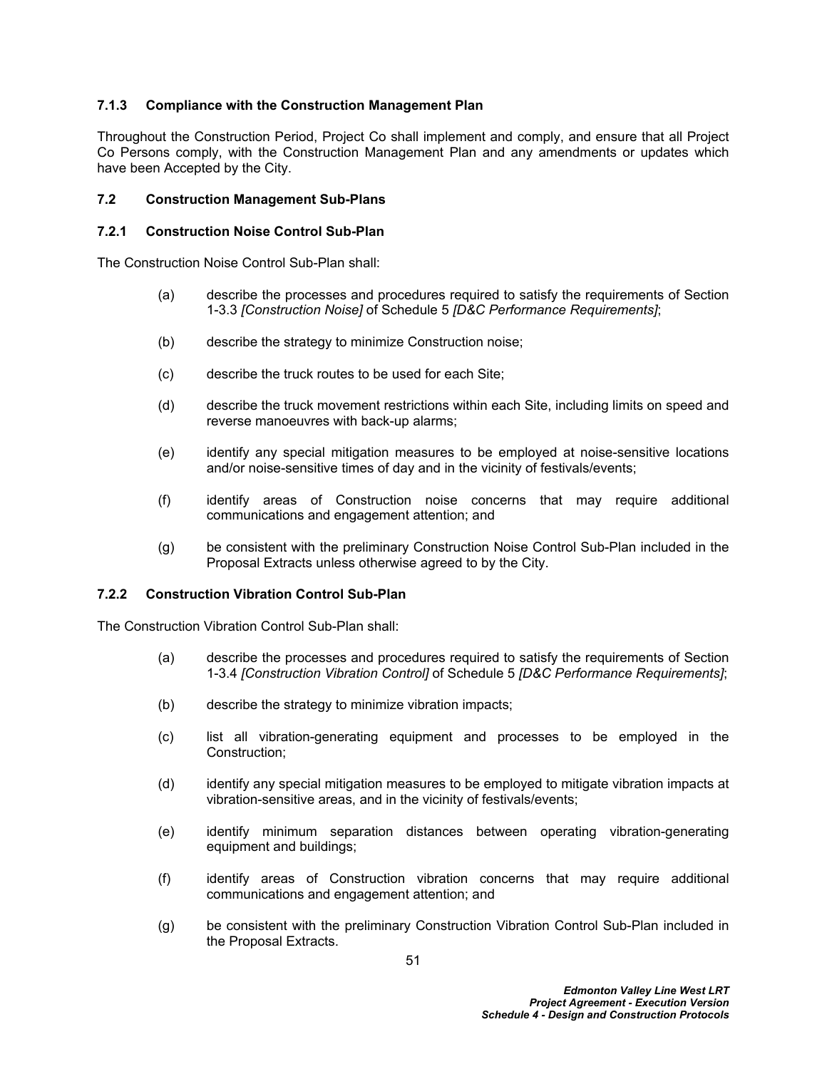## **7.1.3 Compliance with the Construction Management Plan**

Throughout the Construction Period, Project Co shall implement and comply, and ensure that all Project Co Persons comply, with the Construction Management Plan and any amendments or updates which have been Accepted by the City.

### <span id="page-55-0"></span>**7.2 Construction Management Sub-Plans**

#### **7.2.1 Construction Noise Control Sub-Plan**

The Construction Noise Control Sub-Plan shall:

- (a) describe the processes and procedures required to satisfy the requirements of Section 1-3.3 *[Construction Noise]* of Schedule 5 *[D&C Performance Requirements]*;
- (b) describe the strategy to minimize Construction noise;
- (c) describe the truck routes to be used for each Site;
- (d) describe the truck movement restrictions within each Site, including limits on speed and reverse manoeuvres with back-up alarms;
- (e) identify any special mitigation measures to be employed at noise-sensitive locations and/or noise-sensitive times of day and in the vicinity of festivals/events;
- (f) identify areas of Construction noise concerns that may require additional communications and engagement attention; and
- (g) be consistent with the preliminary Construction Noise Control Sub-Plan included in the Proposal Extracts unless otherwise agreed to by the City.

### **7.2.2 Construction Vibration Control Sub-Plan**

The Construction Vibration Control Sub-Plan shall:

- (a) describe the processes and procedures required to satisfy the requirements of Section 1-3.4 *[Construction Vibration Control]* of Schedule 5 *[D&C Performance Requirements]*;
- (b) describe the strategy to minimize vibration impacts;
- (c) list all vibration-generating equipment and processes to be employed in the Construction;
- (d) identify any special mitigation measures to be employed to mitigate vibration impacts at vibration-sensitive areas, and in the vicinity of festivals/events;
- (e) identify minimum separation distances between operating vibration-generating equipment and buildings;
- (f) identify areas of Construction vibration concerns that may require additional communications and engagement attention; and
- (g) be consistent with the preliminary Construction Vibration Control Sub-Plan included in the Proposal Extracts.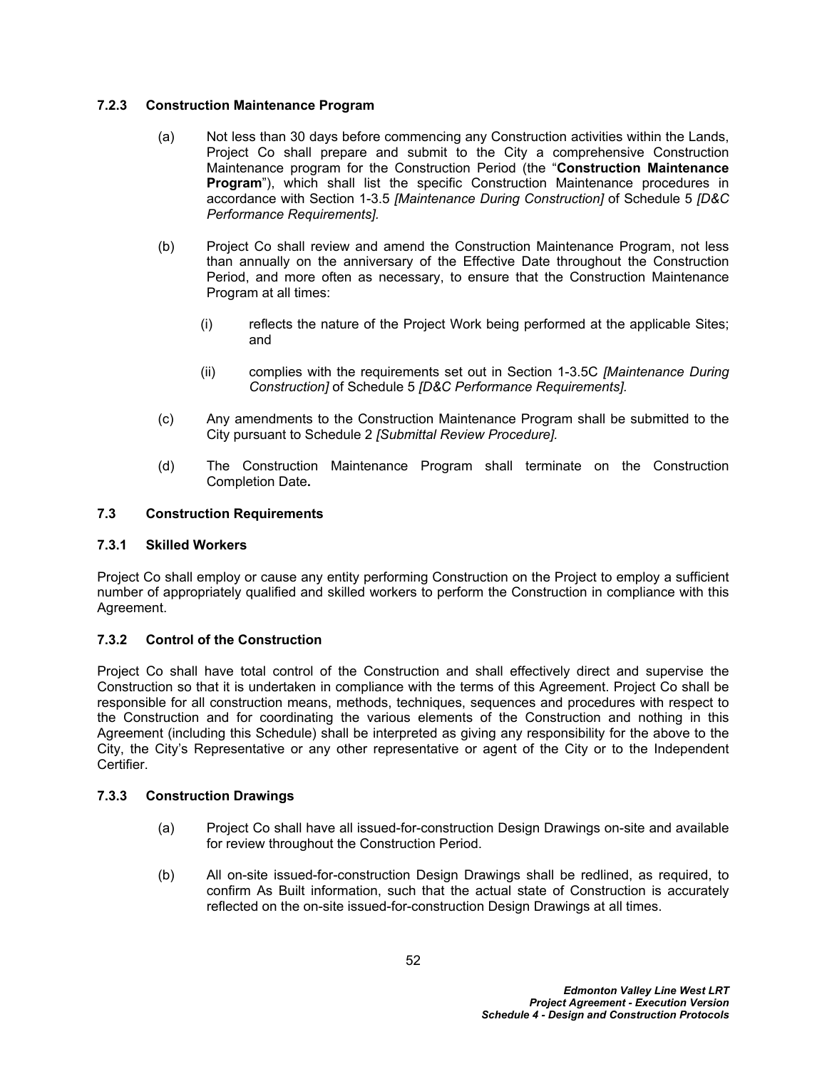## **7.2.3 Construction Maintenance Program**

- (a) Not less than 30 days before commencing any Construction activities within the Lands, Project Co shall prepare and submit to the City a comprehensive Construction Maintenance program for the Construction Period (the "**Construction Maintenance Program**"), which shall list the specific Construction Maintenance procedures in accordance with Section 1-3.5 *[Maintenance During Construction]* of Schedule 5 *[D&C Performance Requirements].*
- (b) Project Co shall review and amend the Construction Maintenance Program, not less than annually on the anniversary of the Effective Date throughout the Construction Period, and more often as necessary, to ensure that the Construction Maintenance Program at all times:
	- (i) reflects the nature of the Project Work being performed at the applicable Sites; and
	- (ii) complies with the requirements set out in Section 1-3.5C *[Maintenance During Construction]* of Schedule 5 *[D&C Performance Requirements].*
- (c) Any amendments to the Construction Maintenance Program shall be submitted to the City pursuant to Schedule 2 *[Submittal Review Procedure].*
- (d) The Construction Maintenance Program shall terminate on the Construction Completion Date**.**

# **7.3 Construction Requirements**

### **7.3.1 Skilled Workers**

Project Co shall employ or cause any entity performing Construction on the Project to employ a sufficient number of appropriately qualified and skilled workers to perform the Construction in compliance with this Agreement.

# **7.3.2 Control of the Construction**

Project Co shall have total control of the Construction and shall effectively direct and supervise the Construction so that it is undertaken in compliance with the terms of this Agreement. Project Co shall be responsible for all construction means, methods, techniques, sequences and procedures with respect to the Construction and for coordinating the various elements of the Construction and nothing in this Agreement (including this Schedule) shall be interpreted as giving any responsibility for the above to the City, the City's Representative or any other representative or agent of the City or to the Independent Certifier.

### **7.3.3 Construction Drawings**

- (a) Project Co shall have all issued-for-construction Design Drawings on-site and available for review throughout the Construction Period.
- (b) All on-site issued-for-construction Design Drawings shall be redlined, as required, to confirm As Built information, such that the actual state of Construction is accurately reflected on the on-site issued-for-construction Design Drawings at all times.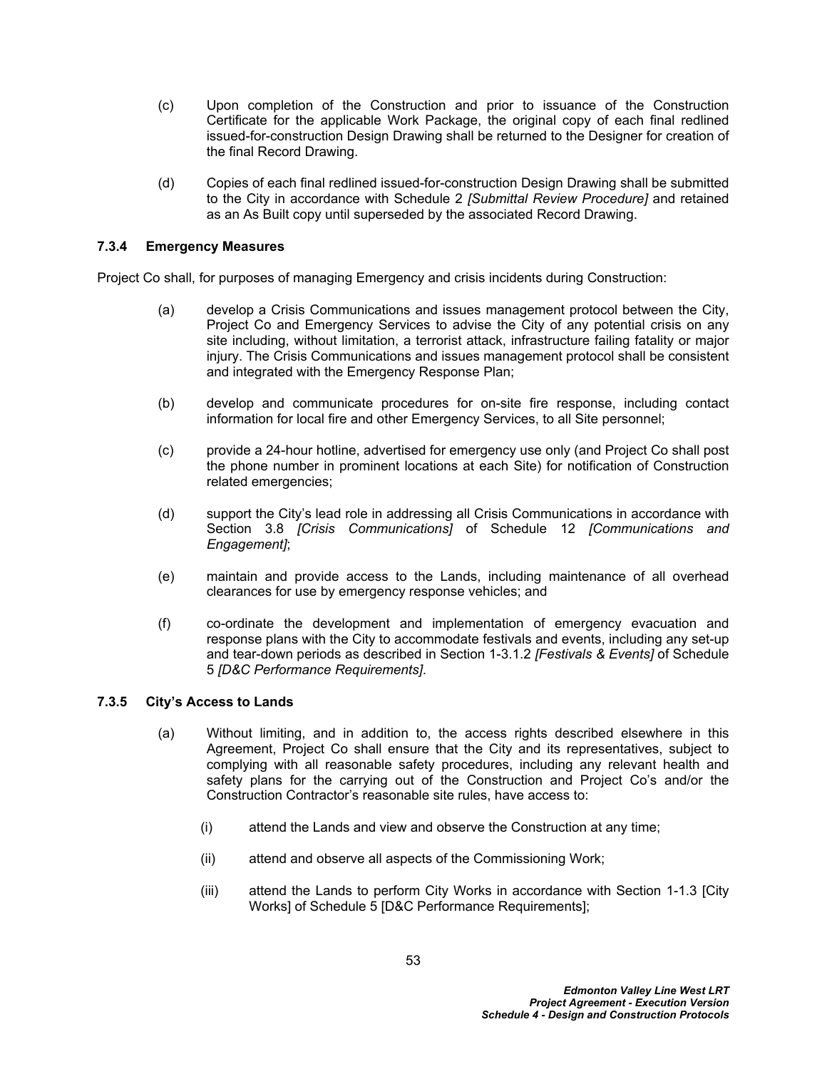- (c) Upon completion of the Construction and prior to issuance of the Construction Certificate for the applicable Work Package, the original copy of each final redlined issued-for-construction Design Drawing shall be returned to the Designer for creation of the final Record Drawing.
- (d) Copies of each final redlined issued-for-construction Design Drawing shall be submitted to the City in accordance with Schedule 2 *[Submittal Review Procedure]* and retained as an As Built copy until superseded by the associated Record Drawing.

## **7.3.4 Emergency Measures**

Project Co shall, for purposes of managing Emergency and crisis incidents during Construction:

- (a) develop a Crisis Communications and issues management protocol between the City, Project Co and Emergency Services to advise the City of any potential crisis on any site including, without limitation, a terrorist attack, infrastructure failing fatality or major injury. The Crisis Communications and issues management protocol shall be consistent and integrated with the Emergency Response Plan;
- (b) develop and communicate procedures for on-site fire response, including contact information for local fire and other Emergency Services, to all Site personnel;
- (c) provide a 24-hour hotline, advertised for emergency use only (and Project Co shall post the phone number in prominent locations at each Site) for notification of Construction related emergencies;
- (d) support the City's lead role in addressing all Crisis Communications in accordance with Section 3.8 *[Crisis Communications]* of Schedule 12 *[Communications and Engagement]*;
- (e) maintain and provide access to the Lands, including maintenance of all overhead clearances for use by emergency response vehicles; and
- (f) co-ordinate the development and implementation of emergency evacuation and response plans with the City to accommodate festivals and events, including any set-up and tear-down periods as described in Section 1-3.1.2 *[Festivals & Events]* of Schedule 5 *[D&C Performance Requirements]*.

### <span id="page-57-0"></span>**7.3.5 City's Access to Lands**

- (a) Without limiting, and in addition to, the access rights described elsewhere in this Agreement, Project Co shall ensure that the City and its representatives, subject to complying with all reasonable safety procedures, including any relevant health and safety plans for the carrying out of the Construction and Project Co's and/or the Construction Contractor's reasonable site rules, have access to:
	- (i) attend the Lands and view and observe the Construction at any time;
	- (ii) attend and observe all aspects of the Commissioning Work;
	- (iii) attend the Lands to perform City Works in accordance with Section 1-1.3 [City Works] of Schedule 5 [D&C Performance Requirements];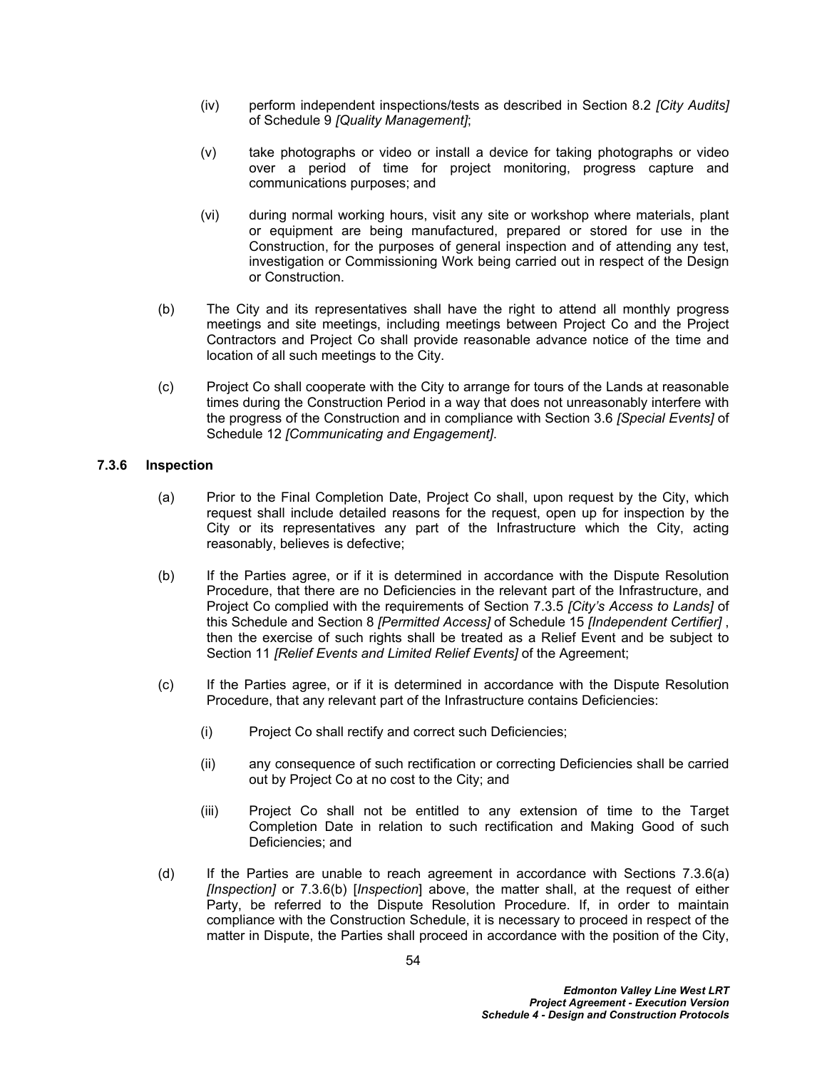- (iv) perform independent inspections/tests as described in Section 8.2 *[City Audits]* of Schedule 9 *[Quality Management]*;
- (v) take photographs or video or install a device for taking photographs or video over a period of time for project monitoring, progress capture and communications purposes; and
- (vi) during normal working hours, visit any site or workshop where materials, plant or equipment are being manufactured, prepared or stored for use in the Construction, for the purposes of general inspection and of attending any test, investigation or Commissioning Work being carried out in respect of the Design or Construction.
- (b) The City and its representatives shall have the right to attend all monthly progress meetings and site meetings, including meetings between Project Co and the Project Contractors and Project Co shall provide reasonable advance notice of the time and location of all such meetings to the City.
- (c) Project Co shall cooperate with the City to arrange for tours of the Lands at reasonable times during the Construction Period in a way that does not unreasonably interfere with the progress of the Construction and in compliance with Section 3.6 *[Special Events]* of Schedule 12 *[Communicating and Engagement]*.

## **7.3.6 Inspection**

- (a) Prior to the Final Completion Date, Project Co shall, upon request by the City, which request shall include detailed reasons for the request, open up for inspection by the City or its representatives any part of the Infrastructure which the City, acting reasonably, believes is defective;
- (b) If the Parties agree, or if it is determined in accordance with the Dispute Resolution Procedure, that there are no Deficiencies in the relevant part of the Infrastructure, and Project Co complied with the requirements of Section [7.3.5](#page-57-0) *[City's Access to Lands]* of this Schedule and Section 8 *[Permitted Access]* of Schedule 15 *[Independent Certifier]* , then the exercise of such rights shall be treated as a Relief Event and be subject to Section 11 *[Relief Events and Limited Relief Events]* of the Agreement;
- (c) If the Parties agree, or if it is determined in accordance with the Dispute Resolution Procedure, that any relevant part of the Infrastructure contains Deficiencies:
	- (i) Project Co shall rectify and correct such Deficiencies;
	- (ii) any consequence of such rectification or correcting Deficiencies shall be carried out by Project Co at no cost to the City; and
	- (iii) Project Co shall not be entitled to any extension of time to the Target Completion Date in relation to such rectification and Making Good of such Deficiencies; and
- (d) If the Parties are unable to reach agreement in accordance with Sections 7.3.6(a) *[Inspection]* or 7.3.6(b) [*Inspection*] above, the matter shall, at the request of either Party, be referred to the Dispute Resolution Procedure. If, in order to maintain compliance with the Construction Schedule, it is necessary to proceed in respect of the matter in Dispute, the Parties shall proceed in accordance with the position of the City,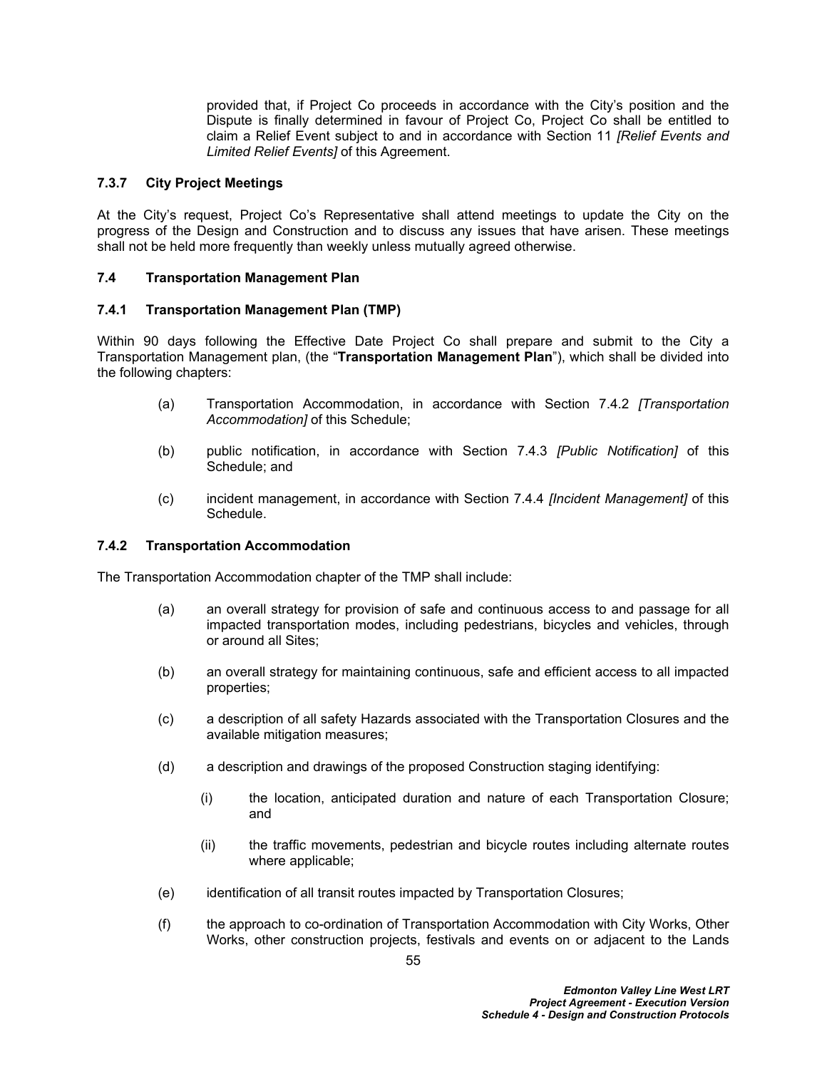provided that, if Project Co proceeds in accordance with the City's position and the Dispute is finally determined in favour of Project Co, Project Co shall be entitled to claim a Relief Event subject to and in accordance with Section 11 *[Relief Events and Limited Relief Events]* of this Agreement.

## **7.3.7 City Project Meetings**

At the City's request, Project Co's Representative shall attend meetings to update the City on the progress of the Design and Construction and to discuss any issues that have arisen. These meetings shall not be held more frequently than weekly unless mutually agreed otherwise.

## **7.4 Transportation Management Plan**

## **7.4.1 Transportation Management Plan (TMP)**

Within 90 days following the Effective Date Project Co shall prepare and submit to the City a Transportation Management plan, (the "**Transportation Management Plan**"), which shall be divided into the following chapters:

- (a) Transportation Accommodation, in accordance with Section [7.4.2](#page-59-0) *[Transportation Accommodation]* of this Schedule;
- (b) public notification, in accordance with Section [7.4.3](#page-60-0) *[Public Notification]* of this Schedule; and
- (c) incident management, in accordance with Section [7.4.4](#page-60-1) *[Incident Management]* of this Schedule.

### <span id="page-59-0"></span>**7.4.2 Transportation Accommodation**

The Transportation Accommodation chapter of the TMP shall include:

- (a) an overall strategy for provision of safe and continuous access to and passage for all impacted transportation modes, including pedestrians, bicycles and vehicles, through or around all Sites;
- (b) an overall strategy for maintaining continuous, safe and efficient access to all impacted properties;
- (c) a description of all safety Hazards associated with the Transportation Closures and the available mitigation measures;
- (d) a description and drawings of the proposed Construction staging identifying:
	- (i) the location, anticipated duration and nature of each Transportation Closure; and
	- (ii) the traffic movements, pedestrian and bicycle routes including alternate routes where applicable;
- (e) identification of all transit routes impacted by Transportation Closures;
- (f) the approach to co-ordination of Transportation Accommodation with City Works, Other Works, other construction projects, festivals and events on or adjacent to the Lands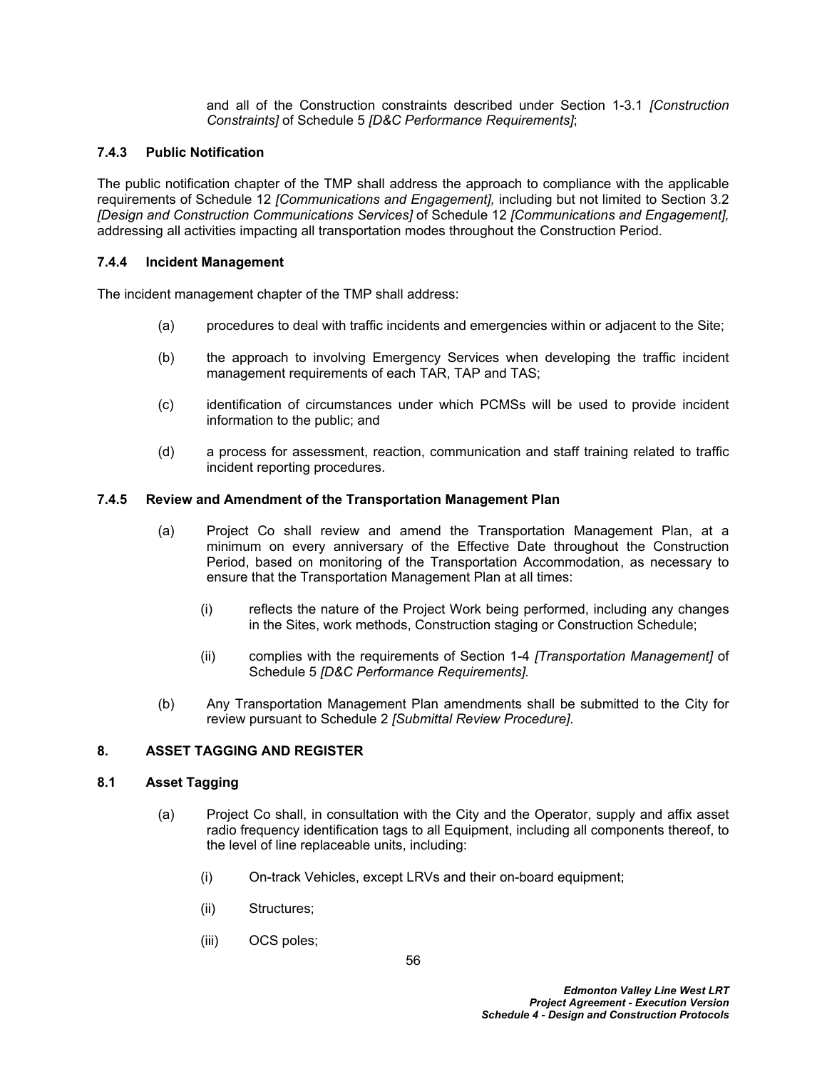and all of the Construction constraints described under Section 1-3.1 *[Construction Constraints]* of Schedule 5 *[D&C Performance Requirements]*;

## <span id="page-60-0"></span>**7.4.3 Public Notification**

The public notification chapter of the TMP shall address the approach to compliance with the applicable requirements of Schedule 12 *[Communications and Engagement],* including but not limited to Section 3.2 *[Design and Construction Communications Services]* of Schedule 12 *[Communications and Engagement],* addressing all activities impacting all transportation modes throughout the Construction Period.

### <span id="page-60-1"></span>**7.4.4 Incident Management**

The incident management chapter of the TMP shall address:

- (a) procedures to deal with traffic incidents and emergencies within or adjacent to the Site;
- (b) the approach to involving Emergency Services when developing the traffic incident management requirements of each TAR, TAP and TAS;
- (c) identification of circumstances under which PCMSs will be used to provide incident information to the public; and
- (d) a process for assessment, reaction, communication and staff training related to traffic incident reporting procedures.

### **7.4.5 Review and Amendment of the Transportation Management Plan**

- (a) Project Co shall review and amend the Transportation Management Plan, at a minimum on every anniversary of the Effective Date throughout the Construction Period, based on monitoring of the Transportation Accommodation, as necessary to ensure that the Transportation Management Plan at all times:
	- (i) reflects the nature of the Project Work being performed, including any changes in the Sites, work methods, Construction staging or Construction Schedule;
	- (ii) complies with the requirements of Section 1-4 *[Transportation Management]* of Schedule 5 *[D&C Performance Requirements].*
- (b) Any Transportation Management Plan amendments shall be submitted to the City for review pursuant to Schedule 2 *[Submittal Review Procedure]*.

### **8. ASSET TAGGING AND REGISTER**

### <span id="page-60-2"></span>**8.1 Asset Tagging**

- (a) Project Co shall, in consultation with the City and the Operator, supply and affix asset radio frequency identification tags to all Equipment, including all components thereof, to the level of line replaceable units, including:
	- (i) On-track Vehicles, except LRVs and their on-board equipment;
	- (ii) Structures;
	- (iii) OCS poles;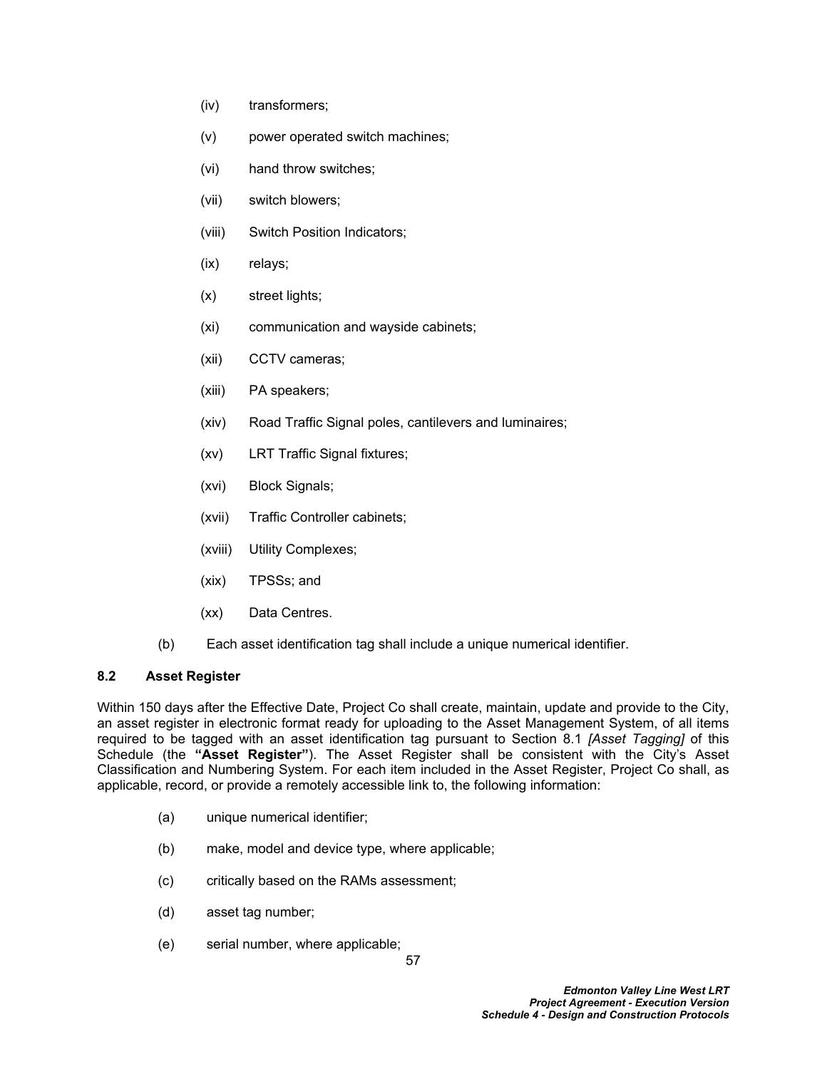- (iv) transformers;
- (v) power operated switch machines;
- (vi) hand throw switches;
- (vii) switch blowers;
- (viii) Switch Position Indicators;
- (ix) relays;
- (x) street lights;
- (xi) communication and wayside cabinets;
- (xii) CCTV cameras;
- (xiii) PA speakers;
- (xiv) Road Traffic Signal poles, cantilevers and luminaires;
- (xv) LRT Traffic Signal fixtures;
- (xvi) Block Signals;
- (xvii) Traffic Controller cabinets;
- (xviii) Utility Complexes;
- (xix) TPSSs; and
- (xx) Data Centres.
- (b) Each asset identification tag shall include a unique numerical identifier.

# **8.2 Asset Register**

Within 150 days after the Effective Date, Project Co shall create, maintain, update and provide to the City, an asset register in electronic format ready for uploading to the Asset Management System, of all items required to be tagged with an asset identification tag pursuant to Section [8.1](#page-60-2) *[Asset Tagging]* of this Schedule (the **"Asset Register"**). The Asset Register shall be consistent with the City's Asset Classification and Numbering System. For each item included in the Asset Register, Project Co shall, as applicable, record, or provide a remotely accessible link to, the following information:

- (a) unique numerical identifier;
- (b) make, model and device type, where applicable;
- (c) critically based on the RAMs assessment;
- (d) asset tag number;
- (e) serial number, where applicable;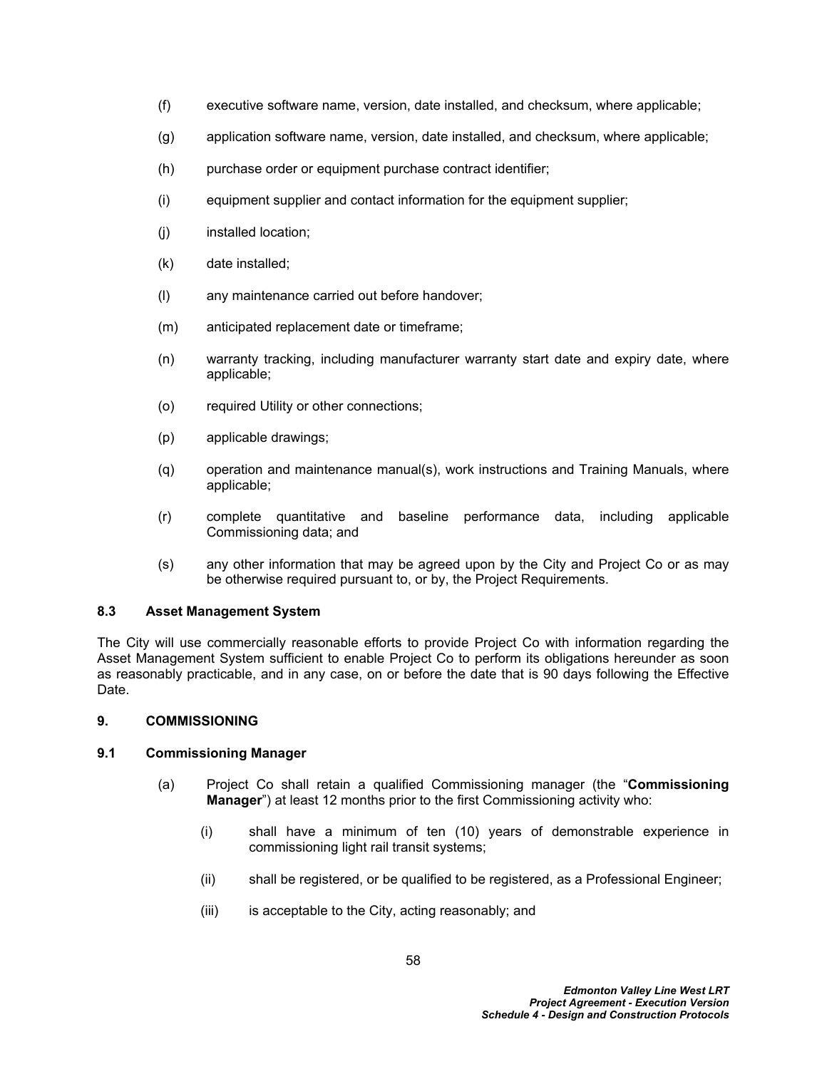- (f) executive software name, version, date installed, and checksum, where applicable;
- (g) application software name, version, date installed, and checksum, where applicable;
- (h) purchase order or equipment purchase contract identifier;
- (i) equipment supplier and contact information for the equipment supplier;
- (j) installed location;
- (k) date installed;
- (l) any maintenance carried out before handover;
- (m) anticipated replacement date or timeframe;
- (n) warranty tracking, including manufacturer warranty start date and expiry date, where applicable;
- (o) required Utility or other connections;
- (p) applicable drawings;
- (q) operation and maintenance manual(s), work instructions and Training Manuals, where applicable;
- (r) complete quantitative and baseline performance data, including applicable Commissioning data; and
- (s) any other information that may be agreed upon by the City and Project Co or as may be otherwise required pursuant to, or by, the Project Requirements.

## **8.3 Asset Management System**

The City will use commercially reasonable efforts to provide Project Co with information regarding the Asset Management System sufficient to enable Project Co to perform its obligations hereunder as soon as reasonably practicable, and in any case, on or before the date that is 90 days following the Effective Date.

### <span id="page-62-0"></span>**9. COMMISSIONING**

### **9.1 Commissioning Manager**

- (a) Project Co shall retain a qualified Commissioning manager (the "**Commissioning Manager**") at least 12 months prior to the first Commissioning activity who:
	- (i) shall have a minimum of ten (10) years of demonstrable experience in commissioning light rail transit systems;
	- (ii) shall be registered, or be qualified to be registered, as a Professional Engineer;
	- (iii) is acceptable to the City, acting reasonably; and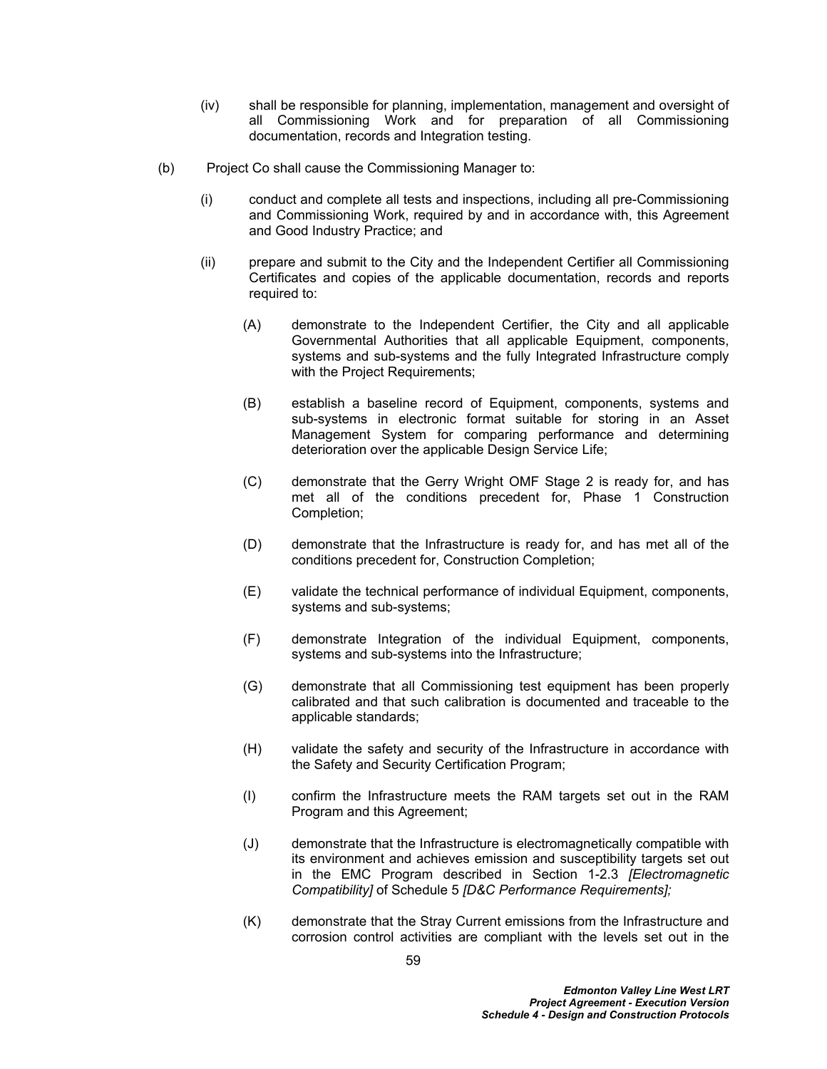- (iv) shall be responsible for planning, implementation, management and oversight of all Commissioning Work and for preparation of all Commissioning documentation, records and Integration testing.
- (b) Project Co shall cause the Commissioning Manager to:
	- (i) conduct and complete all tests and inspections, including all pre-Commissioning and Commissioning Work, required by and in accordance with, this Agreement and Good Industry Practice; and
	- (ii) prepare and submit to the City and the Independent Certifier all Commissioning Certificates and copies of the applicable documentation, records and reports required to:
		- (A) demonstrate to the Independent Certifier, the City and all applicable Governmental Authorities that all applicable Equipment, components, systems and sub-systems and the fully Integrated Infrastructure comply with the Project Requirements;
		- (B) establish a baseline record of Equipment, components, systems and sub-systems in electronic format suitable for storing in an Asset Management System for comparing performance and determining deterioration over the applicable Design Service Life;
		- (C) demonstrate that the Gerry Wright OMF Stage 2 is ready for, and has met all of the conditions precedent for, Phase 1 Construction Completion;
		- (D) demonstrate that the Infrastructure is ready for, and has met all of the conditions precedent for, Construction Completion;
		- (E) validate the technical performance of individual Equipment, components, systems and sub-systems;
		- (F) demonstrate Integration of the individual Equipment, components, systems and sub-systems into the Infrastructure;
		- (G) demonstrate that all Commissioning test equipment has been properly calibrated and that such calibration is documented and traceable to the applicable standards;
		- (H) validate the safety and security of the Infrastructure in accordance with the Safety and Security Certification Program;
		- (I) confirm the Infrastructure meets the RAM targets set out in the RAM Program and this Agreement;
		- (J) demonstrate that the Infrastructure is electromagnetically compatible with its environment and achieves emission and susceptibility targets set out in the EMC Program described in Section 1-2.3 *[Electromagnetic Compatibility]* of Schedule 5 *[D&C Performance Requirements];*
		- (K) demonstrate that the Stray Current emissions from the Infrastructure and corrosion control activities are compliant with the levels set out in the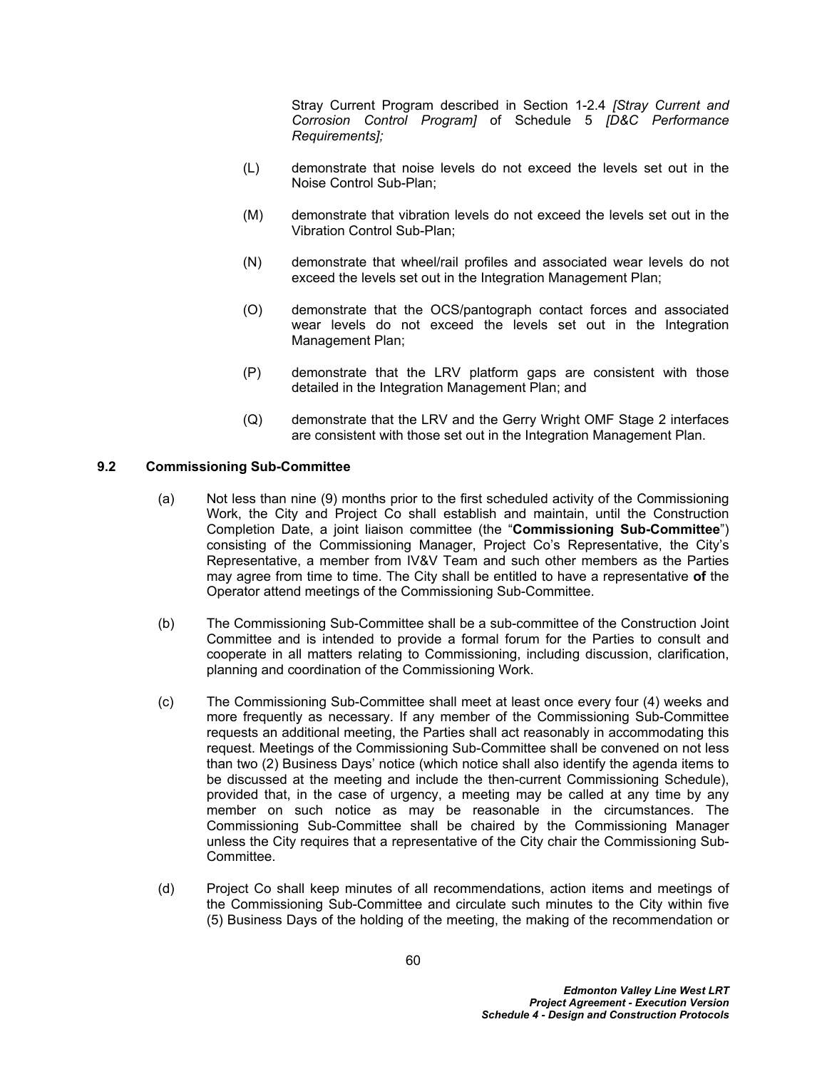Stray Current Program described in Section 1-2.4 *[Stray Current and Corrosion Control Program]* of Schedule 5 *[D&C Performance Requirements];*

- (L) demonstrate that noise levels do not exceed the levels set out in the Noise Control Sub-Plan;
- (M) demonstrate that vibration levels do not exceed the levels set out in the Vibration Control Sub-Plan;
- (N) demonstrate that wheel/rail profiles and associated wear levels do not exceed the levels set out in the Integration Management Plan;
- (O) demonstrate that the OCS/pantograph contact forces and associated wear levels do not exceed the levels set out in the Integration Management Plan;
- (P) demonstrate that the LRV platform gaps are consistent with those detailed in the Integration Management Plan; and
- (Q) demonstrate that the LRV and the Gerry Wright OMF Stage 2 interfaces are consistent with those set out in the Integration Management Plan.

### **9.2 Commissioning Sub-Committee**

- (a) Not less than nine (9) months prior to the first scheduled activity of the Commissioning Work, the City and Project Co shall establish and maintain, until the Construction Completion Date, a joint liaison committee (the "**Commissioning Sub-Committee**") consisting of the Commissioning Manager, Project Co's Representative, the City's Representative, a member from IV&V Team and such other members as the Parties may agree from time to time. The City shall be entitled to have a representative **of** the Operator attend meetings of the Commissioning Sub-Committee.
- (b) The Commissioning Sub-Committee shall be a sub-committee of the Construction Joint Committee and is intended to provide a formal forum for the Parties to consult and cooperate in all matters relating to Commissioning, including discussion, clarification, planning and coordination of the Commissioning Work.
- (c) The Commissioning Sub-Committee shall meet at least once every four (4) weeks and more frequently as necessary. If any member of the Commissioning Sub-Committee requests an additional meeting, the Parties shall act reasonably in accommodating this request. Meetings of the Commissioning Sub-Committee shall be convened on not less than two (2) Business Days' notice (which notice shall also identify the agenda items to be discussed at the meeting and include the then-current Commissioning Schedule), provided that, in the case of urgency, a meeting may be called at any time by any member on such notice as may be reasonable in the circumstances. The Commissioning Sub-Committee shall be chaired by the Commissioning Manager unless the City requires that a representative of the City chair the Commissioning Sub-Committee.
- (d) Project Co shall keep minutes of all recommendations, action items and meetings of the Commissioning Sub-Committee and circulate such minutes to the City within five (5) Business Days of the holding of the meeting, the making of the recommendation or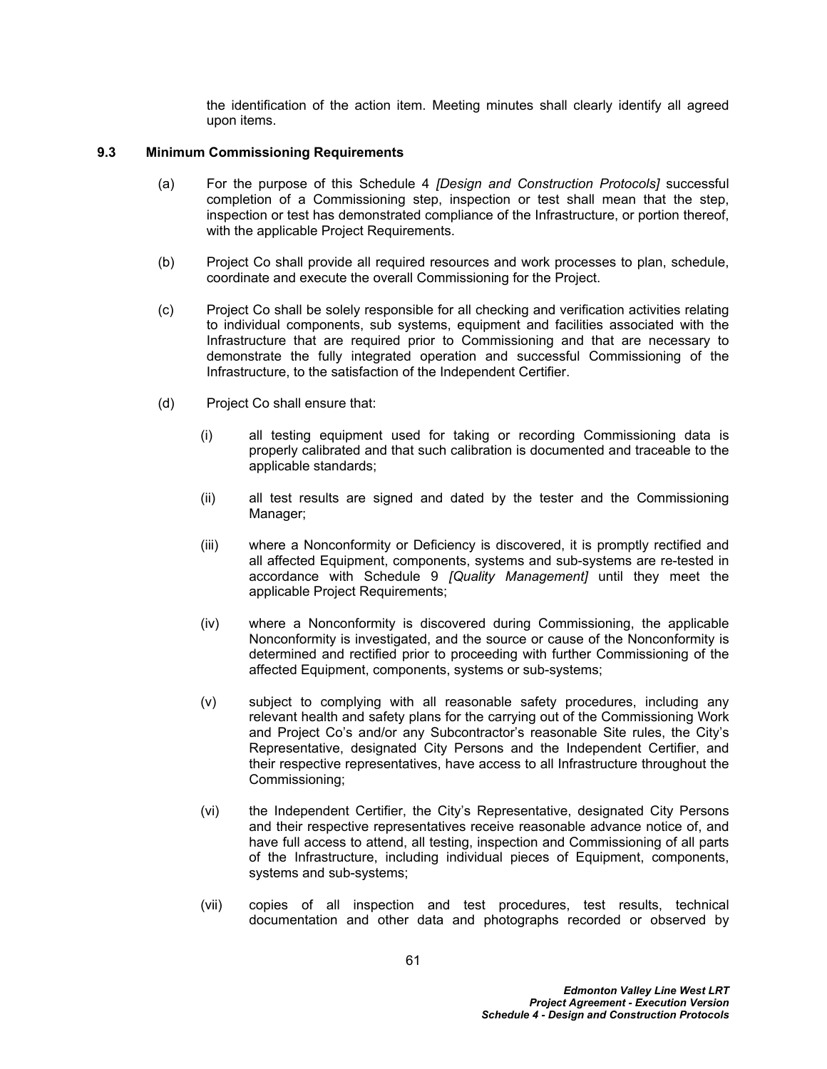the identification of the action item. Meeting minutes shall clearly identify all agreed upon items.

### <span id="page-65-0"></span>**9.3 Minimum Commissioning Requirements**

- (a) For the purpose of this Schedule 4 *[Design and Construction Protocols]* successful completion of a Commissioning step, inspection or test shall mean that the step, inspection or test has demonstrated compliance of the Infrastructure, or portion thereof, with the applicable Project Requirements.
- (b) Project Co shall provide all required resources and work processes to plan, schedule, coordinate and execute the overall Commissioning for the Project.
- (c) Project Co shall be solely responsible for all checking and verification activities relating to individual components, sub systems, equipment and facilities associated with the Infrastructure that are required prior to Commissioning and that are necessary to demonstrate the fully integrated operation and successful Commissioning of the Infrastructure, to the satisfaction of the Independent Certifier.
- (d) Project Co shall ensure that:
	- (i) all testing equipment used for taking or recording Commissioning data is properly calibrated and that such calibration is documented and traceable to the applicable standards;
	- (ii) all test results are signed and dated by the tester and the Commissioning Manager;
	- (iii) where a Nonconformity or Deficiency is discovered, it is promptly rectified and all affected Equipment, components, systems and sub-systems are re-tested in accordance with Schedule 9 *[Quality Management]* until they meet the applicable Project Requirements;
	- (iv) where a Nonconformity is discovered during Commissioning, the applicable Nonconformity is investigated, and the source or cause of the Nonconformity is determined and rectified prior to proceeding with further Commissioning of the affected Equipment, components, systems or sub-systems;
	- (v) subject to complying with all reasonable safety procedures, including any relevant health and safety plans for the carrying out of the Commissioning Work and Project Co's and/or any Subcontractor's reasonable Site rules, the City's Representative, designated City Persons and the Independent Certifier, and their respective representatives, have access to all Infrastructure throughout the Commissioning;
	- (vi) the Independent Certifier, the City's Representative, designated City Persons and their respective representatives receive reasonable advance notice of, and have full access to attend, all testing, inspection and Commissioning of all parts of the Infrastructure, including individual pieces of Equipment, components, systems and sub-systems;
	- (vii) copies of all inspection and test procedures, test results, technical documentation and other data and photographs recorded or observed by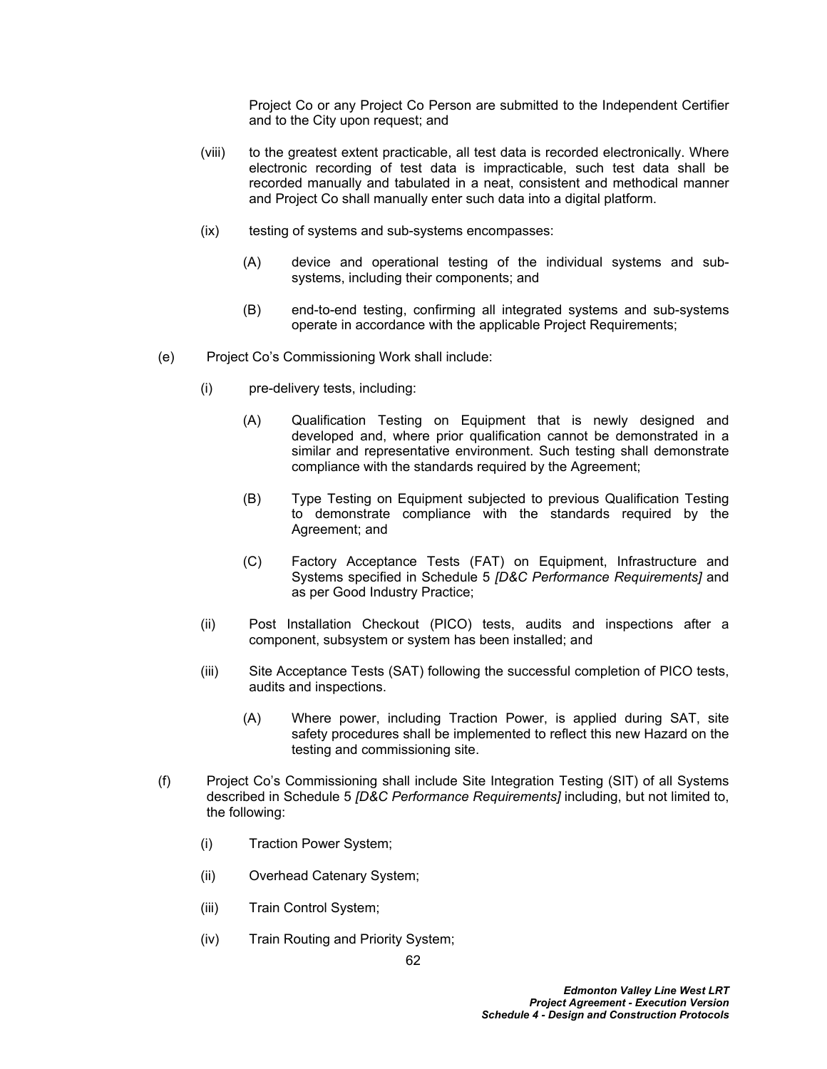Project Co or any Project Co Person are submitted to the Independent Certifier and to the City upon request; and

- (viii) to the greatest extent practicable, all test data is recorded electronically. Where electronic recording of test data is impracticable, such test data shall be recorded manually and tabulated in a neat, consistent and methodical manner and Project Co shall manually enter such data into a digital platform.
- (ix) testing of systems and sub-systems encompasses:
	- (A) device and operational testing of the individual systems and subsystems, including their components; and
	- (B) end-to-end testing, confirming all integrated systems and sub-systems operate in accordance with the applicable Project Requirements;
- (e) Project Co's Commissioning Work shall include:
	- (i) pre-delivery tests, including:
		- (A) Qualification Testing on Equipment that is newly designed and developed and, where prior qualification cannot be demonstrated in a similar and representative environment. Such testing shall demonstrate compliance with the standards required by the Agreement;
		- (B) Type Testing on Equipment subjected to previous Qualification Testing to demonstrate compliance with the standards required by the Agreement; and
		- (C) Factory Acceptance Tests (FAT) on Equipment, Infrastructure and Systems specified in Schedule 5 *[D&C Performance Requirements]* and as per Good Industry Practice;
	- (ii) Post Installation Checkout (PICO) tests, audits and inspections after a component, subsystem or system has been installed; and
	- (iii) Site Acceptance Tests (SAT) following the successful completion of PICO tests, audits and inspections.
		- (A) Where power, including Traction Power, is applied during SAT, site safety procedures shall be implemented to reflect this new Hazard on the testing and commissioning site.
- (f) Project Co's Commissioning shall include Site Integration Testing (SIT) of all Systems described in Schedule 5 *[D&C Performance Requirements]* including, but not limited to, the following:
	- (i) Traction Power System;
	- (ii) Overhead Catenary System;
	- (iii) Train Control System;
	- (iv) Train Routing and Priority System;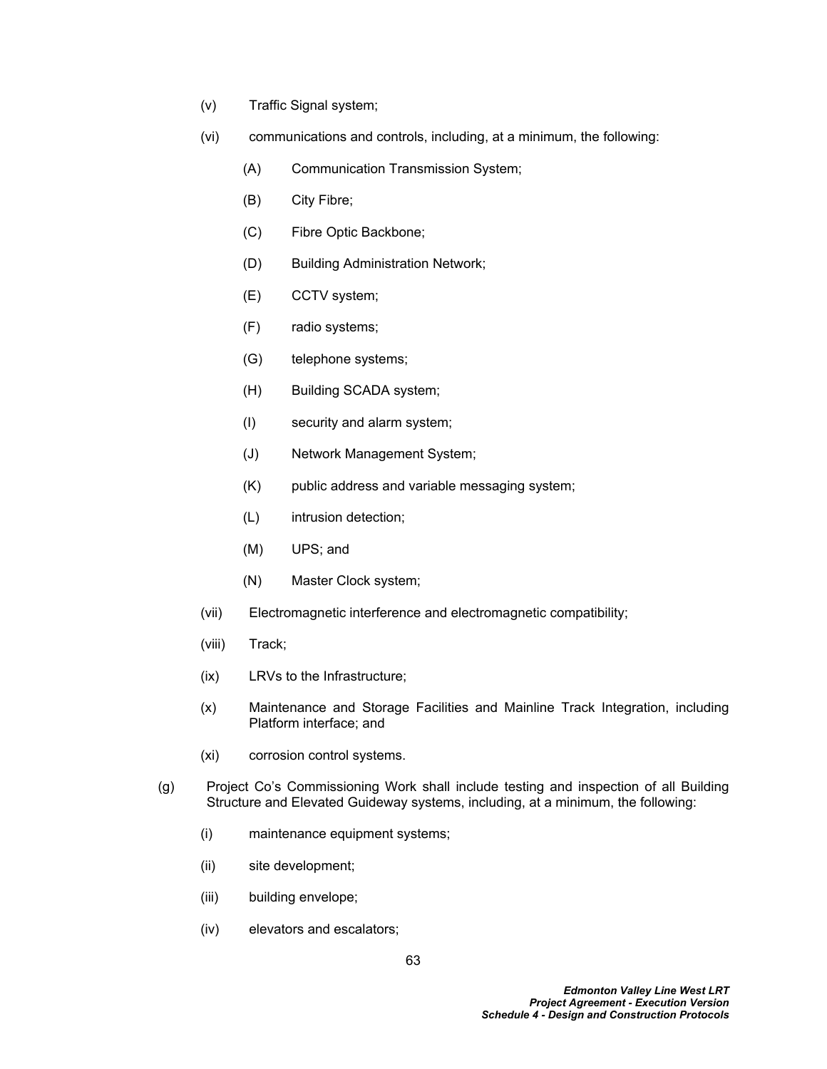- (v) Traffic Signal system;
- (vi) communications and controls, including, at a minimum, the following:
	- (A) Communication Transmission System;
	- (B) City Fibre;
	- (C) Fibre Optic Backbone;
	- (D) Building Administration Network;
	- (E) CCTV system;
	- (F) radio systems;
	- (G) telephone systems;
	- (H) Building SCADA system;
	- (I) security and alarm system;
	- (J) Network Management System;
	- (K) public address and variable messaging system;
	- (L) intrusion detection;
	- (M) UPS; and
	- (N) Master Clock system;
- (vii) Electromagnetic interference and electromagnetic compatibility;
- (viii) Track;
- (ix) LRVs to the Infrastructure;
- (x) Maintenance and Storage Facilities and Mainline Track Integration, including Platform interface; and
- (xi) corrosion control systems.
- (g) Project Co's Commissioning Work shall include testing and inspection of all Building Structure and Elevated Guideway systems, including, at a minimum, the following:
	- (i) maintenance equipment systems;
	- (ii) site development;
	- (iii) building envelope;
	- (iv) elevators and escalators;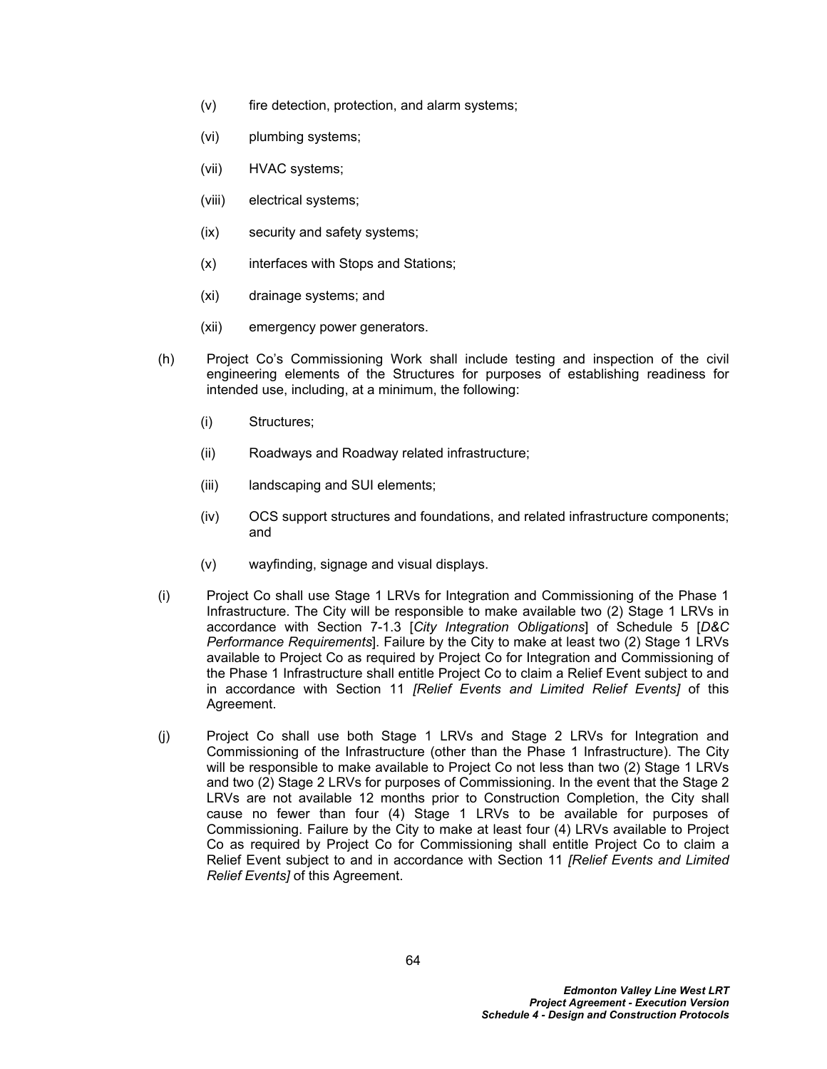- (v) fire detection, protection, and alarm systems;
- (vi) plumbing systems;
- (vii) HVAC systems;
- (viii) electrical systems;
- (ix) security and safety systems;
- (x) interfaces with Stops and Stations;
- (xi) drainage systems; and
- (xii) emergency power generators.
- (h) Project Co's Commissioning Work shall include testing and inspection of the civil engineering elements of the Structures for purposes of establishing readiness for intended use, including, at a minimum, the following:
	- (i) Structures;
	- (ii) Roadways and Roadway related infrastructure;
	- (iii) landscaping and SUI elements;
	- (iv) OCS support structures and foundations, and related infrastructure components; and
	- (v) wayfinding, signage and visual displays.
- (i) Project Co shall use Stage 1 LRVs for Integration and Commissioning of the Phase 1 Infrastructure. The City will be responsible to make available two (2) Stage 1 LRVs in accordance with Section 7-1.3 [*City Integration Obligations*] of Schedule 5 [*D&C Performance Requirements*]. Failure by the City to make at least two (2) Stage 1 LRVs available to Project Co as required by Project Co for Integration and Commissioning of the Phase 1 Infrastructure shall entitle Project Co to claim a Relief Event subject to and in accordance with Section 11 *[Relief Events and Limited Relief Events]* of this Agreement.
- (j) Project Co shall use both Stage 1 LRVs and Stage 2 LRVs for Integration and Commissioning of the Infrastructure (other than the Phase 1 Infrastructure). The City will be responsible to make available to Project Co not less than two (2) Stage 1 LRVs and two (2) Stage 2 LRVs for purposes of Commissioning. In the event that the Stage 2 LRVs are not available 12 months prior to Construction Completion, the City shall cause no fewer than four (4) Stage 1 LRVs to be available for purposes of Commissioning. Failure by the City to make at least four (4) LRVs available to Project Co as required by Project Co for Commissioning shall entitle Project Co to claim a Relief Event subject to and in accordance with Section 11 *[Relief Events and Limited Relief Events]* of this Agreement.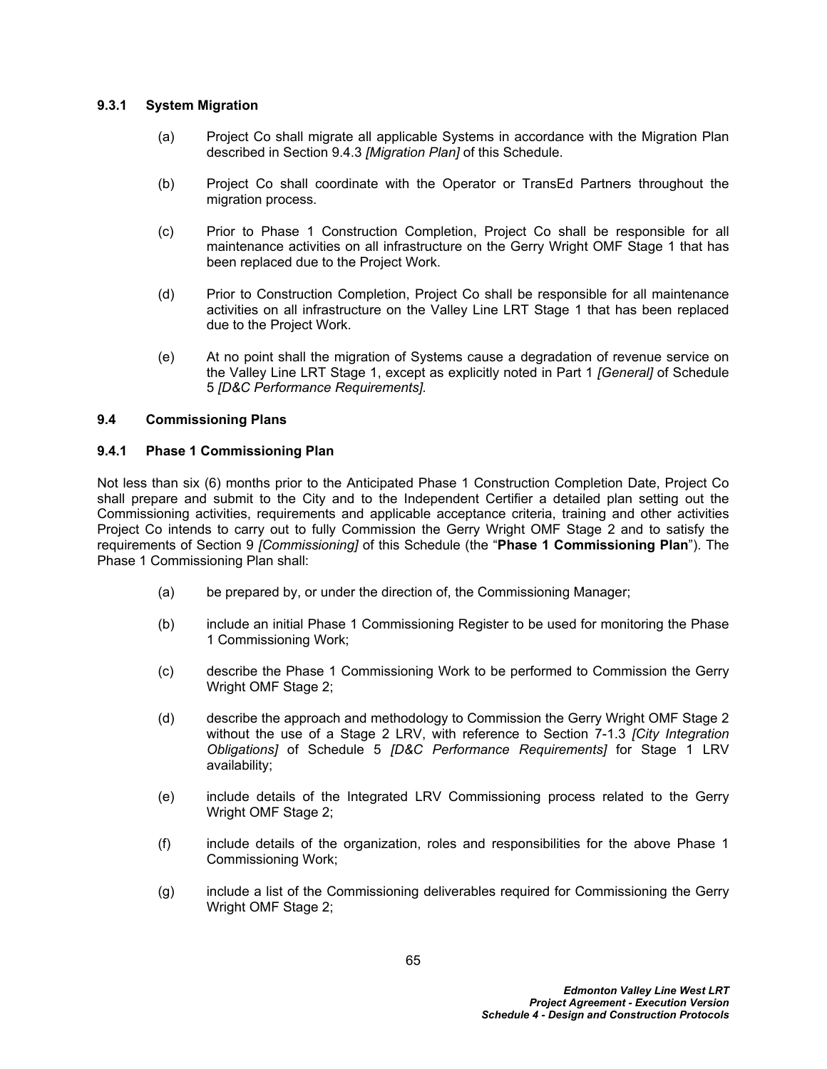## **9.3.1 System Migration**

- (a) Project Co shall migrate all applicable Systems in accordance with the Migration Plan described in Section [9.4.3](#page-72-0) *[Migration Plan]* of this Schedule.
- (b) Project Co shall coordinate with the Operator or TransEd Partners throughout the migration process.
- (c) Prior to Phase 1 Construction Completion, Project Co shall be responsible for all maintenance activities on all infrastructure on the Gerry Wright OMF Stage 1 that has been replaced due to the Project Work.
- (d) Prior to Construction Completion, Project Co shall be responsible for all maintenance activities on all infrastructure on the Valley Line LRT Stage 1 that has been replaced due to the Project Work.
- (e) At no point shall the migration of Systems cause a degradation of revenue service on the Valley Line LRT Stage 1, except as explicitly noted in Part 1 *[General]* of Schedule 5 *[D&C Performance Requirements].*

## **9.4 Commissioning Plans**

## **9.4.1 Phase 1 Commissioning Plan**

Not less than six (6) months prior to the Anticipated Phase 1 Construction Completion Date, Project Co shall prepare and submit to the City and to the Independent Certifier a detailed plan setting out the Commissioning activities, requirements and applicable acceptance criteria, training and other activities Project Co intends to carry out to fully Commission the Gerry Wright OMF Stage 2 and to satisfy the requirements of Section [9](#page-62-0) *[Commissioning]* of this Schedule (the "**Phase 1 Commissioning Plan**"). The Phase 1 Commissioning Plan shall:

- (a) be prepared by, or under the direction of, the Commissioning Manager;
- (b) include an initial Phase 1 Commissioning Register to be used for monitoring the Phase 1 Commissioning Work;
- (c) describe the Phase 1 Commissioning Work to be performed to Commission the Gerry Wright OMF Stage 2;
- (d) describe the approach and methodology to Commission the Gerry Wright OMF Stage 2 without the use of a Stage 2 LRV, with reference to Section 7-1.3 *[City Integration Obligations]* of Schedule 5 *[D&C Performance Requirements]* for Stage 1 LRV availability;
- (e) include details of the Integrated LRV Commissioning process related to the Gerry Wright OMF Stage 2;
- (f) include details of the organization, roles and responsibilities for the above Phase 1 Commissioning Work;
- (g) include a list of the Commissioning deliverables required for Commissioning the Gerry Wright OMF Stage 2;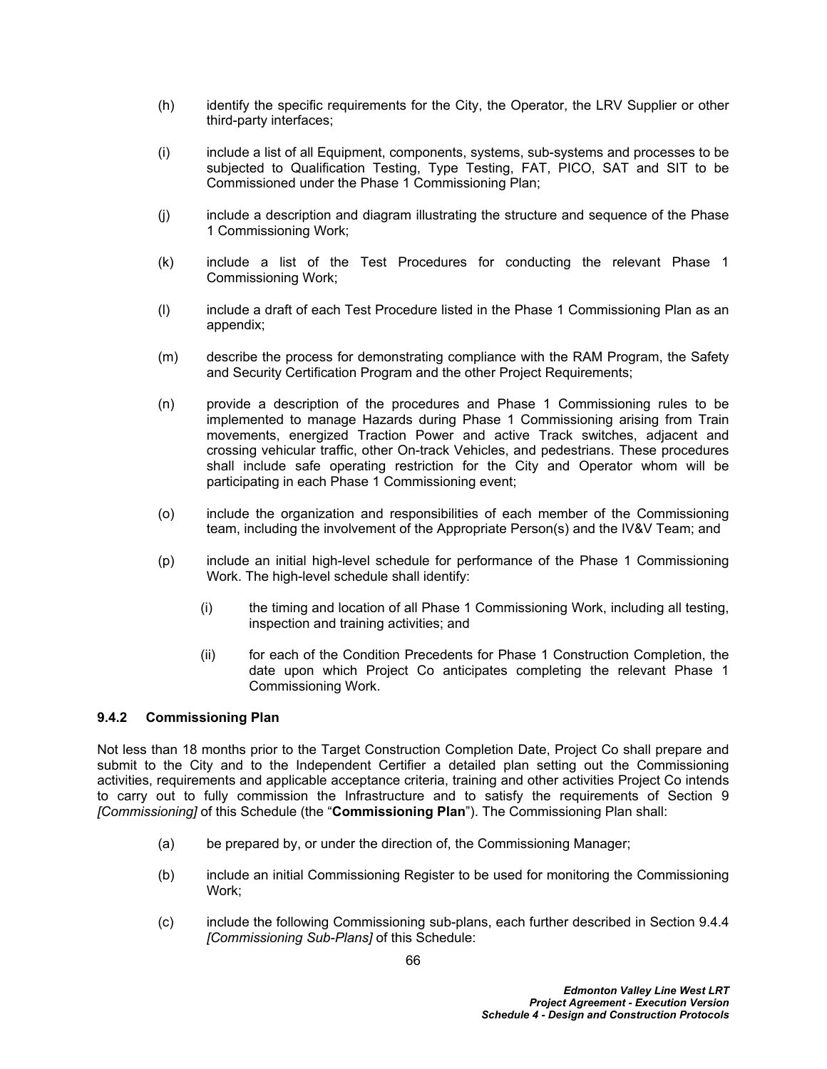- (h) identify the specific requirements for the City, the Operator, the LRV Supplier or other third-party interfaces;
- (i) include a list of all Equipment, components, systems, sub-systems and processes to be subjected to Qualification Testing, Type Testing, FAT, PICO, SAT and SIT to be Commissioned under the Phase 1 Commissioning Plan;
- (j) include a description and diagram illustrating the structure and sequence of the Phase 1 Commissioning Work;
- (k) include a list of the Test Procedures for conducting the relevant Phase 1 Commissioning Work;
- (l) include a draft of each Test Procedure listed in the Phase 1 Commissioning Plan as an appendix;
- (m) describe the process for demonstrating compliance with the RAM Program, the Safety and Security Certification Program and the other Project Requirements;
- (n) provide a description of the procedures and Phase 1 Commissioning rules to be implemented to manage Hazards during Phase 1 Commissioning arising from Train movements, energized Traction Power and active Track switches, adjacent and crossing vehicular traffic, other On-track Vehicles, and pedestrians. These procedures shall include safe operating restriction for the City and Operator whom will be participating in each Phase 1 Commissioning event;
- (o) include the organization and responsibilities of each member of the Commissioning team, including the involvement of the Appropriate Person(s) and the IV&V Team; and
- (p) include an initial high-level schedule for performance of the Phase 1 Commissioning Work. The high-level schedule shall identify:
	- (i) the timing and location of all Phase 1 Commissioning Work, including all testing, inspection and training activities; and
	- (ii) for each of the Condition Precedents for Phase 1 Construction Completion, the date upon which Project Co anticipates completing the relevant Phase 1 Commissioning Work.

# **9.4.2 Commissioning Plan**

Not less than 18 months prior to the Target Construction Completion Date, Project Co shall prepare and submit to the City and to the Independent Certifier a detailed plan setting out the Commissioning activities, requirements and applicable acceptance criteria, training and other activities Project Co intends to carry out to fully commission the Infrastructure and to satisfy the requirements of Section 9 *[Commissioning]* of this Schedule (the "**Commissioning Plan**"). The Commissioning Plan shall:

- (a) be prepared by, or under the direction of, the Commissioning Manager;
- (b) include an initial Commissioning Register to be used for monitoring the Commissioning Work:
- (c) include the following Commissioning sub-plans, each further described in Section [9.4.4](#page-72-1)  *[Commissioning Sub-Plans]* of this Schedule: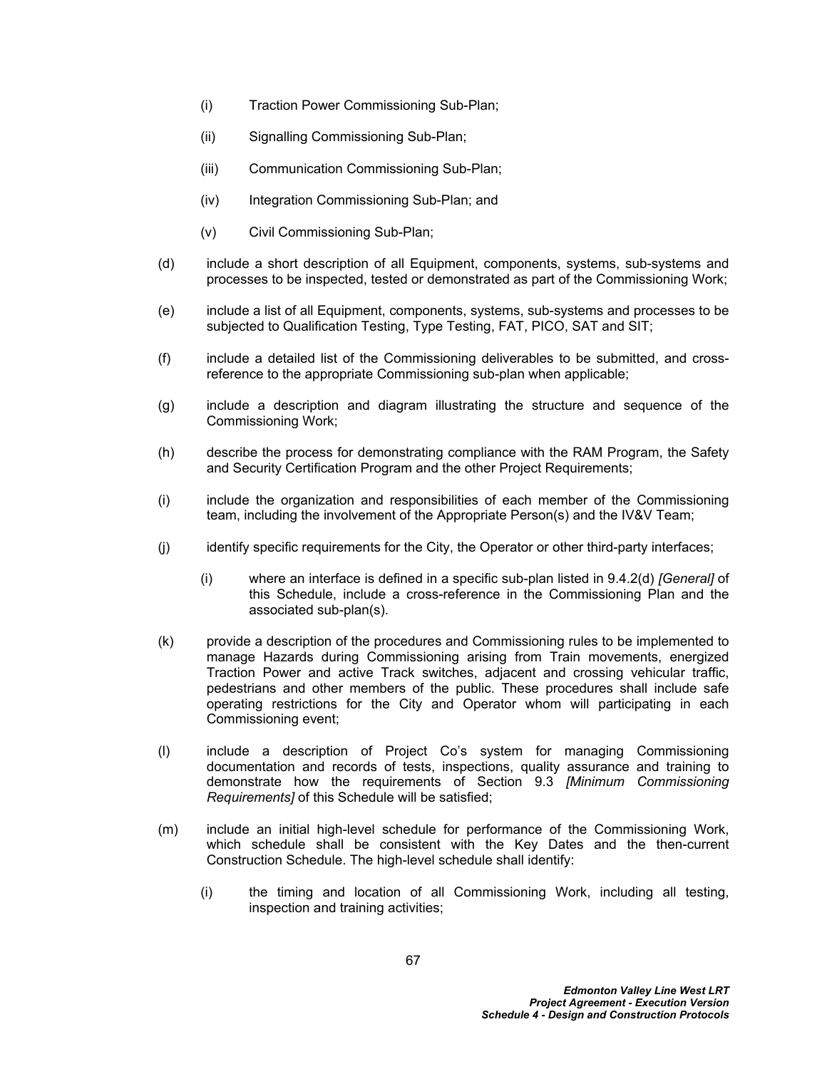- (i) Traction Power Commissioning Sub-Plan;
- (ii) Signalling Commissioning Sub-Plan;
- (iii) Communication Commissioning Sub-Plan;
- (iv) Integration Commissioning Sub-Plan; and
- (v) Civil Commissioning Sub-Plan;
- (d) include a short description of all Equipment, components, systems, sub-systems and processes to be inspected, tested or demonstrated as part of the Commissioning Work;
- (e) include a list of all Equipment, components, systems, sub-systems and processes to be subjected to Qualification Testing, Type Testing, FAT, PICO, SAT and SIT;
- (f) include a detailed list of the Commissioning deliverables to be submitted, and crossreference to the appropriate Commissioning sub-plan when applicable;
- (g) include a description and diagram illustrating the structure and sequence of the Commissioning Work;
- (h) describe the process for demonstrating compliance with the RAM Program, the Safety and Security Certification Program and the other Project Requirements;
- (i) include the organization and responsibilities of each member of the Commissioning team, including the involvement of the Appropriate Person(s) and the IV&V Team;
- (i) identify specific requirements for the City, the Operator or other third-party interfaces;
	- (i) where an interface is defined in a specific sub-plan listed in 9.4.2(d) *[General]* of this Schedule, include a cross-reference in the Commissioning Plan and the associated sub-plan(s).
- (k) provide a description of the procedures and Commissioning rules to be implemented to manage Hazards during Commissioning arising from Train movements, energized Traction Power and active Track switches, adjacent and crossing vehicular traffic, pedestrians and other members of the public. These procedures shall include safe operating restrictions for the City and Operator whom will participating in each Commissioning event;
- (l) include a description of Project Co's system for managing Commissioning documentation and records of tests, inspections, quality assurance and training to demonstrate how the requirements of Section [9.3](#page-65-0) *[Minimum Commissioning Requirements]* of this Schedule will be satisfied;
- (m) include an initial high-level schedule for performance of the Commissioning Work, which schedule shall be consistent with the Key Dates and the then-current Construction Schedule. The high-level schedule shall identify:
	- (i) the timing and location of all Commissioning Work, including all testing, inspection and training activities;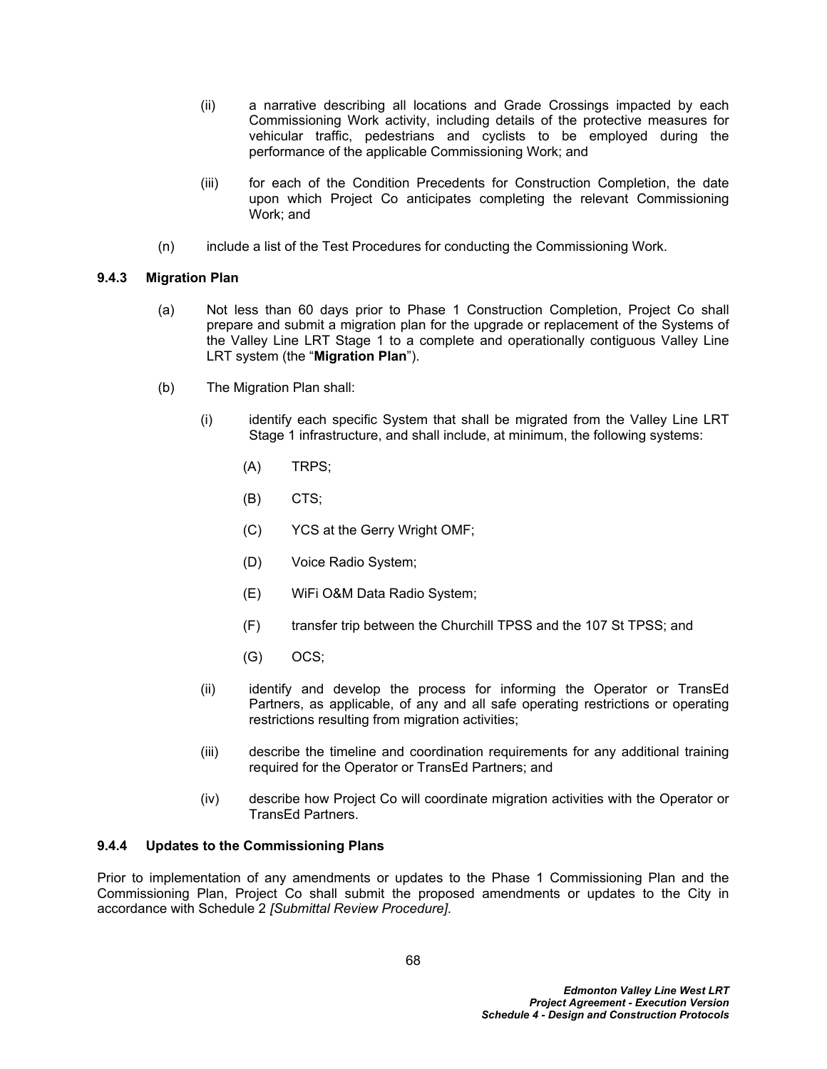- (ii) a narrative describing all locations and Grade Crossings impacted by each Commissioning Work activity, including details of the protective measures for vehicular traffic, pedestrians and cyclists to be employed during the performance of the applicable Commissioning Work; and
- (iii) for each of the Condition Precedents for Construction Completion, the date upon which Project Co anticipates completing the relevant Commissioning Work; and
- (n) include a list of the Test Procedures for conducting the Commissioning Work.

# **9.4.3 Migration Plan**

- (a) Not less than 60 days prior to Phase 1 Construction Completion, Project Co shall prepare and submit a migration plan for the upgrade or replacement of the Systems of the Valley Line LRT Stage 1 to a complete and operationally contiguous Valley Line LRT system (the "**Migration Plan**").
- (b) The Migration Plan shall:
	- (i) identify each specific System that shall be migrated from the Valley Line LRT Stage 1 infrastructure, and shall include, at minimum, the following systems:
		- (A) TRPS;
		- (B) CTS;
		- (C) YCS at the Gerry Wright OMF;
		- (D) Voice Radio System;
		- (E) WiFi O&M Data Radio System;
		- (F) transfer trip between the Churchill TPSS and the 107 St TPSS; and
		- (G) OCS;
	- (ii) identify and develop the process for informing the Operator or TransEd Partners, as applicable, of any and all safe operating restrictions or operating restrictions resulting from migration activities;
	- (iii) describe the timeline and coordination requirements for any additional training required for the Operator or TransEd Partners; and
	- (iv) describe how Project Co will coordinate migration activities with the Operator or TransEd Partners.

# **9.4.4 Updates to the Commissioning Plans**

Prior to implementation of any amendments or updates to the Phase 1 Commissioning Plan and the Commissioning Plan, Project Co shall submit the proposed amendments or updates to the City in accordance with Schedule 2 *[Submittal Review Procedure]*.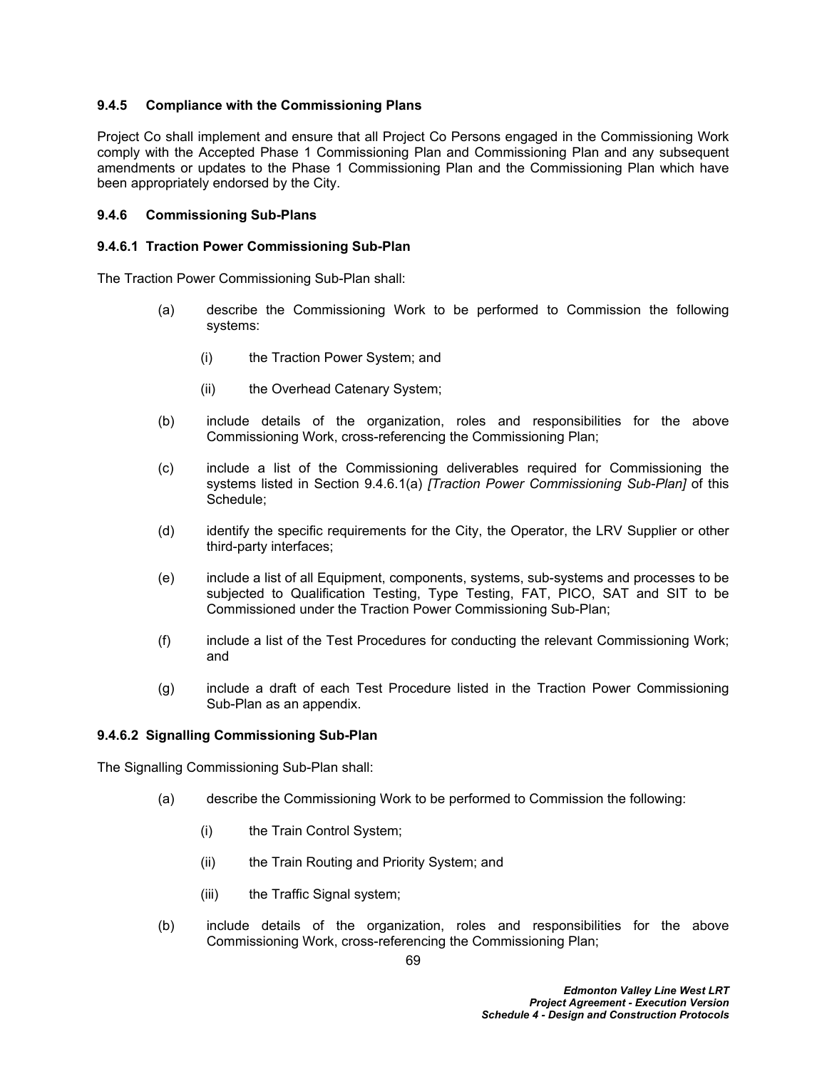# **9.4.5 Compliance with the Commissioning Plans**

Project Co shall implement and ensure that all Project Co Persons engaged in the Commissioning Work comply with the Accepted Phase 1 Commissioning Plan and Commissioning Plan and any subsequent amendments or updates to the Phase 1 Commissioning Plan and the Commissioning Plan which have been appropriately endorsed by the City.

## **9.4.6 Commissioning Sub-Plans**

#### **9.4.6.1 Traction Power Commissioning Sub-Plan**

The Traction Power Commissioning Sub-Plan shall:

- <span id="page-73-0"></span>(a) describe the Commissioning Work to be performed to Commission the following systems:
	- (i) the Traction Power System; and
	- (ii) the Overhead Catenary System;
- (b) include details of the organization, roles and responsibilities for the above Commissioning Work, cross-referencing the Commissioning Plan;
- (c) include a list of the Commissioning deliverables required for Commissioning the systems listed in Section [9.4.6.1\(a\)](#page-73-0) *[Traction Power Commissioning Sub-Plan]* of this Schedule;
- (d) identify the specific requirements for the City, the Operator, the LRV Supplier or other third-party interfaces;
- (e) include a list of all Equipment, components, systems, sub-systems and processes to be subjected to Qualification Testing, Type Testing, FAT, PICO, SAT and SIT to be Commissioned under the Traction Power Commissioning Sub-Plan;
- (f) include a list of the Test Procedures for conducting the relevant Commissioning Work; and
- (g) include a draft of each Test Procedure listed in the Traction Power Commissioning Sub-Plan as an appendix.

## **9.4.6.2 Signalling Commissioning Sub-Plan**

The Signalling Commissioning Sub-Plan shall:

- <span id="page-73-1"></span>(a) describe the Commissioning Work to be performed to Commission the following:
	- (i) the Train Control System;
	- (ii) the Train Routing and Priority System; and
	- (iii) the Traffic Signal system;
- (b) include details of the organization, roles and responsibilities for the above Commissioning Work, cross-referencing the Commissioning Plan;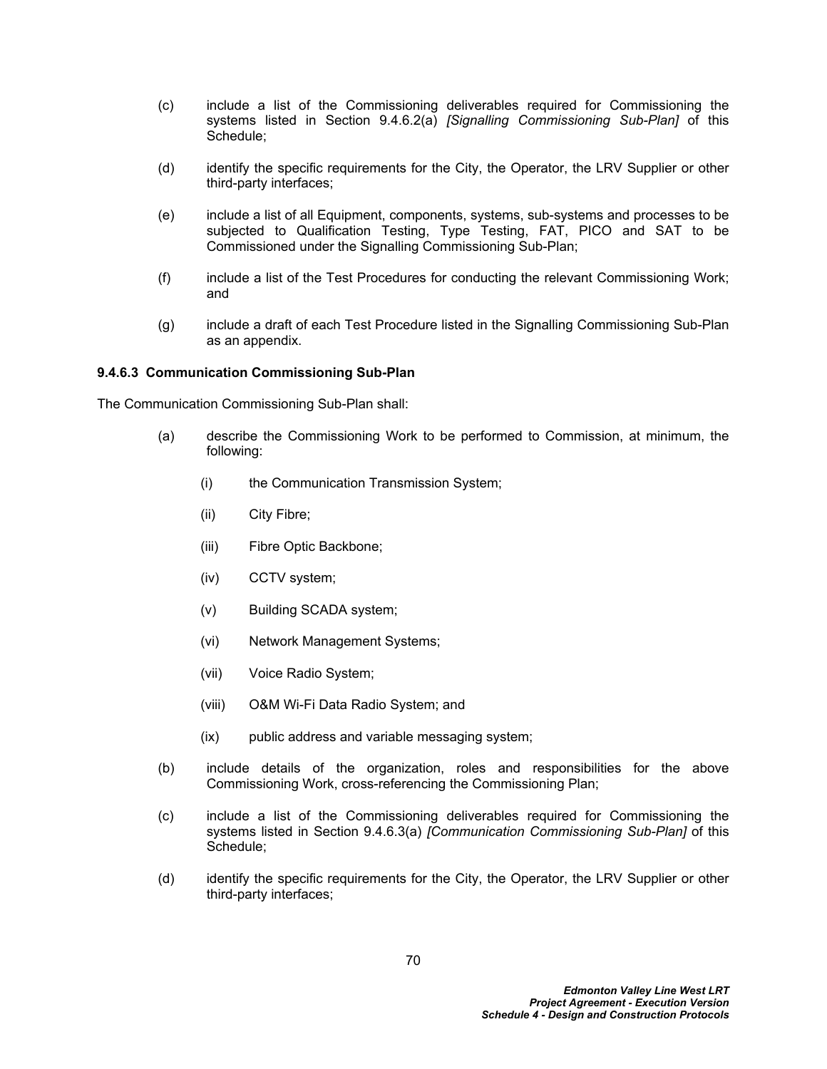- (c) include a list of the Commissioning deliverables required for Commissioning the systems listed in Section [9.4.6.2\(a\)](#page-73-1) *[Signalling Commissioning Sub-Plan]* of this Schedule;
- (d) identify the specific requirements for the City, the Operator, the LRV Supplier or other third-party interfaces;
- (e) include a list of all Equipment, components, systems, sub-systems and processes to be subjected to Qualification Testing, Type Testing, FAT, PICO and SAT to be Commissioned under the Signalling Commissioning Sub-Plan;
- (f) include a list of the Test Procedures for conducting the relevant Commissioning Work; and
- (g) include a draft of each Test Procedure listed in the Signalling Commissioning Sub-Plan as an appendix.

## **9.4.6.3 Communication Commissioning Sub-Plan**

The Communication Commissioning Sub-Plan shall:

- <span id="page-74-0"></span>(a) describe the Commissioning Work to be performed to Commission, at minimum, the following:
	- (i) the Communication Transmission System;
	- (ii) City Fibre;
	- (iii) Fibre Optic Backbone;
	- (iv) CCTV system;
	- (v) Building SCADA system;
	- (vi) Network Management Systems;
	- (vii) Voice Radio System;
	- (viii) O&M Wi-Fi Data Radio System; and
	- (ix) public address and variable messaging system;
- (b) include details of the organization, roles and responsibilities for the above Commissioning Work, cross-referencing the Commissioning Plan;
- (c) include a list of the Commissioning deliverables required for Commissioning the systems listed in Section [9.4.6.3\(a\)](#page-74-0) *[Communication Commissioning Sub-Plan]* of this Schedule;
- (d) identify the specific requirements for the City, the Operator, the LRV Supplier or other third-party interfaces;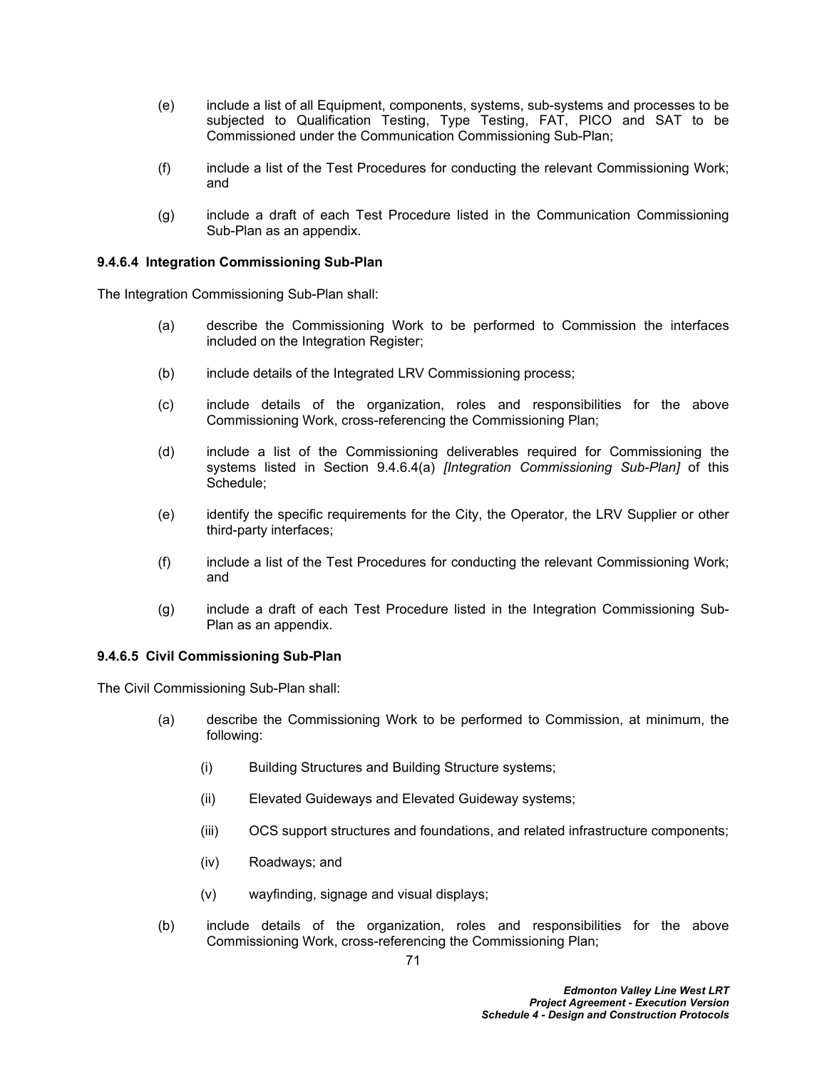- (e) include a list of all Equipment, components, systems, sub-systems and processes to be subjected to Qualification Testing, Type Testing, FAT, PICO and SAT to be Commissioned under the Communication Commissioning Sub-Plan;
- (f) include a list of the Test Procedures for conducting the relevant Commissioning Work; and
- (g) include a draft of each Test Procedure listed in the Communication Commissioning Sub-Plan as an appendix.

# **9.4.6.4 Integration Commissioning Sub-Plan**

The Integration Commissioning Sub-Plan shall:

- <span id="page-75-0"></span>(a) describe the Commissioning Work to be performed to Commission the interfaces included on the Integration Register;
- (b) include details of the Integrated LRV Commissioning process;
- (c) include details of the organization, roles and responsibilities for the above Commissioning Work, cross-referencing the Commissioning Plan;
- (d) include a list of the Commissioning deliverables required for Commissioning the systems listed in Section [9.4.6.4\(a\)](#page-75-0) *[Integration Commissioning Sub-Plan]* of this Schedule;
- (e) identify the specific requirements for the City, the Operator, the LRV Supplier or other third-party interfaces;
- (f) include a list of the Test Procedures for conducting the relevant Commissioning Work; and
- (g) include a draft of each Test Procedure listed in the Integration Commissioning Sub-Plan as an appendix.

## **9.4.6.5 Civil Commissioning Sub-Plan**

The Civil Commissioning Sub-Plan shall:

- <span id="page-75-1"></span>(a) describe the Commissioning Work to be performed to Commission, at minimum, the following:
	- (i) Building Structures and Building Structure systems;
	- (ii) Elevated Guideways and Elevated Guideway systems;
	- (iii) OCS support structures and foundations, and related infrastructure components;
	- (iv) Roadways; and
	- (v) wayfinding, signage and visual displays;
- (b) include details of the organization, roles and responsibilities for the above Commissioning Work, cross-referencing the Commissioning Plan;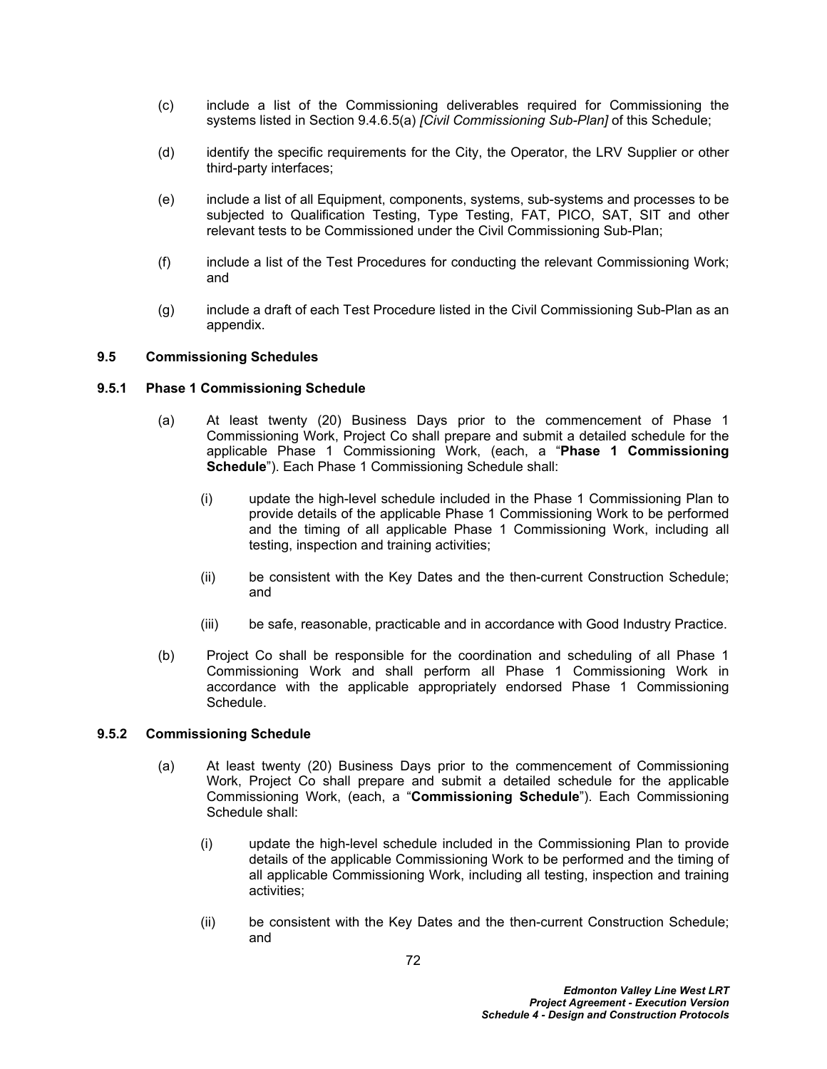- (c) include a list of the Commissioning deliverables required for Commissioning the systems listed in Section [9.4.6.5\(a\)](#page-75-1) *[Civil Commissioning Sub-Plan]* of this Schedule;
- (d) identify the specific requirements for the City, the Operator, the LRV Supplier or other third-party interfaces;
- (e) include a list of all Equipment, components, systems, sub-systems and processes to be subjected to Qualification Testing, Type Testing, FAT, PICO, SAT, SIT and other relevant tests to be Commissioned under the Civil Commissioning Sub-Plan;
- (f) include a list of the Test Procedures for conducting the relevant Commissioning Work; and
- (g) include a draft of each Test Procedure listed in the Civil Commissioning Sub-Plan as an appendix.

## **9.5 Commissioning Schedules**

## **9.5.1 Phase 1 Commissioning Schedule**

- (a) At least twenty (20) Business Days prior to the commencement of Phase 1 Commissioning Work, Project Co shall prepare and submit a detailed schedule for the applicable Phase 1 Commissioning Work, (each, a "**Phase 1 Commissioning Schedule**"). Each Phase 1 Commissioning Schedule shall:
	- (i) update the high-level schedule included in the Phase 1 Commissioning Plan to provide details of the applicable Phase 1 Commissioning Work to be performed and the timing of all applicable Phase 1 Commissioning Work, including all testing, inspection and training activities;
	- (ii) be consistent with the Key Dates and the then-current Construction Schedule; and
	- (iii) be safe, reasonable, practicable and in accordance with Good Industry Practice.
- (b) Project Co shall be responsible for the coordination and scheduling of all Phase 1 Commissioning Work and shall perform all Phase 1 Commissioning Work in accordance with the applicable appropriately endorsed Phase 1 Commissioning **Schedule**

## **9.5.2 Commissioning Schedule**

- (a) At least twenty (20) Business Days prior to the commencement of Commissioning Work, Project Co shall prepare and submit a detailed schedule for the applicable Commissioning Work, (each, a "**Commissioning Schedule**"). Each Commissioning Schedule shall:
	- (i) update the high-level schedule included in the Commissioning Plan to provide details of the applicable Commissioning Work to be performed and the timing of all applicable Commissioning Work, including all testing, inspection and training activities;
	- (ii) be consistent with the Key Dates and the then-current Construction Schedule; and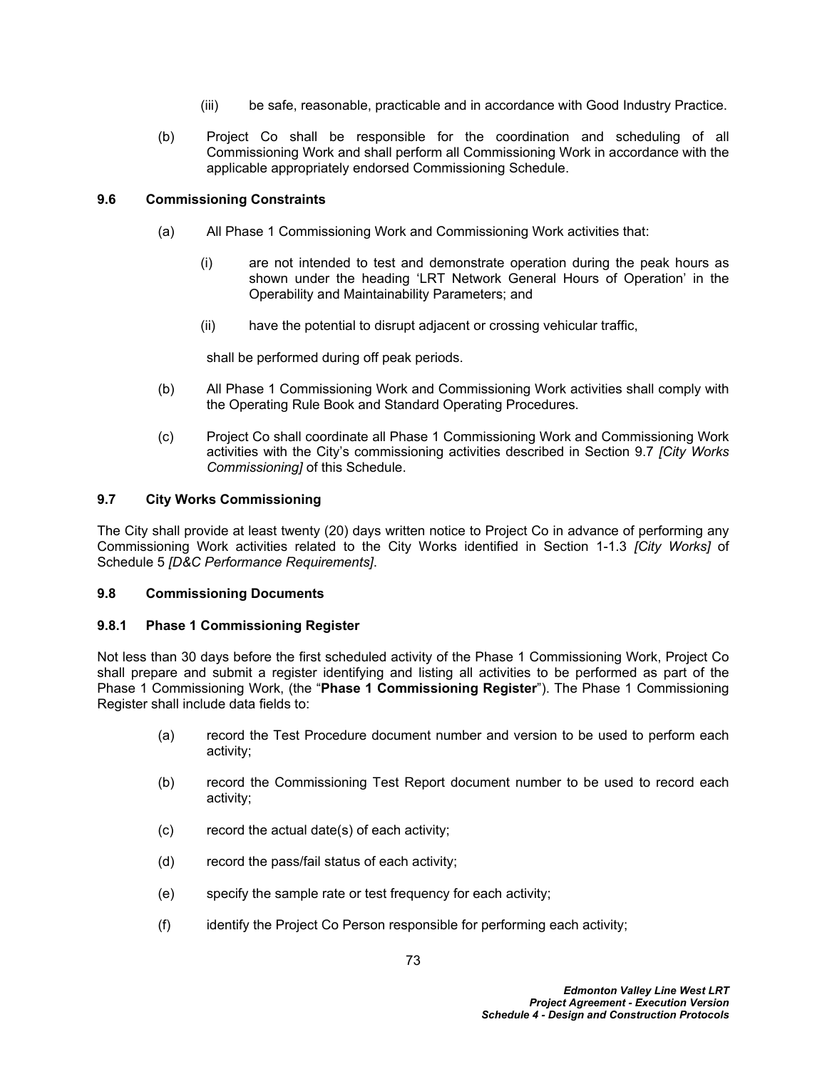- (iii) be safe, reasonable, practicable and in accordance with Good Industry Practice.
- (b) Project Co shall be responsible for the coordination and scheduling of all Commissioning Work and shall perform all Commissioning Work in accordance with the applicable appropriately endorsed Commissioning Schedule.

# **9.6 Commissioning Constraints**

- (a) All Phase 1 Commissioning Work and Commissioning Work activities that:
	- (i) are not intended to test and demonstrate operation during the peak hours as shown under the heading 'LRT Network General Hours of Operation' in the Operability and Maintainability Parameters; and
	- (ii) have the potential to disrupt adjacent or crossing vehicular traffic,

shall be performed during off peak periods.

- (b) All Phase 1 Commissioning Work and Commissioning Work activities shall comply with the Operating Rule Book and Standard Operating Procedures.
- (c) Project Co shall coordinate all Phase 1 Commissioning Work and Commissioning Work activities with the City's commissioning activities described in Section [9.7](#page-77-0) *[City Works Commissioning]* of this Schedule.

# <span id="page-77-0"></span>**9.7 City Works Commissioning**

The City shall provide at least twenty (20) days written notice to Project Co in advance of performing any Commissioning Work activities related to the City Works identified in Section 1-1.3 *[City Works]* of Schedule 5 *[D&C Performance Requirements]*.

## **9.8 Commissioning Documents**

## **9.8.1 Phase 1 Commissioning Register**

Not less than 30 days before the first scheduled activity of the Phase 1 Commissioning Work, Project Co shall prepare and submit a register identifying and listing all activities to be performed as part of the Phase 1 Commissioning Work, (the "**Phase 1 Commissioning Register**"). The Phase 1 Commissioning Register shall include data fields to:

- (a) record the Test Procedure document number and version to be used to perform each activity;
- (b) record the Commissioning Test Report document number to be used to record each activity;
- (c) record the actual date(s) of each activity;
- (d) record the pass/fail status of each activity;
- (e) specify the sample rate or test frequency for each activity;
- (f) identify the Project Co Person responsible for performing each activity;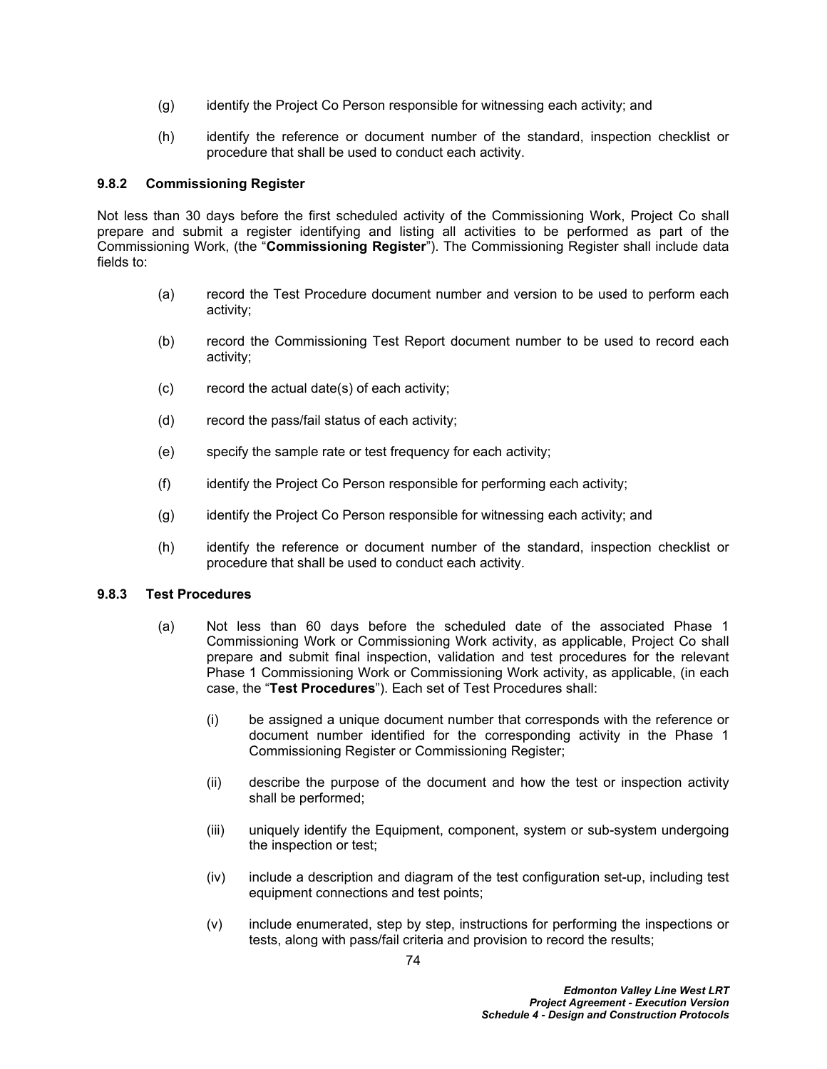- (g) identify the Project Co Person responsible for witnessing each activity; and
- (h) identify the reference or document number of the standard, inspection checklist or procedure that shall be used to conduct each activity.

## **9.8.2 Commissioning Register**

Not less than 30 days before the first scheduled activity of the Commissioning Work, Project Co shall prepare and submit a register identifying and listing all activities to be performed as part of the Commissioning Work, (the "**Commissioning Register**"). The Commissioning Register shall include data fields to:

- <span id="page-78-0"></span>(a) record the Test Procedure document number and version to be used to perform each activity;
- (b) record the Commissioning Test Report document number to be used to record each activity;
- (c) record the actual date(s) of each activity;
- (d) record the pass/fail status of each activity;
- (e) specify the sample rate or test frequency for each activity;
- (f) identify the Project Co Person responsible for performing each activity;
- (g) identify the Project Co Person responsible for witnessing each activity; and
- (h) identify the reference or document number of the standard, inspection checklist or procedure that shall be used to conduct each activity.

## **9.8.3 Test Procedures**

- (a) Not less than 60 days before the scheduled date of the associated Phase 1 Commissioning Work or Commissioning Work activity, as applicable, Project Co shall prepare and submit final inspection, validation and test procedures for the relevant Phase 1 Commissioning Work or Commissioning Work activity, as applicable, (in each case, the "**Test Procedures**"). Each set of Test Procedures shall:
	- (i) be assigned a unique document number that corresponds with the reference or document number identified for the corresponding activity in the Phase 1 Commissioning Register or Commissioning Register;
	- (ii) describe the purpose of the document and how the test or inspection activity shall be performed;
	- (iii) uniquely identify the Equipment, component, system or sub-system undergoing the inspection or test;
	- (iv) include a description and diagram of the test configuration set-up, including test equipment connections and test points;
	- (v) include enumerated, step by step, instructions for performing the inspections or tests, along with pass/fail criteria and provision to record the results;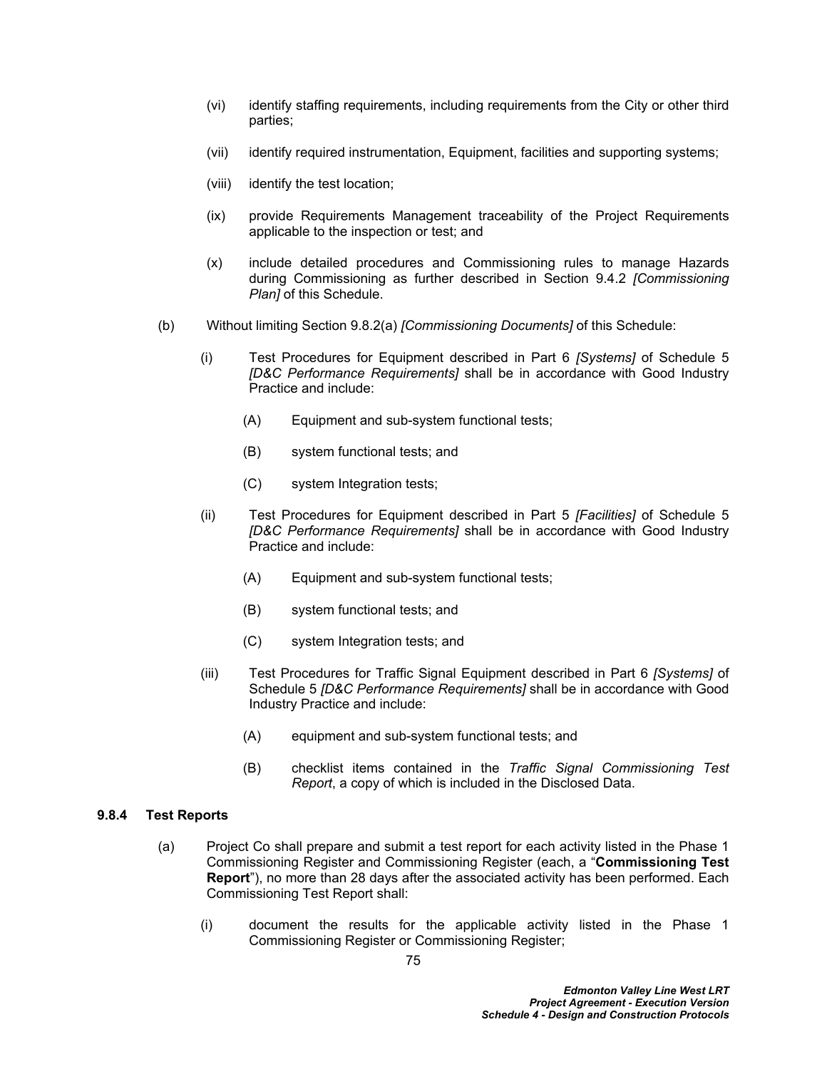- (vi) identify staffing requirements, including requirements from the City or other third parties;
- (vii) identify required instrumentation, Equipment, facilities and supporting systems;
- (viii) identify the test location;
- (ix) provide Requirements Management traceability of the Project Requirements applicable to the inspection or test; and
- (x) include detailed procedures and Commissioning rules to manage Hazards during Commissioning as further described in Section [9.4.2](#page-70-0) *[Commissioning Plan]* of this Schedule.
- (b) Without limiting Section [9.8.2\(a\)](#page-78-0) *[Commissioning Documents]* of this Schedule:
	- (i) Test Procedures for Equipment described in Part 6 *[Systems]* of Schedule 5 *[D&C Performance Requirements]* shall be in accordance with Good Industry Practice and include:
		- (A) Equipment and sub-system functional tests;
		- (B) system functional tests; and
		- (C) system Integration tests;
	- (ii) Test Procedures for Equipment described in Part 5 *[Facilities]* of Schedule 5 *[D&C Performance Requirements]* shall be in accordance with Good Industry Practice and include:
		- (A) Equipment and sub-system functional tests;
		- (B) system functional tests; and
		- (C) system Integration tests; and
	- (iii) Test Procedures for Traffic Signal Equipment described in Part 6 *[Systems]* of Schedule 5 *[D&C Performance Requirements]* shall be in accordance with Good Industry Practice and include:
		- (A) equipment and sub-system functional tests; and
		- (B) checklist items contained in the *Traffic Signal Commissioning Test Report*, a copy of which is included in the Disclosed Data.

## **9.8.4 Test Reports**

- (a) Project Co shall prepare and submit a test report for each activity listed in the Phase 1 Commissioning Register and Commissioning Register (each, a "**Commissioning Test Report**"), no more than 28 days after the associated activity has been performed. Each Commissioning Test Report shall:
	- (i) document the results for the applicable activity listed in the Phase 1 Commissioning Register or Commissioning Register;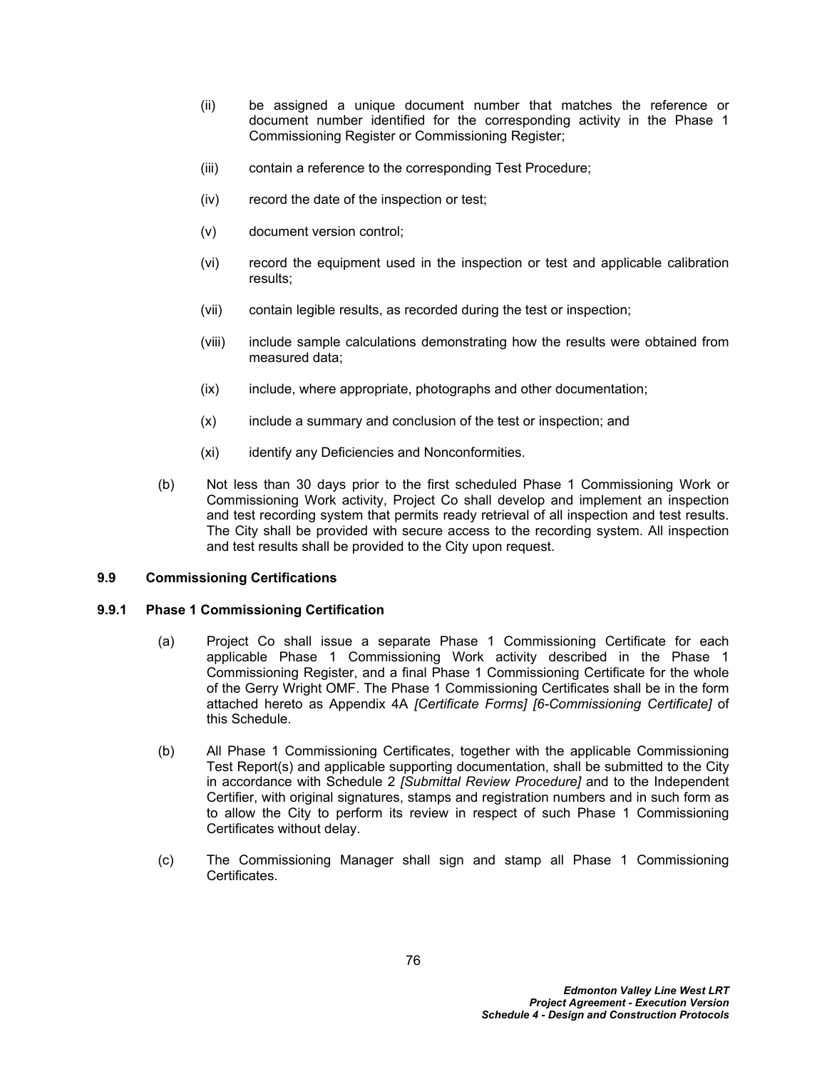- (ii) be assigned a unique document number that matches the reference or document number identified for the corresponding activity in the Phase 1 Commissioning Register or Commissioning Register;
- (iii) contain a reference to the corresponding Test Procedure;
- (iv) record the date of the inspection or test;
- (v) document version control;
- (vi) record the equipment used in the inspection or test and applicable calibration results;
- (vii) contain legible results, as recorded during the test or inspection;
- (viii) include sample calculations demonstrating how the results were obtained from measured data;
- (ix) include, where appropriate, photographs and other documentation;
- (x) include a summary and conclusion of the test or inspection; and
- (xi) identify any Deficiencies and Nonconformities.
- (b) Not less than 30 days prior to the first scheduled Phase 1 Commissioning Work or Commissioning Work activity, Project Co shall develop and implement an inspection and test recording system that permits ready retrieval of all inspection and test results. The City shall be provided with secure access to the recording system. All inspection and test results shall be provided to the City upon request.

# **9.9 Commissioning Certifications**

## <span id="page-80-0"></span>**9.9.1 Phase 1 Commissioning Certification**

- (a) Project Co shall issue a separate Phase 1 Commissioning Certificate for each applicable Phase 1 Commissioning Work activity described in the Phase 1 Commissioning Register, and a final Phase 1 Commissioning Certificate for the whole of the Gerry Wright OMF. The Phase 1 Commissioning Certificates shall be in the form attached hereto as Appendix 4A *[Certificate Forms] [6-Commissioning Certificate]* of this Schedule.
- (b) All Phase 1 Commissioning Certificates, together with the applicable Commissioning Test Report(s) and applicable supporting documentation, shall be submitted to the City in accordance with Schedule 2 *[Submittal Review Procedure]* and to the Independent Certifier, with original signatures, stamps and registration numbers and in such form as to allow the City to perform its review in respect of such Phase 1 Commissioning Certificates without delay.
- (c) The Commissioning Manager shall sign and stamp all Phase 1 Commissioning Certificates.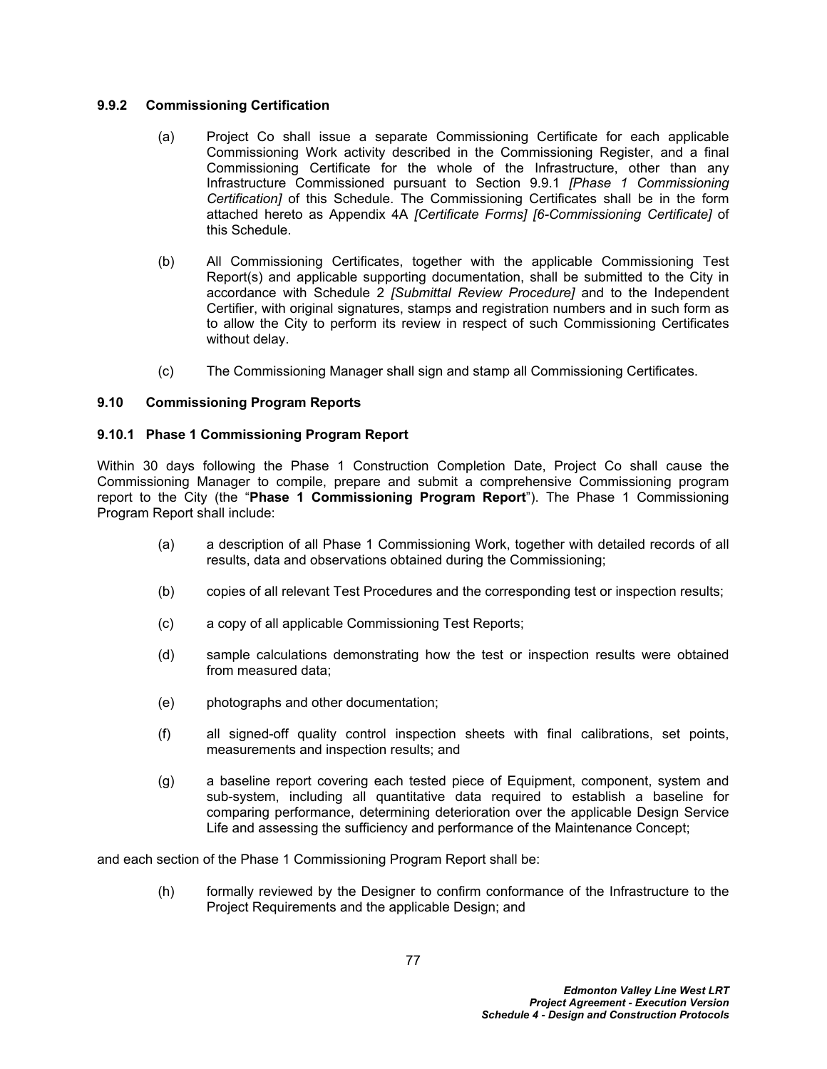## **9.9.2 Commissioning Certification**

- (a) Project Co shall issue a separate Commissioning Certificate for each applicable Commissioning Work activity described in the Commissioning Register, and a final Commissioning Certificate for the whole of the Infrastructure, other than any Infrastructure Commissioned pursuant to Section [9.9.1](#page-80-0) *[Phase 1 Commissioning Certification]* of this Schedule. The Commissioning Certificates shall be in the form attached hereto as Appendix 4A *[Certificate Forms] [6-Commissioning Certificate]* of this Schedule.
- (b) All Commissioning Certificates, together with the applicable Commissioning Test Report(s) and applicable supporting documentation, shall be submitted to the City in accordance with Schedule 2 *[Submittal Review Procedure]* and to the Independent Certifier, with original signatures, stamps and registration numbers and in such form as to allow the City to perform its review in respect of such Commissioning Certificates without delay.
- (c) The Commissioning Manager shall sign and stamp all Commissioning Certificates.

# **9.10 Commissioning Program Reports**

# **9.10.1 Phase 1 Commissioning Program Report**

Within 30 days following the Phase 1 Construction Completion Date, Project Co shall cause the Commissioning Manager to compile, prepare and submit a comprehensive Commissioning program report to the City (the "**Phase 1 Commissioning Program Report**"). The Phase 1 Commissioning Program Report shall include:

- (a) a description of all Phase 1 Commissioning Work, together with detailed records of all results, data and observations obtained during the Commissioning;
- (b) copies of all relevant Test Procedures and the corresponding test or inspection results;
- (c) a copy of all applicable Commissioning Test Reports;
- (d) sample calculations demonstrating how the test or inspection results were obtained from measured data;
- (e) photographs and other documentation;
- (f) all signed-off quality control inspection sheets with final calibrations, set points, measurements and inspection results; and
- (g) a baseline report covering each tested piece of Equipment, component, system and sub-system, including all quantitative data required to establish a baseline for comparing performance, determining deterioration over the applicable Design Service Life and assessing the sufficiency and performance of the Maintenance Concept;

and each section of the Phase 1 Commissioning Program Report shall be:

(h) formally reviewed by the Designer to confirm conformance of the Infrastructure to the Project Requirements and the applicable Design; and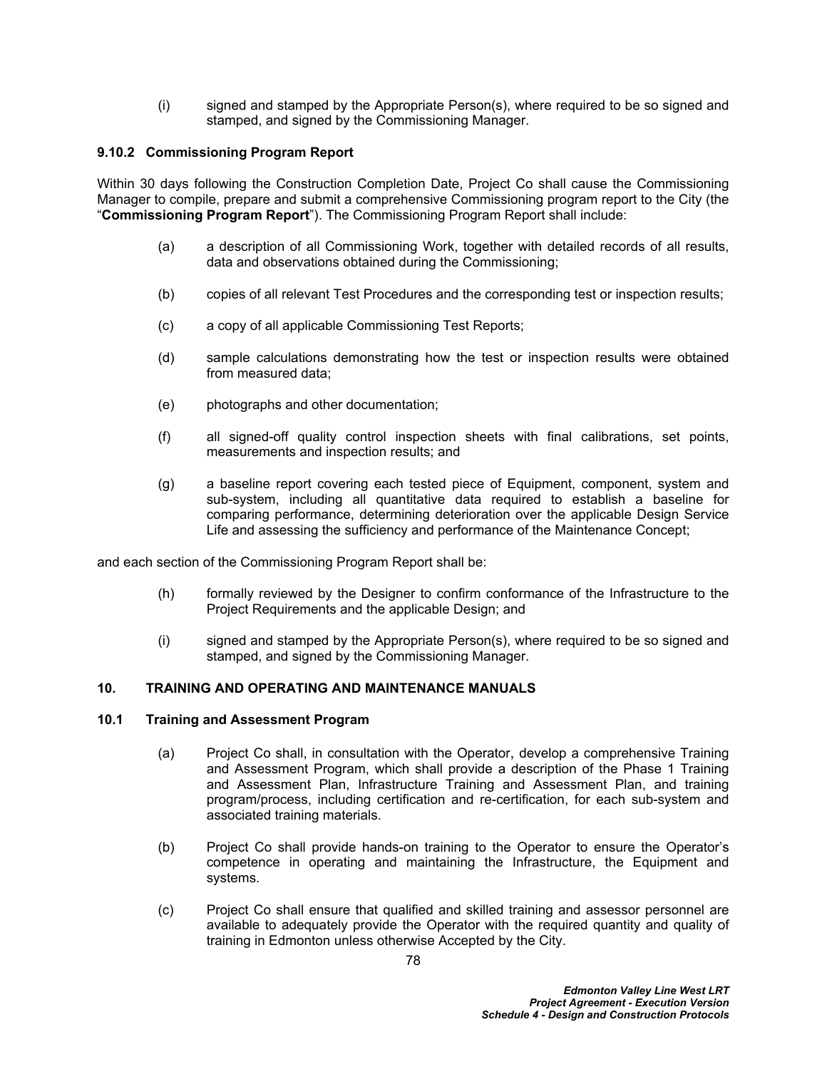(i) signed and stamped by the Appropriate Person(s), where required to be so signed and stamped, and signed by the Commissioning Manager.

# **9.10.2 Commissioning Program Report**

Within 30 days following the Construction Completion Date, Project Co shall cause the Commissioning Manager to compile, prepare and submit a comprehensive Commissioning program report to the City (the "**Commissioning Program Report**"). The Commissioning Program Report shall include:

- (a) a description of all Commissioning Work, together with detailed records of all results, data and observations obtained during the Commissioning;
- (b) copies of all relevant Test Procedures and the corresponding test or inspection results;
- (c) a copy of all applicable Commissioning Test Reports;
- (d) sample calculations demonstrating how the test or inspection results were obtained from measured data;
- (e) photographs and other documentation;
- (f) all signed-off quality control inspection sheets with final calibrations, set points, measurements and inspection results; and
- (g) a baseline report covering each tested piece of Equipment, component, system and sub-system, including all quantitative data required to establish a baseline for comparing performance, determining deterioration over the applicable Design Service Life and assessing the sufficiency and performance of the Maintenance Concept;

and each section of the Commissioning Program Report shall be:

- (h) formally reviewed by the Designer to confirm conformance of the Infrastructure to the Project Requirements and the applicable Design; and
- (i) signed and stamped by the Appropriate Person(s), where required to be so signed and stamped, and signed by the Commissioning Manager.

## **10. TRAINING AND OPERATING AND MAINTENANCE MANUALS**

## **10.1 Training and Assessment Program**

- (a) Project Co shall, in consultation with the Operator, develop a comprehensive Training and Assessment Program, which shall provide a description of the Phase 1 Training and Assessment Plan, Infrastructure Training and Assessment Plan, and training program/process, including certification and re-certification, for each sub-system and associated training materials.
- (b) Project Co shall provide hands-on training to the Operator to ensure the Operator's competence in operating and maintaining the Infrastructure, the Equipment and systems.
- (c) Project Co shall ensure that qualified and skilled training and assessor personnel are available to adequately provide the Operator with the required quantity and quality of training in Edmonton unless otherwise Accepted by the City.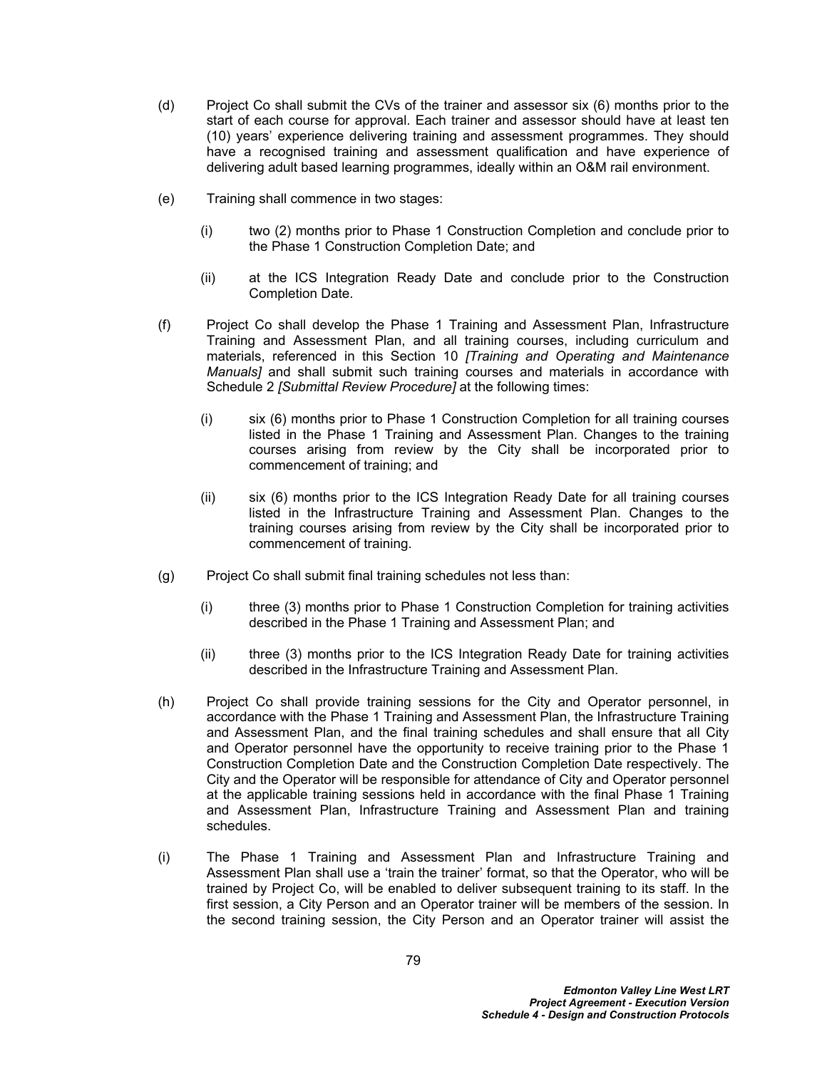- (d) Project Co shall submit the CVs of the trainer and assessor six (6) months prior to the start of each course for approval. Each trainer and assessor should have at least ten (10) years' experience delivering training and assessment programmes. They should have a recognised training and assessment qualification and have experience of delivering adult based learning programmes, ideally within an O&M rail environment.
- (e) Training shall commence in two stages:
	- (i) two (2) months prior to Phase 1 Construction Completion and conclude prior to the Phase 1 Construction Completion Date; and
	- (ii) at the ICS Integration Ready Date and conclude prior to the Construction Completion Date.
- (f) Project Co shall develop the Phase 1 Training and Assessment Plan, Infrastructure Training and Assessment Plan, and all training courses, including curriculum and materials, referenced in this Section 10 *[Training and Operating and Maintenance Manuals]* and shall submit such training courses and materials in accordance with Schedule 2 *[Submittal Review Procedure]* at the following times:
	- (i) six (6) months prior to Phase 1 Construction Completion for all training courses listed in the Phase 1 Training and Assessment Plan. Changes to the training courses arising from review by the City shall be incorporated prior to commencement of training; and
	- (ii) six (6) months prior to the ICS Integration Ready Date for all training courses listed in the Infrastructure Training and Assessment Plan. Changes to the training courses arising from review by the City shall be incorporated prior to commencement of training.
- (g) Project Co shall submit final training schedules not less than:
	- (i) three (3) months prior to Phase 1 Construction Completion for training activities described in the Phase 1 Training and Assessment Plan; and
	- (ii) three (3) months prior to the ICS Integration Ready Date for training activities described in the Infrastructure Training and Assessment Plan.
- (h) Project Co shall provide training sessions for the City and Operator personnel, in accordance with the Phase 1 Training and Assessment Plan, the Infrastructure Training and Assessment Plan, and the final training schedules and shall ensure that all City and Operator personnel have the opportunity to receive training prior to the Phase 1 Construction Completion Date and the Construction Completion Date respectively. The City and the Operator will be responsible for attendance of City and Operator personnel at the applicable training sessions held in accordance with the final Phase 1 Training and Assessment Plan, Infrastructure Training and Assessment Plan and training schedules.
- (i) The Phase 1 Training and Assessment Plan and Infrastructure Training and Assessment Plan shall use a 'train the trainer' format, so that the Operator, who will be trained by Project Co, will be enabled to deliver subsequent training to its staff. In the first session, a City Person and an Operator trainer will be members of the session. In the second training session, the City Person and an Operator trainer will assist the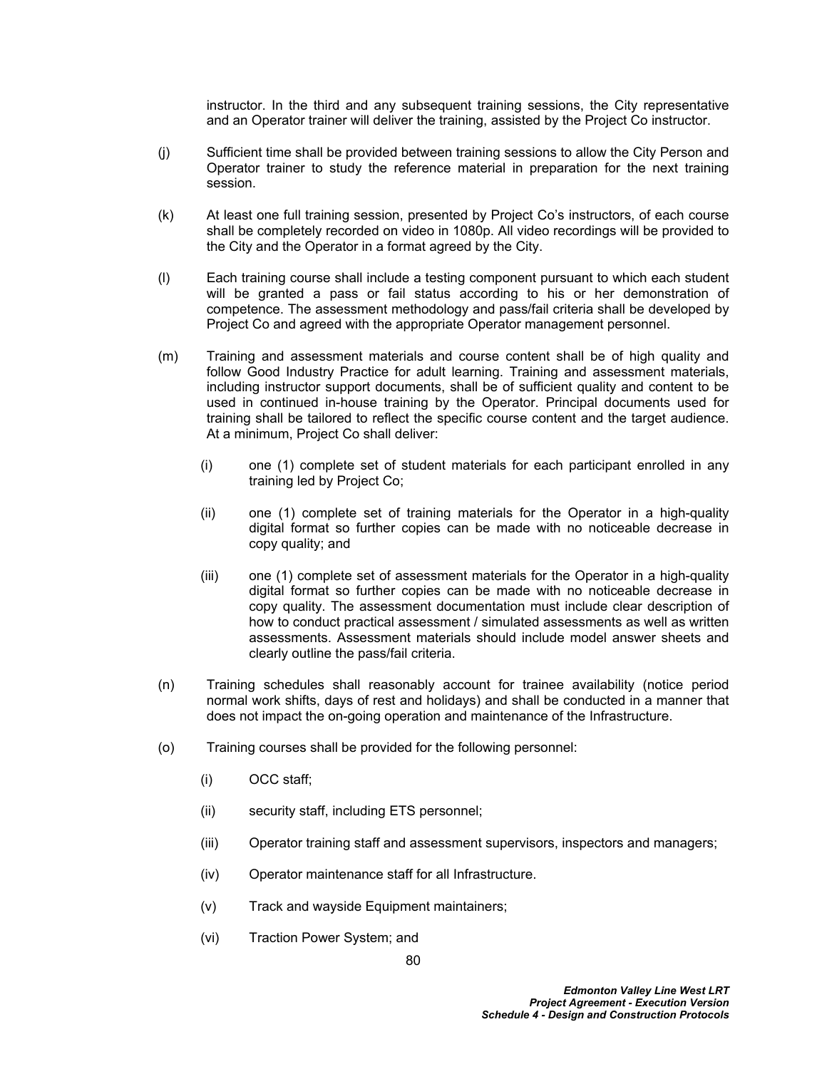instructor. In the third and any subsequent training sessions, the City representative and an Operator trainer will deliver the training, assisted by the Project Co instructor.

- (j) Sufficient time shall be provided between training sessions to allow the City Person and Operator trainer to study the reference material in preparation for the next training session.
- (k) At least one full training session, presented by Project Co's instructors, of each course shall be completely recorded on video in 1080p. All video recordings will be provided to the City and the Operator in a format agreed by the City.
- (l) Each training course shall include a testing component pursuant to which each student will be granted a pass or fail status according to his or her demonstration of competence. The assessment methodology and pass/fail criteria shall be developed by Project Co and agreed with the appropriate Operator management personnel.
- (m) Training and assessment materials and course content shall be of high quality and follow Good Industry Practice for adult learning. Training and assessment materials, including instructor support documents, shall be of sufficient quality and content to be used in continued in-house training by the Operator. Principal documents used for training shall be tailored to reflect the specific course content and the target audience. At a minimum, Project Co shall deliver:
	- (i) one (1) complete set of student materials for each participant enrolled in any training led by Project Co;
	- (ii) one (1) complete set of training materials for the Operator in a high-quality digital format so further copies can be made with no noticeable decrease in copy quality; and
	- (iii) one (1) complete set of assessment materials for the Operator in a high-quality digital format so further copies can be made with no noticeable decrease in copy quality. The assessment documentation must include clear description of how to conduct practical assessment / simulated assessments as well as written assessments. Assessment materials should include model answer sheets and clearly outline the pass/fail criteria.
- (n) Training schedules shall reasonably account for trainee availability (notice period normal work shifts, days of rest and holidays) and shall be conducted in a manner that does not impact the on-going operation and maintenance of the Infrastructure.
- (o) Training courses shall be provided for the following personnel:
	- (i) OCC staff;
	- (ii) security staff, including ETS personnel;
	- (iii) Operator training staff and assessment supervisors, inspectors and managers;
	- (iv) Operator maintenance staff for all Infrastructure.
	- (v) Track and wayside Equipment maintainers;
	- (vi) Traction Power System; and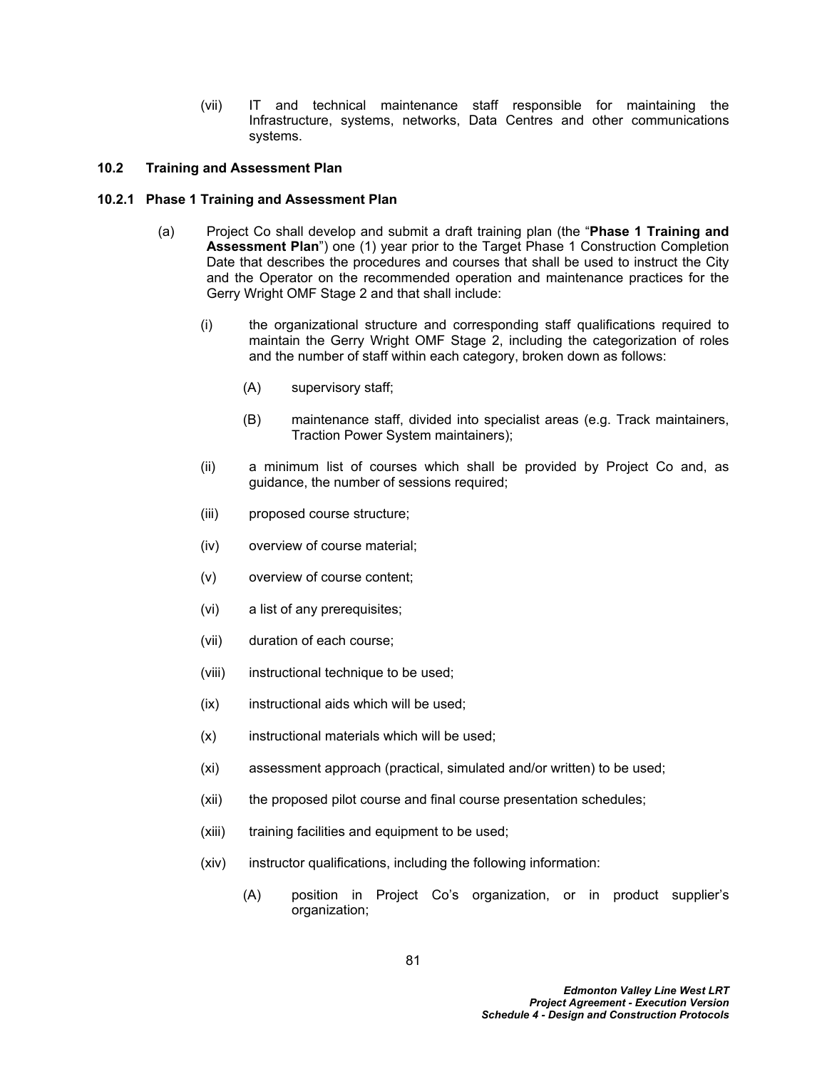(vii) IT and technical maintenance staff responsible for maintaining the Infrastructure, systems, networks, Data Centres and other communications systems.

## **10.2 Training and Assessment Plan**

## **10.2.1 Phase 1 Training and Assessment Plan**

- (a) Project Co shall develop and submit a draft training plan (the "**Phase 1 Training and Assessment Plan**") one (1) year prior to the Target Phase 1 Construction Completion Date that describes the procedures and courses that shall be used to instruct the City and the Operator on the recommended operation and maintenance practices for the Gerry Wright OMF Stage 2 and that shall include:
	- (i) the organizational structure and corresponding staff qualifications required to maintain the Gerry Wright OMF Stage 2, including the categorization of roles and the number of staff within each category, broken down as follows:
		- (A) supervisory staff;
		- (B) maintenance staff, divided into specialist areas (e.g. Track maintainers, Traction Power System maintainers);
	- (ii) a minimum list of courses which shall be provided by Project Co and, as guidance, the number of sessions required;
	- (iii) proposed course structure;
	- (iv) overview of course material;
	- (v) overview of course content;
	- (vi) a list of any prerequisites;
	- (vii) duration of each course;
	- (viii) instructional technique to be used;
	- (ix) instructional aids which will be used;
	- (x) instructional materials which will be used;
	- (xi) assessment approach (practical, simulated and/or written) to be used;
	- (xii) the proposed pilot course and final course presentation schedules;
	- (xiii) training facilities and equipment to be used;
	- (xiv) instructor qualifications, including the following information:
		- (A) position in Project Co's organization, or in product supplier's organization;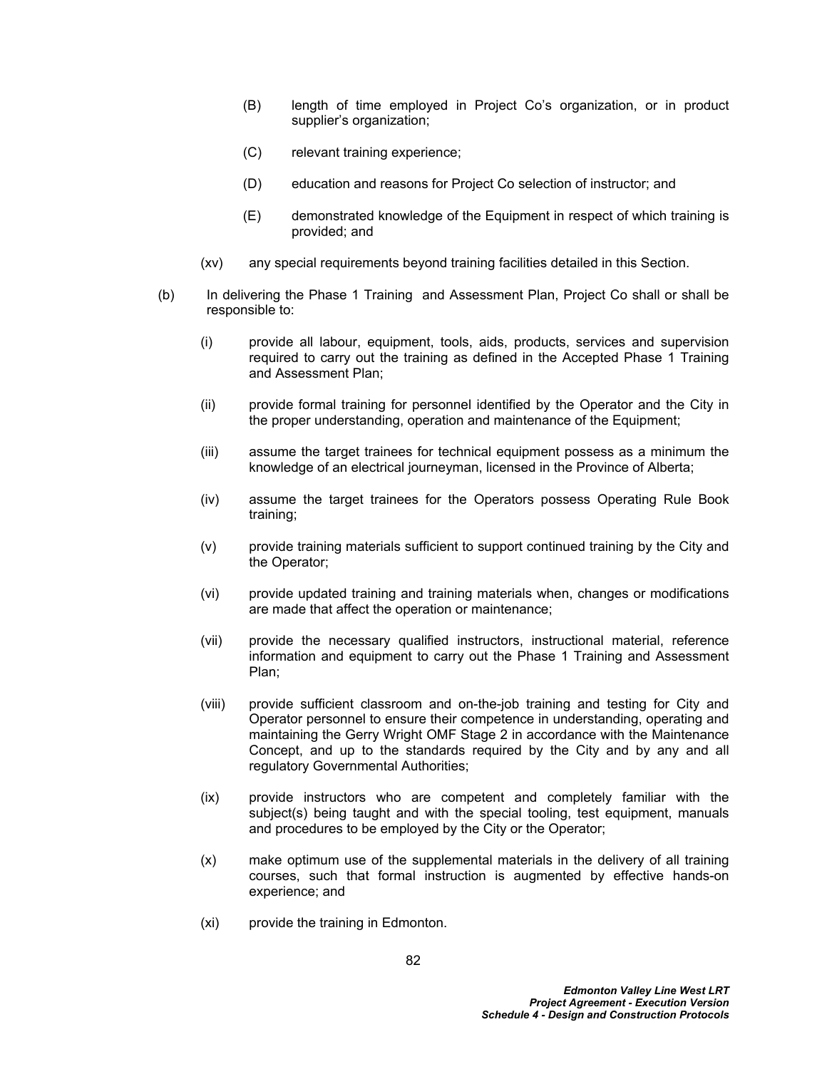- (B) length of time employed in Project Co's organization, or in product supplier's organization;
- (C) relevant training experience;
- (D) education and reasons for Project Co selection of instructor; and
- (E) demonstrated knowledge of the Equipment in respect of which training is provided; and
- (xv) any special requirements beyond training facilities detailed in this Section.
- (b) In delivering the Phase 1 Training and Assessment Plan, Project Co shall or shall be responsible to:
	- (i) provide all labour, equipment, tools, aids, products, services and supervision required to carry out the training as defined in the Accepted Phase 1 Training and Assessment Plan;
	- (ii) provide formal training for personnel identified by the Operator and the City in the proper understanding, operation and maintenance of the Equipment;
	- (iii) assume the target trainees for technical equipment possess as a minimum the knowledge of an electrical journeyman, licensed in the Province of Alberta;
	- (iv) assume the target trainees for the Operators possess Operating Rule Book training;
	- (v) provide training materials sufficient to support continued training by the City and the Operator;
	- (vi) provide updated training and training materials when, changes or modifications are made that affect the operation or maintenance;
	- (vii) provide the necessary qualified instructors, instructional material, reference information and equipment to carry out the Phase 1 Training and Assessment Plan;
	- (viii) provide sufficient classroom and on-the-job training and testing for City and Operator personnel to ensure their competence in understanding, operating and maintaining the Gerry Wright OMF Stage 2 in accordance with the Maintenance Concept, and up to the standards required by the City and by any and all regulatory Governmental Authorities;
	- (ix) provide instructors who are competent and completely familiar with the subject(s) being taught and with the special tooling, test equipment, manuals and procedures to be employed by the City or the Operator;
	- (x) make optimum use of the supplemental materials in the delivery of all training courses, such that formal instruction is augmented by effective hands-on experience; and
	- (xi) provide the training in Edmonton.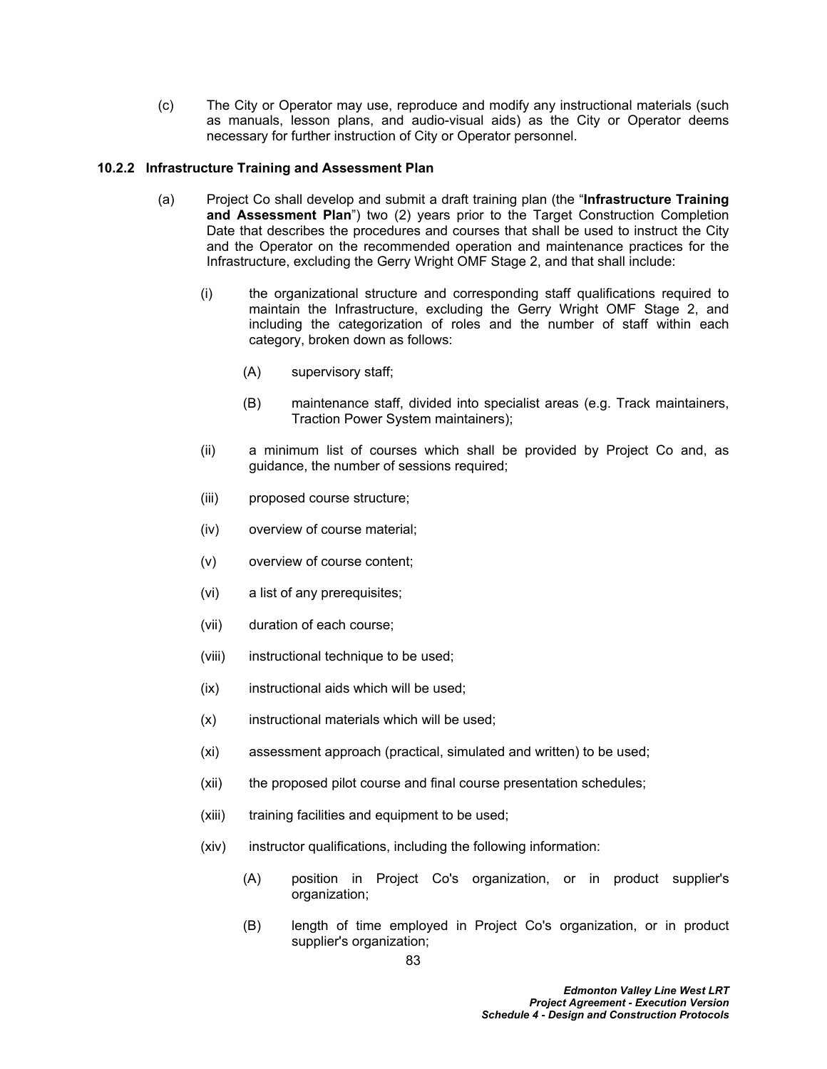(c) The City or Operator may use, reproduce and modify any instructional materials (such as manuals, lesson plans, and audio-visual aids) as the City or Operator deems necessary for further instruction of City or Operator personnel.

# **10.2.2 Infrastructure Training and Assessment Plan**

- (a) Project Co shall develop and submit a draft training plan (the "**Infrastructure Training and Assessment Plan**") two (2) years prior to the Target Construction Completion Date that describes the procedures and courses that shall be used to instruct the City and the Operator on the recommended operation and maintenance practices for the Infrastructure, excluding the Gerry Wright OMF Stage 2, and that shall include:
	- (i) the organizational structure and corresponding staff qualifications required to maintain the Infrastructure, excluding the Gerry Wright OMF Stage 2, and including the categorization of roles and the number of staff within each category, broken down as follows:
		- (A) supervisory staff;
		- (B) maintenance staff, divided into specialist areas (e.g. Track maintainers, Traction Power System maintainers);
	- (ii) a minimum list of courses which shall be provided by Project Co and, as guidance, the number of sessions required;
	- (iii) proposed course structure;
	- (iv) overview of course material;
	- (v) overview of course content;
	- (vi) a list of any prerequisites;
	- (vii) duration of each course;
	- (viii) instructional technique to be used;
	- (ix) instructional aids which will be used;
	- (x) instructional materials which will be used;
	- (xi) assessment approach (practical, simulated and written) to be used;
	- (xii) the proposed pilot course and final course presentation schedules;
	- (xiii) training facilities and equipment to be used;
	- (xiv) instructor qualifications, including the following information:
		- (A) position in Project Co's organization, or in product supplier's organization;
		- (B) length of time employed in Project Co's organization, or in product supplier's organization;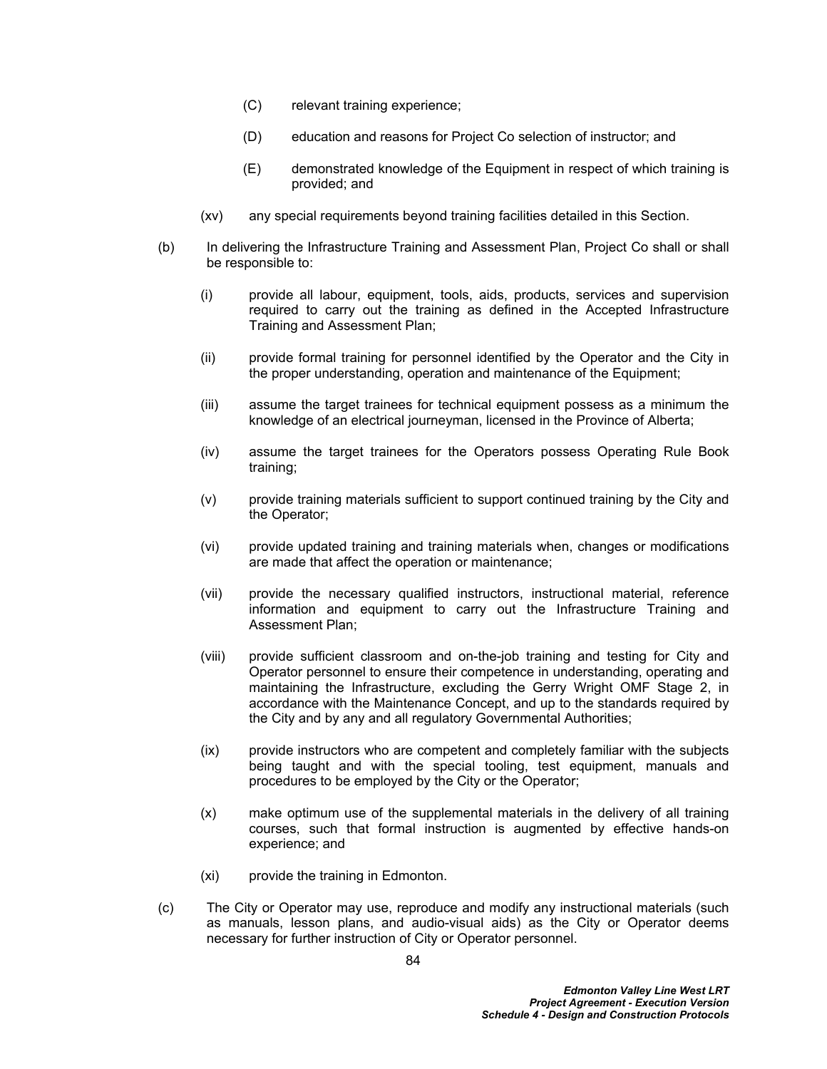- (C) relevant training experience;
- (D) education and reasons for Project Co selection of instructor; and
- (E) demonstrated knowledge of the Equipment in respect of which training is provided; and
- (xv) any special requirements beyond training facilities detailed in this Section.
- (b) In delivering the Infrastructure Training and Assessment Plan, Project Co shall or shall be responsible to:
	- (i) provide all labour, equipment, tools, aids, products, services and supervision required to carry out the training as defined in the Accepted Infrastructure Training and Assessment Plan;
	- (ii) provide formal training for personnel identified by the Operator and the City in the proper understanding, operation and maintenance of the Equipment;
	- (iii) assume the target trainees for technical equipment possess as a minimum the knowledge of an electrical journeyman, licensed in the Province of Alberta;
	- (iv) assume the target trainees for the Operators possess Operating Rule Book training;
	- (v) provide training materials sufficient to support continued training by the City and the Operator;
	- (vi) provide updated training and training materials when, changes or modifications are made that affect the operation or maintenance;
	- (vii) provide the necessary qualified instructors, instructional material, reference information and equipment to carry out the Infrastructure Training and Assessment Plan;
	- (viii) provide sufficient classroom and on-the-job training and testing for City and Operator personnel to ensure their competence in understanding, operating and maintaining the Infrastructure, excluding the Gerry Wright OMF Stage 2, in accordance with the Maintenance Concept, and up to the standards required by the City and by any and all regulatory Governmental Authorities;
	- (ix) provide instructors who are competent and completely familiar with the subjects being taught and with the special tooling, test equipment, manuals and procedures to be employed by the City or the Operator;
	- (x) make optimum use of the supplemental materials in the delivery of all training courses, such that formal instruction is augmented by effective hands-on experience; and
	- (xi) provide the training in Edmonton.
- (c) The City or Operator may use, reproduce and modify any instructional materials (such as manuals, lesson plans, and audio-visual aids) as the City or Operator deems necessary for further instruction of City or Operator personnel.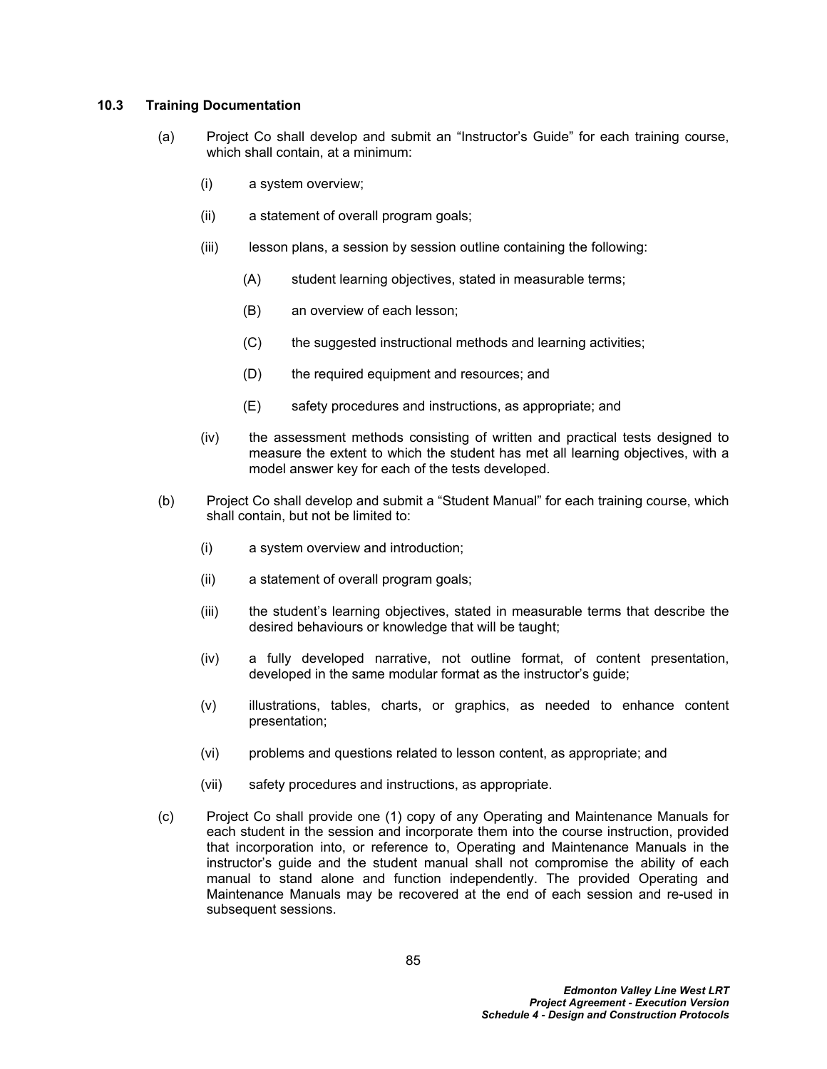## **10.3 Training Documentation**

- (a) Project Co shall develop and submit an "Instructor's Guide" for each training course, which shall contain, at a minimum:
	- (i) a system overview;
	- (ii) a statement of overall program goals;
	- (iii) lesson plans, a session by session outline containing the following:
		- (A) student learning objectives, stated in measurable terms;
		- (B) an overview of each lesson;
		- (C) the suggested instructional methods and learning activities;
		- (D) the required equipment and resources; and
		- (E) safety procedures and instructions, as appropriate; and
	- (iv) the assessment methods consisting of written and practical tests designed to measure the extent to which the student has met all learning objectives, with a model answer key for each of the tests developed.
- (b) Project Co shall develop and submit a "Student Manual" for each training course, which shall contain, but not be limited to:
	- (i) a system overview and introduction;
	- (ii) a statement of overall program goals;
	- (iii) the student's learning objectives, stated in measurable terms that describe the desired behaviours or knowledge that will be taught;
	- (iv) a fully developed narrative, not outline format, of content presentation, developed in the same modular format as the instructor's guide;
	- (v) illustrations, tables, charts, or graphics, as needed to enhance content presentation;
	- (vi) problems and questions related to lesson content, as appropriate; and
	- (vii) safety procedures and instructions, as appropriate.
- (c) Project Co shall provide one (1) copy of any Operating and Maintenance Manuals for each student in the session and incorporate them into the course instruction, provided that incorporation into, or reference to, Operating and Maintenance Manuals in the instructor's guide and the student manual shall not compromise the ability of each manual to stand alone and function independently. The provided Operating and Maintenance Manuals may be recovered at the end of each session and re-used in subsequent sessions.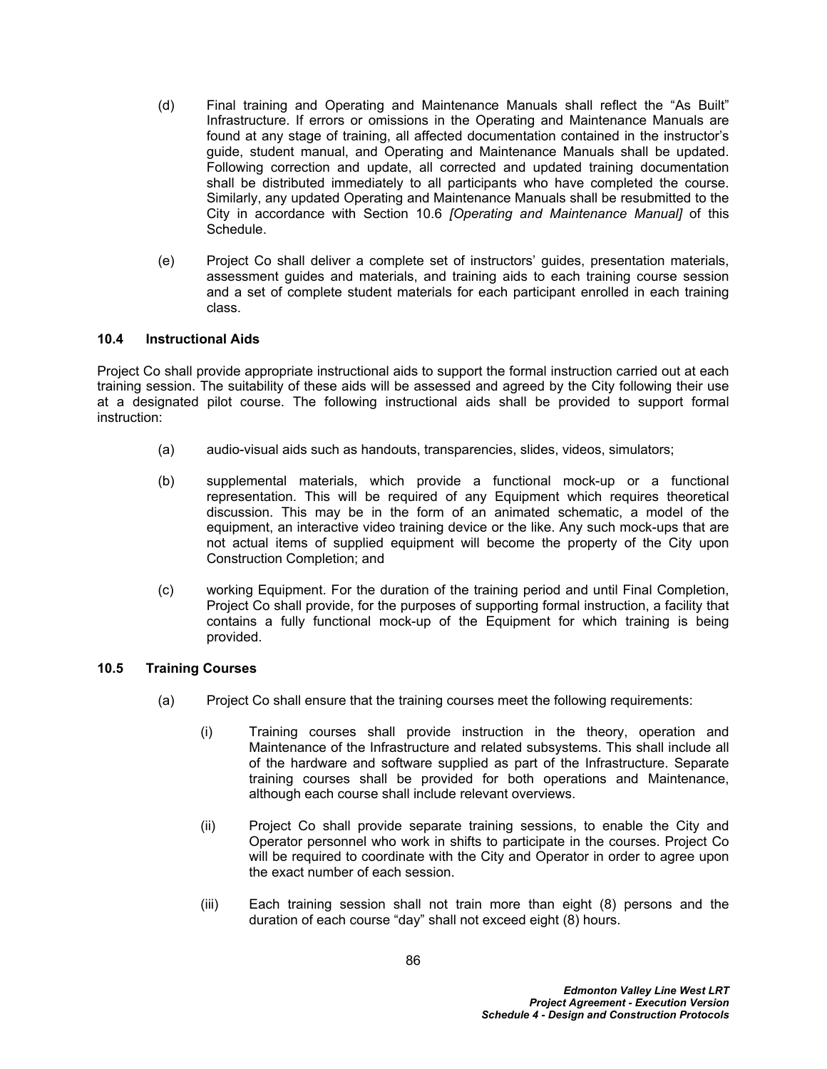- (d) Final training and Operating and Maintenance Manuals shall reflect the "As Built" Infrastructure. If errors or omissions in the Operating and Maintenance Manuals are found at any stage of training, all affected documentation contained in the instructor's guide, student manual, and Operating and Maintenance Manuals shall be updated. Following correction and update, all corrected and updated training documentation shall be distributed immediately to all participants who have completed the course. Similarly, any updated Operating and Maintenance Manuals shall be resubmitted to the City in accordance with Section [10.6](#page-92-0) *[Operating and Maintenance Manual]* of this Schedule.
- (e) Project Co shall deliver a complete set of instructors' guides, presentation materials, assessment guides and materials, and training aids to each training course session and a set of complete student materials for each participant enrolled in each training class.

# **10.4 Instructional Aids**

Project Co shall provide appropriate instructional aids to support the formal instruction carried out at each training session. The suitability of these aids will be assessed and agreed by the City following their use at a designated pilot course. The following instructional aids shall be provided to support formal instruction:

- (a) audio-visual aids such as handouts, transparencies, slides, videos, simulators;
- (b) supplemental materials, which provide a functional mock-up or a functional representation. This will be required of any Equipment which requires theoretical discussion. This may be in the form of an animated schematic, a model of the equipment, an interactive video training device or the like. Any such mock-ups that are not actual items of supplied equipment will become the property of the City upon Construction Completion; and
- (c) working Equipment. For the duration of the training period and until Final Completion, Project Co shall provide, for the purposes of supporting formal instruction, a facility that contains a fully functional mock-up of the Equipment for which training is being provided.

## **10.5 Training Courses**

- (a) Project Co shall ensure that the training courses meet the following requirements:
	- (i) Training courses shall provide instruction in the theory, operation and Maintenance of the Infrastructure and related subsystems. This shall include all of the hardware and software supplied as part of the Infrastructure. Separate training courses shall be provided for both operations and Maintenance, although each course shall include relevant overviews.
	- (ii) Project Co shall provide separate training sessions, to enable the City and Operator personnel who work in shifts to participate in the courses. Project Co will be required to coordinate with the City and Operator in order to agree upon the exact number of each session.
	- (iii) Each training session shall not train more than eight (8) persons and the duration of each course "day" shall not exceed eight (8) hours.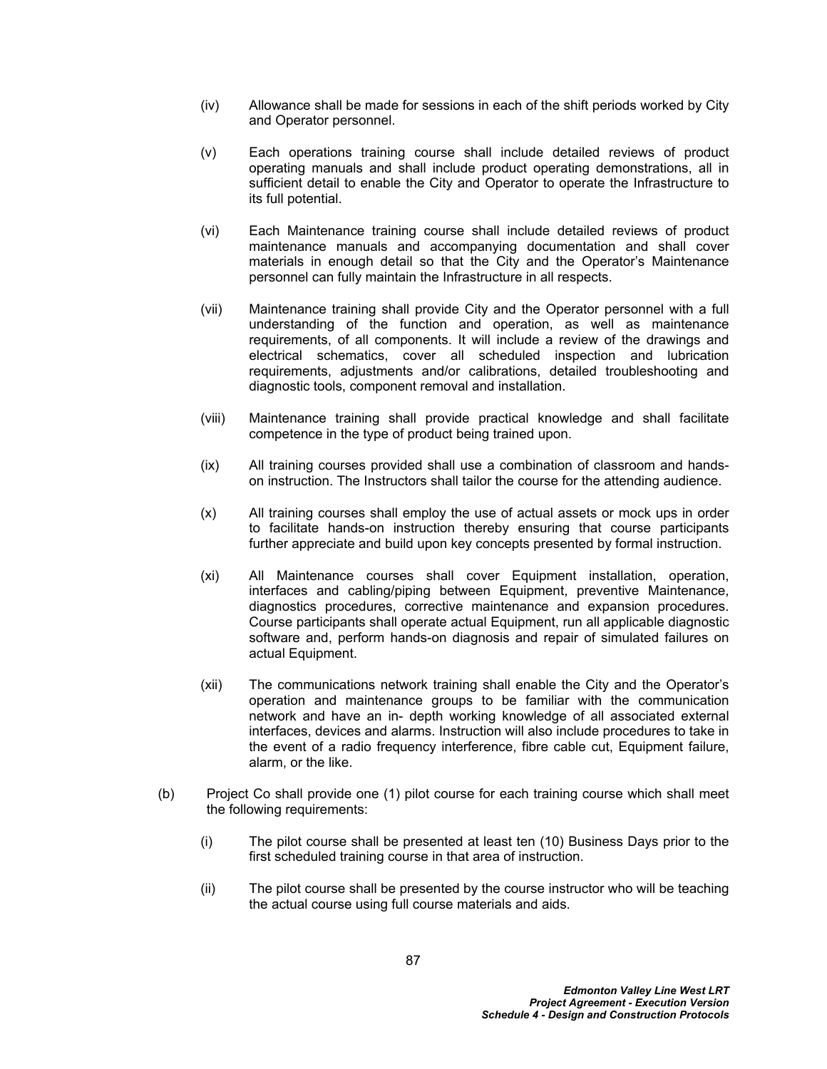- (iv) Allowance shall be made for sessions in each of the shift periods worked by City and Operator personnel.
- (v) Each operations training course shall include detailed reviews of product operating manuals and shall include product operating demonstrations, all in sufficient detail to enable the City and Operator to operate the Infrastructure to its full potential.
- (vi) Each Maintenance training course shall include detailed reviews of product maintenance manuals and accompanying documentation and shall cover materials in enough detail so that the City and the Operator's Maintenance personnel can fully maintain the Infrastructure in all respects.
- (vii) Maintenance training shall provide City and the Operator personnel with a full understanding of the function and operation, as well as maintenance requirements, of all components. It will include a review of the drawings and electrical schematics, cover all scheduled inspection and lubrication requirements, adjustments and/or calibrations, detailed troubleshooting and diagnostic tools, component removal and installation.
- (viii) Maintenance training shall provide practical knowledge and shall facilitate competence in the type of product being trained upon.
- (ix) All training courses provided shall use a combination of classroom and handson instruction. The Instructors shall tailor the course for the attending audience.
- (x) All training courses shall employ the use of actual assets or mock ups in order to facilitate hands-on instruction thereby ensuring that course participants further appreciate and build upon key concepts presented by formal instruction.
- (xi) All Maintenance courses shall cover Equipment installation, operation, interfaces and cabling/piping between Equipment, preventive Maintenance, diagnostics procedures, corrective maintenance and expansion procedures. Course participants shall operate actual Equipment, run all applicable diagnostic software and, perform hands-on diagnosis and repair of simulated failures on actual Equipment.
- (xii) The communications network training shall enable the City and the Operator's operation and maintenance groups to be familiar with the communication network and have an in- depth working knowledge of all associated external interfaces, devices and alarms. Instruction will also include procedures to take in the event of a radio frequency interference, fibre cable cut, Equipment failure, alarm, or the like.
- (b) Project Co shall provide one (1) pilot course for each training course which shall meet the following requirements:
	- (i) The pilot course shall be presented at least ten (10) Business Days prior to the first scheduled training course in that area of instruction.
	- (ii) The pilot course shall be presented by the course instructor who will be teaching the actual course using full course materials and aids.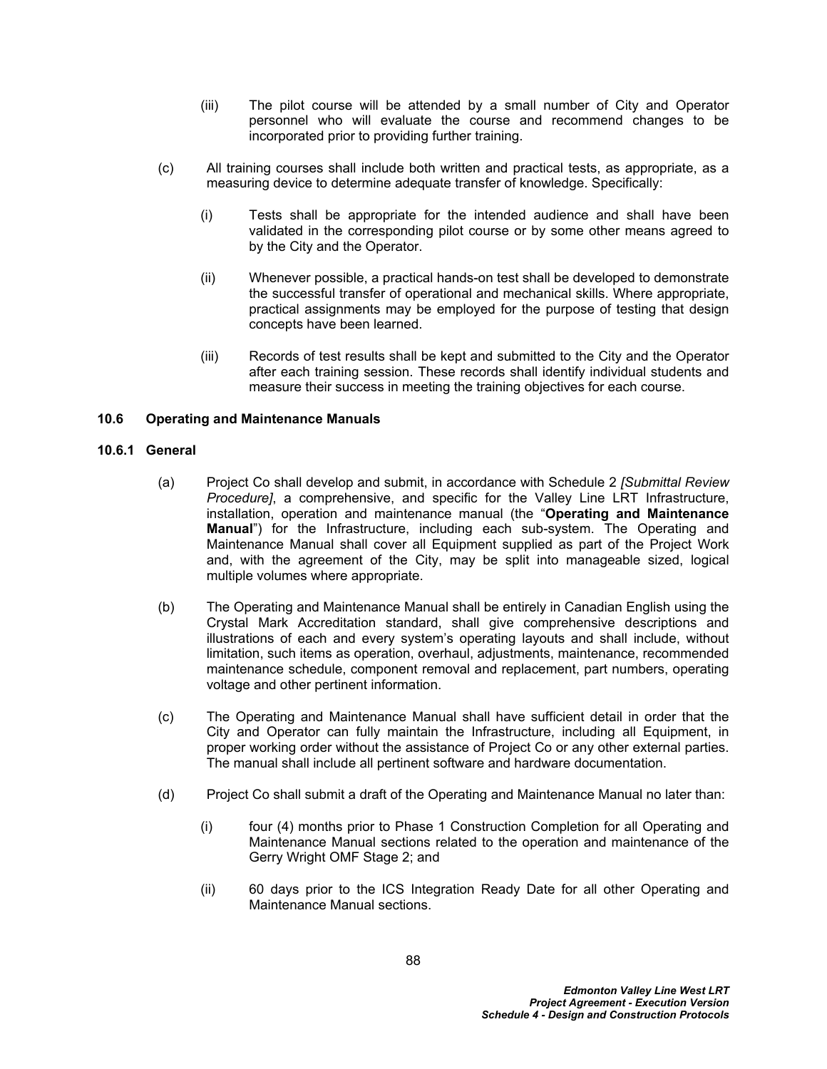- (iii) The pilot course will be attended by a small number of City and Operator personnel who will evaluate the course and recommend changes to be incorporated prior to providing further training.
- (c) All training courses shall include both written and practical tests, as appropriate, as a measuring device to determine adequate transfer of knowledge. Specifically:
	- (i) Tests shall be appropriate for the intended audience and shall have been validated in the corresponding pilot course or by some other means agreed to by the City and the Operator.
	- (ii) Whenever possible, a practical hands-on test shall be developed to demonstrate the successful transfer of operational and mechanical skills. Where appropriate, practical assignments may be employed for the purpose of testing that design concepts have been learned.
	- (iii) Records of test results shall be kept and submitted to the City and the Operator after each training session. These records shall identify individual students and measure their success in meeting the training objectives for each course.

# <span id="page-92-0"></span>**10.6 Operating and Maintenance Manuals**

## **10.6.1 General**

- (a) Project Co shall develop and submit, in accordance with Schedule 2 *[Submittal Review Procedure]*, a comprehensive, and specific for the Valley Line LRT Infrastructure, installation, operation and maintenance manual (the "**Operating and Maintenance Manual**") for the Infrastructure, including each sub-system. The Operating and Maintenance Manual shall cover all Equipment supplied as part of the Project Work and, with the agreement of the City, may be split into manageable sized, logical multiple volumes where appropriate.
- (b) The Operating and Maintenance Manual shall be entirely in Canadian English using the Crystal Mark Accreditation standard, shall give comprehensive descriptions and illustrations of each and every system's operating layouts and shall include, without limitation, such items as operation, overhaul, adjustments, maintenance, recommended maintenance schedule, component removal and replacement, part numbers, operating voltage and other pertinent information.
- (c) The Operating and Maintenance Manual shall have sufficient detail in order that the City and Operator can fully maintain the Infrastructure, including all Equipment, in proper working order without the assistance of Project Co or any other external parties. The manual shall include all pertinent software and hardware documentation.
- (d) Project Co shall submit a draft of the Operating and Maintenance Manual no later than:
	- (i) four (4) months prior to Phase 1 Construction Completion for all Operating and Maintenance Manual sections related to the operation and maintenance of the Gerry Wright OMF Stage 2; and
	- (ii) 60 days prior to the ICS Integration Ready Date for all other Operating and Maintenance Manual sections.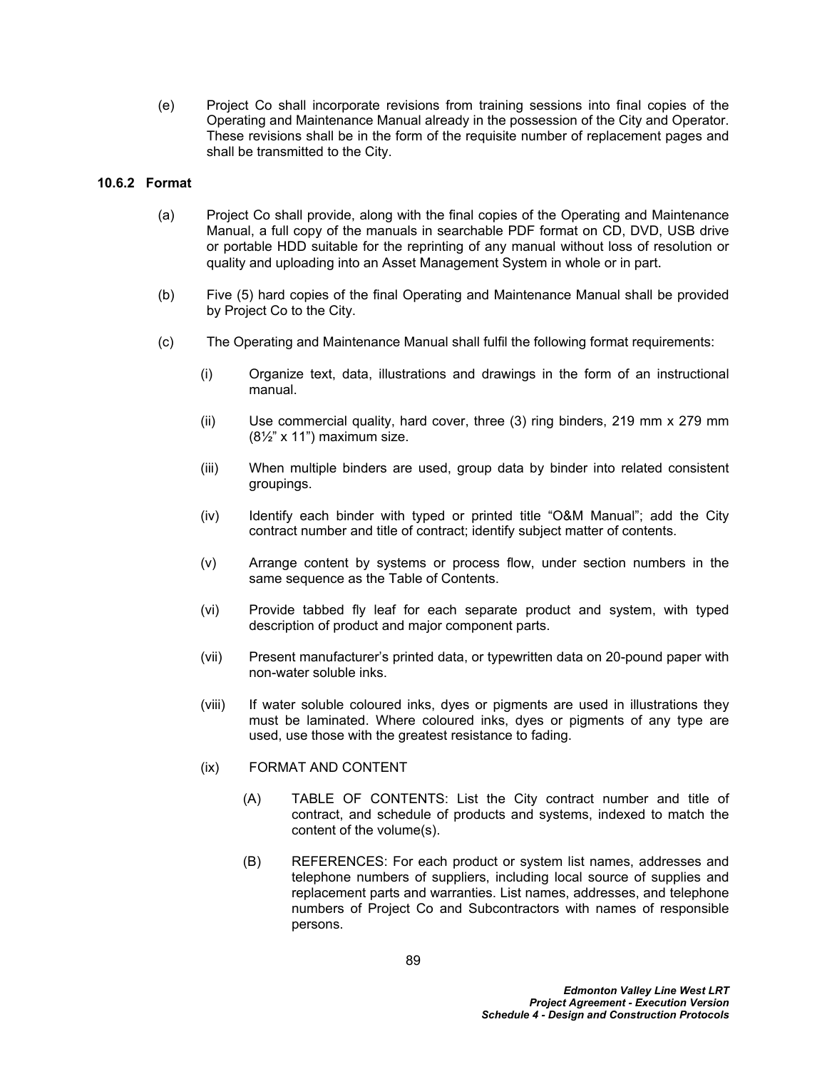(e) Project Co shall incorporate revisions from training sessions into final copies of the Operating and Maintenance Manual already in the possession of the City and Operator. These revisions shall be in the form of the requisite number of replacement pages and shall be transmitted to the City.

# **10.6.2 Format**

- (a) Project Co shall provide, along with the final copies of the Operating and Maintenance Manual, a full copy of the manuals in searchable PDF format on CD, DVD, USB drive or portable HDD suitable for the reprinting of any manual without loss of resolution or quality and uploading into an Asset Management System in whole or in part.
- (b) Five (5) hard copies of the final Operating and Maintenance Manual shall be provided by Project Co to the City.
- (c) The Operating and Maintenance Manual shall fulfil the following format requirements:
	- (i) Organize text, data, illustrations and drawings in the form of an instructional manual.
	- (ii) Use commercial quality, hard cover, three (3) ring binders, 219 mm x 279 mm  $(8\frac{1}{2}$ " x 11") maximum size.
	- (iii) When multiple binders are used, group data by binder into related consistent groupings.
	- (iv) Identify each binder with typed or printed title "O&M Manual"; add the City contract number and title of contract; identify subject matter of contents.
	- (v) Arrange content by systems or process flow, under section numbers in the same sequence as the Table of Contents.
	- (vi) Provide tabbed fly leaf for each separate product and system, with typed description of product and major component parts.
	- (vii) Present manufacturer's printed data, or typewritten data on 20-pound paper with non-water soluble inks.
	- (viii) If water soluble coloured inks, dyes or pigments are used in illustrations they must be laminated. Where coloured inks, dyes or pigments of any type are used, use those with the greatest resistance to fading.

## (ix) FORMAT AND CONTENT

- (A) TABLE OF CONTENTS: List the City contract number and title of contract, and schedule of products and systems, indexed to match the content of the volume(s).
- (B) REFERENCES: For each product or system list names, addresses and telephone numbers of suppliers, including local source of supplies and replacement parts and warranties. List names, addresses, and telephone numbers of Project Co and Subcontractors with names of responsible persons.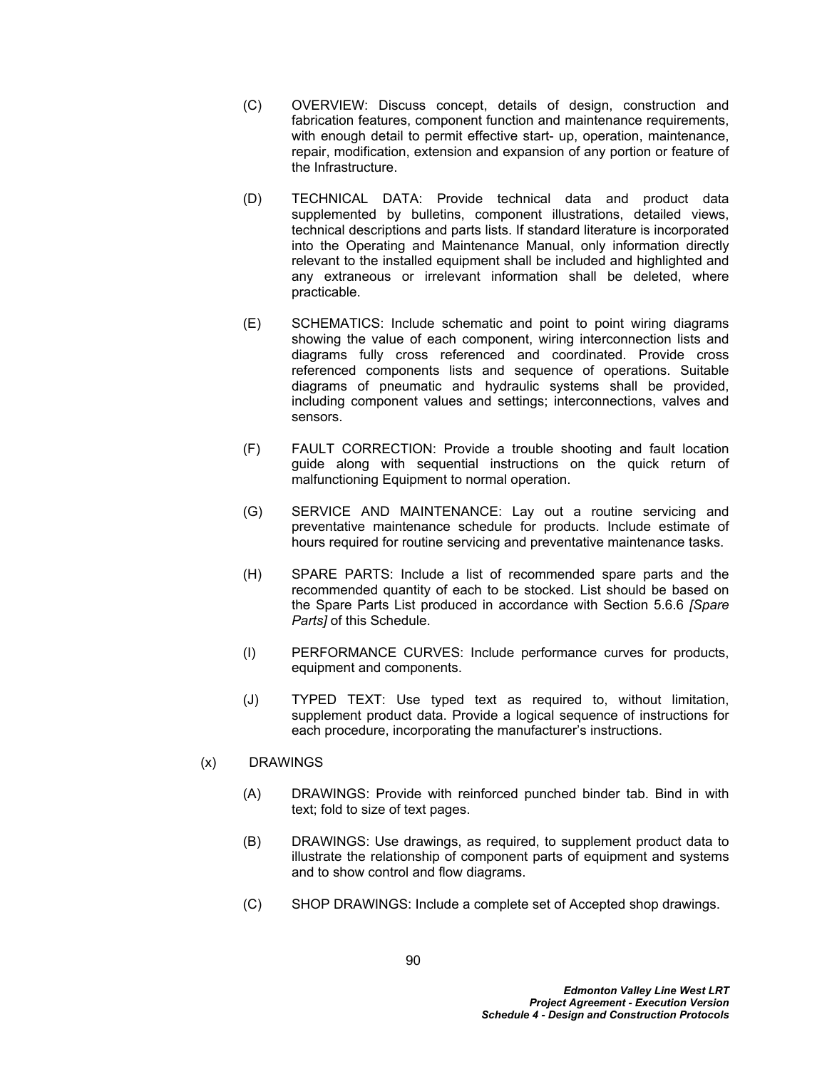- (C) OVERVIEW: Discuss concept, details of design, construction and fabrication features, component function and maintenance requirements, with enough detail to permit effective start- up, operation, maintenance, repair, modification, extension and expansion of any portion or feature of the Infrastructure.
- (D) TECHNICAL DATA: Provide technical data and product data supplemented by bulletins, component illustrations, detailed views, technical descriptions and parts lists. If standard literature is incorporated into the Operating and Maintenance Manual, only information directly relevant to the installed equipment shall be included and highlighted and any extraneous or irrelevant information shall be deleted, where practicable.
- (E) SCHEMATICS: Include schematic and point to point wiring diagrams showing the value of each component, wiring interconnection lists and diagrams fully cross referenced and coordinated. Provide cross referenced components lists and sequence of operations. Suitable diagrams of pneumatic and hydraulic systems shall be provided, including component values and settings; interconnections, valves and sensors.
- (F) FAULT CORRECTION: Provide a trouble shooting and fault location guide along with sequential instructions on the quick return of malfunctioning Equipment to normal operation.
- (G) SERVICE AND MAINTENANCE: Lay out a routine servicing and preventative maintenance schedule for products. Include estimate of hours required for routine servicing and preventative maintenance tasks.
- (H) SPARE PARTS: Include a list of recommended spare parts and the recommended quantity of each to be stocked. List should be based on the Spare Parts List produced in accordance with Section 5.6.6 *[Spare Parts]* of this Schedule.
- (I) PERFORMANCE CURVES: Include performance curves for products, equipment and components.
- (J) TYPED TEXT: Use typed text as required to, without limitation, supplement product data. Provide a logical sequence of instructions for each procedure, incorporating the manufacturer's instructions.

## (x) DRAWINGS

- (A) DRAWINGS: Provide with reinforced punched binder tab. Bind in with text; fold to size of text pages.
- (B) DRAWINGS: Use drawings, as required, to supplement product data to illustrate the relationship of component parts of equipment and systems and to show control and flow diagrams.
- (C) SHOP DRAWINGS: Include a complete set of Accepted shop drawings.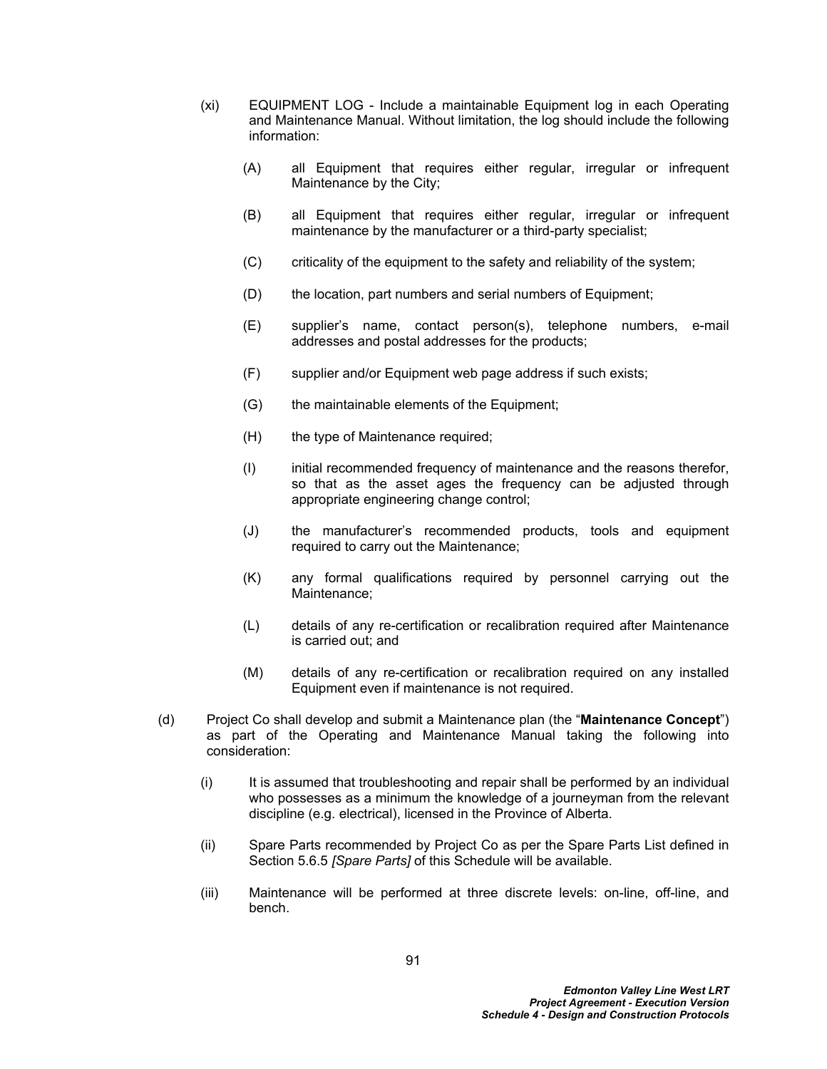- (xi) EQUIPMENT LOG Include a maintainable Equipment log in each Operating and Maintenance Manual. Without limitation, the log should include the following information:
	- (A) all Equipment that requires either regular, irregular or infrequent Maintenance by the City;
	- (B) all Equipment that requires either regular, irregular or infrequent maintenance by the manufacturer or a third-party specialist;
	- (C) criticality of the equipment to the safety and reliability of the system;
	- (D) the location, part numbers and serial numbers of Equipment;
	- (E) supplier's name, contact person(s), telephone numbers, e-mail addresses and postal addresses for the products;
	- (F) supplier and/or Equipment web page address if such exists;
	- (G) the maintainable elements of the Equipment;
	- (H) the type of Maintenance required;
	- (I) initial recommended frequency of maintenance and the reasons therefor, so that as the asset ages the frequency can be adjusted through appropriate engineering change control;
	- (J) the manufacturer's recommended products, tools and equipment required to carry out the Maintenance;
	- (K) any formal qualifications required by personnel carrying out the Maintenance;
	- (L) details of any re-certification or recalibration required after Maintenance is carried out; and
	- (M) details of any re-certification or recalibration required on any installed Equipment even if maintenance is not required.
- (d) Project Co shall develop and submit a Maintenance plan (the "**Maintenance Concept**") as part of the Operating and Maintenance Manual taking the following into consideration:
	- (i) It is assumed that troubleshooting and repair shall be performed by an individual who possesses as a minimum the knowledge of a journeyman from the relevant discipline (e.g. electrical), licensed in the Province of Alberta.
	- (ii) Spare Parts recommended by Project Co as per the Spare Parts List defined in Section [5.6.5](#page-32-0) *[Spare Parts]* of this Schedule will be available.
	- (iii) Maintenance will be performed at three discrete levels: on-line, off-line, and bench.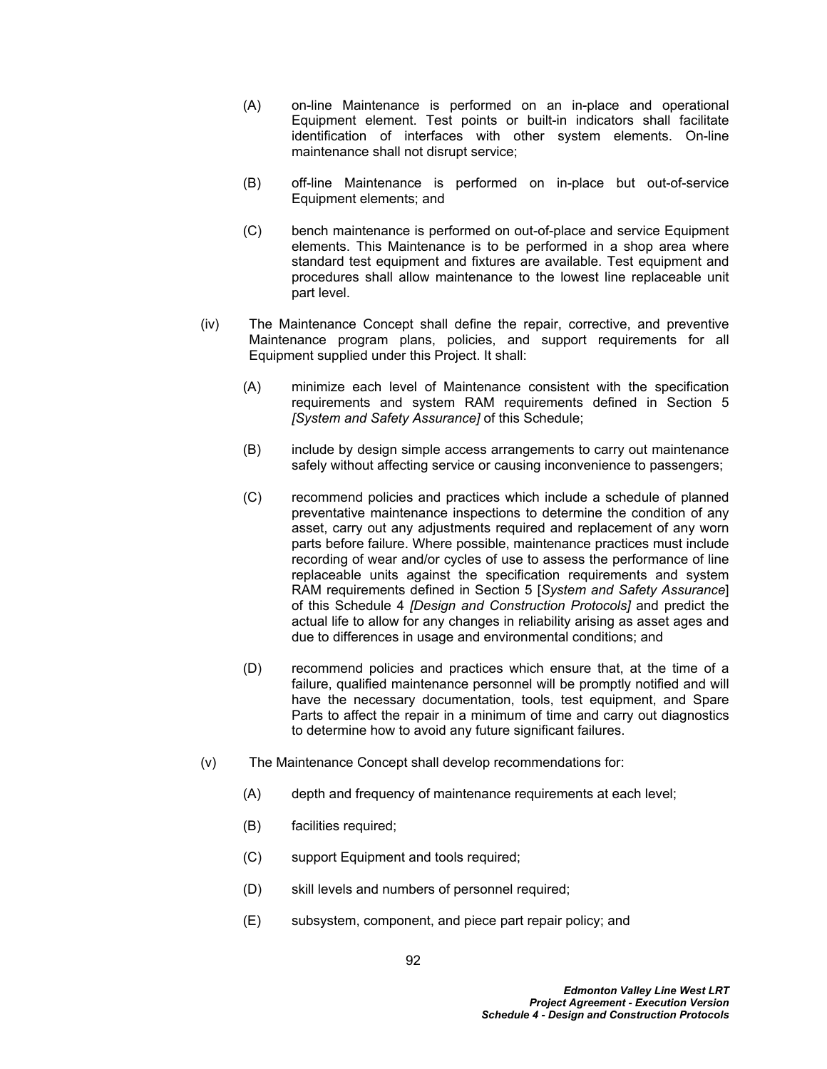- (A) on-line Maintenance is performed on an in-place and operational Equipment element. Test points or built-in indicators shall facilitate identification of interfaces with other system elements. On-line maintenance shall not disrupt service;
- (B) off-line Maintenance is performed on in-place but out-of-service Equipment elements; and
- (C) bench maintenance is performed on out-of-place and service Equipment elements. This Maintenance is to be performed in a shop area where standard test equipment and fixtures are available. Test equipment and procedures shall allow maintenance to the lowest line replaceable unit part level.
- (iv) The Maintenance Concept shall define the repair, corrective, and preventive Maintenance program plans, policies, and support requirements for all Equipment supplied under this Project. It shall:
	- (A) minimize each level of Maintenance consistent with the specification requirements and system RAM requirements defined in Section 5 *[System and Safety Assurance]* of this Schedule;
	- (B) include by design simple access arrangements to carry out maintenance safely without affecting service or causing inconvenience to passengers;
	- (C) recommend policies and practices which include a schedule of planned preventative maintenance inspections to determine the condition of any asset, carry out any adjustments required and replacement of any worn parts before failure. Where possible, maintenance practices must include recording of wear and/or cycles of use to assess the performance of line replaceable units against the specification requirements and system RAM requirements defined in Section [5](#page-18-0) [*System and Safety Assurance*] of this Schedule 4 *[Design and Construction Protocols]* and predict the actual life to allow for any changes in reliability arising as asset ages and due to differences in usage and environmental conditions; and
	- (D) recommend policies and practices which ensure that, at the time of a failure, qualified maintenance personnel will be promptly notified and will have the necessary documentation, tools, test equipment, and Spare Parts to affect the repair in a minimum of time and carry out diagnostics to determine how to avoid any future significant failures.
- (v) The Maintenance Concept shall develop recommendations for:
	- (A) depth and frequency of maintenance requirements at each level;
	- (B) facilities required;
	- (C) support Equipment and tools required;
	- (D) skill levels and numbers of personnel required;
	- (E) subsystem, component, and piece part repair policy; and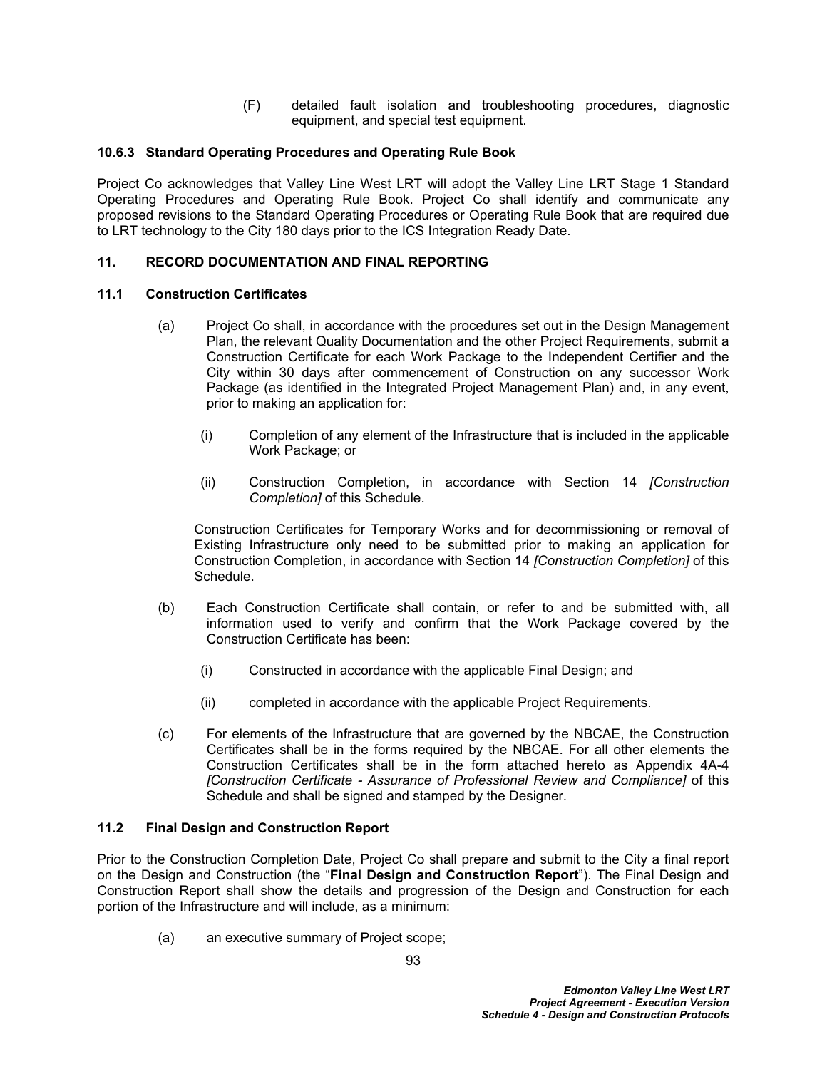(F) detailed fault isolation and troubleshooting procedures, diagnostic equipment, and special test equipment.

# **10.6.3 Standard Operating Procedures and Operating Rule Book**

Project Co acknowledges that Valley Line West LRT will adopt the Valley Line LRT Stage 1 Standard Operating Procedures and Operating Rule Book. Project Co shall identify and communicate any proposed revisions to the Standard Operating Procedures or Operating Rule Book that are required due to LRT technology to the City 180 days prior to the ICS Integration Ready Date.

# **11. RECORD DOCUMENTATION AND FINAL REPORTING**

## **11.1 Construction Certificates**

- (a) Project Co shall, in accordance with the procedures set out in the Design Management Plan, the relevant Quality Documentation and the other Project Requirements, submit a Construction Certificate for each Work Package to the Independent Certifier and the City within 30 days after commencement of Construction on any successor Work Package (as identified in the Integrated Project Management Plan) and, in any event, prior to making an application for:
	- (i) Completion of any element of the Infrastructure that is included in the applicable Work Package; or
	- (ii) Construction Completion, in accordance with Section [14](#page-112-0) *[Construction Completion]* of this Schedule.

Construction Certificates for Temporary Works and for decommissioning or removal of Existing Infrastructure only need to be submitted prior to making an application for Construction Completion, in accordance with Section [14](#page-112-0) *[Construction Completion]* of this Schedule.

- (b) Each Construction Certificate shall contain, or refer to and be submitted with, all information used to verify and confirm that the Work Package covered by the Construction Certificate has been:
	- (i) Constructed in accordance with the applicable Final Design; and
	- (ii) completed in accordance with the applicable Project Requirements.
- (c) For elements of the Infrastructure that are governed by the NBCAE, the Construction Certificates shall be in the forms required by the NBCAE. For all other elements the Construction Certificates shall be in the form attached hereto as Appendix 4A-4 *[Construction Certificate - Assurance of Professional Review and Compliance]* of this Schedule and shall be signed and stamped by the Designer.

## **11.2 Final Design and Construction Report**

Prior to the Construction Completion Date, Project Co shall prepare and submit to the City a final report on the Design and Construction (the "**Final Design and Construction Report**"). The Final Design and Construction Report shall show the details and progression of the Design and Construction for each portion of the Infrastructure and will include, as a minimum:

(a) an executive summary of Project scope;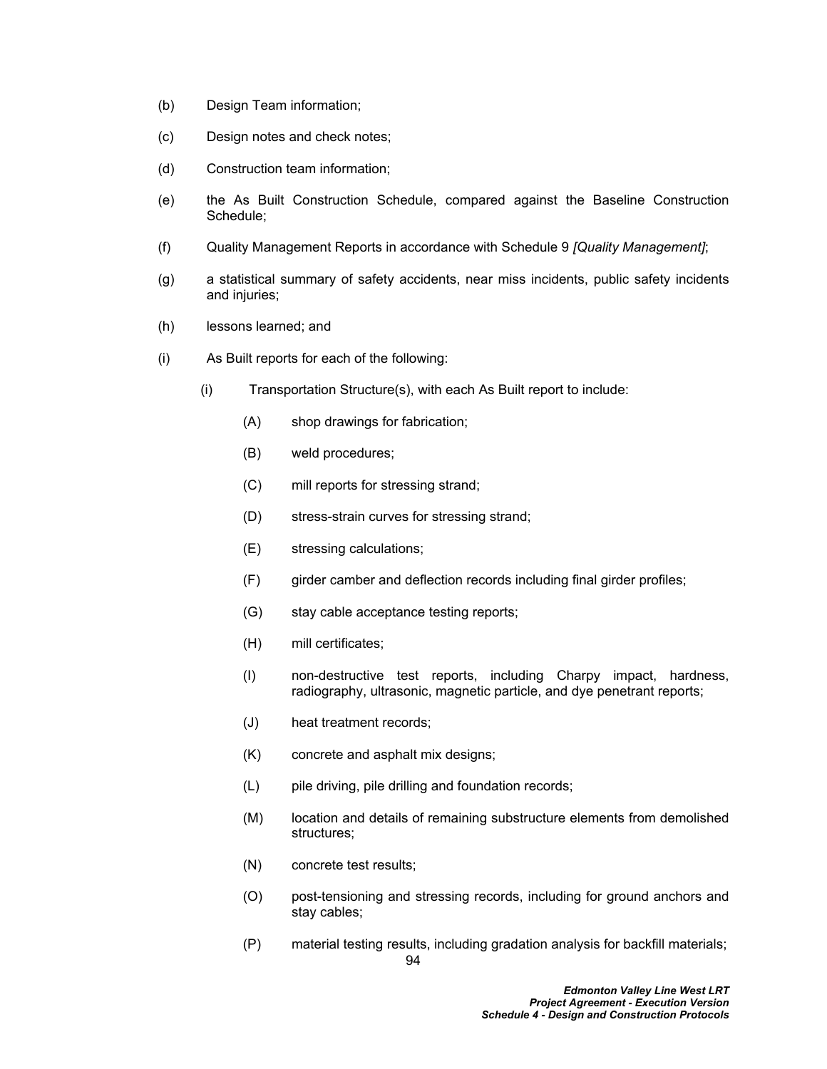- (b) Design Team information;
- (c) Design notes and check notes;
- (d) Construction team information;
- (e) the As Built Construction Schedule, compared against the Baseline Construction Schedule;
- (f) Quality Management Reports in accordance with Schedule 9 *[Quality Management]*;
- (g) a statistical summary of safety accidents, near miss incidents, public safety incidents and injuries;
- (h) lessons learned; and
- (i) As Built reports for each of the following:
	- (i) Transportation Structure(s), with each As Built report to include:
		- (A) shop drawings for fabrication;
		- (B) weld procedures;
		- (C) mill reports for stressing strand;
		- (D) stress-strain curves for stressing strand;
		- (E) stressing calculations;
		- (F) girder camber and deflection records including final girder profiles;
		- (G) stay cable acceptance testing reports;
		- (H) mill certificates;
		- (I) non-destructive test reports, including Charpy impact, hardness, radiography, ultrasonic, magnetic particle, and dye penetrant reports;
		- (J) heat treatment records;
		- (K) concrete and asphalt mix designs;
		- (L) pile driving, pile drilling and foundation records;
		- (M) location and details of remaining substructure elements from demolished structures;
		- (N) concrete test results;
		- (O) post-tensioning and stressing records, including for ground anchors and stay cables;
		- 94 (P) material testing results, including gradation analysis for backfill materials;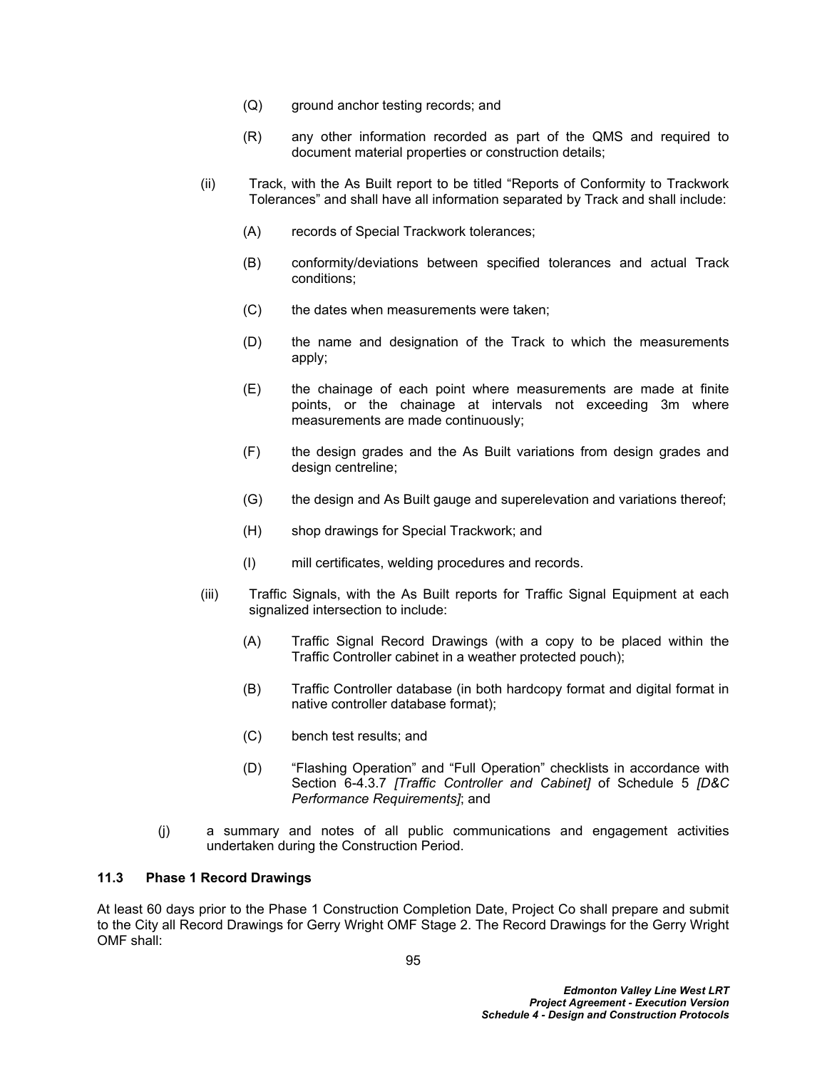- (Q) ground anchor testing records; and
- (R) any other information recorded as part of the QMS and required to document material properties or construction details;
- (ii) Track, with the As Built report to be titled "Reports of Conformity to Trackwork Tolerances" and shall have all information separated by Track and shall include:
	- (A) records of Special Trackwork tolerances;
	- (B) conformity/deviations between specified tolerances and actual Track conditions;
	- (C) the dates when measurements were taken;
	- (D) the name and designation of the Track to which the measurements apply;
	- (E) the chainage of each point where measurements are made at finite points, or the chainage at intervals not exceeding 3m where measurements are made continuously;
	- (F) the design grades and the As Built variations from design grades and design centreline;
	- (G) the design and As Built gauge and superelevation and variations thereof;
	- (H) shop drawings for Special Trackwork; and
	- (I) mill certificates, welding procedures and records.
- (iii) Traffic Signals, with the As Built reports for Traffic Signal Equipment at each signalized intersection to include:
	- (A) Traffic Signal Record Drawings (with a copy to be placed within the Traffic Controller cabinet in a weather protected pouch);
	- (B) Traffic Controller database (in both hardcopy format and digital format in native controller database format);
	- (C) bench test results; and
	- (D) "Flashing Operation" and "Full Operation" checklists in accordance with Section 6-4.3.7 *[Traffic Controller and Cabinet]* of Schedule 5 *[D&C Performance Requirements]*; and
- (j) a summary and notes of all public communications and engagement activities undertaken during the Construction Period.

# **11.3 Phase 1 Record Drawings**

At least 60 days prior to the Phase 1 Construction Completion Date, Project Co shall prepare and submit to the City all Record Drawings for Gerry Wright OMF Stage 2. The Record Drawings for the Gerry Wright OMF shall: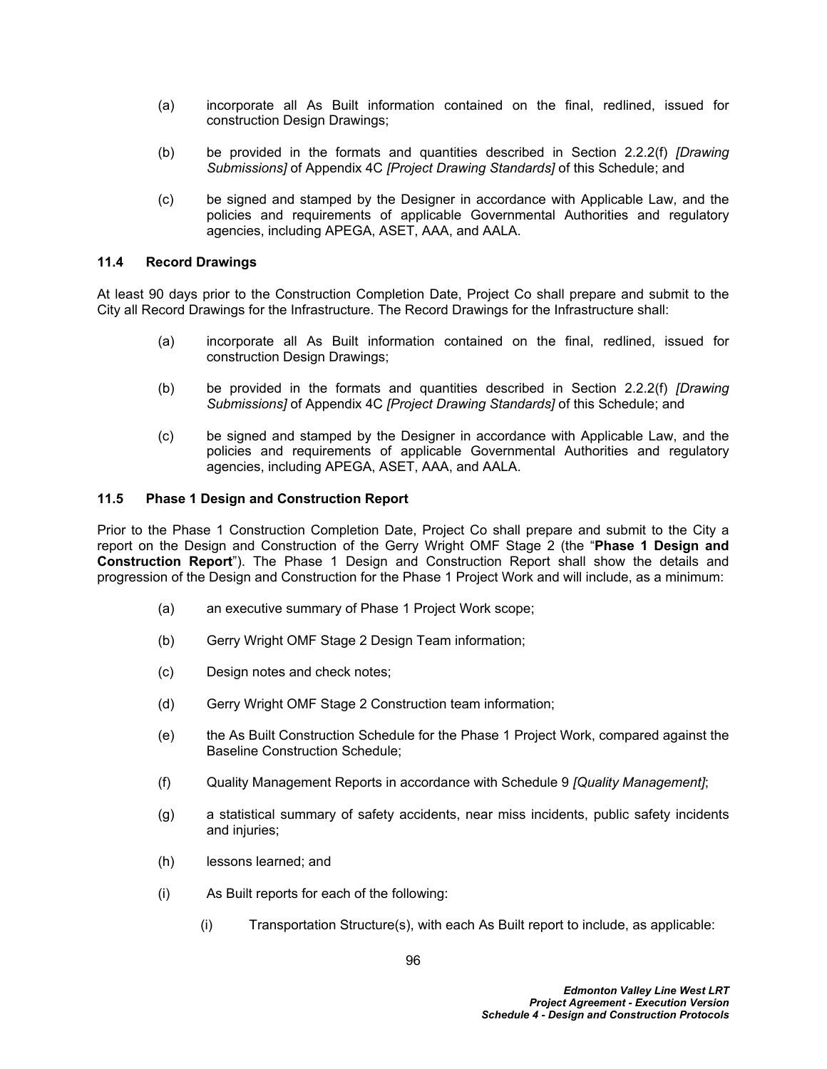- (a) incorporate all As Built information contained on the final, redlined, issued for construction Design Drawings;
- (b) be provided in the formats and quantities described in Section 2.2.2(f) *[Drawing Submissions]* of Appendix 4C *[Project Drawing Standards]* of this Schedule; and
- (c) be signed and stamped by the Designer in accordance with Applicable Law, and the policies and requirements of applicable Governmental Authorities and regulatory agencies, including APEGA, ASET, AAA, and AALA.

# **11.4 Record Drawings**

At least 90 days prior to the Construction Completion Date, Project Co shall prepare and submit to the City all Record Drawings for the Infrastructure. The Record Drawings for the Infrastructure shall:

- (a) incorporate all As Built information contained on the final, redlined, issued for construction Design Drawings;
- (b) be provided in the formats and quantities described in Section 2.2.2(f) *[Drawing Submissions]* of Appendix 4C *[Project Drawing Standards]* of this Schedule; and
- (c) be signed and stamped by the Designer in accordance with Applicable Law, and the policies and requirements of applicable Governmental Authorities and regulatory agencies, including APEGA, ASET, AAA, and AALA.

# **11.5 Phase 1 Design and Construction Report**

Prior to the Phase 1 Construction Completion Date, Project Co shall prepare and submit to the City a report on the Design and Construction of the Gerry Wright OMF Stage 2 (the "**Phase 1 Design and Construction Report**"). The Phase 1 Design and Construction Report shall show the details and progression of the Design and Construction for the Phase 1 Project Work and will include, as a minimum:

- (a) an executive summary of Phase 1 Project Work scope;
- (b) Gerry Wright OMF Stage 2 Design Team information;
- (c) Design notes and check notes;
- (d) Gerry Wright OMF Stage 2 Construction team information;
- (e) the As Built Construction Schedule for the Phase 1 Project Work, compared against the Baseline Construction Schedule;
- (f) Quality Management Reports in accordance with Schedule 9 *[Quality Management]*;
- (g) a statistical summary of safety accidents, near miss incidents, public safety incidents and injuries;
- (h) lessons learned; and
- (i) As Built reports for each of the following:
	- (i) Transportation Structure(s), with each As Built report to include, as applicable: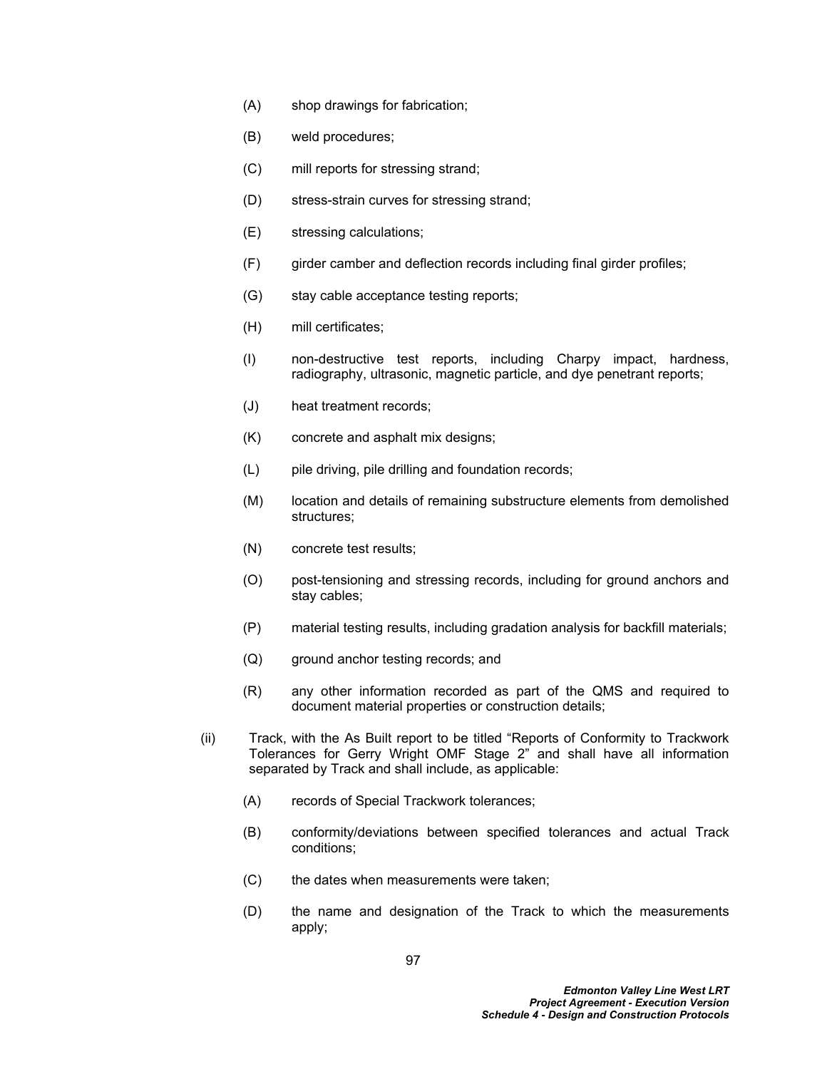- (A) shop drawings for fabrication;
- (B) weld procedures;
- (C) mill reports for stressing strand;
- (D) stress-strain curves for stressing strand;
- (E) stressing calculations;
- (F) girder camber and deflection records including final girder profiles;
- (G) stay cable acceptance testing reports;
- (H) mill certificates;
- (I) non-destructive test reports, including Charpy impact, hardness, radiography, ultrasonic, magnetic particle, and dye penetrant reports;
- (J) heat treatment records;
- (K) concrete and asphalt mix designs;
- (L) pile driving, pile drilling and foundation records;
- (M) location and details of remaining substructure elements from demolished structures;
- (N) concrete test results;
- (O) post-tensioning and stressing records, including for ground anchors and stay cables;
- (P) material testing results, including gradation analysis for backfill materials;
- (Q) ground anchor testing records; and
- (R) any other information recorded as part of the QMS and required to document material properties or construction details;
- (ii) Track, with the As Built report to be titled "Reports of Conformity to Trackwork Tolerances for Gerry Wright OMF Stage 2" and shall have all information separated by Track and shall include, as applicable:
	- (A) records of Special Trackwork tolerances;
	- (B) conformity/deviations between specified tolerances and actual Track conditions;
	- (C) the dates when measurements were taken;
	- (D) the name and designation of the Track to which the measurements apply;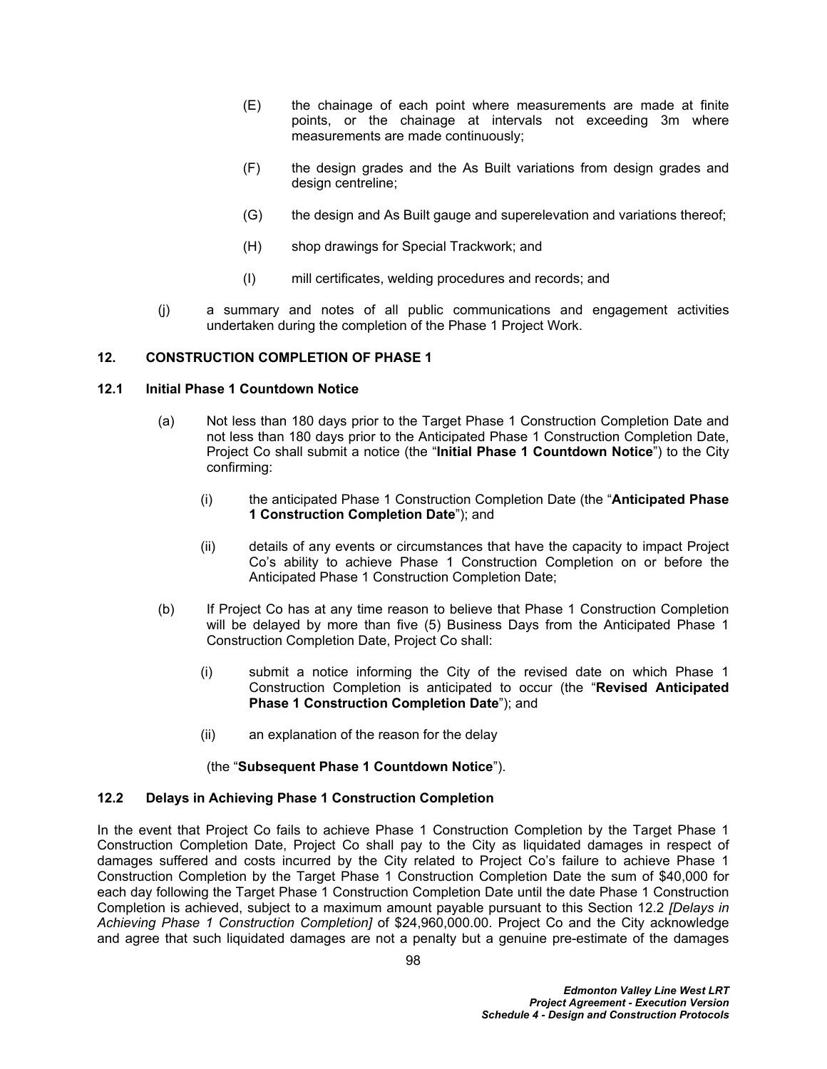- (E) the chainage of each point where measurements are made at finite points, or the chainage at intervals not exceeding 3m where measurements are made continuously;
- (F) the design grades and the As Built variations from design grades and design centreline;
- (G) the design and As Built gauge and superelevation and variations thereof;
- (H) shop drawings for Special Trackwork; and
- (I) mill certificates, welding procedures and records; and
- (j) a summary and notes of all public communications and engagement activities undertaken during the completion of the Phase 1 Project Work.

# **12. CONSTRUCTION COMPLETION OF PHASE 1**

## **12.1 Initial Phase 1 Countdown Notice**

- (a) Not less than 180 days prior to the Target Phase 1 Construction Completion Date and not less than 180 days prior to the Anticipated Phase 1 Construction Completion Date, Project Co shall submit a notice (the "**Initial Phase 1 Countdown Notice**") to the City confirming:
	- (i) the anticipated Phase 1 Construction Completion Date (the "**Anticipated Phase 1 Construction Completion Date**"); and
	- (ii) details of any events or circumstances that have the capacity to impact Project Co's ability to achieve Phase 1 Construction Completion on or before the Anticipated Phase 1 Construction Completion Date;
- (b) If Project Co has at any time reason to believe that Phase 1 Construction Completion will be delayed by more than five (5) Business Days from the Anticipated Phase 1 Construction Completion Date, Project Co shall:
	- (i) submit a notice informing the City of the revised date on which Phase 1 Construction Completion is anticipated to occur (the "**Revised Anticipated Phase 1 Construction Completion Date**"); and
	- (ii) an explanation of the reason for the delay

## (the "**Subsequent Phase 1 Countdown Notice**").

## <span id="page-102-0"></span>**12.2 Delays in Achieving Phase 1 Construction Completion**

In the event that Project Co fails to achieve Phase 1 Construction Completion by the Target Phase 1 Construction Completion Date, Project Co shall pay to the City as liquidated damages in respect of damages suffered and costs incurred by the City related to Project Co's failure to achieve Phase 1 Construction Completion by the Target Phase 1 Construction Completion Date the sum of \$40,000 for each day following the Target Phase 1 Construction Completion Date until the date Phase 1 Construction Completion is achieved, subject to a maximum amount payable pursuant to this Section [12.2](#page-102-0) *[Delays in Achieving Phase 1 Construction Completion]* of \$24,960,000.00. Project Co and the City acknowledge and agree that such liquidated damages are not a penalty but a genuine pre-estimate of the damages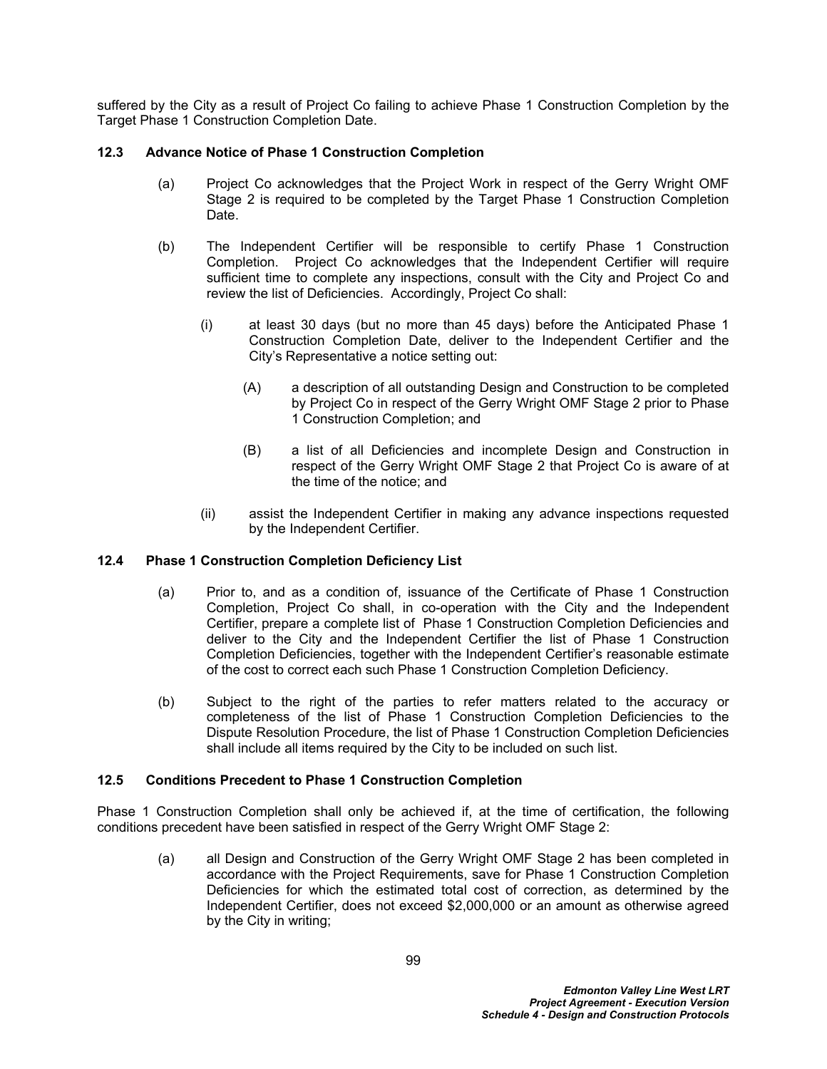suffered by the City as a result of Project Co failing to achieve Phase 1 Construction Completion by the Target Phase 1 Construction Completion Date.

# <span id="page-103-1"></span>**12.3 Advance Notice of Phase 1 Construction Completion**

- (a) Project Co acknowledges that the Project Work in respect of the Gerry Wright OMF Stage 2 is required to be completed by the Target Phase 1 Construction Completion Date.
- (b) The Independent Certifier will be responsible to certify Phase 1 Construction Completion. Project Co acknowledges that the Independent Certifier will require sufficient time to complete any inspections, consult with the City and Project Co and review the list of Deficiencies. Accordingly, Project Co shall:
	- (i) at least 30 days (but no more than 45 days) before the Anticipated Phase 1 Construction Completion Date, deliver to the Independent Certifier and the City's Representative a notice setting out:
		- (A) a description of all outstanding Design and Construction to be completed by Project Co in respect of the Gerry Wright OMF Stage 2 prior to Phase 1 Construction Completion; and
		- (B) a list of all Deficiencies and incomplete Design and Construction in respect of the Gerry Wright OMF Stage 2 that Project Co is aware of at the time of the notice; and
	- (ii) assist the Independent Certifier in making any advance inspections requested by the Independent Certifier.

# **12.4 Phase 1 Construction Completion Deficiency List**

- (a) Prior to, and as a condition of, issuance of the Certificate of Phase 1 Construction Completion, Project Co shall, in co-operation with the City and the Independent Certifier, prepare a complete list of Phase 1 Construction Completion Deficiencies and deliver to the City and the Independent Certifier the list of Phase 1 Construction Completion Deficiencies, together with the Independent Certifier's reasonable estimate of the cost to correct each such Phase 1 Construction Completion Deficiency.
- (b) Subject to the right of the parties to refer matters related to the accuracy or completeness of the list of Phase 1 Construction Completion Deficiencies to the Dispute Resolution Procedure, the list of Phase 1 Construction Completion Deficiencies shall include all items required by the City to be included on such list.

## <span id="page-103-0"></span>**12.5 Conditions Precedent to Phase 1 Construction Completion**

Phase 1 Construction Completion shall only be achieved if, at the time of certification, the following conditions precedent have been satisfied in respect of the Gerry Wright OMF Stage 2:

(a) all Design and Construction of the Gerry Wright OMF Stage 2 has been completed in accordance with the Project Requirements, save for Phase 1 Construction Completion Deficiencies for which the estimated total cost of correction, as determined by the Independent Certifier, does not exceed \$2,000,000 or an amount as otherwise agreed by the City in writing;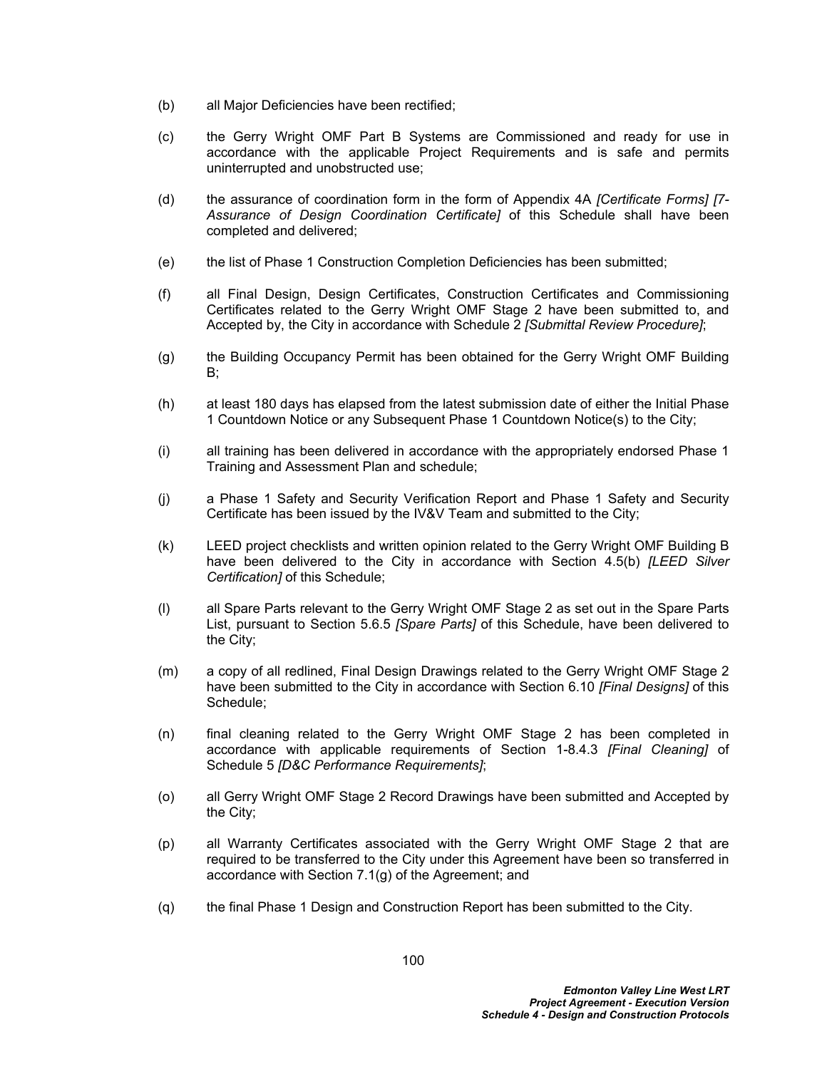- (b) all Major Deficiencies have been rectified;
- (c) the Gerry Wright OMF Part B Systems are Commissioned and ready for use in accordance with the applicable Project Requirements and is safe and permits uninterrupted and unobstructed use;
- (d) the assurance of coordination form in the form of Appendix 4A *[Certificate Forms] [7- Assurance of Design Coordination Certificate]* of this Schedule shall have been completed and delivered;
- (e) the list of Phase 1 Construction Completion Deficiencies has been submitted;
- (f) all Final Design, Design Certificates, Construction Certificates and Commissioning Certificates related to the Gerry Wright OMF Stage 2 have been submitted to, and Accepted by, the City in accordance with Schedule 2 *[Submittal Review Procedure]*;
- (g) the Building Occupancy Permit has been obtained for the Gerry Wright OMF Building B;
- (h) at least 180 days has elapsed from the latest submission date of either the Initial Phase 1 Countdown Notice or any Subsequent Phase 1 Countdown Notice(s) to the City;
- (i) all training has been delivered in accordance with the appropriately endorsed Phase 1 Training and Assessment Plan and schedule;
- (j) a Phase 1 Safety and Security Verification Report and Phase 1 Safety and Security Certificate has been issued by the IV&V Team and submitted to the City;
- (k) LEED project checklists and written opinion related to the Gerry Wright OMF Building B have been delivered to the City in accordance with Section [4.5\(b\)](#page-13-0) *[LEED Silver Certification]* of this Schedule;
- (l) all Spare Parts relevant to the Gerry Wright OMF Stage 2 as set out in the Spare Parts List, pursuant to Section [5.6.5](#page-32-0) *[Spare Parts]* of this Schedule, have been delivered to the City;
- (m) a copy of all redlined, Final Design Drawings related to the Gerry Wright OMF Stage 2 have been submitted to the City in accordance with Section [6.10](#page-50-0) *[Final Designs]* of this Schedule;
- (n) final cleaning related to the Gerry Wright OMF Stage 2 has been completed in accordance with applicable requirements of Section 1-8.4.3 *[Final Cleaning]* of Schedule 5 *[D&C Performance Requirements]*;
- (o) all Gerry Wright OMF Stage 2 Record Drawings have been submitted and Accepted by the City;
- (p) all Warranty Certificates associated with the Gerry Wright OMF Stage 2 that are required to be transferred to the City under this Agreement have been so transferred in accordance with Section 7.1(g) of the Agreement; and
- (q) the final Phase 1 Design and Construction Report has been submitted to the City.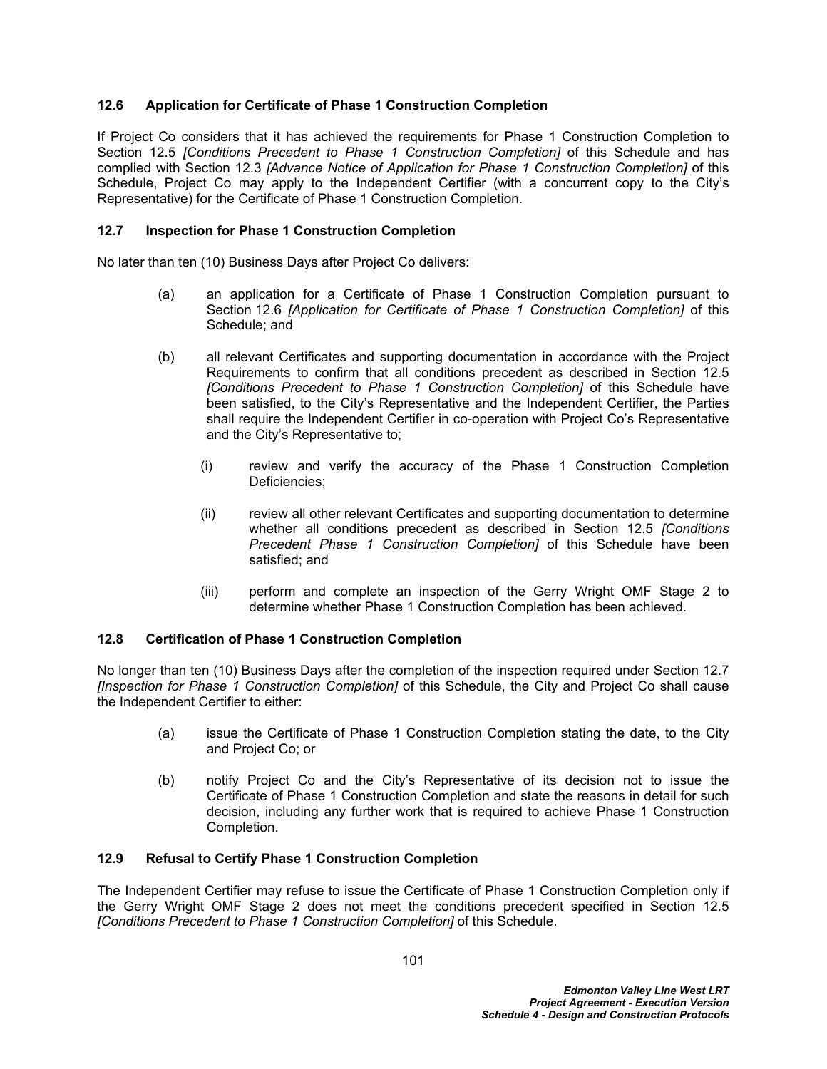# <span id="page-105-0"></span>**12.6 Application for Certificate of Phase 1 Construction Completion**

If Project Co considers that it has achieved the requirements for Phase 1 Construction Completion to Section [12.5](#page-103-0) *[Conditions Precedent to Phase 1 Construction Completion]* of this Schedule and has complied with Section [12.3](#page-103-1) *[Advance Notice of Application for Phase 1 Construction Completion]* of this Schedule, Project Co may apply to the Independent Certifier (with a concurrent copy to the City's Representative) for the Certificate of Phase 1 Construction Completion.

## <span id="page-105-1"></span>**12.7 Inspection for Phase 1 Construction Completion**

No later than ten (10) Business Days after Project Co delivers:

- (a) an application for a Certificate of Phase 1 Construction Completion pursuant to Section [12.6](#page-105-0) *[Application for Certificate of Phase 1 Construction Completion]* of this Schedule; and
- (b) all relevant Certificates and supporting documentation in accordance with the Project Requirements to confirm that all conditions precedent as described in Section [12.5](#page-103-0)  *[Conditions Precedent to Phase 1 Construction Completion]* of this Schedule have been satisfied, to the City's Representative and the Independent Certifier, the Parties shall require the Independent Certifier in co-operation with Project Co's Representative and the City's Representative to;
	- (i) review and verify the accuracy of the Phase 1 Construction Completion Deficiencies;
	- (ii) review all other relevant Certificates and supporting documentation to determine whether all conditions precedent as described in Section [12.5](#page-103-0) *[Conditions Precedent Phase 1 Construction Completion]* of this Schedule have been satisfied; and
	- (iii) perform and complete an inspection of the Gerry Wright OMF Stage 2 to determine whether Phase 1 Construction Completion has been achieved.

## **12.8 Certification of Phase 1 Construction Completion**

No longer than ten (10) Business Days after the completion of the inspection required under Section [12.7](#page-105-1)  *[Inspection for Phase 1 Construction Completion]* of this Schedule, the City and Project Co shall cause the Independent Certifier to either:

- (a) issue the Certificate of Phase 1 Construction Completion stating the date, to the City and Project Co; or
- (b) notify Project Co and the City's Representative of its decision not to issue the Certificate of Phase 1 Construction Completion and state the reasons in detail for such decision, including any further work that is required to achieve Phase 1 Construction Completion.

## **12.9 Refusal to Certify Phase 1 Construction Completion**

The Independent Certifier may refuse to issue the Certificate of Phase 1 Construction Completion only if the Gerry Wright OMF Stage 2 does not meet the conditions precedent specified in Section [12.5](#page-103-0)  *[Conditions Precedent to Phase 1 Construction Completion]* of this Schedule.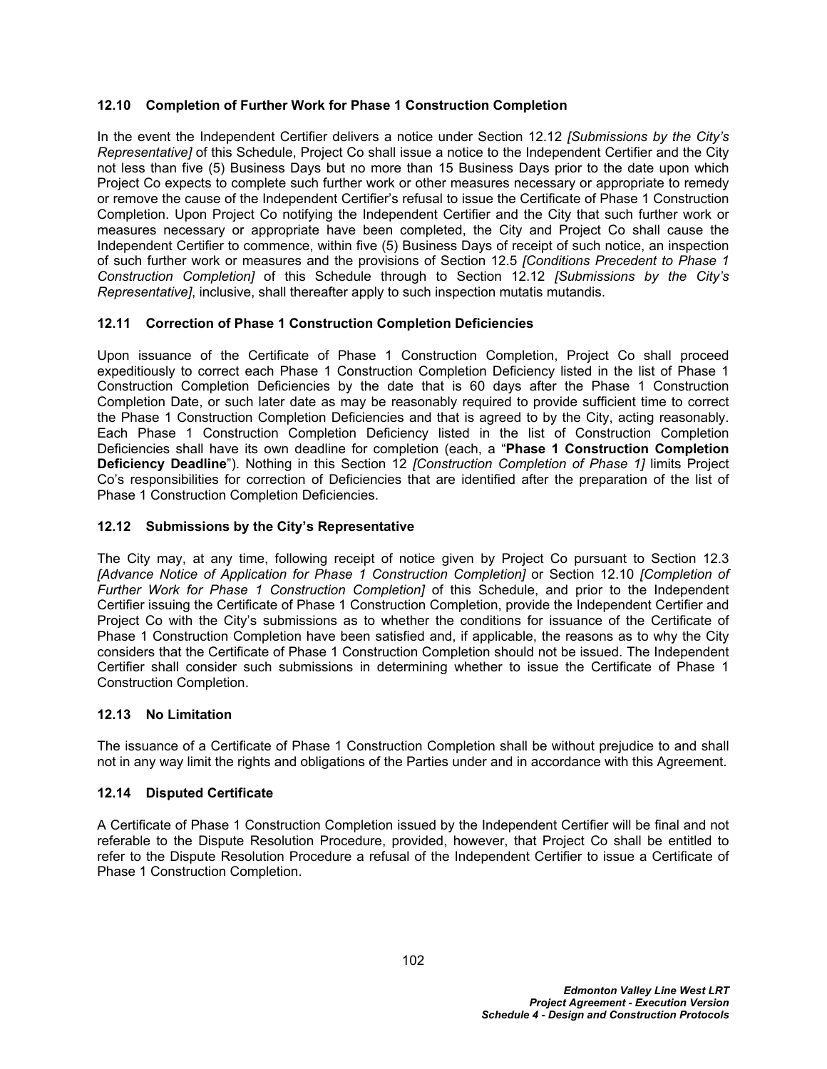# <span id="page-106-1"></span>**12.10 Completion of Further Work for Phase 1 Construction Completion**

In the event the Independent Certifier delivers a notice under Section [12.12](#page-106-0) *[Submissions by the City's Representative]* of this Schedule, Project Co shall issue a notice to the Independent Certifier and the City not less than five (5) Business Days but no more than 15 Business Days prior to the date upon which Project Co expects to complete such further work or other measures necessary or appropriate to remedy or remove the cause of the Independent Certifier's refusal to issue the Certificate of Phase 1 Construction Completion. Upon Project Co notifying the Independent Certifier and the City that such further work or measures necessary or appropriate have been completed, the City and Project Co shall cause the Independent Certifier to commence, within five (5) Business Days of receipt of such notice, an inspection of such further work or measures and the provisions of Section [12.5](#page-103-0) *[Conditions Precedent to Phase 1 Construction Completion]* of this Schedule through to Section [12.12](#page-106-0) *[Submissions by the City's Representative]*, inclusive, shall thereafter apply to such inspection mutatis mutandis.

# <span id="page-106-2"></span>**12.11 Correction of Phase 1 Construction Completion Deficiencies**

Upon issuance of the Certificate of Phase 1 Construction Completion, Project Co shall proceed expeditiously to correct each Phase 1 Construction Completion Deficiency listed in the list of Phase 1 Construction Completion Deficiencies by the date that is 60 days after the Phase 1 Construction Completion Date, or such later date as may be reasonably required to provide sufficient time to correct the Phase 1 Construction Completion Deficiencies and that is agreed to by the City, acting reasonably. Each Phase 1 Construction Completion Deficiency listed in the list of Construction Completion Deficiencies shall have its own deadline for completion (each, a "**Phase 1 Construction Completion Deficiency Deadline**"). Nothing in this Section 12 *[Construction Completion of Phase 1]* limits Project Co's responsibilities for correction of Deficiencies that are identified after the preparation of the list of Phase 1 Construction Completion Deficiencies.

# <span id="page-106-0"></span>**12.12 Submissions by the City's Representative**

The City may, at any time, following receipt of notice given by Project Co pursuant to Section [12.3](#page-103-1)  *[Advance Notice of Application for Phase 1 Construction Completion]* or Section [12.10](#page-106-1) *[Completion of Further Work for Phase 1 Construction Completion]* of this Schedule, and prior to the Independent Certifier issuing the Certificate of Phase 1 Construction Completion, provide the Independent Certifier and Project Co with the City's submissions as to whether the conditions for issuance of the Certificate of Phase 1 Construction Completion have been satisfied and, if applicable, the reasons as to why the City considers that the Certificate of Phase 1 Construction Completion should not be issued. The Independent Certifier shall consider such submissions in determining whether to issue the Certificate of Phase 1 Construction Completion.

## **12.13 No Limitation**

The issuance of a Certificate of Phase 1 Construction Completion shall be without prejudice to and shall not in any way limit the rights and obligations of the Parties under and in accordance with this Agreement.

## **12.14 Disputed Certificate**

A Certificate of Phase 1 Construction Completion issued by the Independent Certifier will be final and not referable to the Dispute Resolution Procedure, provided, however, that Project Co shall be entitled to refer to the Dispute Resolution Procedure a refusal of the Independent Certifier to issue a Certificate of Phase 1 Construction Completion.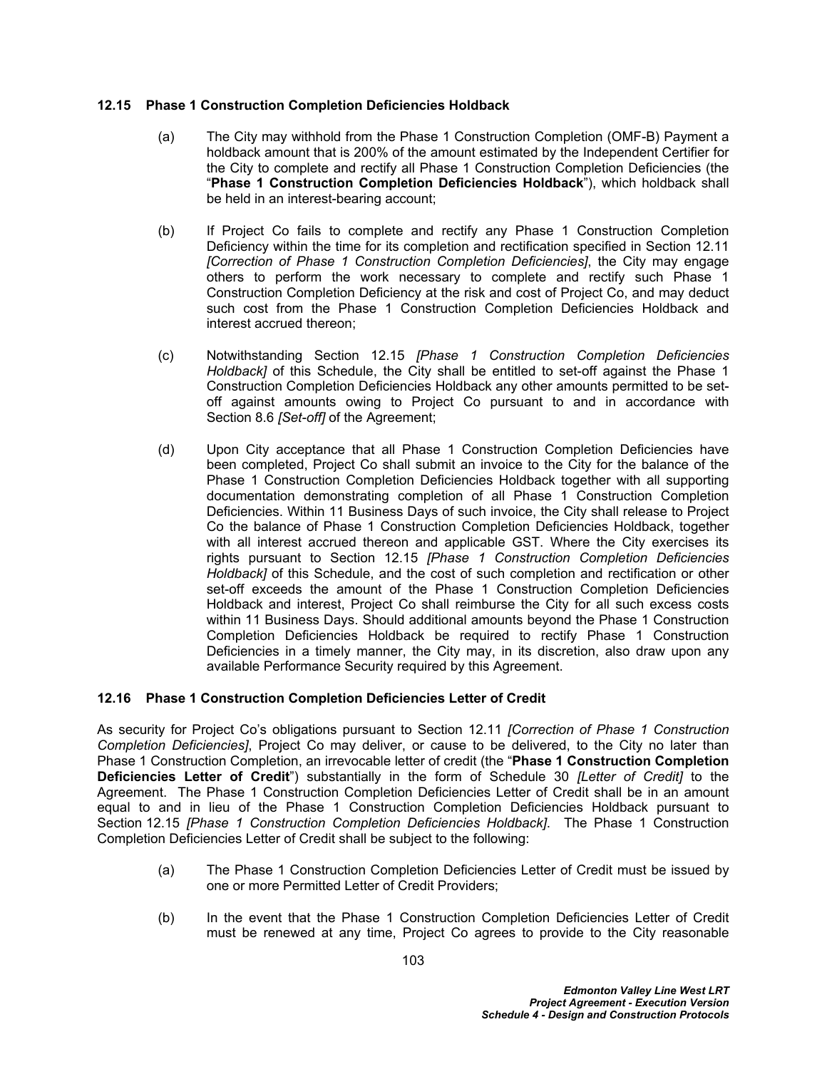# <span id="page-107-0"></span>**12.15 Phase 1 Construction Completion Deficiencies Holdback**

- (a) The City may withhold from the Phase 1 Construction Completion (OMF-B) Payment a holdback amount that is 200% of the amount estimated by the Independent Certifier for the City to complete and rectify all Phase 1 Construction Completion Deficiencies (the "**Phase 1 Construction Completion Deficiencies Holdback**"), which holdback shall be held in an interest-bearing account;
- (b) If Project Co fails to complete and rectify any Phase 1 Construction Completion Deficiency within the time for its completion and rectification specified in Section [12.11](#page-106-2)  *[Correction of Phase 1 Construction Completion Deficiencies]*, the City may engage others to perform the work necessary to complete and rectify such Phase 1 Construction Completion Deficiency at the risk and cost of Project Co, and may deduct such cost from the Phase 1 Construction Completion Deficiencies Holdback and interest accrued thereon;
- (c) Notwithstanding Section [12.15](#page-107-0) *[Phase 1 Construction Completion Deficiencies Holdback]* of this Schedule, the City shall be entitled to set-off against the Phase 1 Construction Completion Deficiencies Holdback any other amounts permitted to be setoff against amounts owing to Project Co pursuant to and in accordance with Section 8.6 *[Set-off]* of the Agreement;
- (d) Upon City acceptance that all Phase 1 Construction Completion Deficiencies have been completed, Project Co shall submit an invoice to the City for the balance of the Phase 1 Construction Completion Deficiencies Holdback together with all supporting documentation demonstrating completion of all Phase 1 Construction Completion Deficiencies. Within 11 Business Days of such invoice, the City shall release to Project Co the balance of Phase 1 Construction Completion Deficiencies Holdback, together with all interest accrued thereon and applicable GST. Where the City exercises its rights pursuant to Section [12.15](#page-107-0) *[Phase 1 Construction Completion Deficiencies Holdback]* of this Schedule, and the cost of such completion and rectification or other set-off exceeds the amount of the Phase 1 Construction Completion Deficiencies Holdback and interest, Project Co shall reimburse the City for all such excess costs within 11 Business Days. Should additional amounts beyond the Phase 1 Construction Completion Deficiencies Holdback be required to rectify Phase 1 Construction Deficiencies in a timely manner, the City may, in its discretion, also draw upon any available Performance Security required by this Agreement.

# **12.16 Phase 1 Construction Completion Deficiencies Letter of Credit**

As security for Project Co's obligations pursuant to Section [12.11](#page-106-2) *[Correction of Phase 1 Construction Completion Deficiencies]*, Project Co may deliver, or cause to be delivered, to the City no later than Phase 1 Construction Completion, an irrevocable letter of credit (the "**Phase 1 Construction Completion Deficiencies Letter of Credit**") substantially in the form of Schedule 30 *[Letter of Credit]* to the Agreement. The Phase 1 Construction Completion Deficiencies Letter of Credit shall be in an amount equal to and in lieu of the Phase 1 Construction Completion Deficiencies Holdback pursuant to Section [12.15](#page-107-0) *[Phase 1 Construction Completion Deficiencies Holdback]*. The Phase 1 Construction Completion Deficiencies Letter of Credit shall be subject to the following:

- (a) The Phase 1 Construction Completion Deficiencies Letter of Credit must be issued by one or more Permitted Letter of Credit Providers;
- (b) In the event that the Phase 1 Construction Completion Deficiencies Letter of Credit must be renewed at any time, Project Co agrees to provide to the City reasonable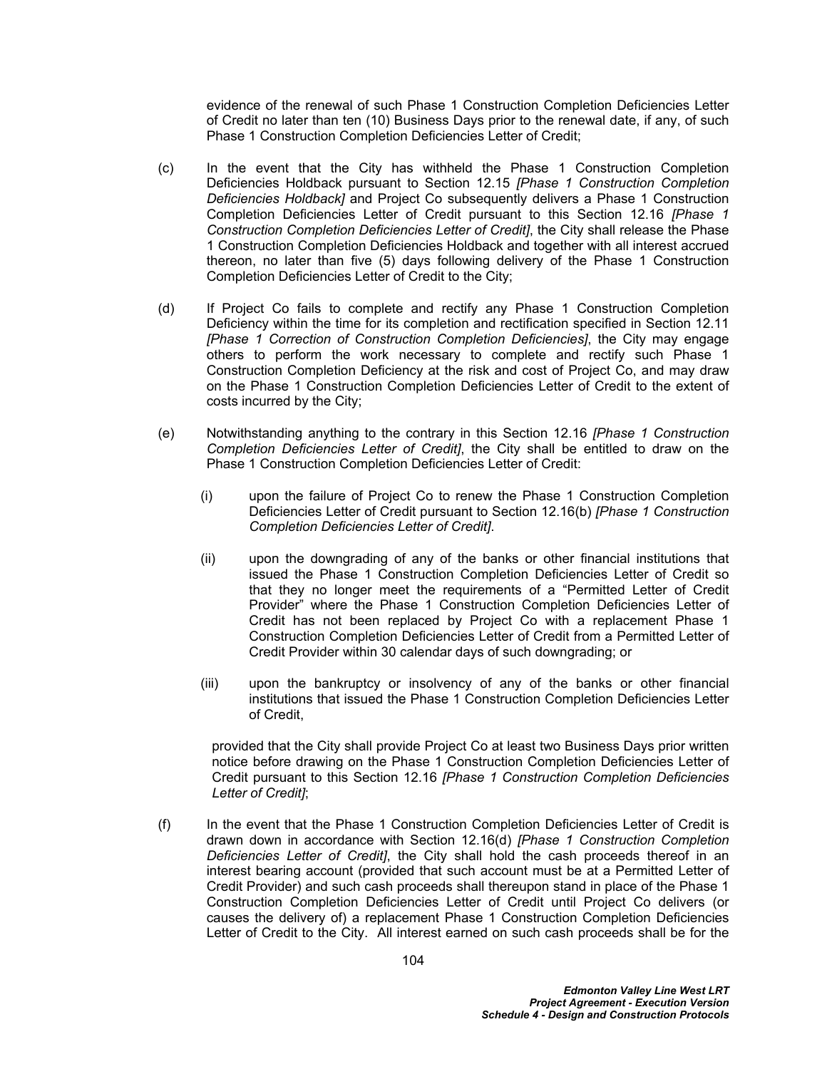evidence of the renewal of such Phase 1 Construction Completion Deficiencies Letter of Credit no later than ten (10) Business Days prior to the renewal date, if any, of such Phase 1 Construction Completion Deficiencies Letter of Credit;

- (c) In the event that the City has withheld the Phase 1 Construction Completion Deficiencies Holdback pursuant to Section [12.15](#page-107-0) *[Phase 1 Construction Completion Deficiencies Holdback]* and Project Co subsequently delivers a Phase 1 Construction Completion Deficiencies Letter of Credit pursuant to this Section [12.16](#page-107-1) *[Phase 1 Construction Completion Deficiencies Letter of Credit]*, the City shall release the Phase 1 Construction Completion Deficiencies Holdback and together with all interest accrued thereon, no later than five (5) days following delivery of the Phase 1 Construction Completion Deficiencies Letter of Credit to the City;
- <span id="page-108-0"></span>(d) If Project Co fails to complete and rectify any Phase 1 Construction Completion Deficiency within the time for its completion and rectification specified in Section [12.11](#page-106-0)  *[Phase 1 Correction of Construction Completion Deficiencies]*, the City may engage others to perform the work necessary to complete and rectify such Phase 1 Construction Completion Deficiency at the risk and cost of Project Co, and may draw on the Phase 1 Construction Completion Deficiencies Letter of Credit to the extent of costs incurred by the City;
- (e) Notwithstanding anything to the contrary in this Section [12.16](#page-107-1) *[Phase 1 Construction Completion Deficiencies Letter of Credit]*, the City shall be entitled to draw on the Phase 1 Construction Completion Deficiencies Letter of Credit:
	- (i) upon the failure of Project Co to renew the Phase 1 Construction Completion Deficiencies Letter of Credit pursuant to Section [12.16\(b\)](#page-107-2) *[Phase 1 Construction Completion Deficiencies Letter of Credit]*.
	- (ii) upon the downgrading of any of the banks or other financial institutions that issued the Phase 1 Construction Completion Deficiencies Letter of Credit so that they no longer meet the requirements of a "Permitted Letter of Credit Provider" where the Phase 1 Construction Completion Deficiencies Letter of Credit has not been replaced by Project Co with a replacement Phase 1 Construction Completion Deficiencies Letter of Credit from a Permitted Letter of Credit Provider within 30 calendar days of such downgrading; or
	- (iii) upon the bankruptcy or insolvency of any of the banks or other financial institutions that issued the Phase 1 Construction Completion Deficiencies Letter of Credit,

provided that the City shall provide Project Co at least two Business Days prior written notice before drawing on the Phase 1 Construction Completion Deficiencies Letter of Credit pursuant to this Section [12.16](#page-107-1) *[Phase 1 Construction Completion Deficiencies Letter of Credit]*;

(f) In the event that the Phase 1 Construction Completion Deficiencies Letter of Credit is drawn down in accordance with Section [12.16\(d\)](#page-108-0) *[Phase 1 Construction Completion Deficiencies Letter of Credit]*, the City shall hold the cash proceeds thereof in an interest bearing account (provided that such account must be at a Permitted Letter of Credit Provider) and such cash proceeds shall thereupon stand in place of the Phase 1 Construction Completion Deficiencies Letter of Credit until Project Co delivers (or causes the delivery of) a replacement Phase 1 Construction Completion Deficiencies Letter of Credit to the City. All interest earned on such cash proceeds shall be for the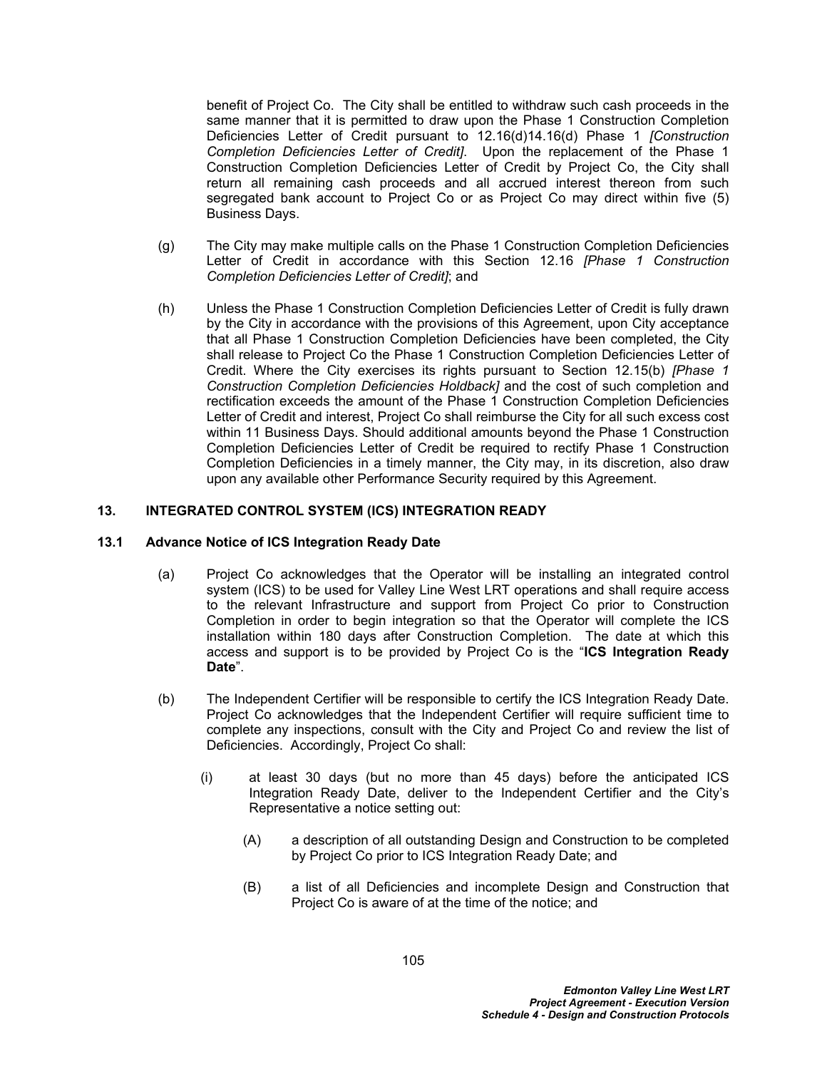benefit of Project Co. The City shall be entitled to withdraw such cash proceeds in the same manner that it is permitted to draw upon the Phase 1 Construction Completion Deficiencies Letter of Credit pursuant to [12.16\(d\)](#page-108-0)[14.16\(d\)](#page-118-0) Phase 1 *[Construction Completion Deficiencies Letter of Credit]*. Upon the replacement of the Phase 1 Construction Completion Deficiencies Letter of Credit by Project Co, the City shall return all remaining cash proceeds and all accrued interest thereon from such segregated bank account to Project Co or as Project Co may direct within five (5) Business Days.

- (g) The City may make multiple calls on the Phase 1 Construction Completion Deficiencies Letter of Credit in accordance with this Section [12.16](#page-107-1) *[Phase 1 Construction Completion Deficiencies Letter of Credit]*; and
- (h) Unless the Phase 1 Construction Completion Deficiencies Letter of Credit is fully drawn by the City in accordance with the provisions of this Agreement, upon City acceptance that all Phase 1 Construction Completion Deficiencies have been completed, the City shall release to Project Co the Phase 1 Construction Completion Deficiencies Letter of Credit. Where the City exercises its rights pursuant to Section [12.15\(b\)](#page-107-3) *[Phase 1 Construction Completion Deficiencies Holdback]* and the cost of such completion and rectification exceeds the amount of the Phase 1 Construction Completion Deficiencies Letter of Credit and interest, Project Co shall reimburse the City for all such excess cost within 11 Business Days. Should additional amounts beyond the Phase 1 Construction Completion Deficiencies Letter of Credit be required to rectify Phase 1 Construction Completion Deficiencies in a timely manner, the City may, in its discretion, also draw upon any available other Performance Security required by this Agreement.

#### **13. INTEGRATED CONTROL SYSTEM (ICS) INTEGRATION READY**

#### <span id="page-109-0"></span>**13.1 Advance Notice of ICS Integration Ready Date**

- (a) Project Co acknowledges that the Operator will be installing an integrated control system (ICS) to be used for Valley Line West LRT operations and shall require access to the relevant Infrastructure and support from Project Co prior to Construction Completion in order to begin integration so that the Operator will complete the ICS installation within 180 days after Construction Completion. The date at which this access and support is to be provided by Project Co is the "**ICS Integration Ready Date**".
- (b) The Independent Certifier will be responsible to certify the ICS Integration Ready Date. Project Co acknowledges that the Independent Certifier will require sufficient time to complete any inspections, consult with the City and Project Co and review the list of Deficiencies. Accordingly, Project Co shall:
	- (i) at least 30 days (but no more than 45 days) before the anticipated ICS Integration Ready Date, deliver to the Independent Certifier and the City's Representative a notice setting out:
		- (A) a description of all outstanding Design and Construction to be completed by Project Co prior to ICS Integration Ready Date; and
		- (B) a list of all Deficiencies and incomplete Design and Construction that Project Co is aware of at the time of the notice; and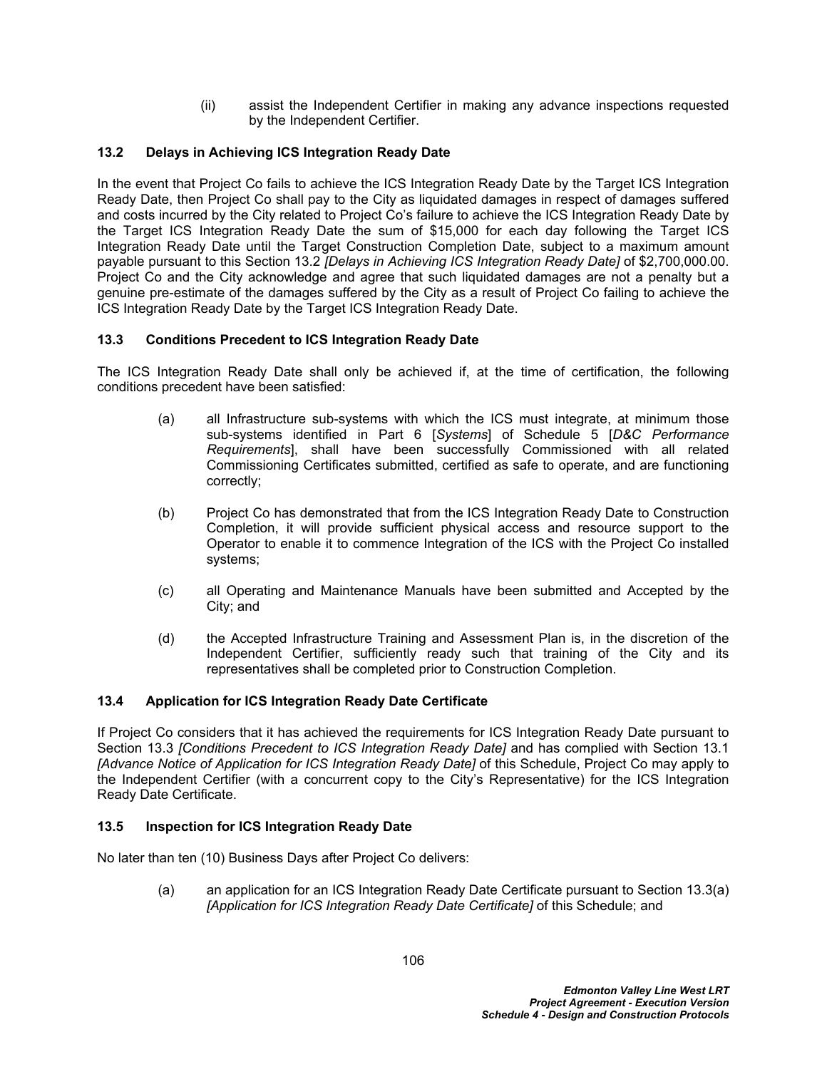(ii) assist the Independent Certifier in making any advance inspections requested by the Independent Certifier.

## <span id="page-110-0"></span>**13.2 Delays in Achieving ICS Integration Ready Date**

In the event that Project Co fails to achieve the ICS Integration Ready Date by the Target ICS Integration Ready Date, then Project Co shall pay to the City as liquidated damages in respect of damages suffered and costs incurred by the City related to Project Co's failure to achieve the ICS Integration Ready Date by the Target ICS Integration Ready Date the sum of \$15,000 for each day following the Target ICS Integration Ready Date until the Target Construction Completion Date, subject to a maximum amount payable pursuant to this Section [13.2](#page-110-0) *[Delays in Achieving ICS Integration Ready Date]* of \$2,700,000.00. Project Co and the City acknowledge and agree that such liquidated damages are not a penalty but a genuine pre-estimate of the damages suffered by the City as a result of Project Co failing to achieve the ICS Integration Ready Date by the Target ICS Integration Ready Date.

## <span id="page-110-2"></span>**13.3 Conditions Precedent to ICS Integration Ready Date**

The ICS Integration Ready Date shall only be achieved if, at the time of certification, the following conditions precedent have been satisfied:

- <span id="page-110-1"></span>(a) all Infrastructure sub-systems with which the ICS must integrate, at minimum those sub-systems identified in Part 6 [*Systems*] of Schedule 5 [*D&C Performance Requirements*], shall have been successfully Commissioned with all related Commissioning Certificates submitted, certified as safe to operate, and are functioning correctly;
- (b) Project Co has demonstrated that from the ICS Integration Ready Date to Construction Completion, it will provide sufficient physical access and resource support to the Operator to enable it to commence Integration of the ICS with the Project Co installed systems;
- (c) all Operating and Maintenance Manuals have been submitted and Accepted by the City; and
- (d) the Accepted Infrastructure Training and Assessment Plan is, in the discretion of the Independent Certifier, sufficiently ready such that training of the City and its representatives shall be completed prior to Construction Completion.

## **13.4 Application for ICS Integration Ready Date Certificate**

If Project Co considers that it has achieved the requirements for ICS Integration Ready Date pursuant to Section 13.3 *[Conditions Precedent to ICS Integration Ready Date]* and has complied with Section [13.1](#page-109-0)  *[Advance Notice of Application for ICS Integration Ready Date]* of this Schedule, Project Co may apply to the Independent Certifier (with a concurrent copy to the City's Representative) for the ICS Integration Ready Date Certificate.

#### <span id="page-110-3"></span>**13.5 Inspection for ICS Integration Ready Date**

No later than ten (10) Business Days after Project Co delivers:

(a) an application for an ICS Integration Ready Date Certificate pursuant to Section [13.3\(a\)](#page-110-1)  *[Application for ICS Integration Ready Date Certificate]* of this Schedule; and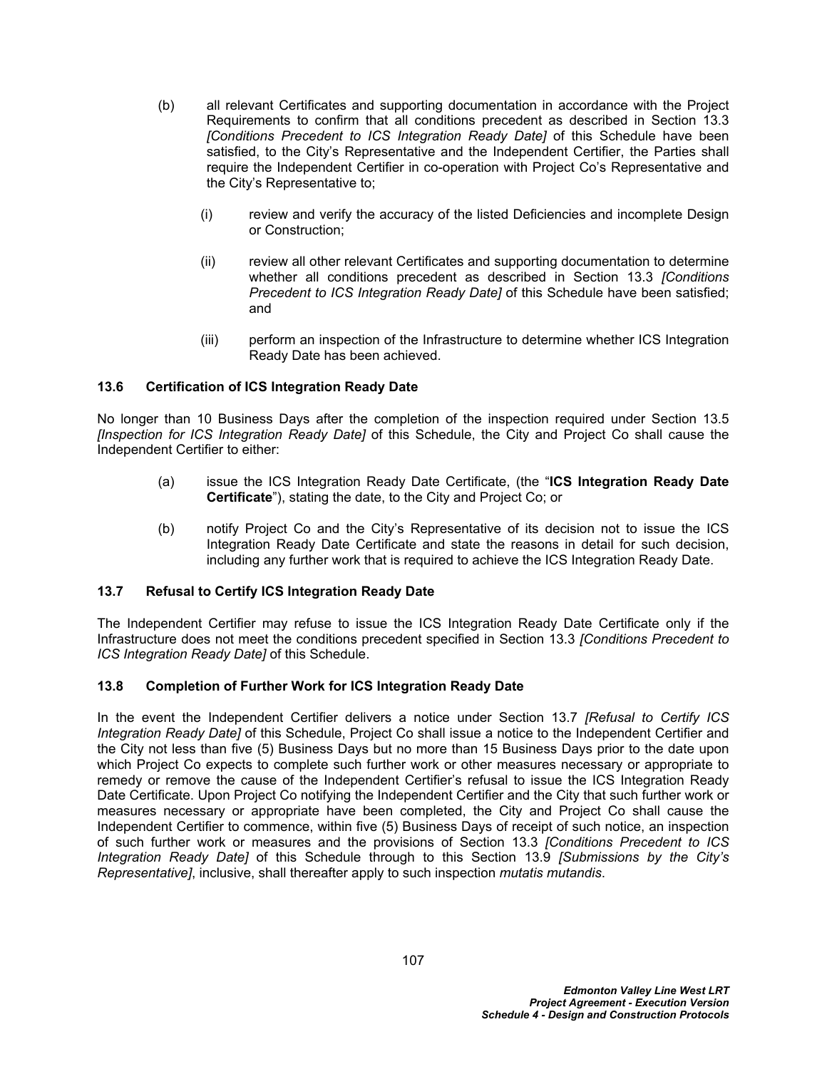- (b) all relevant Certificates and supporting documentation in accordance with the Project Requirements to confirm that all conditions precedent as described in Section [13.3](#page-110-2)  *[Conditions Precedent to ICS Integration Ready Date]* of this Schedule have been satisfied, to the City's Representative and the Independent Certifier, the Parties shall require the Independent Certifier in co-operation with Project Co's Representative and the City's Representative to;
	- (i) review and verify the accuracy of the listed Deficiencies and incomplete Design or Construction;
	- (ii) review all other relevant Certificates and supporting documentation to determine whether all conditions precedent as described in Section [13.3](#page-110-2) *[Conditions Precedent to ICS Integration Ready Date]* of this Schedule have been satisfied; and
	- (iii) perform an inspection of the Infrastructure to determine whether ICS Integration Ready Date has been achieved.

## **13.6 Certification of ICS Integration Ready Date**

No longer than 10 Business Days after the completion of the inspection required under Section [13.5](#page-110-3)  *[Inspection for ICS Integration Ready Date]* of this Schedule, the City and Project Co shall cause the Independent Certifier to either:

- (a) issue the ICS Integration Ready Date Certificate, (the "**ICS Integration Ready Date Certificate**"), stating the date, to the City and Project Co; or
- (b) notify Project Co and the City's Representative of its decision not to issue the ICS Integration Ready Date Certificate and state the reasons in detail for such decision, including any further work that is required to achieve the ICS Integration Ready Date.

#### <span id="page-111-0"></span>**13.7 Refusal to Certify ICS Integration Ready Date**

The Independent Certifier may refuse to issue the ICS Integration Ready Date Certificate only if the Infrastructure does not meet the conditions precedent specified in Section [13.3](#page-110-2) *[Conditions Precedent to ICS Integration Ready Date]* of this Schedule.

#### <span id="page-111-1"></span>**13.8 Completion of Further Work for ICS Integration Ready Date**

In the event the Independent Certifier delivers a notice under Section [13.7](#page-111-0) *[Refusal to Certify ICS Integration Ready Date]* of this Schedule, Project Co shall issue a notice to the Independent Certifier and the City not less than five (5) Business Days but no more than 15 Business Days prior to the date upon which Project Co expects to complete such further work or other measures necessary or appropriate to remedy or remove the cause of the Independent Certifier's refusal to issue the ICS Integration Ready Date Certificate. Upon Project Co notifying the Independent Certifier and the City that such further work or measures necessary or appropriate have been completed, the City and Project Co shall cause the Independent Certifier to commence, within five (5) Business Days of receipt of such notice, an inspection of such further work or measures and the provisions of Section [13.3](#page-110-2) *[Conditions Precedent to ICS Integration Ready Date]* of this Schedule through to this Section [13.9](#page-112-0) *[Submissions by the City's Representative]*, inclusive, shall thereafter apply to such inspection *mutatis mutandis*.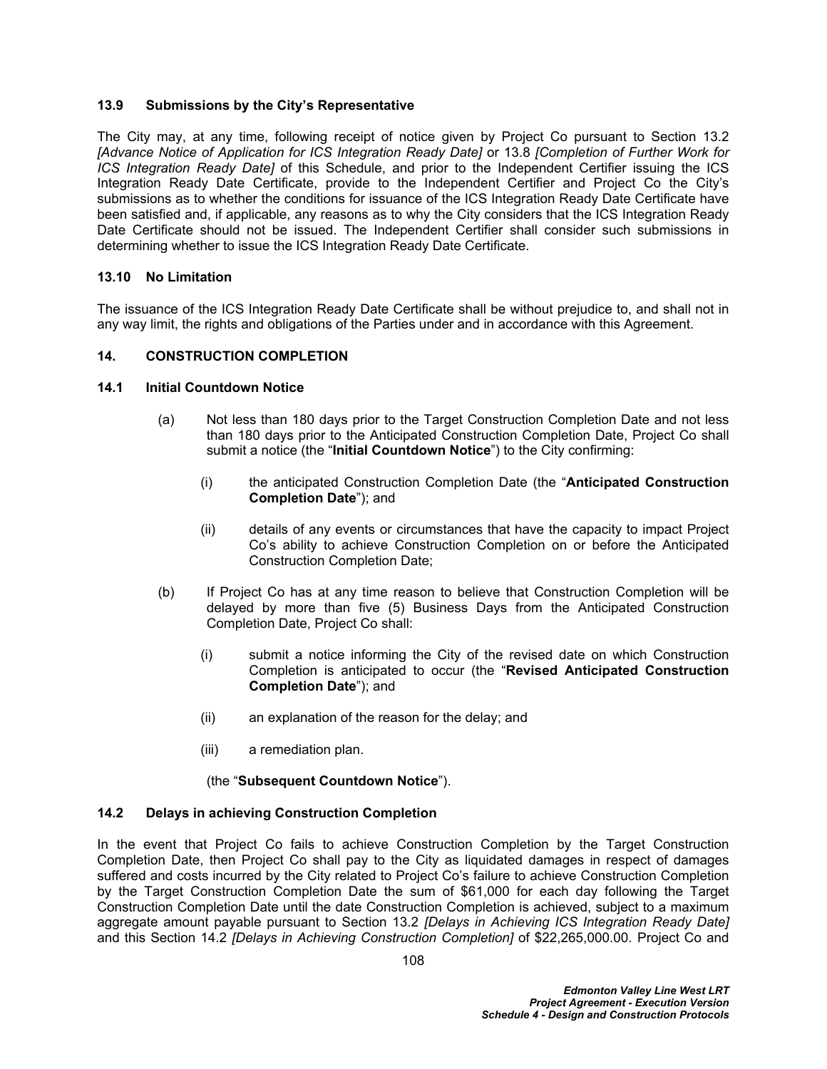#### <span id="page-112-0"></span>**13.9 Submissions by the City's Representative**

The City may, at any time, following receipt of notice given by Project Co pursuant to Section [13.2](#page-110-0)  *[Advance Notice of Application for ICS Integration Ready Date]* or [13.8](#page-111-1) *[Completion of Further Work for ICS Integration Ready Date]* of this Schedule, and prior to the Independent Certifier issuing the ICS Integration Ready Date Certificate, provide to the Independent Certifier and Project Co the City's submissions as to whether the conditions for issuance of the ICS Integration Ready Date Certificate have been satisfied and, if applicable, any reasons as to why the City considers that the ICS Integration Ready Date Certificate should not be issued. The Independent Certifier shall consider such submissions in determining whether to issue the ICS Integration Ready Date Certificate.

#### **13.10 No Limitation**

The issuance of the ICS Integration Ready Date Certificate shall be without prejudice to, and shall not in any way limit, the rights and obligations of the Parties under and in accordance with this Agreement.

#### <span id="page-112-2"></span>**14. CONSTRUCTION COMPLETION**

#### **14.1 Initial Countdown Notice**

- (a) Not less than 180 days prior to the Target Construction Completion Date and not less than 180 days prior to the Anticipated Construction Completion Date, Project Co shall submit a notice (the "**Initial Countdown Notice**") to the City confirming:
	- (i) the anticipated Construction Completion Date (the "**Anticipated Construction Completion Date**"); and
	- (ii) details of any events or circumstances that have the capacity to impact Project Co's ability to achieve Construction Completion on or before the Anticipated Construction Completion Date;
- (b) If Project Co has at any time reason to believe that Construction Completion will be delayed by more than five (5) Business Days from the Anticipated Construction Completion Date, Project Co shall:
	- (i) submit a notice informing the City of the revised date on which Construction Completion is anticipated to occur (the "**Revised Anticipated Construction Completion Date**"); and
	- (ii) an explanation of the reason for the delay; and
	- (iii) a remediation plan.

#### (the "**Subsequent Countdown Notice**").

#### <span id="page-112-1"></span>**14.2 Delays in achieving Construction Completion**

In the event that Project Co fails to achieve Construction Completion by the Target Construction Completion Date, then Project Co shall pay to the City as liquidated damages in respect of damages suffered and costs incurred by the City related to Project Co's failure to achieve Construction Completion by the Target Construction Completion Date the sum of \$61,000 for each day following the Target Construction Completion Date until the date Construction Completion is achieved, subject to a maximum aggregate amount payable pursuant to Section [13.2](#page-110-0) *[Delays in Achieving ICS Integration Ready Date]*  and this Section [14.2](#page-112-1) *[Delays in Achieving Construction Completion]* of \$22,265,000.00. Project Co and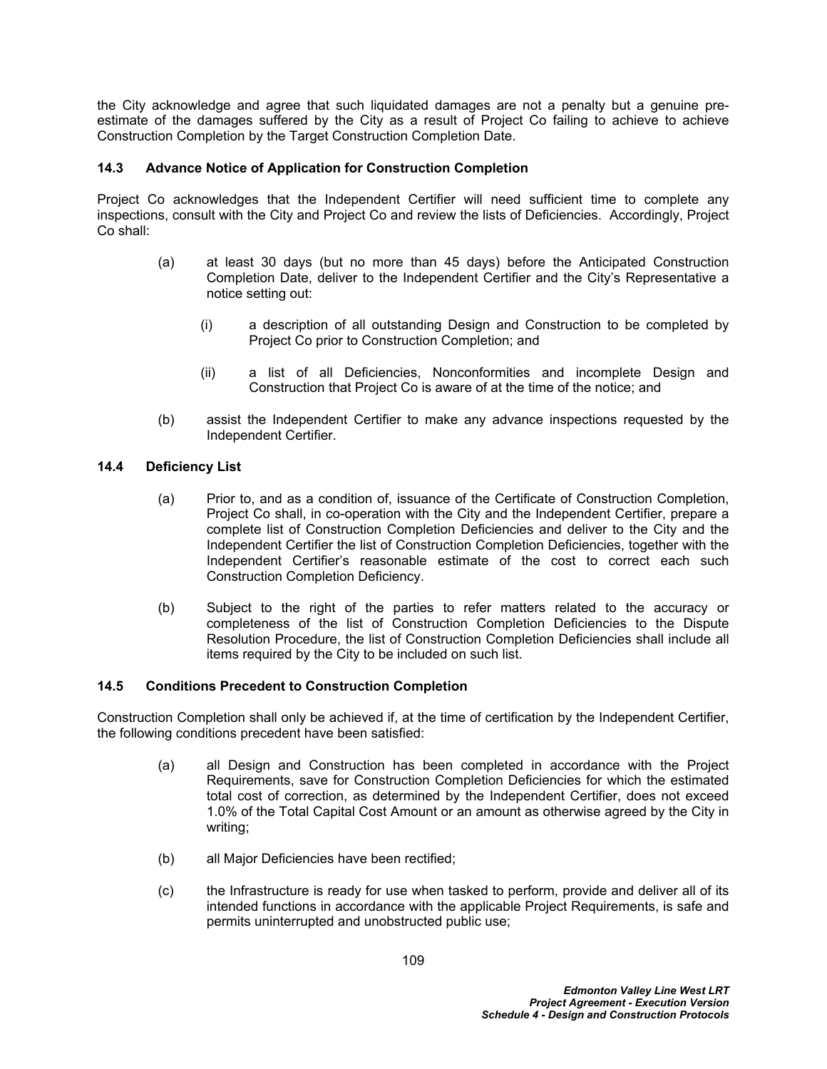the City acknowledge and agree that such liquidated damages are not a penalty but a genuine preestimate of the damages suffered by the City as a result of Project Co failing to achieve to achieve Construction Completion by the Target Construction Completion Date.

### <span id="page-113-0"></span>**14.3 Advance Notice of Application for Construction Completion**

Project Co acknowledges that the Independent Certifier will need sufficient time to complete any inspections, consult with the City and Project Co and review the lists of Deficiencies. Accordingly, Project Co shall:

- (a) at least 30 days (but no more than 45 days) before the Anticipated Construction Completion Date, deliver to the Independent Certifier and the City's Representative a notice setting out:
	- (i) a description of all outstanding Design and Construction to be completed by Project Co prior to Construction Completion; and
	- (ii) a list of all Deficiencies, Nonconformities and incomplete Design and Construction that Project Co is aware of at the time of the notice; and
- (b) assist the Independent Certifier to make any advance inspections requested by the Independent Certifier.

#### **14.4 Deficiency List**

- (a) Prior to, and as a condition of, issuance of the Certificate of Construction Completion, Project Co shall, in co-operation with the City and the Independent Certifier, prepare a complete list of Construction Completion Deficiencies and deliver to the City and the Independent Certifier the list of Construction Completion Deficiencies, together with the Independent Certifier's reasonable estimate of the cost to correct each such Construction Completion Deficiency.
- (b) Subject to the right of the parties to refer matters related to the accuracy or completeness of the list of Construction Completion Deficiencies to the Dispute Resolution Procedure, the list of Construction Completion Deficiencies shall include all items required by the City to be included on such list.

#### <span id="page-113-1"></span>**14.5 Conditions Precedent to Construction Completion**

Construction Completion shall only be achieved if, at the time of certification by the Independent Certifier, the following conditions precedent have been satisfied:

- (a) all Design and Construction has been completed in accordance with the Project Requirements, save for Construction Completion Deficiencies for which the estimated total cost of correction, as determined by the Independent Certifier, does not exceed 1.0% of the Total Capital Cost Amount or an amount as otherwise agreed by the City in writing;
- (b) all Major Deficiencies have been rectified;
- (c) the Infrastructure is ready for use when tasked to perform, provide and deliver all of its intended functions in accordance with the applicable Project Requirements, is safe and permits uninterrupted and unobstructed public use;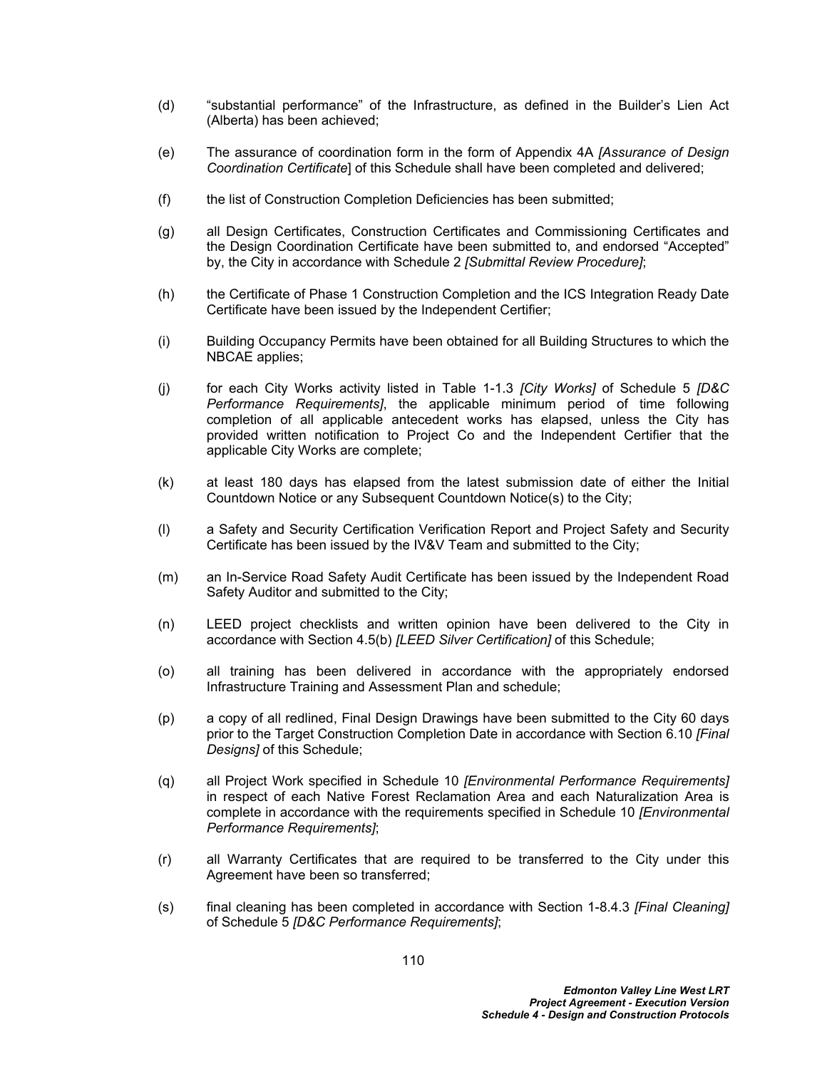- (d) "substantial performance" of the Infrastructure, as defined in the Builder's Lien Act (Alberta) has been achieved;
- (e) The assurance of coordination form in the form of Appendix 4A *[Assurance of Design Coordination Certificate*] of this Schedule shall have been completed and delivered;
- (f) the list of Construction Completion Deficiencies has been submitted;
- (g) all Design Certificates, Construction Certificates and Commissioning Certificates and the Design Coordination Certificate have been submitted to, and endorsed "Accepted" by, the City in accordance with Schedule 2 *[Submittal Review Procedure]*;
- (h) the Certificate of Phase 1 Construction Completion and the ICS Integration Ready Date Certificate have been issued by the Independent Certifier;
- (i) Building Occupancy Permits have been obtained for all Building Structures to which the NBCAE applies;
- (j) for each City Works activity listed in Table 1-1.3 *[City Works]* of Schedule 5 *[D&C Performance Requirements]*, the applicable minimum period of time following completion of all applicable antecedent works has elapsed, unless the City has provided written notification to Project Co and the Independent Certifier that the applicable City Works are complete;
- (k) at least 180 days has elapsed from the latest submission date of either the Initial Countdown Notice or any Subsequent Countdown Notice(s) to the City;
- (l) a Safety and Security Certification Verification Report and Project Safety and Security Certificate has been issued by the IV&V Team and submitted to the City;
- (m) an In-Service Road Safety Audit Certificate has been issued by the Independent Road Safety Auditor and submitted to the City;
- (n) LEED project checklists and written opinion have been delivered to the City in accordance with Section [4.5\(b\)](#page-13-0) *[LEED Silver Certification]* of this Schedule;
- (o) all training has been delivered in accordance with the appropriately endorsed Infrastructure Training and Assessment Plan and schedule;
- (p) a copy of all redlined, Final Design Drawings have been submitted to the City 60 days prior to the Target Construction Completion Date in accordance with Section [6.10](#page-50-0) *[Final Designs]* of this Schedule;
- (q) all Project Work specified in Schedule 10 *[Environmental Performance Requirements]* in respect of each Native Forest Reclamation Area and each Naturalization Area is complete in accordance with the requirements specified in Schedule 10 *[Environmental Performance Requirements]*;
- (r) all Warranty Certificates that are required to be transferred to the City under this Agreement have been so transferred;
- (s) final cleaning has been completed in accordance with Section 1-8.4.3 *[Final Cleaning]* of Schedule 5 *[D&C Performance Requirements]*;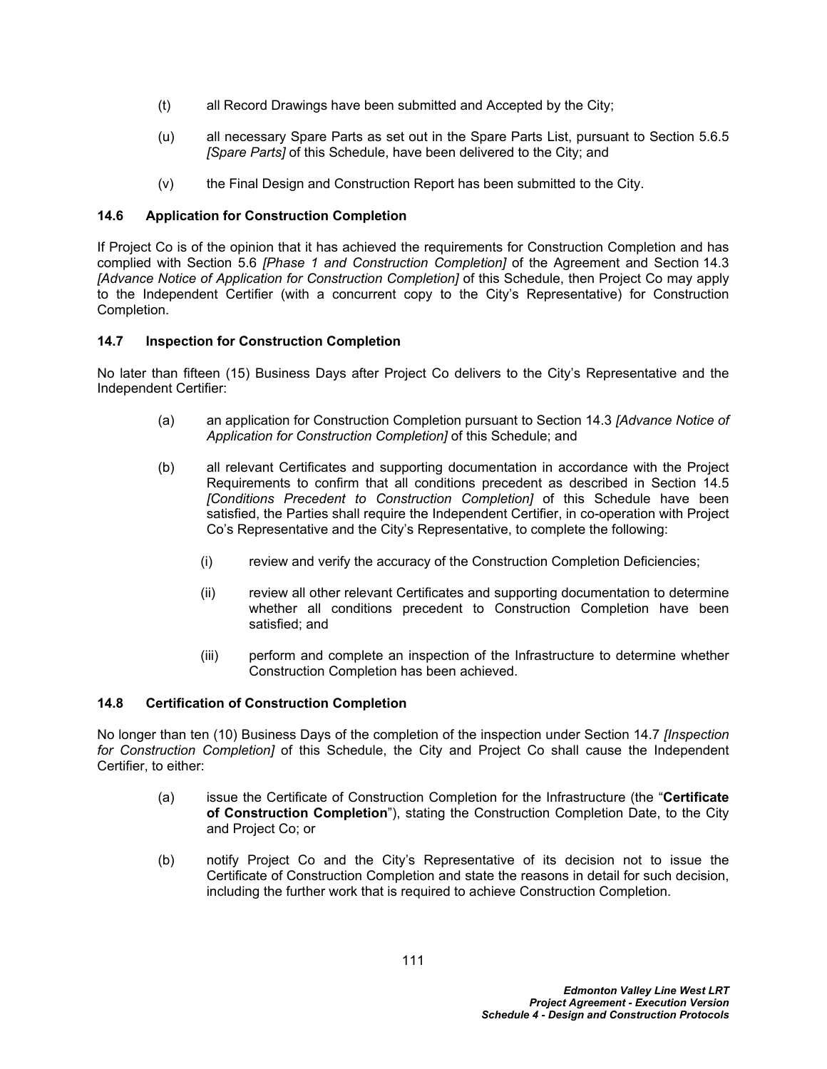- (t) all Record Drawings have been submitted and Accepted by the City;
- (u) all necessary Spare Parts as set out in the Spare Parts List, pursuant to Section [5.6.5](#page-32-0)  *[Spare Parts]* of this Schedule, have been delivered to the City; and
- (v) the Final Design and Construction Report has been submitted to the City.

## **14.6 Application for Construction Completion**

If Project Co is of the opinion that it has achieved the requirements for Construction Completion and has complied with Section 5.6 *[Phase 1 and Construction Completion]* of the Agreement and Section [14.3](#page-113-0)  *[Advance Notice of Application for Construction Completion]* of this Schedule, then Project Co may apply to the Independent Certifier (with a concurrent copy to the City's Representative) for Construction Completion.

## <span id="page-115-0"></span>**14.7 Inspection for Construction Completion**

No later than fifteen (15) Business Days after Project Co delivers to the City's Representative and the Independent Certifier:

- (a) an application for Construction Completion pursuant to Section [14.3](#page-113-0) *[Advance Notice of Application for Construction Completion]* of this Schedule; and
- (b) all relevant Certificates and supporting documentation in accordance with the Project Requirements to confirm that all conditions precedent as described in Section [14.5](#page-113-1)  *[Conditions Precedent to Construction Completion]* of this Schedule have been satisfied, the Parties shall require the Independent Certifier, in co-operation with Project Co's Representative and the City's Representative, to complete the following:
	- (i) review and verify the accuracy of the Construction Completion Deficiencies;
	- (ii) review all other relevant Certificates and supporting documentation to determine whether all conditions precedent to Construction Completion have been satisfied; and
	- (iii) perform and complete an inspection of the Infrastructure to determine whether Construction Completion has been achieved.

## **14.8 Certification of Construction Completion**

No longer than ten (10) Business Days of the completion of the inspection under Section [14.7](#page-115-0) *[Inspection for Construction Completion]* of this Schedule, the City and Project Co shall cause the Independent Certifier, to either:

- (a) issue the Certificate of Construction Completion for the Infrastructure (the "**Certificate of Construction Completion**"), stating the Construction Completion Date, to the City and Project Co; or
- <span id="page-115-1"></span>(b) notify Project Co and the City's Representative of its decision not to issue the Certificate of Construction Completion and state the reasons in detail for such decision, including the further work that is required to achieve Construction Completion.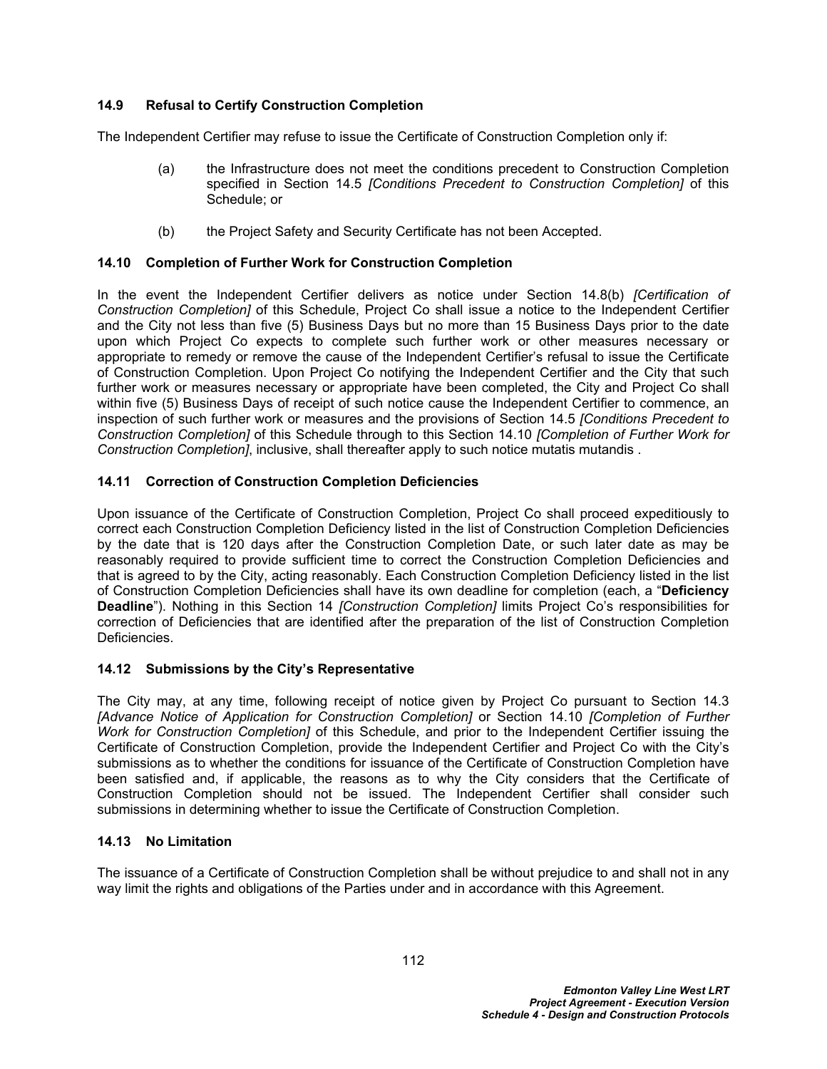## **14.9 Refusal to Certify Construction Completion**

The Independent Certifier may refuse to issue the Certificate of Construction Completion only if:

- (a) the Infrastructure does not meet the conditions precedent to Construction Completion specified in Section [14.5](#page-113-1) *[Conditions Precedent to Construction Completion]* of this Schedule; or
- (b) the Project Safety and Security Certificate has not been Accepted.

## <span id="page-116-0"></span>**14.10 Completion of Further Work for Construction Completion**

In the event the Independent Certifier delivers as notice under Section [14.8\(b\)](#page-115-1) *[Certification of Construction Completion]* of this Schedule, Project Co shall issue a notice to the Independent Certifier and the City not less than five (5) Business Days but no more than 15 Business Days prior to the date upon which Project Co expects to complete such further work or other measures necessary or appropriate to remedy or remove the cause of the Independent Certifier's refusal to issue the Certificate of Construction Completion. Upon Project Co notifying the Independent Certifier and the City that such further work or measures necessary or appropriate have been completed, the City and Project Co shall within five (5) Business Days of receipt of such notice cause the Independent Certifier to commence, an inspection of such further work or measures and the provisions of Section [14.5](#page-113-1) *[Conditions Precedent to Construction Completion]* of this Schedule through to this Section [14.10](#page-116-0) *[Completion of Further Work for Construction Completion]*, inclusive, shall thereafter apply to such notice mutatis mutandis .

## <span id="page-116-1"></span>**14.11 Correction of Construction Completion Deficiencies**

Upon issuance of the Certificate of Construction Completion, Project Co shall proceed expeditiously to correct each Construction Completion Deficiency listed in the list of Construction Completion Deficiencies by the date that is 120 days after the Construction Completion Date, or such later date as may be reasonably required to provide sufficient time to correct the Construction Completion Deficiencies and that is agreed to by the City, acting reasonably. Each Construction Completion Deficiency listed in the list of Construction Completion Deficiencies shall have its own deadline for completion (each, a "**Deficiency Deadline**"). Nothing in this Section [14](#page-112-2) *[Construction Completion]* limits Project Co's responsibilities for correction of Deficiencies that are identified after the preparation of the list of Construction Completion Deficiencies.

## **14.12 Submissions by the City's Representative**

The City may, at any time, following receipt of notice given by Project Co pursuant to Section [14.3](#page-113-0)  *[Advance Notice of Application for Construction Completion]* or Section [14.10](#page-116-0) *[Completion of Further Work for Construction Completion]* of this Schedule, and prior to the Independent Certifier issuing the Certificate of Construction Completion, provide the Independent Certifier and Project Co with the City's submissions as to whether the conditions for issuance of the Certificate of Construction Completion have been satisfied and, if applicable, the reasons as to why the City considers that the Certificate of Construction Completion should not be issued. The Independent Certifier shall consider such submissions in determining whether to issue the Certificate of Construction Completion.

## **14.13 No Limitation**

The issuance of a Certificate of Construction Completion shall be without prejudice to and shall not in any way limit the rights and obligations of the Parties under and in accordance with this Agreement.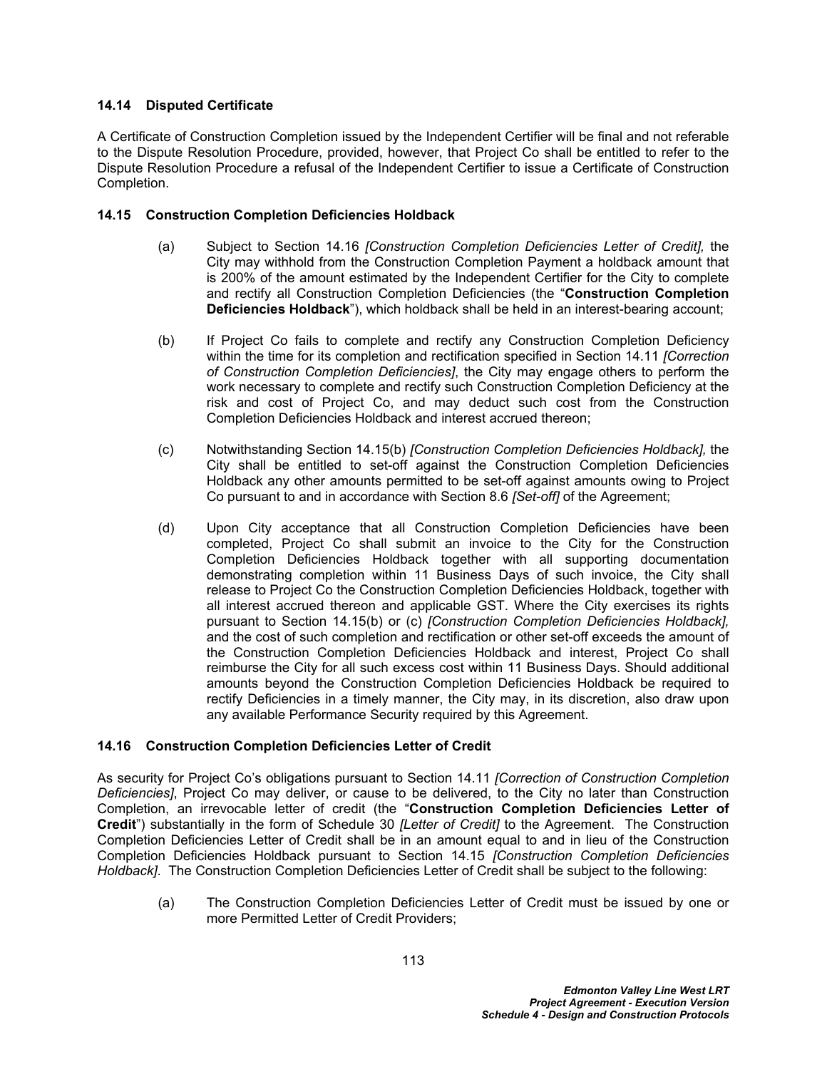## **14.14 Disputed Certificate**

A Certificate of Construction Completion issued by the Independent Certifier will be final and not referable to the Dispute Resolution Procedure, provided, however, that Project Co shall be entitled to refer to the Dispute Resolution Procedure a refusal of the Independent Certifier to issue a Certificate of Construction Completion.

#### <span id="page-117-2"></span>**14.15 Construction Completion Deficiencies Holdback**

- (a) Subject to Section [14.16](#page-117-0) *[Construction Completion Deficiencies Letter of Credit],* the City may withhold from the Construction Completion Payment a holdback amount that is 200% of the amount estimated by the Independent Certifier for the City to complete and rectify all Construction Completion Deficiencies (the "**Construction Completion Deficiencies Holdback**"), which holdback shall be held in an interest-bearing account;
- <span id="page-117-1"></span>(b) If Project Co fails to complete and rectify any Construction Completion Deficiency within the time for its completion and rectification specified in Section [14.11](#page-116-1) *[Correction of Construction Completion Deficiencies]*, the City may engage others to perform the work necessary to complete and rectify such Construction Completion Deficiency at the risk and cost of Project Co, and may deduct such cost from the Construction Completion Deficiencies Holdback and interest accrued thereon;
- (c) Notwithstanding Section [14.15\(b\)](#page-117-1) *[Construction Completion Deficiencies Holdback],* the City shall be entitled to set-off against the Construction Completion Deficiencies Holdback any other amounts permitted to be set-off against amounts owing to Project Co pursuant to and in accordance with Section 8.6 *[Set-off]* of the Agreement;
- (d) Upon City acceptance that all Construction Completion Deficiencies have been completed, Project Co shall submit an invoice to the City for the Construction Completion Deficiencies Holdback together with all supporting documentation demonstrating completion within 11 Business Days of such invoice, the City shall release to Project Co the Construction Completion Deficiencies Holdback, together with all interest accrued thereon and applicable GST. Where the City exercises its rights pursuant to Section [14.15\(b\)](#page-117-1) or (c) *[Construction Completion Deficiencies Holdback],* and the cost of such completion and rectification or other set-off exceeds the amount of the Construction Completion Deficiencies Holdback and interest, Project Co shall reimburse the City for all such excess cost within 11 Business Days. Should additional amounts beyond the Construction Completion Deficiencies Holdback be required to rectify Deficiencies in a timely manner, the City may, in its discretion, also draw upon any available Performance Security required by this Agreement.

## <span id="page-117-0"></span>**14.16 Construction Completion Deficiencies Letter of Credit**

As security for Project Co's obligations pursuant to Section [14.11](#page-116-1) *[Correction of Construction Completion Deficiencies]*, Project Co may deliver, or cause to be delivered, to the City no later than Construction Completion, an irrevocable letter of credit (the "**Construction Completion Deficiencies Letter of Credit**") substantially in the form of Schedule 30 *[Letter of Credit]* to the Agreement. The Construction Completion Deficiencies Letter of Credit shall be in an amount equal to and in lieu of the Construction Completion Deficiencies Holdback pursuant to Section [14.15](#page-117-2) *[Construction Completion Deficiencies Holdback]*. The Construction Completion Deficiencies Letter of Credit shall be subject to the following:

(a) The Construction Completion Deficiencies Letter of Credit must be issued by one or more Permitted Letter of Credit Providers;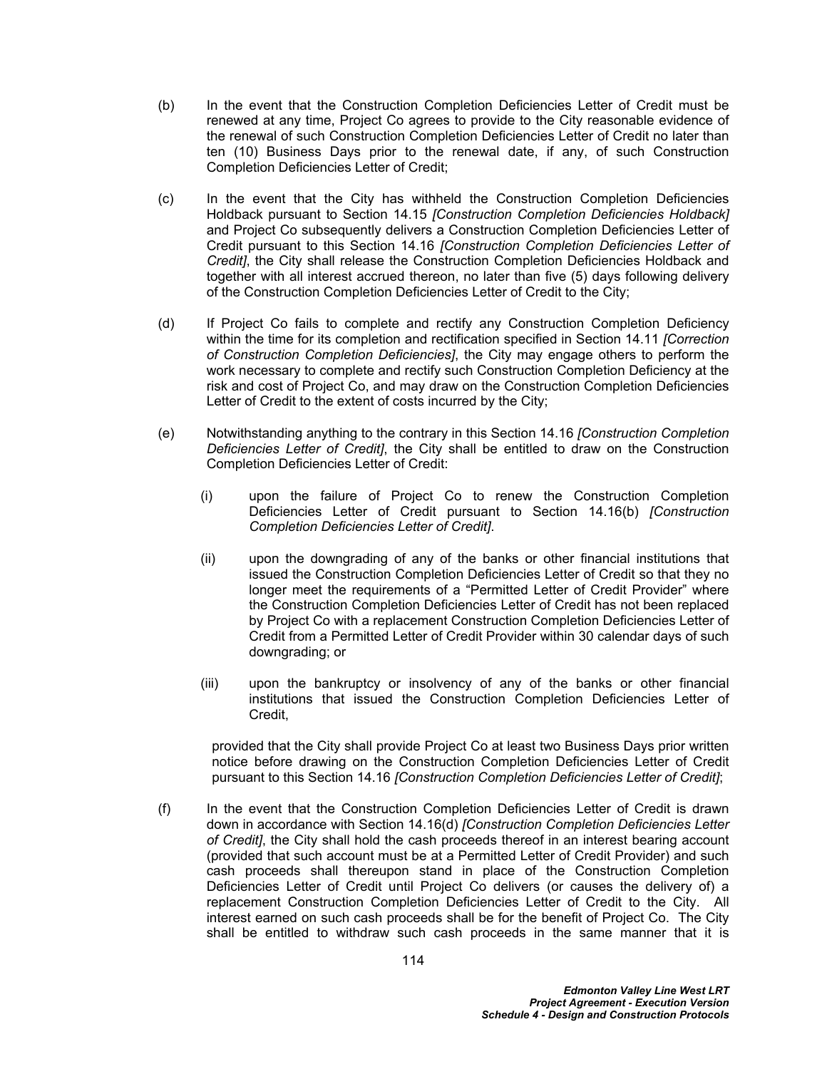- <span id="page-118-1"></span>(b) In the event that the Construction Completion Deficiencies Letter of Credit must be renewed at any time, Project Co agrees to provide to the City reasonable evidence of the renewal of such Construction Completion Deficiencies Letter of Credit no later than ten (10) Business Days prior to the renewal date, if any, of such Construction Completion Deficiencies Letter of Credit;
- (c) In the event that the City has withheld the Construction Completion Deficiencies Holdback pursuant to Section [14.15](#page-117-2) *[Construction Completion Deficiencies Holdback]* and Project Co subsequently delivers a Construction Completion Deficiencies Letter of Credit pursuant to this Section [14.16](#page-117-0) *[Construction Completion Deficiencies Letter of Credit]*, the City shall release the Construction Completion Deficiencies Holdback and together with all interest accrued thereon, no later than five (5) days following delivery of the Construction Completion Deficiencies Letter of Credit to the City;
- <span id="page-118-0"></span>(d) If Project Co fails to complete and rectify any Construction Completion Deficiency within the time for its completion and rectification specified in Section [14.11](#page-116-1) *[Correction of Construction Completion Deficiencies]*, the City may engage others to perform the work necessary to complete and rectify such Construction Completion Deficiency at the risk and cost of Project Co, and may draw on the Construction Completion Deficiencies Letter of Credit to the extent of costs incurred by the City;
- (e) Notwithstanding anything to the contrary in this Section [14.16](#page-117-0) *[Construction Completion Deficiencies Letter of Credit]*, the City shall be entitled to draw on the Construction Completion Deficiencies Letter of Credit:
	- (i) upon the failure of Project Co to renew the Construction Completion Deficiencies Letter of Credit pursuant to Section [14.16\(b\)](#page-118-1) *[Construction Completion Deficiencies Letter of Credit]*.
	- (ii) upon the downgrading of any of the banks or other financial institutions that issued the Construction Completion Deficiencies Letter of Credit so that they no longer meet the requirements of a "Permitted Letter of Credit Provider" where the Construction Completion Deficiencies Letter of Credit has not been replaced by Project Co with a replacement Construction Completion Deficiencies Letter of Credit from a Permitted Letter of Credit Provider within 30 calendar days of such downgrading; or
	- (iii) upon the bankruptcy or insolvency of any of the banks or other financial institutions that issued the Construction Completion Deficiencies Letter of Credit,

provided that the City shall provide Project Co at least two Business Days prior written notice before drawing on the Construction Completion Deficiencies Letter of Credit pursuant to this Section [14.16](#page-117-0) *[Construction Completion Deficiencies Letter of Credit]*;

(f) In the event that the Construction Completion Deficiencies Letter of Credit is drawn down in accordance with Section [14.16\(d\)](#page-118-0) *[Construction Completion Deficiencies Letter of Credit]*, the City shall hold the cash proceeds thereof in an interest bearing account (provided that such account must be at a Permitted Letter of Credit Provider) and such cash proceeds shall thereupon stand in place of the Construction Completion Deficiencies Letter of Credit until Project Co delivers (or causes the delivery of) a replacement Construction Completion Deficiencies Letter of Credit to the City. All interest earned on such cash proceeds shall be for the benefit of Project Co. The City shall be entitled to withdraw such cash proceeds in the same manner that it is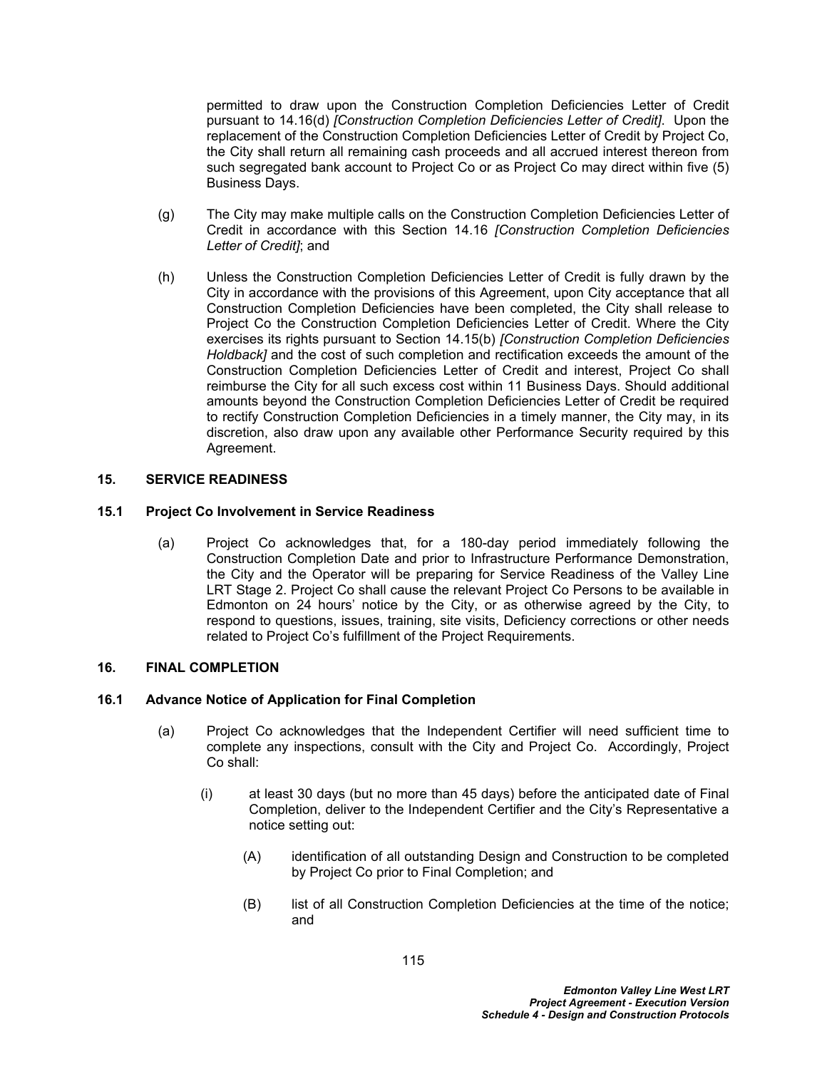permitted to draw upon the Construction Completion Deficiencies Letter of Credit pursuant to [14.16\(d\)](#page-118-0) *[Construction Completion Deficiencies Letter of Credit]*. Upon the replacement of the Construction Completion Deficiencies Letter of Credit by Project Co, the City shall return all remaining cash proceeds and all accrued interest thereon from such segregated bank account to Project Co or as Project Co may direct within five (5) Business Days.

- (g) The City may make multiple calls on the Construction Completion Deficiencies Letter of Credit in accordance with this Section [14.16](#page-117-0) *[Construction Completion Deficiencies Letter of Credit]*; and
- (h) Unless the Construction Completion Deficiencies Letter of Credit is fully drawn by the City in accordance with the provisions of this Agreement, upon City acceptance that all Construction Completion Deficiencies have been completed, the City shall release to Project Co the Construction Completion Deficiencies Letter of Credit. Where the City exercises its rights pursuant to Section [14.15\(b\)](#page-117-1) *[Construction Completion Deficiencies Holdback]* and the cost of such completion and rectification exceeds the amount of the Construction Completion Deficiencies Letter of Credit and interest, Project Co shall reimburse the City for all such excess cost within 11 Business Days. Should additional amounts beyond the Construction Completion Deficiencies Letter of Credit be required to rectify Construction Completion Deficiencies in a timely manner, the City may, in its discretion, also draw upon any available other Performance Security required by this Agreement.

#### **15. SERVICE READINESS**

#### **15.1 Project Co Involvement in Service Readiness**

(a) Project Co acknowledges that, for a 180-day period immediately following the Construction Completion Date and prior to Infrastructure Performance Demonstration, the City and the Operator will be preparing for Service Readiness of the Valley Line LRT Stage 2. Project Co shall cause the relevant Project Co Persons to be available in Edmonton on 24 hours' notice by the City, or as otherwise agreed by the City, to respond to questions, issues, training, site visits, Deficiency corrections or other needs related to Project Co's fulfillment of the Project Requirements.

#### **16. FINAL COMPLETION**

#### <span id="page-119-0"></span>**16.1 Advance Notice of Application for Final Completion**

- (a) Project Co acknowledges that the Independent Certifier will need sufficient time to complete any inspections, consult with the City and Project Co. Accordingly, Project Co shall:
	- (i) at least 30 days (but no more than 45 days) before the anticipated date of Final Completion, deliver to the Independent Certifier and the City's Representative a notice setting out:
		- (A) identification of all outstanding Design and Construction to be completed by Project Co prior to Final Completion; and
		- (B) list of all Construction Completion Deficiencies at the time of the notice; and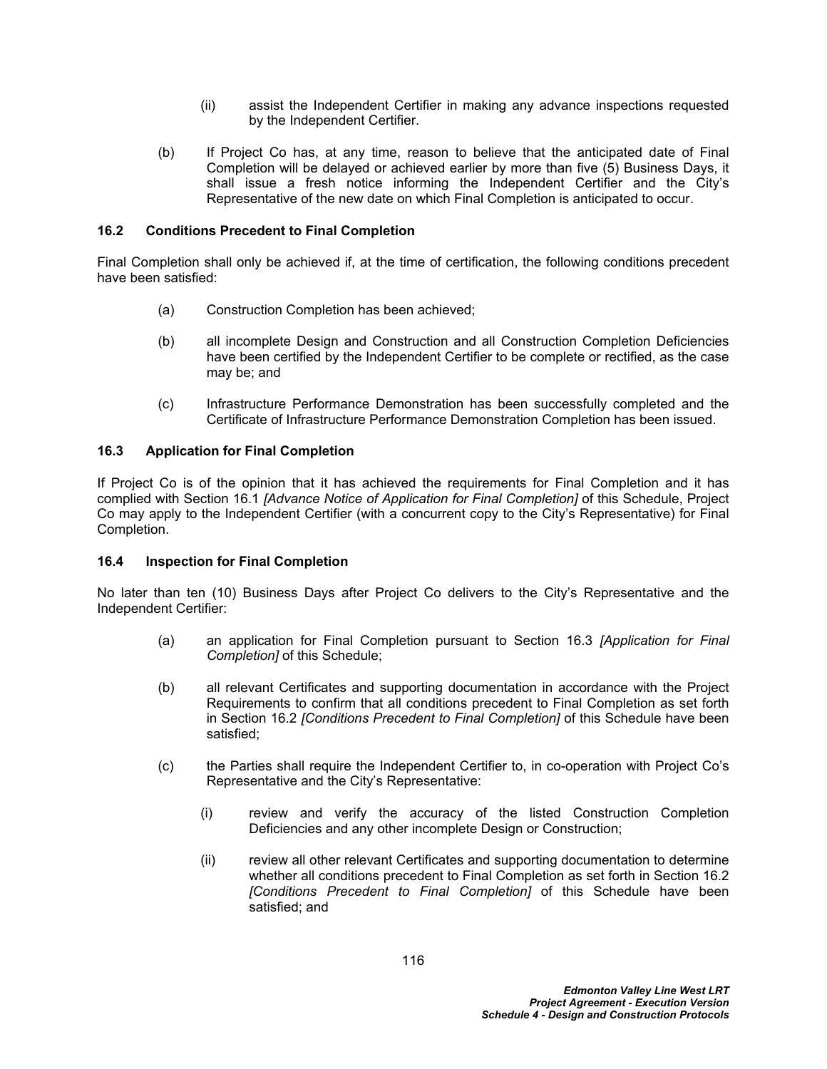- (ii) assist the Independent Certifier in making any advance inspections requested by the Independent Certifier.
- (b) If Project Co has, at any time, reason to believe that the anticipated date of Final Completion will be delayed or achieved earlier by more than five (5) Business Days, it shall issue a fresh notice informing the Independent Certifier and the City's Representative of the new date on which Final Completion is anticipated to occur.

### <span id="page-120-1"></span>**16.2 Conditions Precedent to Final Completion**

Final Completion shall only be achieved if, at the time of certification, the following conditions precedent have been satisfied:

- (a) Construction Completion has been achieved;
- (b) all incomplete Design and Construction and all Construction Completion Deficiencies have been certified by the Independent Certifier to be complete or rectified, as the case may be; and
- (c) Infrastructure Performance Demonstration has been successfully completed and the Certificate of Infrastructure Performance Demonstration Completion has been issued.

#### <span id="page-120-0"></span>**16.3 Application for Final Completion**

If Project Co is of the opinion that it has achieved the requirements for Final Completion and it has complied with Section [16.1](#page-119-0) *[Advance Notice of Application for Final Completion]* of this Schedule, Project Co may apply to the Independent Certifier (with a concurrent copy to the City's Representative) for Final Completion.

#### <span id="page-120-2"></span>**16.4 Inspection for Final Completion**

No later than ten (10) Business Days after Project Co delivers to the City's Representative and the Independent Certifier:

- (a) an application for Final Completion pursuant to Section [16.3](#page-120-0) *[Application for Final Completion]* of this Schedule;
- (b) all relevant Certificates and supporting documentation in accordance with the Project Requirements to confirm that all conditions precedent to Final Completion as set forth in Section [16.2](#page-120-1) *[Conditions Precedent to Final Completion]* of this Schedule have been satisfied;
- (c) the Parties shall require the Independent Certifier to, in co-operation with Project Co's Representative and the City's Representative:
	- (i) review and verify the accuracy of the listed Construction Completion Deficiencies and any other incomplete Design or Construction;
	- (ii) review all other relevant Certificates and supporting documentation to determine whether all conditions precedent to Final Completion as set forth in Section [16.2](#page-120-1)  *[Conditions Precedent to Final Completion]* of this Schedule have been satisfied; and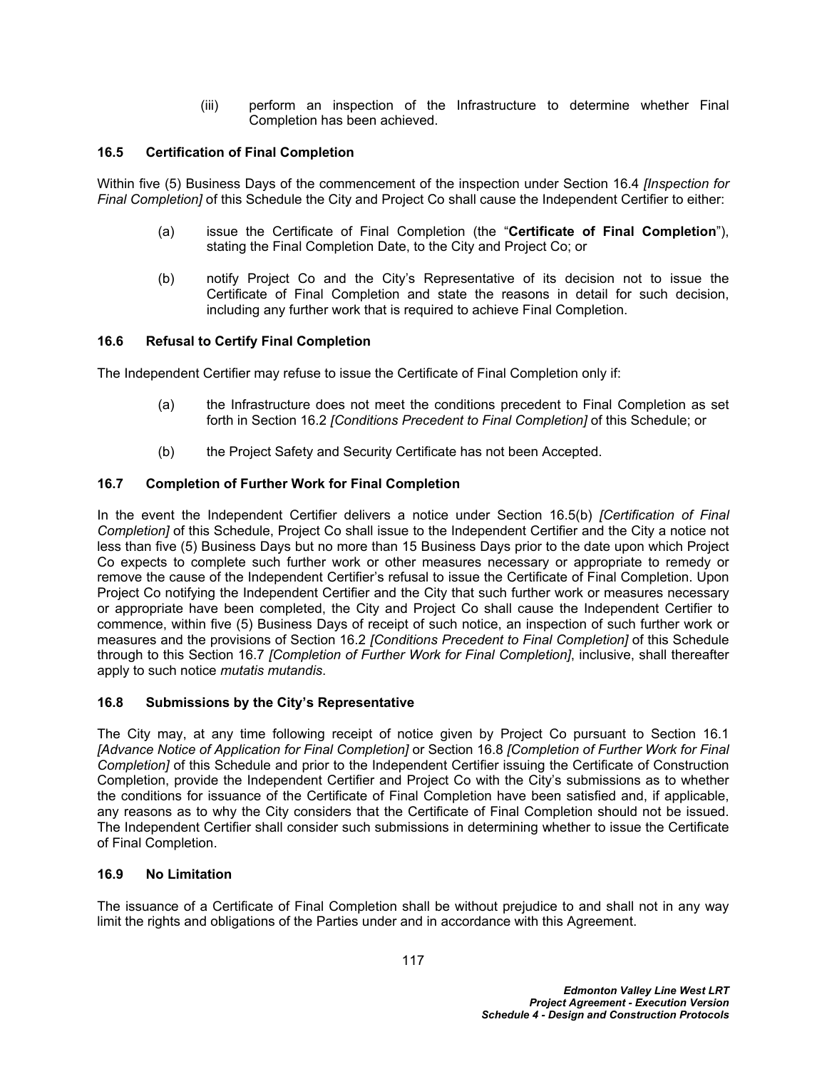(iii) perform an inspection of the Infrastructure to determine whether Final Completion has been achieved.

## **16.5 Certification of Final Completion**

Within five (5) Business Days of the commencement of the inspection under Section [16.4](#page-120-2) *[Inspection for Final Completion]* of this Schedule the City and Project Co shall cause the Independent Certifier to either:

- (a) issue the Certificate of Final Completion (the "**Certificate of Final Completion**"), stating the Final Completion Date, to the City and Project Co; or
- <span id="page-121-0"></span>(b) notify Project Co and the City's Representative of its decision not to issue the Certificate of Final Completion and state the reasons in detail for such decision, including any further work that is required to achieve Final Completion.

#### **16.6 Refusal to Certify Final Completion**

The Independent Certifier may refuse to issue the Certificate of Final Completion only if:

- (a) the Infrastructure does not meet the conditions precedent to Final Completion as set forth in Section [16.2](#page-120-1) *[Conditions Precedent to Final Completion]* of this Schedule; or
- (b) the Project Safety and Security Certificate has not been Accepted.

#### <span id="page-121-1"></span>**16.7 Completion of Further Work for Final Completion**

In the event the Independent Certifier delivers a notice under Section [16.5\(b\)](#page-121-0) *[Certification of Final Completion]* of this Schedule, Project Co shall issue to the Independent Certifier and the City a notice not less than five (5) Business Days but no more than 15 Business Days prior to the date upon which Project Co expects to complete such further work or other measures necessary or appropriate to remedy or remove the cause of the Independent Certifier's refusal to issue the Certificate of Final Completion. Upon Project Co notifying the Independent Certifier and the City that such further work or measures necessary or appropriate have been completed, the City and Project Co shall cause the Independent Certifier to commence, within five (5) Business Days of receipt of such notice, an inspection of such further work or measures and the provisions of Section [16.2](#page-120-1) *[Conditions Precedent to Final Completion]* of this Schedule through to this Section [16.7](#page-121-1) *[Completion of Further Work for Final Completion]*, inclusive, shall thereafter apply to such notice *mutatis mutandis*.

#### <span id="page-121-2"></span>**16.8 Submissions by the City's Representative**

The City may, at any time following receipt of notice given by Project Co pursuant to Section [16.1](#page-119-0)  *[Advance Notice of Application for Final Completion]* or Section [16.8](#page-121-2) *[Completion of Further Work for Final Completion]* of this Schedule and prior to the Independent Certifier issuing the Certificate of Construction Completion, provide the Independent Certifier and Project Co with the City's submissions as to whether the conditions for issuance of the Certificate of Final Completion have been satisfied and, if applicable, any reasons as to why the City considers that the Certificate of Final Completion should not be issued. The Independent Certifier shall consider such submissions in determining whether to issue the Certificate of Final Completion.

#### **16.9 No Limitation**

The issuance of a Certificate of Final Completion shall be without prejudice to and shall not in any way limit the rights and obligations of the Parties under and in accordance with this Agreement.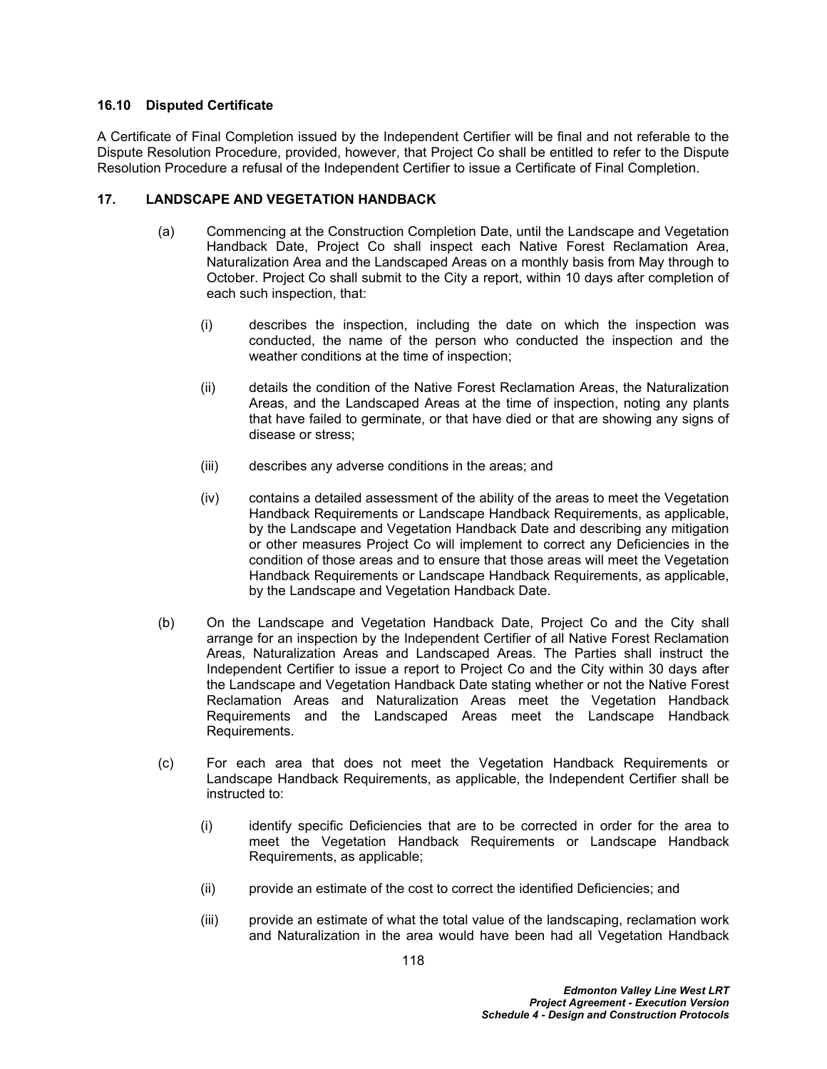#### **16.10 Disputed Certificate**

A Certificate of Final Completion issued by the Independent Certifier will be final and not referable to the Dispute Resolution Procedure, provided, however, that Project Co shall be entitled to refer to the Dispute Resolution Procedure a refusal of the Independent Certifier to issue a Certificate of Final Completion.

### <span id="page-122-0"></span>**17. LANDSCAPE AND VEGETATION HANDBACK**

- (a) Commencing at the Construction Completion Date, until the Landscape and Vegetation Handback Date, Project Co shall inspect each Native Forest Reclamation Area, Naturalization Area and the Landscaped Areas on a monthly basis from May through to October. Project Co shall submit to the City a report, within 10 days after completion of each such inspection, that:
	- (i) describes the inspection, including the date on which the inspection was conducted, the name of the person who conducted the inspection and the weather conditions at the time of inspection;
	- (ii) details the condition of the Native Forest Reclamation Areas, the Naturalization Areas, and the Landscaped Areas at the time of inspection, noting any plants that have failed to germinate, or that have died or that are showing any signs of disease or stress;
	- (iii) describes any adverse conditions in the areas; and
	- (iv) contains a detailed assessment of the ability of the areas to meet the Vegetation Handback Requirements or Landscape Handback Requirements, as applicable, by the Landscape and Vegetation Handback Date and describing any mitigation or other measures Project Co will implement to correct any Deficiencies in the condition of those areas and to ensure that those areas will meet the Vegetation Handback Requirements or Landscape Handback Requirements, as applicable, by the Landscape and Vegetation Handback Date.
- <span id="page-122-1"></span>(b) On the Landscape and Vegetation Handback Date, Project Co and the City shall arrange for an inspection by the Independent Certifier of all Native Forest Reclamation Areas, Naturalization Areas and Landscaped Areas. The Parties shall instruct the Independent Certifier to issue a report to Project Co and the City within 30 days after the Landscape and Vegetation Handback Date stating whether or not the Native Forest Reclamation Areas and Naturalization Areas meet the Vegetation Handback Requirements and the Landscaped Areas meet the Landscape Handback Requirements.
- (c) For each area that does not meet the Vegetation Handback Requirements or Landscape Handback Requirements, as applicable, the Independent Certifier shall be instructed to:
	- (i) identify specific Deficiencies that are to be corrected in order for the area to meet the Vegetation Handback Requirements or Landscape Handback Requirements, as applicable;
	- (ii) provide an estimate of the cost to correct the identified Deficiencies; and
	- (iii) provide an estimate of what the total value of the landscaping, reclamation work and Naturalization in the area would have been had all Vegetation Handback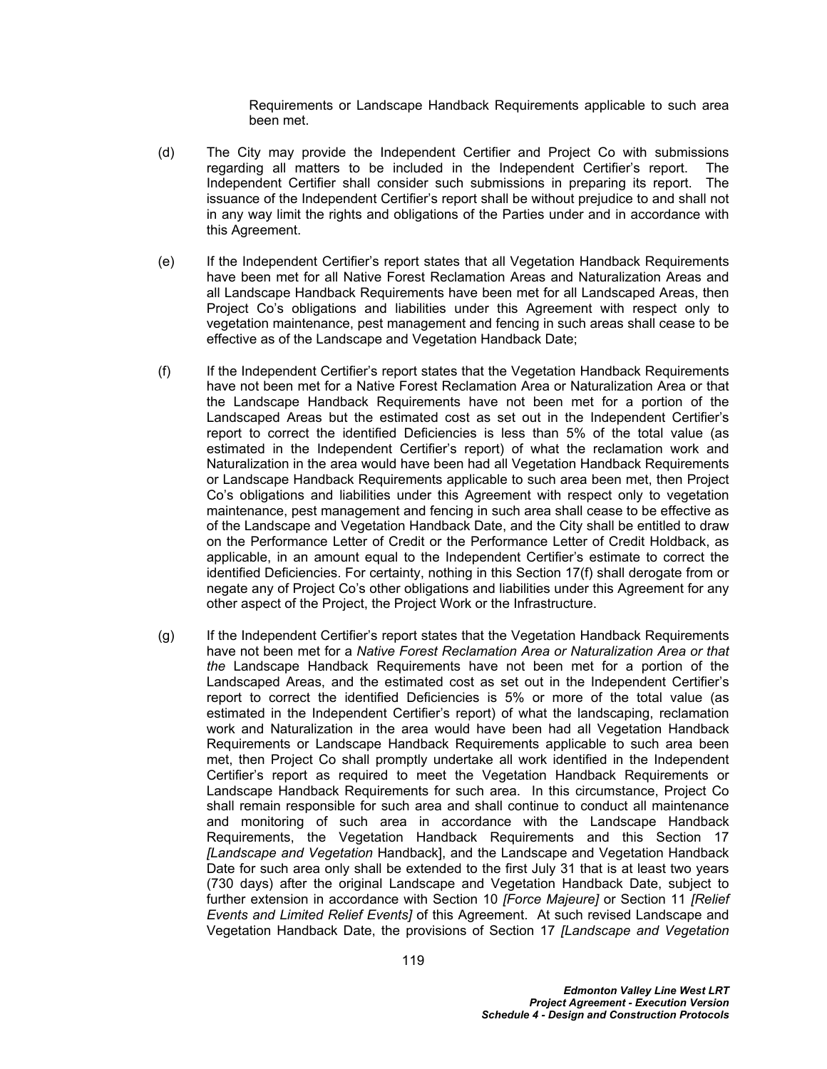Requirements or Landscape Handback Requirements applicable to such area been met.

- (d) The City may provide the Independent Certifier and Project Co with submissions regarding all matters to be included in the Independent Certifier's report. The Independent Certifier shall consider such submissions in preparing its report. The issuance of the Independent Certifier's report shall be without prejudice to and shall not in any way limit the rights and obligations of the Parties under and in accordance with this Agreement.
- (e) If the Independent Certifier's report states that all Vegetation Handback Requirements have been met for all Native Forest Reclamation Areas and Naturalization Areas and all Landscape Handback Requirements have been met for all Landscaped Areas, then Project Co's obligations and liabilities under this Agreement with respect only to vegetation maintenance, pest management and fencing in such areas shall cease to be effective as of the Landscape and Vegetation Handback Date;
- <span id="page-123-0"></span>(f) If the Independent Certifier's report states that the Vegetation Handback Requirements have not been met for a Native Forest Reclamation Area or Naturalization Area or that the Landscape Handback Requirements have not been met for a portion of the Landscaped Areas but the estimated cost as set out in the Independent Certifier's report to correct the identified Deficiencies is less than 5% of the total value (as estimated in the Independent Certifier's report) of what the reclamation work and Naturalization in the area would have been had all Vegetation Handback Requirements or Landscape Handback Requirements applicable to such area been met, then Project Co's obligations and liabilities under this Agreement with respect only to vegetation maintenance, pest management and fencing in such area shall cease to be effective as of the Landscape and Vegetation Handback Date, and the City shall be entitled to draw on the Performance Letter of Credit or the Performance Letter of Credit Holdback, as applicable, in an amount equal to the Independent Certifier's estimate to correct the identified Deficiencies. For certainty, nothing in this Section [17\(f\)](#page-123-0) shall derogate from or negate any of Project Co's other obligations and liabilities under this Agreement for any other aspect of the Project, the Project Work or the Infrastructure.
- (g) If the Independent Certifier's report states that the Vegetation Handback Requirements have not been met for a *Native Forest Reclamation Area or Naturalization Area or that the* Landscape Handback Requirements have not been met for a portion of the Landscaped Areas, and the estimated cost as set out in the Independent Certifier's report to correct the identified Deficiencies is 5% or more of the total value (as estimated in the Independent Certifier's report) of what the landscaping, reclamation work and Naturalization in the area would have been had all Vegetation Handback Requirements or Landscape Handback Requirements applicable to such area been met, then Project Co shall promptly undertake all work identified in the Independent Certifier's report as required to meet the Vegetation Handback Requirements or Landscape Handback Requirements for such area. In this circumstance, Project Co shall remain responsible for such area and shall continue to conduct all maintenance and monitoring of such area in accordance with the Landscape Handback Requirements, the Vegetation Handback Requirements and this Section [17](#page-122-0)  *[Landscape and Vegetation* Handback], and the Landscape and Vegetation Handback Date for such area only shall be extended to the first July 31 that is at least two years (730 days) after the original Landscape and Vegetation Handback Date, subject to further extension in accordance with Section 10 *[Force Majeure]* or Section 11 *[Relief Events and Limited Relief Events]* of this Agreement. At such revised Landscape and Vegetation Handback Date, the provisions of Section [17](#page-122-0) *[Landscape and Vegetation*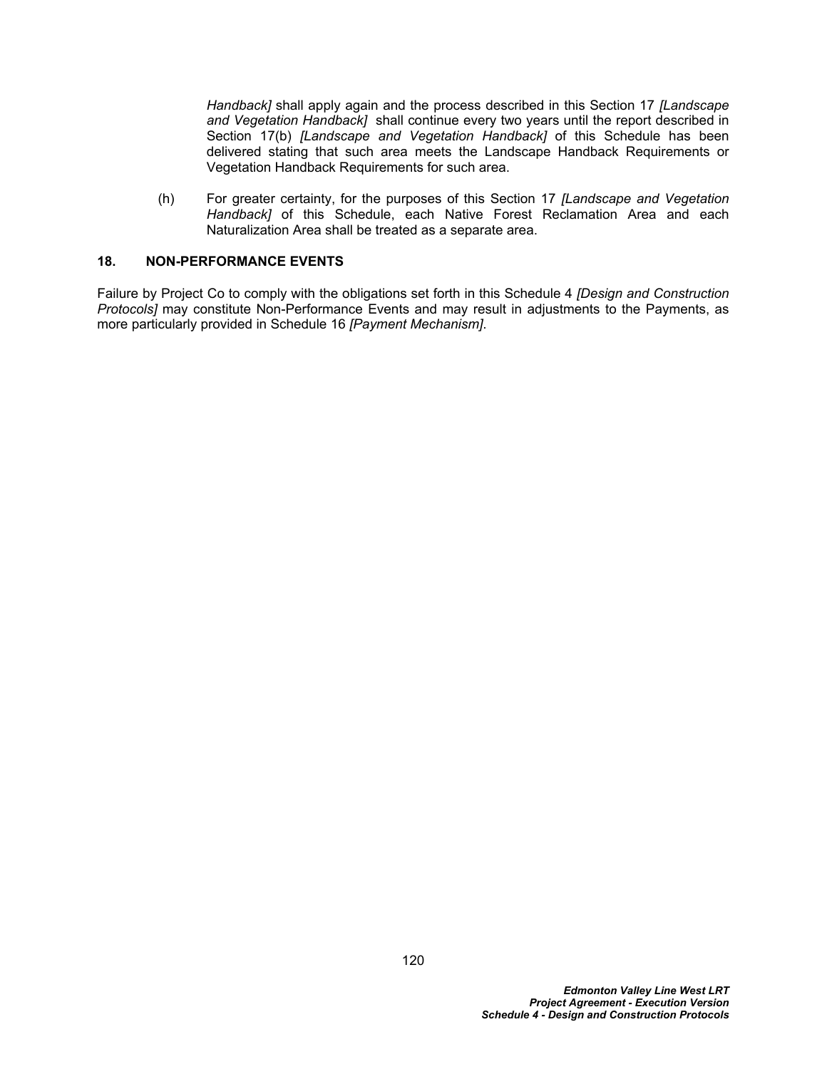*Handback]* shall apply again and the process described in this Section [17](#page-122-0) *[Landscape and Vegetation Handback]* shall continue every two years until the report described in Section [17\(b\)](#page-122-1) *[Landscape and Vegetation Handback]* of this Schedule has been delivered stating that such area meets the Landscape Handback Requirements or Vegetation Handback Requirements for such area.

(h) For greater certainty, for the purposes of this Section [17](#page-122-0) *[Landscape and Vegetation Handback]* of this Schedule, each Native Forest Reclamation Area and each Naturalization Area shall be treated as a separate area.

#### **18. NON-PERFORMANCE EVENTS**

Failure by Project Co to comply with the obligations set forth in this Schedule 4 *[Design and Construction Protocols]* may constitute Non-Performance Events and may result in adjustments to the Payments, as more particularly provided in Schedule 16 *[Payment Mechanism]*.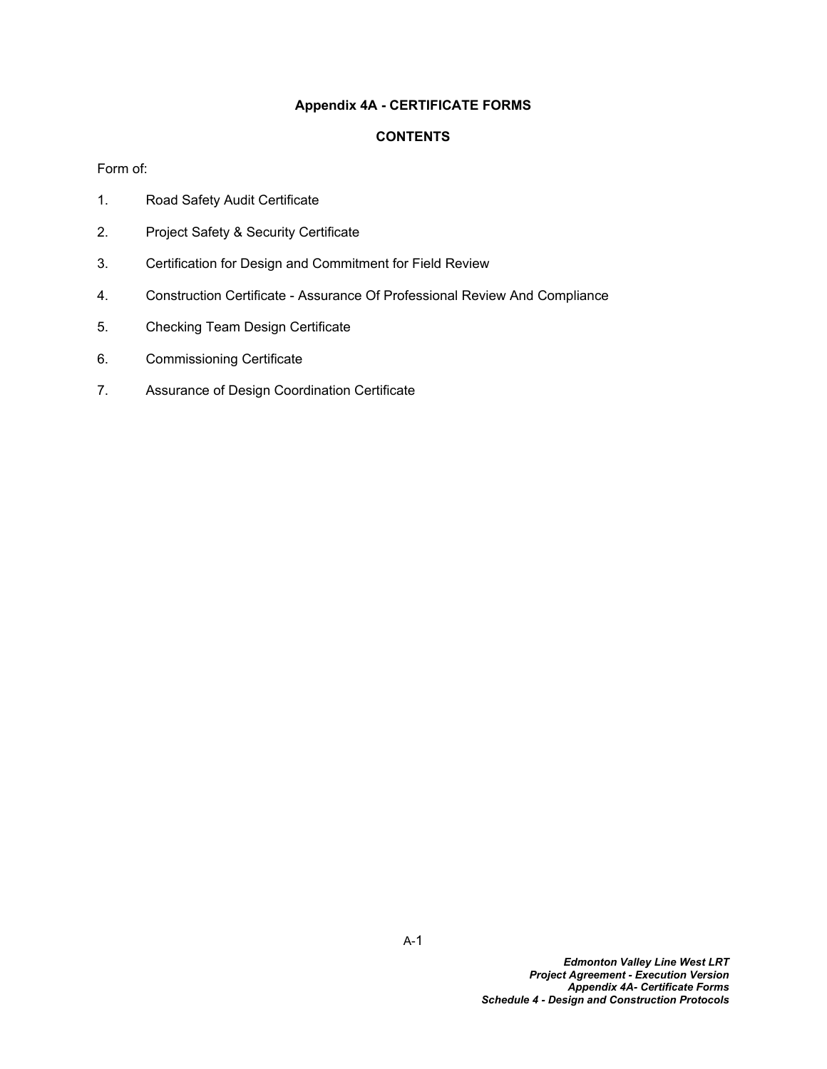## **Appendix 4A - CERTIFICATE FORMS**

### **CONTENTS**

Form of:

- 1. Road Safety Audit Certificate
- 2. Project Safety & Security Certificate
- 3. Certification for Design and Commitment for Field Review
- 4. Construction Certificate Assurance Of Professional Review And Compliance
- 5. Checking Team Design Certificate
- 6. Commissioning Certificate
- 7. Assurance of Design Coordination Certificate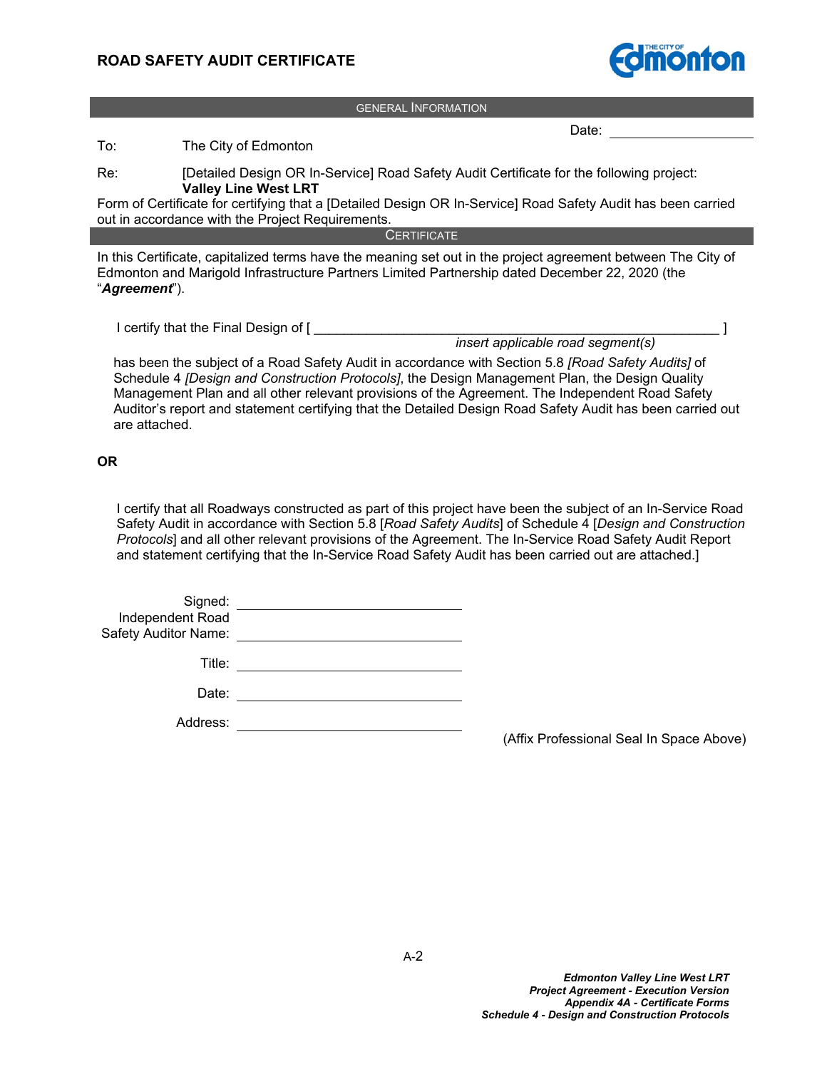

GENERAL INFORMATION

Date:

To: The City of Edmonton

Re: [Detailed Design OR In-Service] Road Safety Audit Certificate for the following project: **Valley Line West LRT**

Form of Certificate for certifying that a [Detailed Design OR In-Service] Road Safety Audit has been carried out in accordance with the Project Requirements.

**CERTIFICATE** 

In this Certificate, capitalized terms have the meaning set out in the project agreement between The City of Edmonton and Marigold Infrastructure Partners Limited Partnership dated December 22, 2020 (the "*Agreement*").

I certify that the Final Design of [ \_\_\_\_\_\_\_\_\_\_\_\_\_\_\_\_\_\_\_\_\_\_\_\_\_\_\_\_\_\_\_\_\_\_\_\_\_\_\_\_\_\_\_\_\_\_\_\_\_\_\_\_\_\_ ]

*insert applicable road segment(s)*

has been the subject of a Road Safety Audit in accordance with Section 5.8 *[Road Safety Audits]* of Schedule 4 *[Design and Construction Protocols]*, the Design Management Plan, the Design Quality Management Plan and all other relevant provisions of the Agreement. The Independent Road Safety Auditor's report and statement certifying that the Detailed Design Road Safety Audit has been carried out are attached.

#### **OR**

I certify that all Roadways constructed as part of this project have been the subject of an In-Service Road Safety Audit in accordance with Section 5.8 [*Road Safety Audits*] of Schedule 4 [*Design and Construction Protocols*] and all other relevant provisions of the Agreement. The In-Service Road Safety Audit Report and statement certifying that the In-Service Road Safety Audit has been carried out are attached.]

| Signed:              |  |
|----------------------|--|
| Independent Road     |  |
| Safety Auditor Name: |  |

Title: **The Community of the Community of the Community of the Community of the Community of the Community of the Community of the Community of the Community of the Community of the Community of the Community of the Commun** 

Date:

Address:

(Affix Professional Seal In Space Above)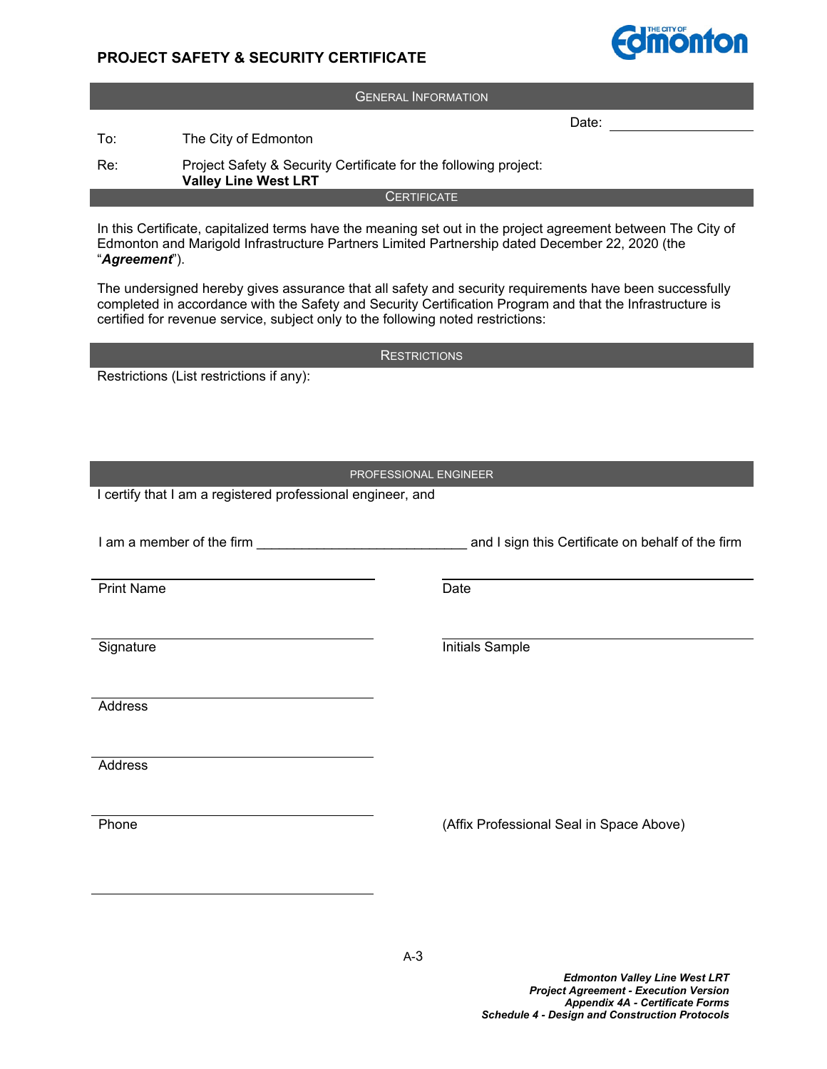# **PROJECT SAFETY & SECURITY CERTIFICATE**



In this Certificate, capitalized terms have the meaning set out in the project agreement between The City of Edmonton and Marigold Infrastructure Partners Limited Partnership dated December 22, 2020 (the "*Agreement*").

The undersigned hereby gives assurance that all safety and security requirements have been successfully completed in accordance with the Safety and Security Certification Program and that the Infrastructure is certified for revenue service, subject only to the following noted restrictions:

**RESTRICTIONS** 

Restrictions (List restrictions if any):

#### PROFESSIONAL ENGINEER

I certify that I am a registered professional engineer, and

I am a member of the firm **EXEC 10** and I sign this Certificate on behalf of the firm

Print Name Date

Signature **Initials** Sample

Address

Address

Phone **(Affix Professional Seal in Space Above)**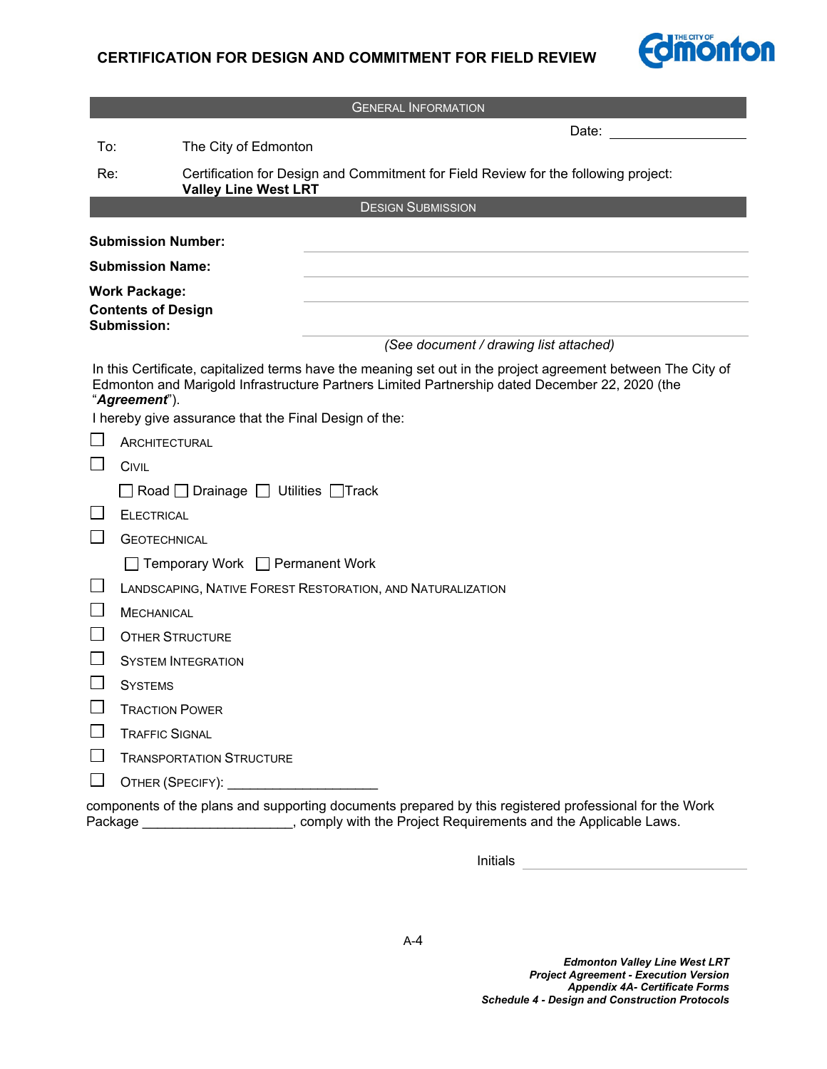# **CERTIFICATION FOR DESIGN AND COMMITMENT FOR FIELD REVIEW**



| <b>GENERAL INFORMATION</b>                                                                                                                                                                                                                                                               |                                                                                                                                                                                                                                |  |
|------------------------------------------------------------------------------------------------------------------------------------------------------------------------------------------------------------------------------------------------------------------------------------------|--------------------------------------------------------------------------------------------------------------------------------------------------------------------------------------------------------------------------------|--|
|                                                                                                                                                                                                                                                                                          | Date:                                                                                                                                                                                                                          |  |
| To:                                                                                                                                                                                                                                                                                      | The City of Edmonton                                                                                                                                                                                                           |  |
| Re:                                                                                                                                                                                                                                                                                      | Certification for Design and Commitment for Field Review for the following project:<br><b>Valley Line West LRT</b>                                                                                                             |  |
|                                                                                                                                                                                                                                                                                          | <b>DESIGN SUBMISSION</b>                                                                                                                                                                                                       |  |
|                                                                                                                                                                                                                                                                                          | <b>Submission Number:</b>                                                                                                                                                                                                      |  |
|                                                                                                                                                                                                                                                                                          | <b>Submission Name:</b>                                                                                                                                                                                                        |  |
| <b>Work Package:</b><br><b>Contents of Design</b><br>Submission:                                                                                                                                                                                                                         |                                                                                                                                                                                                                                |  |
|                                                                                                                                                                                                                                                                                          | (See document / drawing list attached)                                                                                                                                                                                         |  |
| In this Certificate, capitalized terms have the meaning set out in the project agreement between The City of<br>Edmonton and Marigold Infrastructure Partners Limited Partnership dated December 22, 2020 (the<br>"Agreement").<br>I hereby give assurance that the Final Design of the: |                                                                                                                                                                                                                                |  |
|                                                                                                                                                                                                                                                                                          | <b>ARCHITECTURAL</b>                                                                                                                                                                                                           |  |
|                                                                                                                                                                                                                                                                                          | <b>CIVIL</b>                                                                                                                                                                                                                   |  |
|                                                                                                                                                                                                                                                                                          | Road Drainage Utilities Track                                                                                                                                                                                                  |  |
|                                                                                                                                                                                                                                                                                          | <b>ELECTRICAL</b>                                                                                                                                                                                                              |  |
|                                                                                                                                                                                                                                                                                          | <b>GEOTECHNICAL</b>                                                                                                                                                                                                            |  |
|                                                                                                                                                                                                                                                                                          | Temporary Work □ Permanent Work                                                                                                                                                                                                |  |
|                                                                                                                                                                                                                                                                                          | LANDSCAPING, NATIVE FOREST RESTORATION, AND NATURALIZATION                                                                                                                                                                     |  |
|                                                                                                                                                                                                                                                                                          | <b>MECHANICAL</b>                                                                                                                                                                                                              |  |
|                                                                                                                                                                                                                                                                                          | <b>OTHER STRUCTURE</b>                                                                                                                                                                                                         |  |
|                                                                                                                                                                                                                                                                                          | <b>SYSTEM INTEGRATION</b>                                                                                                                                                                                                      |  |
|                                                                                                                                                                                                                                                                                          | <b>SYSTEMS</b>                                                                                                                                                                                                                 |  |
|                                                                                                                                                                                                                                                                                          | <b>TRACTION POWER</b>                                                                                                                                                                                                          |  |
|                                                                                                                                                                                                                                                                                          | <b>TRAFFIC SIGNAL</b>                                                                                                                                                                                                          |  |
|                                                                                                                                                                                                                                                                                          | <b>TRANSPORTATION STRUCTURE</b>                                                                                                                                                                                                |  |
|                                                                                                                                                                                                                                                                                          | OTHER (SPECIFY): Network of the state of the state of the state of the state of the state of the state of the state of the state of the state of the state of the state of the state of the state of the state of the state of |  |
| components of the plans and supporting documents prepared by this registered professional for the Work<br>, comply with the Project Requirements and the Applicable Laws.<br>Package                                                                                                     |                                                                                                                                                                                                                                |  |

Initials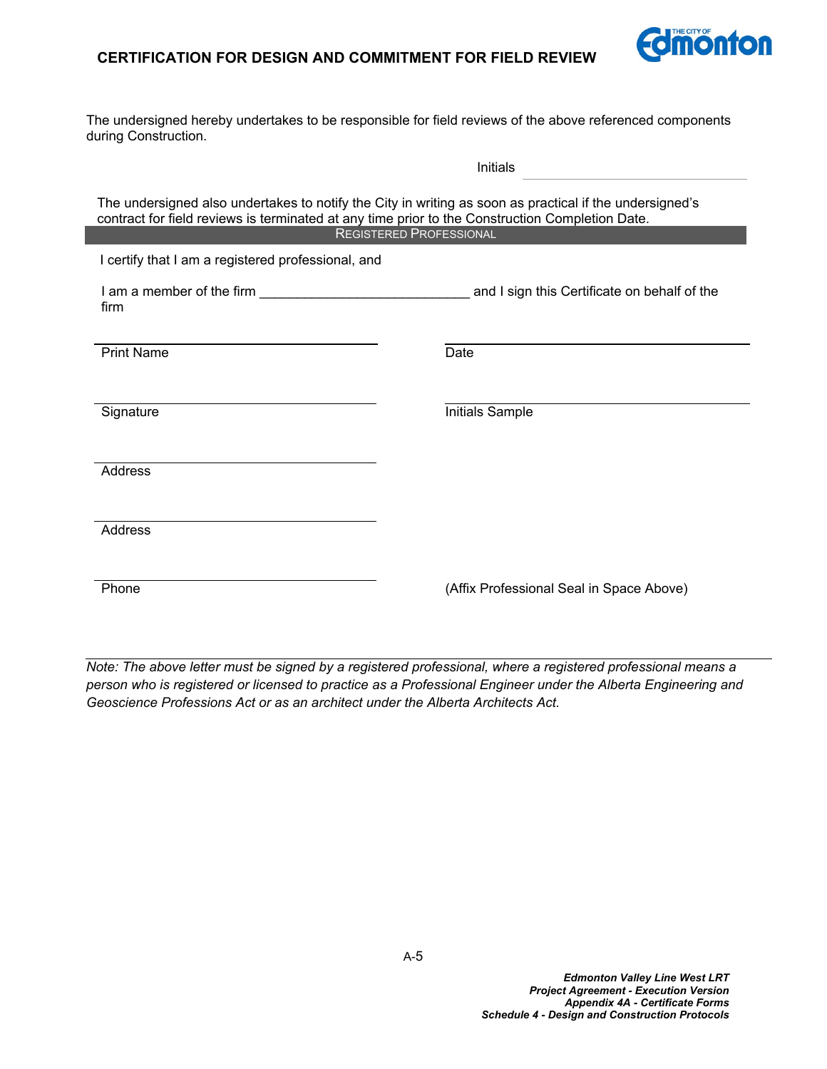# **CERTIFICATION FOR DESIGN AND COMMITMENT FOR FIELD REVIEW**



The undersigned hereby undertakes to be responsible for field reviews of the above referenced components during Construction.

| Initials                                                                                                                                                                                                                                     |                                              |  |  |
|----------------------------------------------------------------------------------------------------------------------------------------------------------------------------------------------------------------------------------------------|----------------------------------------------|--|--|
| The undersigned also undertakes to notify the City in writing as soon as practical if the undersigned's<br>contract for field reviews is terminated at any time prior to the Construction Completion Date.<br><b>REGISTERED PROFESSIONAL</b> |                                              |  |  |
| I certify that I am a registered professional, and                                                                                                                                                                                           |                                              |  |  |
| firm                                                                                                                                                                                                                                         | and I sign this Certificate on behalf of the |  |  |
| <b>Print Name</b>                                                                                                                                                                                                                            | Date                                         |  |  |
| Signature                                                                                                                                                                                                                                    | Initials Sample                              |  |  |
| <b>Address</b>                                                                                                                                                                                                                               |                                              |  |  |
| Address                                                                                                                                                                                                                                      |                                              |  |  |
| Phone                                                                                                                                                                                                                                        | (Affix Professional Seal in Space Above)     |  |  |

*Note: The above letter must be signed by a registered professional, where a registered professional means a person who is registered or licensed to practice as a Professional Engineer under the Alberta Engineering and Geoscience Professions Act or as an architect under the Alberta Architects Act.*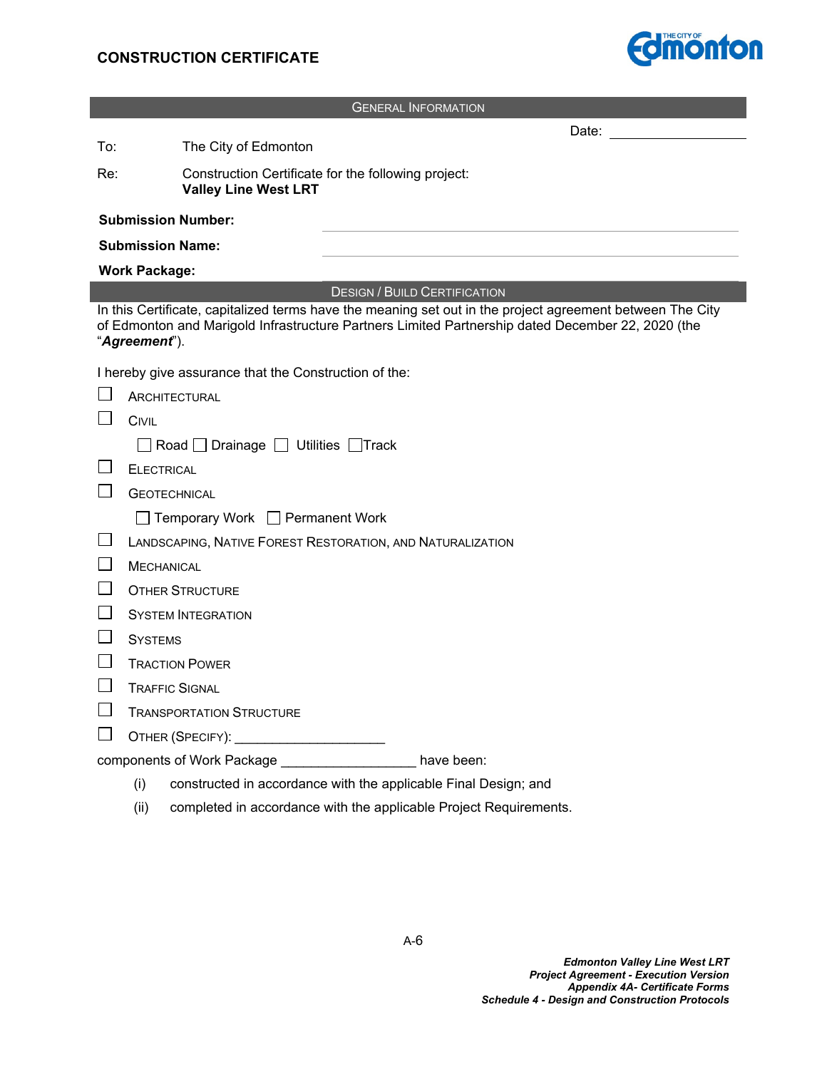

| <b>GENERAL INFORMATION</b>                                                                                                                                                                                                      |                                                                                                                                                                                                                                |  |  |
|---------------------------------------------------------------------------------------------------------------------------------------------------------------------------------------------------------------------------------|--------------------------------------------------------------------------------------------------------------------------------------------------------------------------------------------------------------------------------|--|--|
|                                                                                                                                                                                                                                 | Date: the contract of the contract of the contract of the contract of the contract of the contract of the contract of the contract of the contract of the contract of the contract of the contract of the contract of the cont |  |  |
| To:                                                                                                                                                                                                                             | The City of Edmonton                                                                                                                                                                                                           |  |  |
| Re:                                                                                                                                                                                                                             | Construction Certificate for the following project:<br><b>Valley Line West LRT</b>                                                                                                                                             |  |  |
|                                                                                                                                                                                                                                 | <b>Submission Number:</b>                                                                                                                                                                                                      |  |  |
|                                                                                                                                                                                                                                 | <b>Submission Name:</b>                                                                                                                                                                                                        |  |  |
|                                                                                                                                                                                                                                 | <b>Work Package:</b>                                                                                                                                                                                                           |  |  |
|                                                                                                                                                                                                                                 | <b>DESIGN / BUILD CERTIFICATION</b>                                                                                                                                                                                            |  |  |
| In this Certificate, capitalized terms have the meaning set out in the project agreement between The City<br>of Edmonton and Marigold Infrastructure Partners Limited Partnership dated December 22, 2020 (the<br>"Agreement"). |                                                                                                                                                                                                                                |  |  |
|                                                                                                                                                                                                                                 | I hereby give assurance that the Construction of the:                                                                                                                                                                          |  |  |
|                                                                                                                                                                                                                                 | ARCHITECTURAL                                                                                                                                                                                                                  |  |  |
|                                                                                                                                                                                                                                 | <b>CIVIL</b>                                                                                                                                                                                                                   |  |  |
|                                                                                                                                                                                                                                 | □ Road □ Drainage □ Utilities □ Track                                                                                                                                                                                          |  |  |
|                                                                                                                                                                                                                                 | <b>ELECTRICAL</b>                                                                                                                                                                                                              |  |  |
|                                                                                                                                                                                                                                 | <b>GEOTECHNICAL</b>                                                                                                                                                                                                            |  |  |
|                                                                                                                                                                                                                                 | □ Temporary Work □ Permanent Work                                                                                                                                                                                              |  |  |
| ⊔                                                                                                                                                                                                                               | LANDSCAPING, NATIVE FOREST RESTORATION, AND NATURALIZATION                                                                                                                                                                     |  |  |
| $\mathsf{L}$                                                                                                                                                                                                                    | <b>MECHANICAL</b>                                                                                                                                                                                                              |  |  |
|                                                                                                                                                                                                                                 | <b>OTHER STRUCTURE</b>                                                                                                                                                                                                         |  |  |
|                                                                                                                                                                                                                                 | <b>SYSTEM INTEGRATION</b>                                                                                                                                                                                                      |  |  |
| ப                                                                                                                                                                                                                               | <b>SYSTEMS</b>                                                                                                                                                                                                                 |  |  |
| $\vert \ \ \vert$                                                                                                                                                                                                               | <b>TRACTION POWER</b>                                                                                                                                                                                                          |  |  |
| ⊔                                                                                                                                                                                                                               | <b>TRAFFIC SIGNAL</b>                                                                                                                                                                                                          |  |  |
| $\mathsf{L}$                                                                                                                                                                                                                    | <b>TRANSPORTATION STRUCTURE</b>                                                                                                                                                                                                |  |  |
| $\mathsf{I}$                                                                                                                                                                                                                    |                                                                                                                                                                                                                                |  |  |
| components of Work Package ___________________ have been:                                                                                                                                                                       |                                                                                                                                                                                                                                |  |  |
|                                                                                                                                                                                                                                 | constructed in accordance with the applicable Final Design; and<br>(i)                                                                                                                                                         |  |  |

(ii) completed in accordance with the applicable Project Requirements.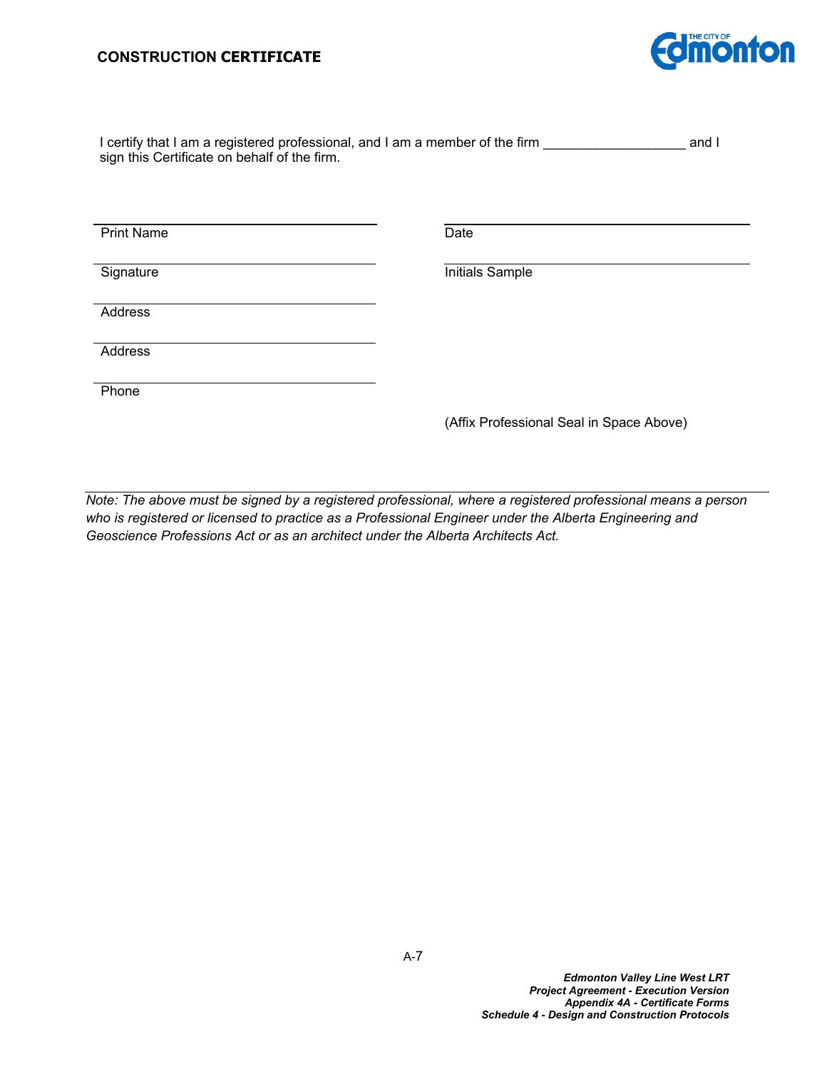## **CONSTRUCTION CERTIFICATE**



| I certify that I am a registered professional, and I am a member of the firm | and I |  |  |
|------------------------------------------------------------------------------|-------|--|--|
| sign this Certificate on behalf of the firm.                                 |       |  |  |

Print Name Date

Signature **Initials** Sample

**Address** 

**Address** 

**Phone** 

(Affix Professional Seal in Space Above)

*Note: The above must be signed by a registered professional, where a registered professional means a person who is registered or licensed to practice as a Professional Engineer under the Alberta Engineering and Geoscience Professions Act or as an architect under the Alberta Architects Act.*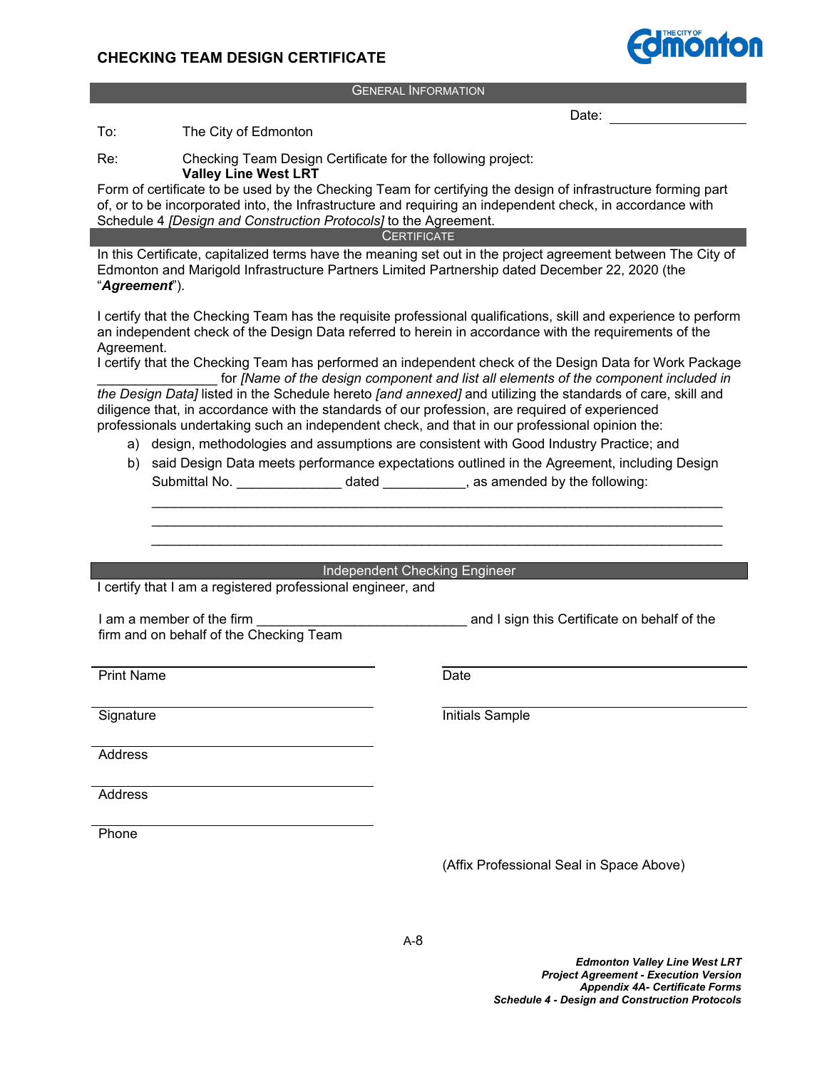# **CHECKING TEAM DESIGN CERTIFICATE**

GENERAL INFORMATION

Date:

To: The City of Edmonton

Re: Checking Team Design Certificate for the following project:

**Valley Line West LRT**

Form of certificate to be used by the Checking Team for certifying the design of infrastructure forming part of, or to be incorporated into, the Infrastructure and requiring an independent check, in accordance with Schedule 4 *[Design and Construction Protocols]* to the Agreement.

**CERTIFICATE** 

In this Certificate, capitalized terms have the meaning set out in the project agreement between The City of Edmonton and Marigold Infrastructure Partners Limited Partnership dated December 22, 2020 (the "*Agreement*").

I certify that the Checking Team has the requisite professional qualifications, skill and experience to perform an independent check of the Design Data referred to herein in accordance with the requirements of the Agreement.

I certify that the Checking Team has performed an independent check of the Design Data for Work Package for *[Name of the design component and list all elements of the component included in* 

*the Design Data]* listed in the Schedule hereto *[and annexed]* and utilizing the standards of care, skill and diligence that, in accordance with the standards of our profession, are required of experienced professionals undertaking such an independent check, and that in our professional opinion the:

- a) design, methodologies and assumptions are consistent with Good Industry Practice; and
- b) said Design Data meets performance expectations outlined in the Agreement, including Design Submittal No. \_\_\_\_\_\_\_\_\_\_\_\_\_\_\_\_\_\_\_\_ dated \_\_\_\_\_\_\_\_\_\_\_\_, as amended by the following:

\_\_\_\_\_\_\_\_\_\_\_\_\_\_\_\_\_\_\_\_\_\_\_\_\_\_\_\_\_\_\_\_\_\_\_\_\_\_\_\_\_\_\_\_\_\_\_\_\_\_\_\_\_\_\_\_\_\_\_\_\_\_\_\_\_\_\_\_\_\_\_\_\_\_\_\_

**Independent Checking Engineer** 

I certify that I am a registered professional engineer, and

I am a member of the firm **Example 20** and I sign this Certificate on behalf of the firm and on behalf of the Checking Team

Print Name Date

Signature **Initials** Sample

**Address** 

Address

Phone

(Affix Professional Seal in Space Above)

*Edmonton Valley Line West LRT Project Agreement - Execution Version Appendix 4A- Certificate Forms Schedule 4 - Design and Construction Protocols*

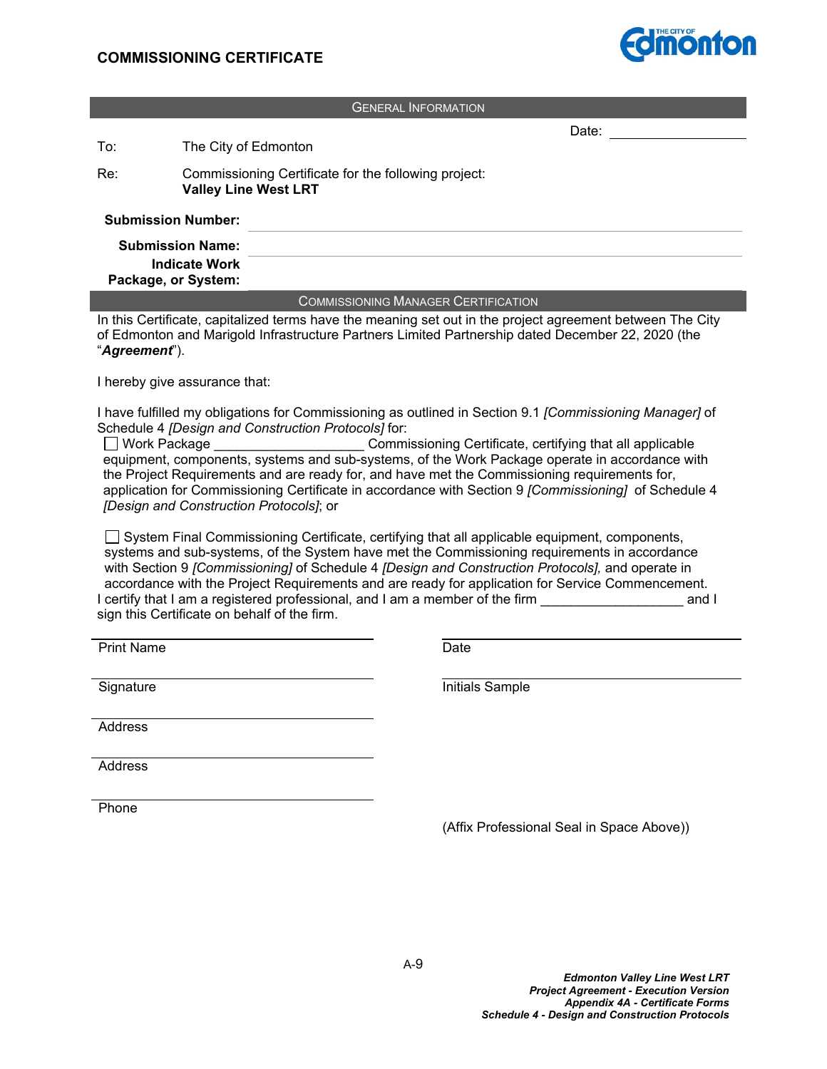

Date:

#### GENERAL INFORMATION

To: The City of Edmonton

Re: Commissioning Certificate for the following project: **Valley Line West LRT**

#### **Submission Number:**

| <b>Submission Name:</b><br><b>Indicate Work</b><br>Package, or System: |  |
|------------------------------------------------------------------------|--|
|                                                                        |  |
|                                                                        |  |

**COMMISSIONING MANAGER CERTIFICATION** 

In this Certificate, capitalized terms have the meaning set out in the project agreement between The City of Edmonton and Marigold Infrastructure Partners Limited Partnership dated December 22, 2020 (the "*Agreement*").

I hereby give assurance that:

I have fulfilled my obligations for Commissioning as outlined in Section 9.1 *[Commissioning Manager]* of Schedule 4 *[Design and Construction Protocols]* for:

□ Work Package **be a commissioning Certificate, certifying that all applicable** equipment, components, systems and sub-systems, of the Work Package operate in accordance with the Project Requirements and are ready for, and have met the Commissioning requirements for, application for Commissioning Certificate in accordance with Section 9 *[Commissioning]* of Schedule 4 *[Design and Construction Protocols]*; or

 $\Box$  System Final Commissioning Certificate, certifying that all applicable equipment, components, systems and sub-systems, of the System have met the Commissioning requirements in accordance with Section 9 *[Commissioning]* of Schedule 4 *[Design and Construction Protocols],* and operate in accordance with the Project Requirements and are ready for application for Service Commencement. I certify that I am a registered professional, and I am a member of the firm **the and I** and I sign this Certificate on behalf of the firm.

Print Name

Signature **Initials** Sample

Address

Address

Phone

(Affix Professional Seal in Space Above))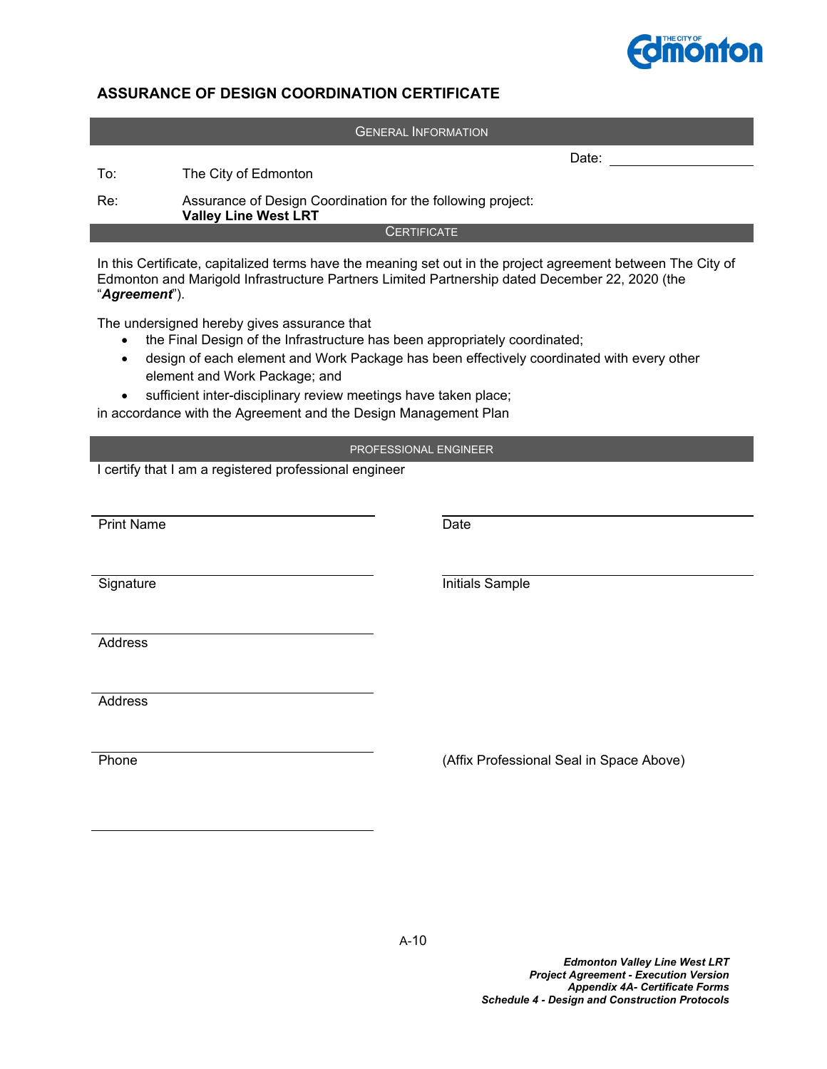

# **ASSURANCE OF DESIGN COORDINATION CERTIFICATE**

|                                                                                                                                                                                                                                                                                                                                                                                                            |                                                                                            | <b>GENERAL INFORMATION</b>               |
|------------------------------------------------------------------------------------------------------------------------------------------------------------------------------------------------------------------------------------------------------------------------------------------------------------------------------------------------------------------------------------------------------------|--------------------------------------------------------------------------------------------|------------------------------------------|
| To:                                                                                                                                                                                                                                                                                                                                                                                                        | The City of Edmonton                                                                       | Date:                                    |
|                                                                                                                                                                                                                                                                                                                                                                                                            |                                                                                            |                                          |
| Re:                                                                                                                                                                                                                                                                                                                                                                                                        | Assurance of Design Coordination for the following project:<br><b>Valley Line West LRT</b> |                                          |
|                                                                                                                                                                                                                                                                                                                                                                                                            |                                                                                            | <b>CERTIFICATE</b>                       |
| In this Certificate, capitalized terms have the meaning set out in the project agreement between The City of<br>Edmonton and Marigold Infrastructure Partners Limited Partnership dated December 22, 2020 (the<br>"Agreement").                                                                                                                                                                            |                                                                                            |                                          |
| The undersigned hereby gives assurance that<br>the Final Design of the Infrastructure has been appropriately coordinated;<br>design of each element and Work Package has been effectively coordinated with every other<br>$\bullet$<br>element and Work Package; and<br>sufficient inter-disciplinary review meetings have taken place;<br>in accordance with the Agreement and the Design Management Plan |                                                                                            |                                          |
|                                                                                                                                                                                                                                                                                                                                                                                                            |                                                                                            | PROFESSIONAL ENGINEER                    |
|                                                                                                                                                                                                                                                                                                                                                                                                            | I certify that I am a registered professional engineer                                     |                                          |
|                                                                                                                                                                                                                                                                                                                                                                                                            |                                                                                            |                                          |
|                                                                                                                                                                                                                                                                                                                                                                                                            |                                                                                            |                                          |
| <b>Print Name</b>                                                                                                                                                                                                                                                                                                                                                                                          |                                                                                            | Date                                     |
|                                                                                                                                                                                                                                                                                                                                                                                                            |                                                                                            |                                          |
| Signature                                                                                                                                                                                                                                                                                                                                                                                                  |                                                                                            | Initials Sample                          |
|                                                                                                                                                                                                                                                                                                                                                                                                            |                                                                                            |                                          |
| Address                                                                                                                                                                                                                                                                                                                                                                                                    |                                                                                            |                                          |
|                                                                                                                                                                                                                                                                                                                                                                                                            |                                                                                            |                                          |
|                                                                                                                                                                                                                                                                                                                                                                                                            |                                                                                            |                                          |
| Address                                                                                                                                                                                                                                                                                                                                                                                                    |                                                                                            |                                          |
|                                                                                                                                                                                                                                                                                                                                                                                                            |                                                                                            |                                          |
| Phone                                                                                                                                                                                                                                                                                                                                                                                                      |                                                                                            | (Affix Professional Seal in Space Above) |
|                                                                                                                                                                                                                                                                                                                                                                                                            |                                                                                            |                                          |
|                                                                                                                                                                                                                                                                                                                                                                                                            |                                                                                            |                                          |
|                                                                                                                                                                                                                                                                                                                                                                                                            |                                                                                            |                                          |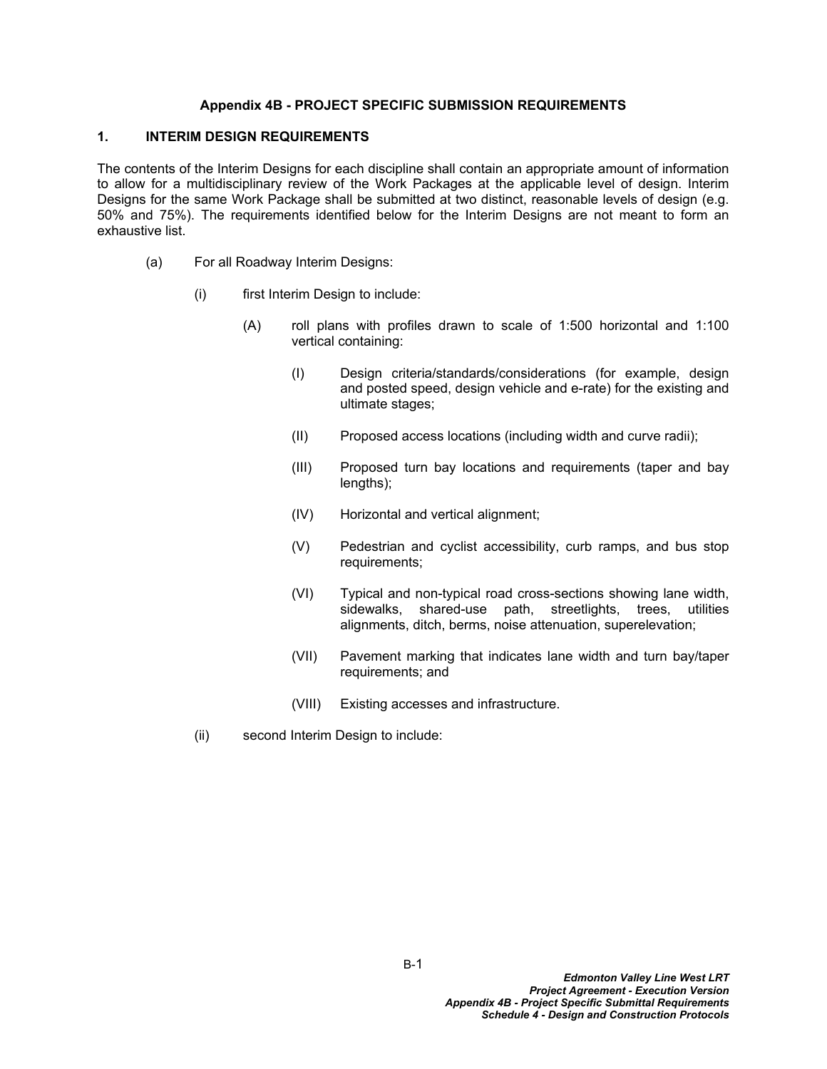#### **Appendix 4B - PROJECT SPECIFIC SUBMISSION REQUIREMENTS**

### **1. INTERIM DESIGN REQUIREMENTS**

The contents of the Interim Designs for each discipline shall contain an appropriate amount of information to allow for a multidisciplinary review of the Work Packages at the applicable level of design. Interim Designs for the same Work Package shall be submitted at two distinct, reasonable levels of design (e.g. 50% and 75%). The requirements identified below for the Interim Designs are not meant to form an exhaustive list.

- (a) For all Roadway Interim Designs:
	- (i) first Interim Design to include:
		- (A) roll plans with profiles drawn to scale of 1:500 horizontal and 1:100 vertical containing:
			- (I) Design criteria/standards/considerations (for example, design and posted speed, design vehicle and e-rate) for the existing and ultimate stages;
			- (II) Proposed access locations (including width and curve radii);
			- (III) Proposed turn bay locations and requirements (taper and bay lengths);
			- (IV) Horizontal and vertical alignment;
			- (V) Pedestrian and cyclist accessibility, curb ramps, and bus stop requirements;
			- (VI) Typical and non-typical road cross-sections showing lane width, sidewalks, shared-use path, streetlights, trees, utilities alignments, ditch, berms, noise attenuation, superelevation;
			- (VII) Pavement marking that indicates lane width and turn bay/taper requirements; and
			- (VIII) Existing accesses and infrastructure.
	- (ii) second Interim Design to include: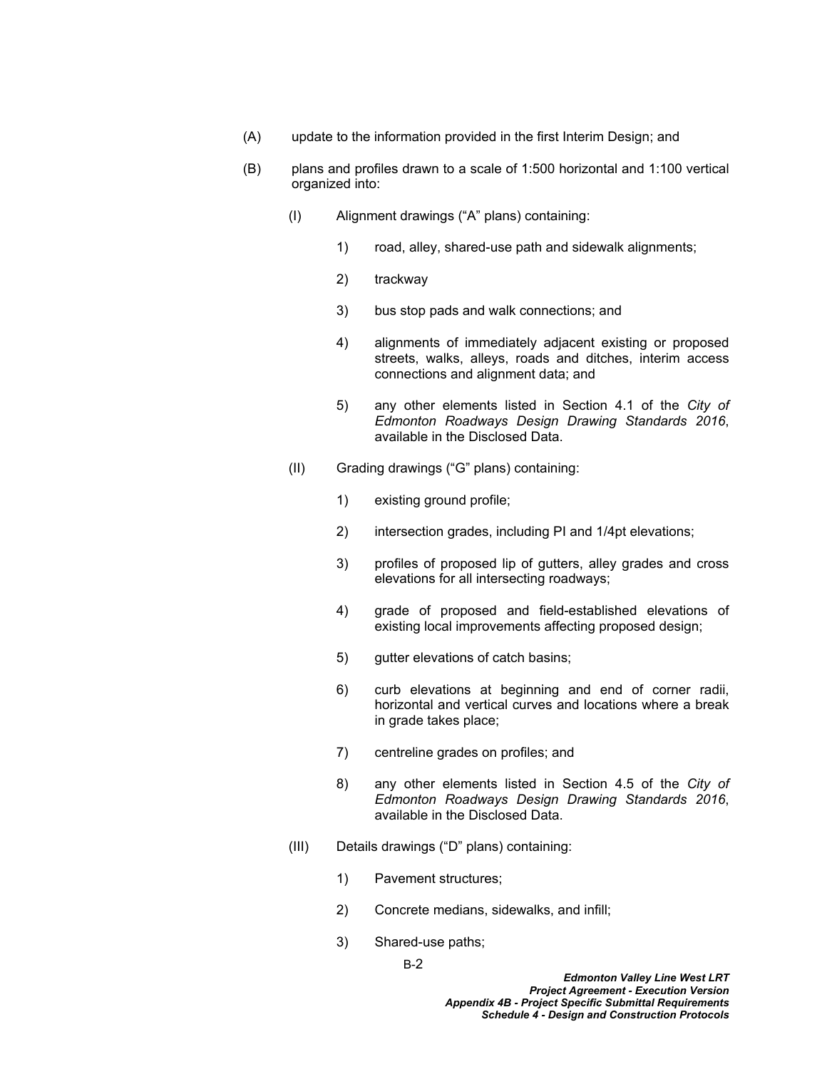- (A) update to the information provided in the first Interim Design; and
- (B) plans and profiles drawn to a scale of 1:500 horizontal and 1:100 vertical organized into:
	- (I) Alignment drawings ("A" plans) containing:
		- 1) road, alley, shared-use path and sidewalk alignments;
		- 2) trackway
		- 3) bus stop pads and walk connections; and
		- 4) alignments of immediately adjacent existing or proposed streets, walks, alleys, roads and ditches, interim access connections and alignment data; and
		- 5) any other elements listed in Section 4.1 of the *City of Edmonton Roadways Design Drawing Standards 2016*, available in the Disclosed Data.
	- (II) Grading drawings ("G" plans) containing:
		- 1) existing ground profile;
		- 2) intersection grades, including PI and 1/4pt elevations;
		- 3) profiles of proposed lip of gutters, alley grades and cross elevations for all intersecting roadways;
		- 4) grade of proposed and field-established elevations of existing local improvements affecting proposed design;
		- 5) gutter elevations of catch basins;
		- 6) curb elevations at beginning and end of corner radii, horizontal and vertical curves and locations where a break in grade takes place;
		- 7) centreline grades on profiles; and
		- 8) any other elements listed in Section 4.5 of the *City of Edmonton Roadways Design Drawing Standards 2016*, available in the Disclosed Data.
	- (III) Details drawings ("D" plans) containing:
		- 1) Pavement structures;
		- 2) Concrete medians, sidewalks, and infill;
		- 3) Shared-use paths;

B-2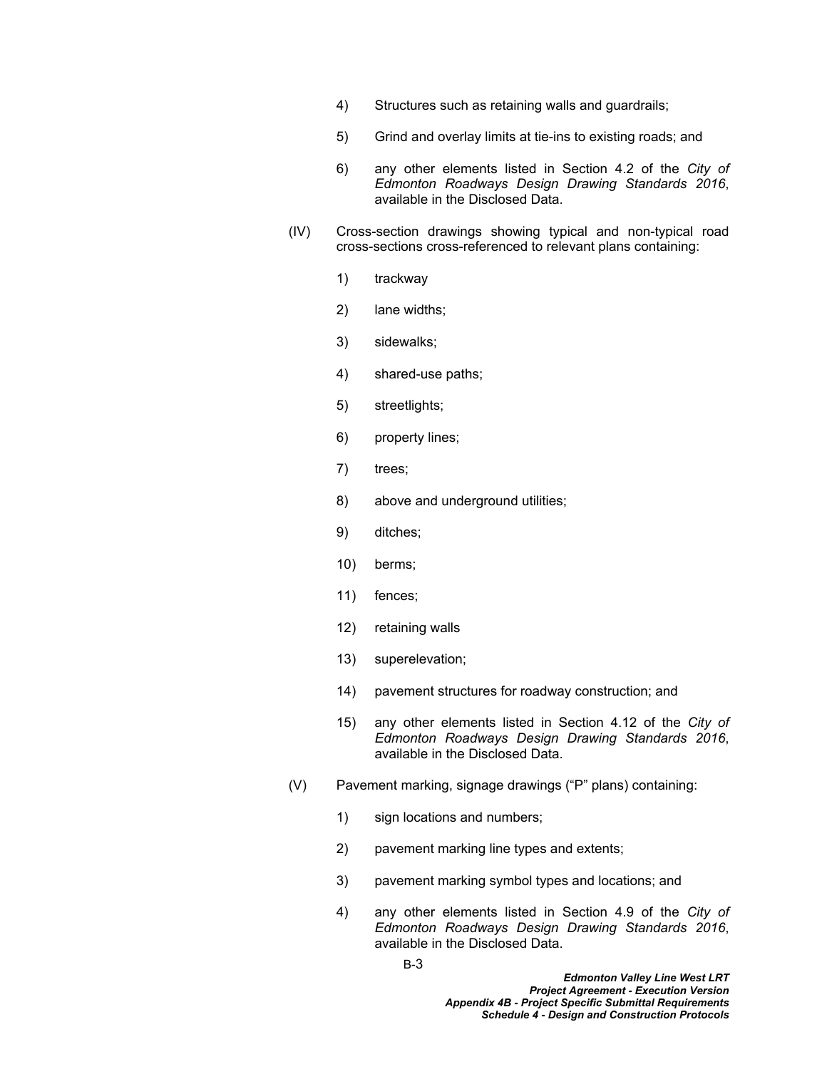- 4) Structures such as retaining walls and guardrails;
- 5) Grind and overlay limits at tie-ins to existing roads; and
- 6) any other elements listed in Section 4.2 of the *City of Edmonton Roadways Design Drawing Standards 2016*, available in the Disclosed Data.
- (IV) Cross-section drawings showing typical and non-typical road cross-sections cross-referenced to relevant plans containing:
	- 1) trackway
	- 2) lane widths;
	- 3) sidewalks;
	- 4) shared-use paths;
	- 5) streetlights;
	- 6) property lines;
	- 7) trees;
	- 8) above and underground utilities;
	- 9) ditches;
	- 10) berms;
	- 11) fences;
	- 12) retaining walls
	- 13) superelevation;
	- 14) pavement structures for roadway construction; and
	- 15) any other elements listed in Section 4.12 of the *City of Edmonton Roadways Design Drawing Standards 2016*, available in the Disclosed Data.
- (V) Pavement marking, signage drawings ("P" plans) containing:
	- 1) sign locations and numbers;
	- 2) pavement marking line types and extents;
	- 3) pavement marking symbol types and locations; and
	- 4) any other elements listed in Section 4.9 of the *City of Edmonton Roadways Design Drawing Standards 2016*, available in the Disclosed Data.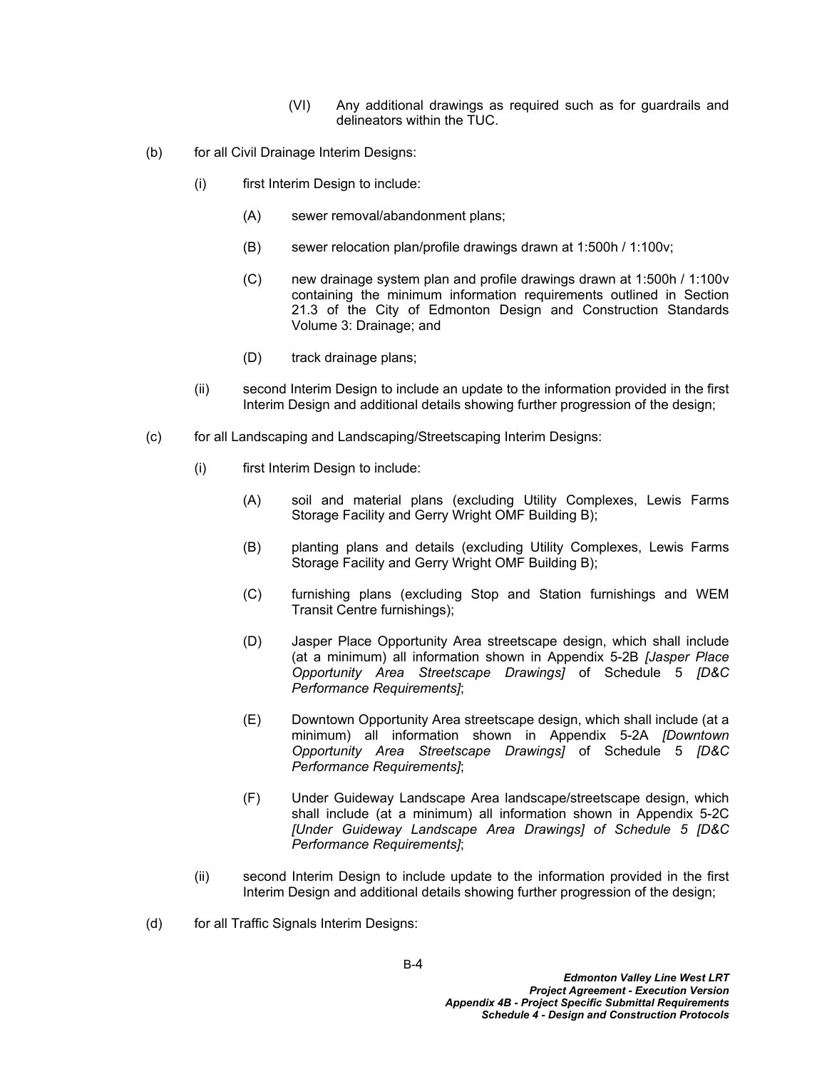- (VI) Any additional drawings as required such as for guardrails and delineators within the TUC.
- (b) for all Civil Drainage Interim Designs:
	- (i) first Interim Design to include:
		- (A) sewer removal/abandonment plans;
		- (B) sewer relocation plan/profile drawings drawn at 1:500h / 1:100v;
		- (C) new drainage system plan and profile drawings drawn at 1:500h / 1:100v containing the minimum information requirements outlined in Section 21.3 of the City of Edmonton Design and Construction Standards Volume 3: Drainage; and
		- (D) track drainage plans;
	- (ii) second Interim Design to include an update to the information provided in the first Interim Design and additional details showing further progression of the design;
- (c) for all Landscaping and Landscaping/Streetscaping Interim Designs:
	- (i) first Interim Design to include:
		- (A) soil and material plans (excluding Utility Complexes, Lewis Farms Storage Facility and Gerry Wright OMF Building B);
		- (B) planting plans and details (excluding Utility Complexes, Lewis Farms Storage Facility and Gerry Wright OMF Building B);
		- (C) furnishing plans (excluding Stop and Station furnishings and WEM Transit Centre furnishings);
		- (D) Jasper Place Opportunity Area streetscape design, which shall include (at a minimum) all information shown in Appendix 5-2B *[Jasper Place Opportunity Area Streetscape Drawings]* of Schedule 5 *[D&C Performance Requirements]*;
		- (E) Downtown Opportunity Area streetscape design, which shall include (at a minimum) all information shown in Appendix 5-2A *[Downtown Opportunity Area Streetscape Drawings]* of Schedule 5 *[D&C Performance Requirements]*;
		- (F) Under Guideway Landscape Area landscape/streetscape design, which shall include (at a minimum) all information shown in Appendix 5-2C *[Under Guideway Landscape Area Drawings] of Schedule 5 [D&C Performance Requirements]*;
	- (ii) second Interim Design to include update to the information provided in the first Interim Design and additional details showing further progression of the design;
- (d) for all Traffic Signals Interim Designs: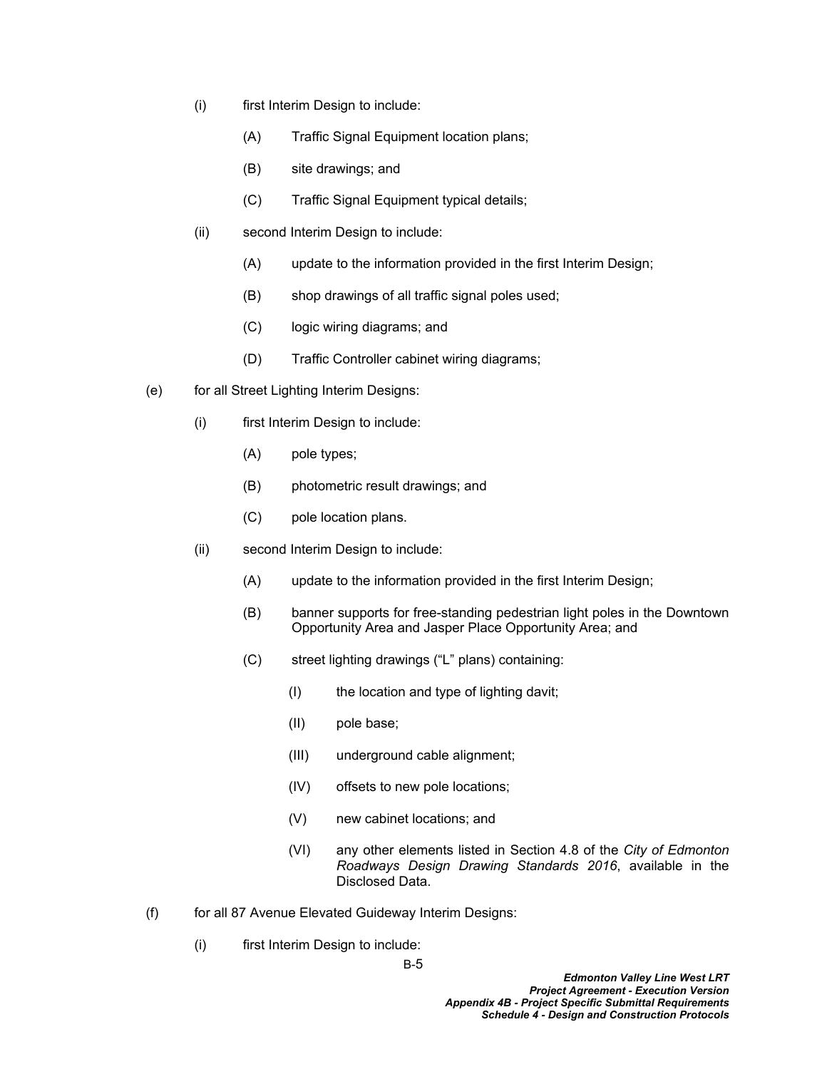- (i) first Interim Design to include:
	- (A) Traffic Signal Equipment location plans;
	- (B) site drawings; and
	- (C) Traffic Signal Equipment typical details;
- (ii) second Interim Design to include:
	- (A) update to the information provided in the first Interim Design;
	- (B) shop drawings of all traffic signal poles used;
	- (C) logic wiring diagrams; and
	- (D) Traffic Controller cabinet wiring diagrams;
- (e) for all Street Lighting Interim Designs:
	- (i) first Interim Design to include:
		- (A) pole types;
		- (B) photometric result drawings; and
		- (C) pole location plans.
	- (ii) second Interim Design to include:
		- (A) update to the information provided in the first Interim Design;
		- (B) banner supports for free-standing pedestrian light poles in the Downtown Opportunity Area and Jasper Place Opportunity Area; and
		- (C) street lighting drawings ("L" plans) containing:
			- (I) the location and type of lighting davit;
			- (II) pole base;
			- (III) underground cable alignment;
			- (IV) offsets to new pole locations;
			- (V) new cabinet locations; and
			- (VI) any other elements listed in Section 4.8 of the *City of Edmonton Roadways Design Drawing Standards 2016*, available in the Disclosed Data.
- (f) for all 87 Avenue Elevated Guideway Interim Designs:
	- (i) first Interim Design to include:

B-5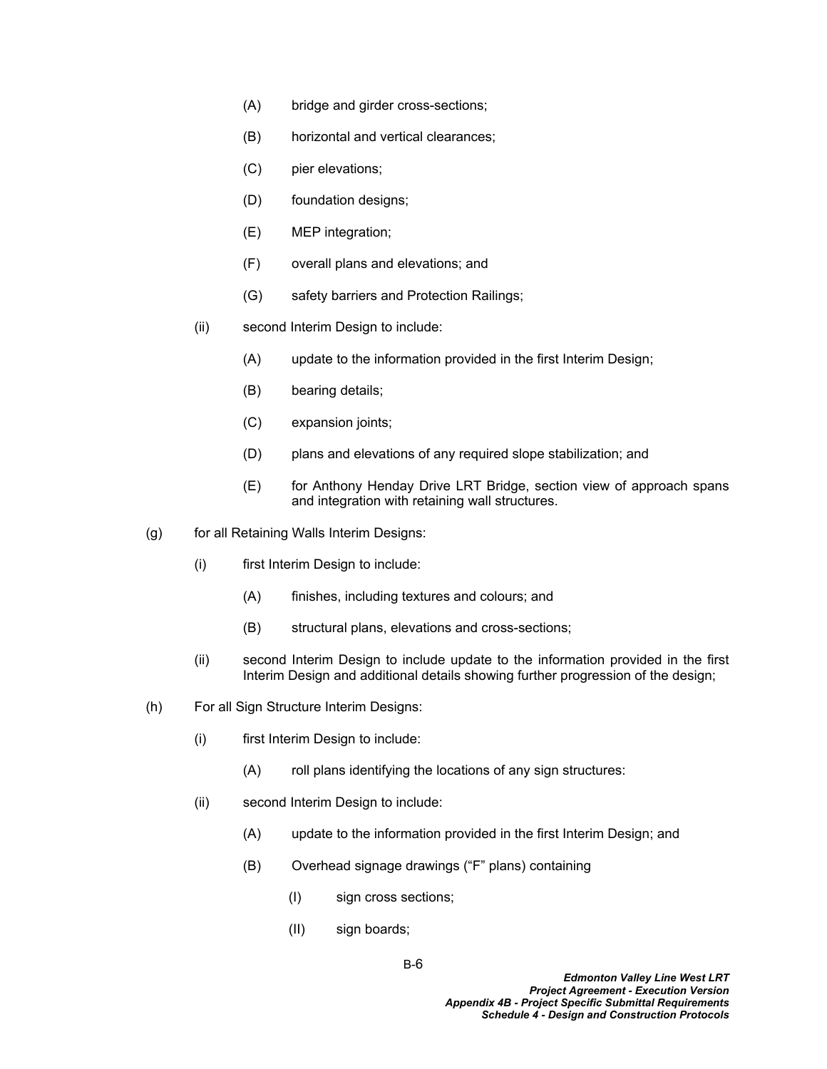- (A) bridge and girder cross-sections;
- (B) horizontal and vertical clearances;
- (C) pier elevations;
- (D) foundation designs;
- (E) MEP integration;
- (F) overall plans and elevations; and
- (G) safety barriers and Protection Railings;
- (ii) second Interim Design to include:
	- (A) update to the information provided in the first Interim Design;
	- (B) bearing details;
	- (C) expansion joints;
	- (D) plans and elevations of any required slope stabilization; and
	- (E) for Anthony Henday Drive LRT Bridge, section view of approach spans and integration with retaining wall structures.
- (g) for all Retaining Walls Interim Designs:
	- (i) first Interim Design to include:
		- (A) finishes, including textures and colours; and
		- (B) structural plans, elevations and cross-sections;
	- (ii) second Interim Design to include update to the information provided in the first Interim Design and additional details showing further progression of the design;
- (h) For all Sign Structure Interim Designs:
	- (i) first Interim Design to include:
		- (A) roll plans identifying the locations of any sign structures:
	- (ii) second Interim Design to include:
		- (A) update to the information provided in the first Interim Design; and
		- (B) Overhead signage drawings ("F" plans) containing
			- (I) sign cross sections;
			- (II) sign boards;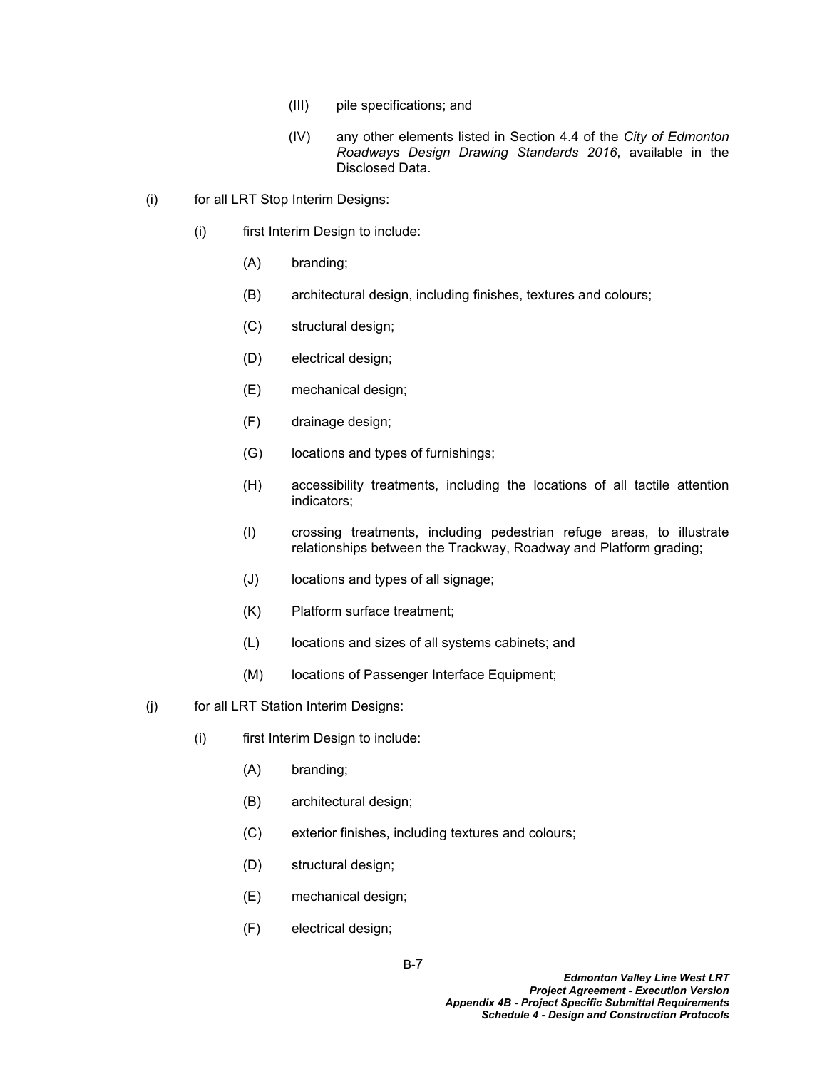- (III) pile specifications; and
- (IV) any other elements listed in Section 4.4 of the *City of Edmonton Roadways Design Drawing Standards 2016*, available in the Disclosed Data.
- (i) for all LRT Stop Interim Designs:
	- (i) first Interim Design to include:
		- (A) branding;
		- (B) architectural design, including finishes, textures and colours;
		- (C) structural design;
		- (D) electrical design;
		- (E) mechanical design;
		- (F) drainage design;
		- (G) locations and types of furnishings;
		- (H) accessibility treatments, including the locations of all tactile attention indicators;
		- (I) crossing treatments, including pedestrian refuge areas, to illustrate relationships between the Trackway, Roadway and Platform grading;
		- (J) locations and types of all signage;
		- (K) Platform surface treatment;
		- (L) locations and sizes of all systems cabinets; and
		- (M) locations of Passenger Interface Equipment;
- (j) for all LRT Station Interim Designs:
	- (i) first Interim Design to include:
		- (A) branding;
		- (B) architectural design;
		- (C) exterior finishes, including textures and colours;
		- (D) structural design;
		- (E) mechanical design;
		- (F) electrical design;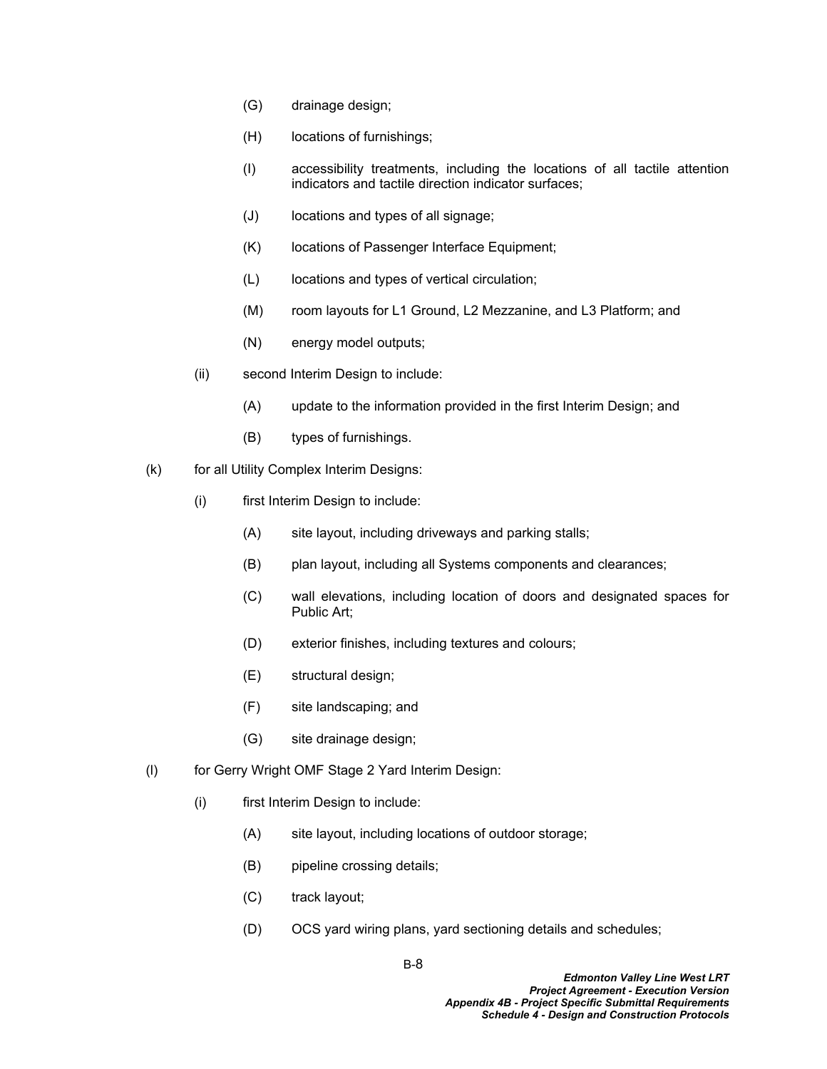- (G) drainage design;
- (H) locations of furnishings;
- (I) accessibility treatments, including the locations of all tactile attention indicators and tactile direction indicator surfaces;
- (J) locations and types of all signage;
- (K) locations of Passenger Interface Equipment;
- (L) locations and types of vertical circulation;
- (M) room layouts for L1 Ground, L2 Mezzanine, and L3 Platform; and
- (N) energy model outputs;
- (ii) second Interim Design to include:
	- (A) update to the information provided in the first Interim Design; and
	- (B) types of furnishings.
- (k) for all Utility Complex Interim Designs:
	- (i) first Interim Design to include:
		- (A) site layout, including driveways and parking stalls;
		- (B) plan layout, including all Systems components and clearances;
		- (C) wall elevations, including location of doors and designated spaces for Public Art;
		- (D) exterior finishes, including textures and colours;
		- (E) structural design;
		- (F) site landscaping; and
		- (G) site drainage design;
- (l) for Gerry Wright OMF Stage 2 Yard Interim Design:
	- (i) first Interim Design to include:
		- (A) site layout, including locations of outdoor storage;
		- (B) pipeline crossing details;
		- (C) track layout;
		- (D) OCS yard wiring plans, yard sectioning details and schedules;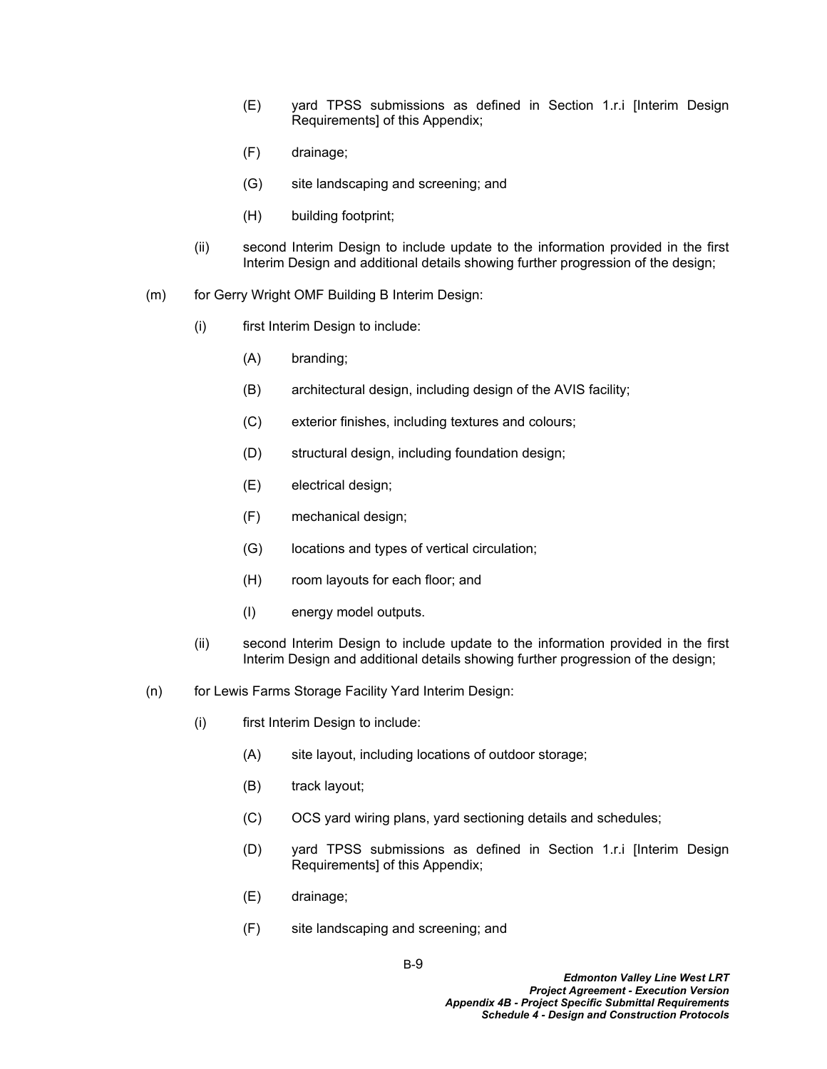- (E) yard TPSS submissions as defined in Section 1.r.i [Interim Design Requirements] of this Appendix;
- (F) drainage;
- (G) site landscaping and screening; and
- (H) building footprint;
- (ii) second Interim Design to include update to the information provided in the first Interim Design and additional details showing further progression of the design;
- (m) for Gerry Wright OMF Building B Interim Design:
	- (i) first Interim Design to include:
		- (A) branding;
		- (B) architectural design, including design of the AVIS facility;
		- (C) exterior finishes, including textures and colours;
		- (D) structural design, including foundation design;
		- (E) electrical design;
		- (F) mechanical design;
		- (G) locations and types of vertical circulation;
		- (H) room layouts for each floor; and
		- (I) energy model outputs.
	- (ii) second Interim Design to include update to the information provided in the first Interim Design and additional details showing further progression of the design;
- (n) for Lewis Farms Storage Facility Yard Interim Design:
	- (i) first Interim Design to include:
		- (A) site layout, including locations of outdoor storage;
		- (B) track layout;
		- (C) OCS yard wiring plans, yard sectioning details and schedules;
		- (D) yard TPSS submissions as defined in Section 1.r.i [Interim Design Requirements] of this Appendix;
		- (E) drainage;
		- (F) site landscaping and screening; and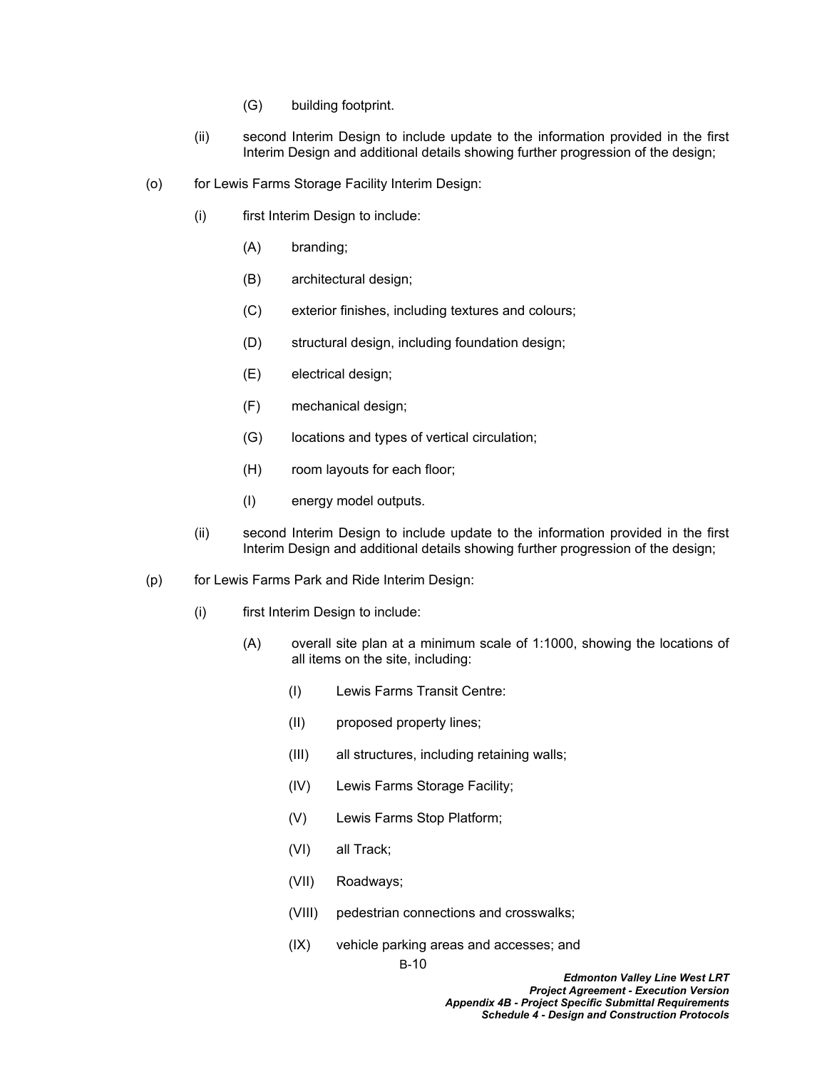- (G) building footprint.
- (ii) second Interim Design to include update to the information provided in the first Interim Design and additional details showing further progression of the design;
- (o) for Lewis Farms Storage Facility Interim Design:
	- (i) first Interim Design to include:
		- (A) branding;
		- (B) architectural design;
		- (C) exterior finishes, including textures and colours;
		- (D) structural design, including foundation design;
		- (E) electrical design;
		- (F) mechanical design;
		- (G) locations and types of vertical circulation;
		- (H) room layouts for each floor;
		- (I) energy model outputs.
	- (ii) second Interim Design to include update to the information provided in the first Interim Design and additional details showing further progression of the design;
- (p) for Lewis Farms Park and Ride Interim Design:
	- (i) first Interim Design to include:
		- (A) overall site plan at a minimum scale of 1:1000, showing the locations of all items on the site, including:
			- (I) Lewis Farms Transit Centre:
			- (II) proposed property lines;
			- (III) all structures, including retaining walls;
			- (IV) Lewis Farms Storage Facility;
			- (V) Lewis Farms Stop Platform;
			- (VI) all Track;
			- (VII) Roadways;
			- (VIII) pedestrian connections and crosswalks;
			- (IX) vehicle parking areas and accesses; and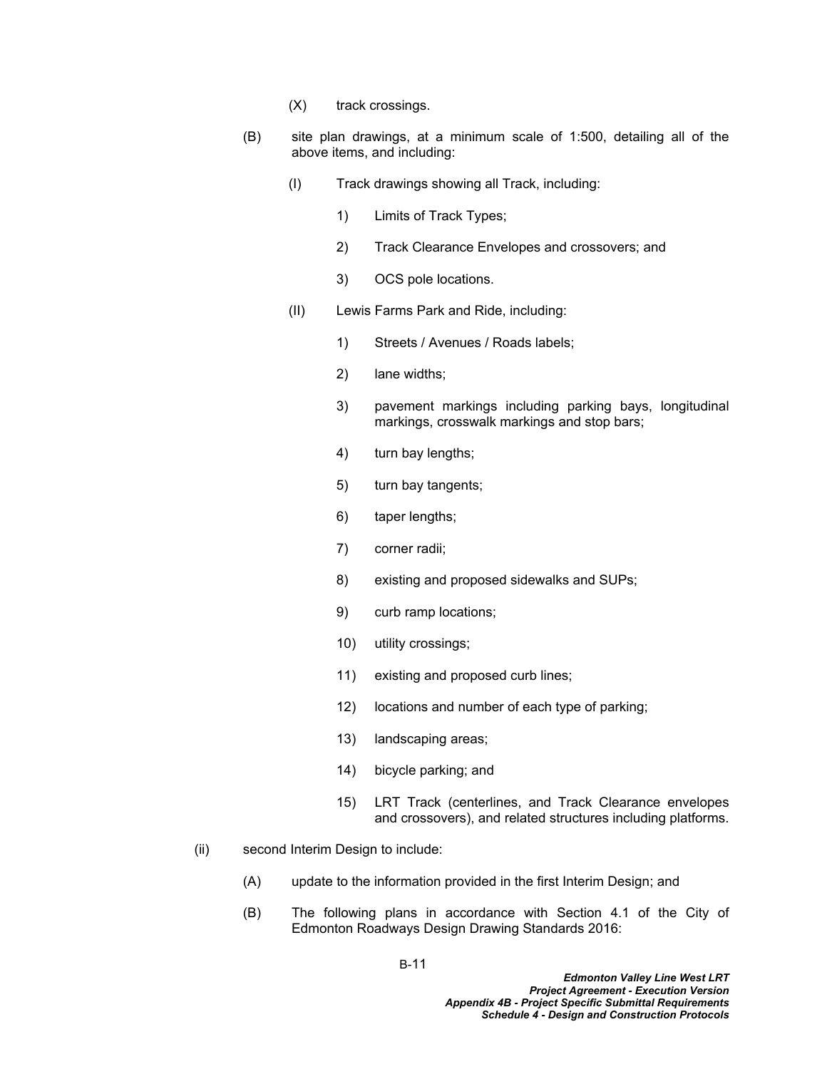- (X) track crossings.
- (B) site plan drawings, at a minimum scale of 1:500, detailing all of the above items, and including:
	- (I) Track drawings showing all Track, including:
		- 1) Limits of Track Types;
		- 2) Track Clearance Envelopes and crossovers; and
		- 3) OCS pole locations.
	- (II) Lewis Farms Park and Ride, including:
		- 1) Streets / Avenues / Roads labels;
		- 2) lane widths;
		- 3) pavement markings including parking bays, longitudinal markings, crosswalk markings and stop bars;
		- 4) turn bay lengths;
		- 5) turn bay tangents;
		- 6) taper lengths;
		- 7) corner radii;
		- 8) existing and proposed sidewalks and SUPs;
		- 9) curb ramp locations;
		- 10) utility crossings;
		- 11) existing and proposed curb lines;
		- 12) locations and number of each type of parking;
		- 13) landscaping areas;
		- 14) bicycle parking; and
		- 15) LRT Track (centerlines, and Track Clearance envelopes and crossovers), and related structures including platforms.
- (ii) second Interim Design to include:
	- (A) update to the information provided in the first Interim Design; and
	- (B) The following plans in accordance with Section 4.1 of the City of Edmonton Roadways Design Drawing Standards 2016: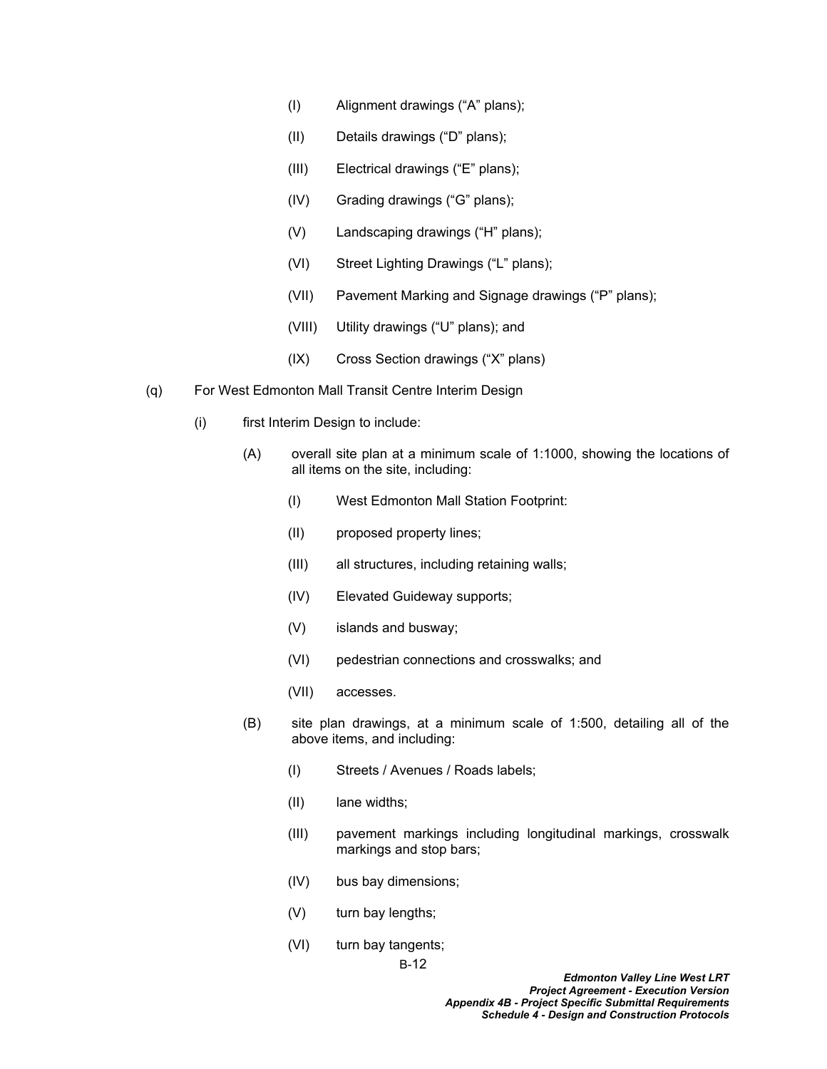- (I) Alignment drawings ("A" plans);
- (II) Details drawings ("D" plans);
- (III) Electrical drawings ("E" plans);
- (IV) Grading drawings ("G" plans);
- (V) Landscaping drawings ("H" plans);
- (VI) Street Lighting Drawings ("L" plans);
- (VII) Pavement Marking and Signage drawings ("P" plans);
- (VIII) Utility drawings ("U" plans); and
- (IX) Cross Section drawings ("X" plans)
- (q) For West Edmonton Mall Transit Centre Interim Design
	- (i) first Interim Design to include:
		- (A) overall site plan at a minimum scale of 1:1000, showing the locations of all items on the site, including:
			- (I) West Edmonton Mall Station Footprint:
			- (II) proposed property lines;
			- (III) all structures, including retaining walls;
			- (IV) Elevated Guideway supports;
			- (V) islands and busway;
			- (VI) pedestrian connections and crosswalks; and
			- (VII) accesses.
		- (B) site plan drawings, at a minimum scale of 1:500, detailing all of the above items, and including:
			- (I) Streets / Avenues / Roads labels;
			- (II) lane widths;
			- (III) pavement markings including longitudinal markings, crosswalk markings and stop bars;
			- (IV) bus bay dimensions;
			- (V) turn bay lengths;
			- (VI) turn bay tangents;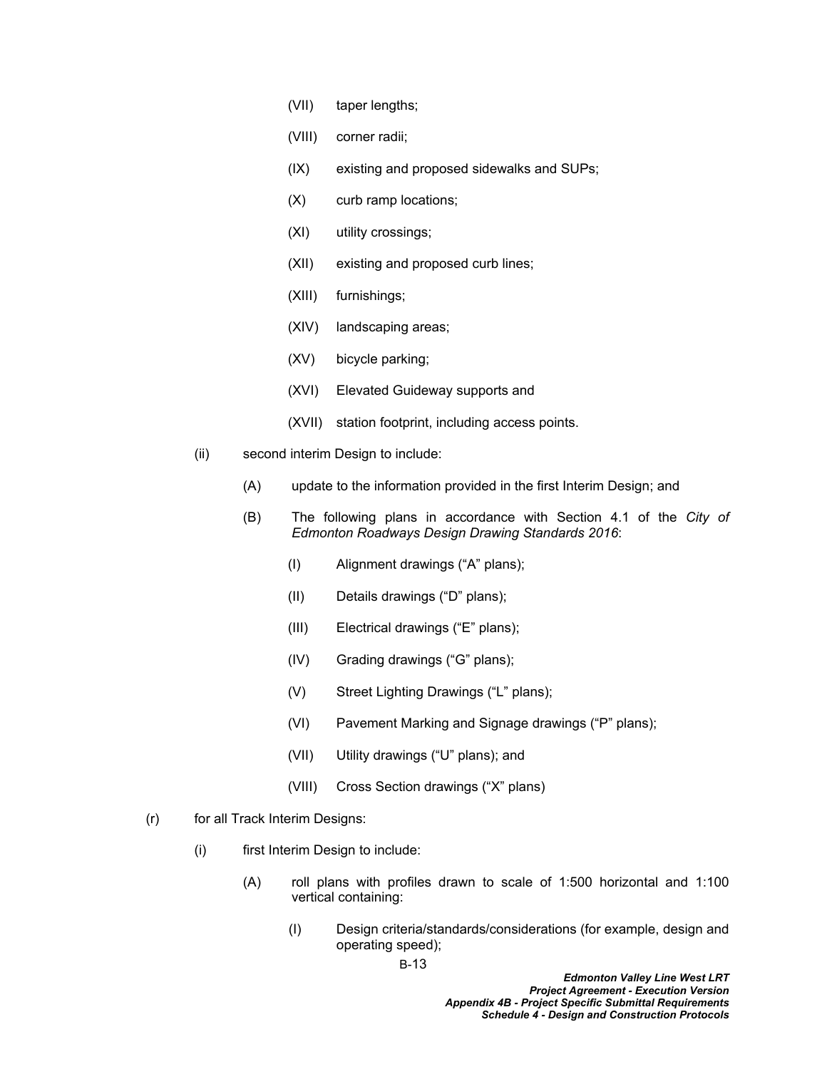- (VII) taper lengths;
- (VIII) corner radii;
- (IX) existing and proposed sidewalks and SUPs;
- (X) curb ramp locations;
- (XI) utility crossings;
- (XII) existing and proposed curb lines;
- (XIII) furnishings;
- (XIV) landscaping areas;
- (XV) bicycle parking;
- (XVI) Elevated Guideway supports and
- (XVII) station footprint, including access points.
- (ii) second interim Design to include:
	- (A) update to the information provided in the first Interim Design; and
	- (B) The following plans in accordance with Section 4.1 of the *City of Edmonton Roadways Design Drawing Standards 2016*:
		- (I) Alignment drawings ("A" plans);
		- (II) Details drawings ("D" plans);
		- (III) Electrical drawings ("E" plans);
		- (IV) Grading drawings ("G" plans);
		- (V) Street Lighting Drawings ("L" plans);
		- (VI) Pavement Marking and Signage drawings ("P" plans);
		- (VII) Utility drawings ("U" plans); and
		- (VIII) Cross Section drawings ("X" plans)
- (r) for all Track Interim Designs:
	- (i) first Interim Design to include:
		- (A) roll plans with profiles drawn to scale of 1:500 horizontal and 1:100 vertical containing:
			- (I) Design criteria/standards/considerations (for example, design and operating speed);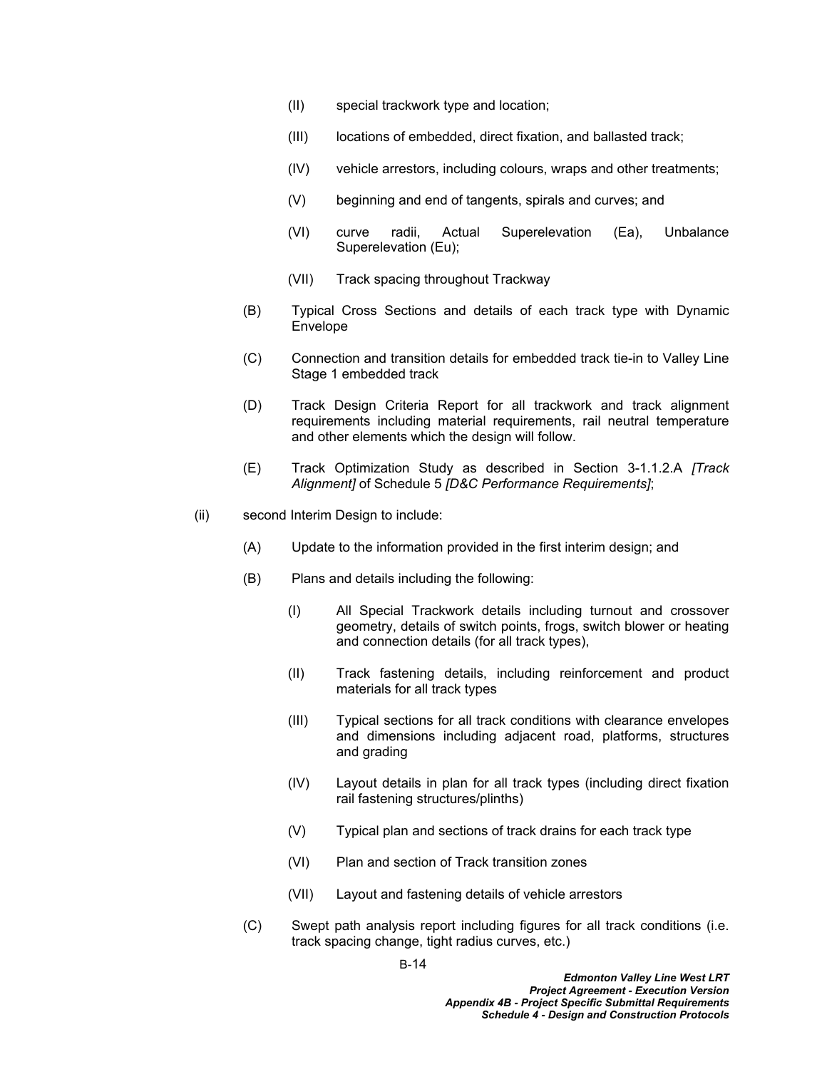- (II) special trackwork type and location;
- (III) locations of embedded, direct fixation, and ballasted track;
- (IV) vehicle arrestors, including colours, wraps and other treatments;
- (V) beginning and end of tangents, spirals and curves; and
- (VI) curve radii, Actual Superelevation (Ea), Unbalance Superelevation (Eu);
- (VII) Track spacing throughout Trackway
- (B) Typical Cross Sections and details of each track type with Dynamic **Envelope**
- (C) Connection and transition details for embedded track tie-in to Valley Line Stage 1 embedded track
- (D) Track Design Criteria Report for all trackwork and track alignment requirements including material requirements, rail neutral temperature and other elements which the design will follow.
- (E) Track Optimization Study as described in Section 3-1.1.2.A *[Track Alignment]* of Schedule 5 *[D&C Performance Requirements]*;
- (ii) second Interim Design to include:
	- (A) Update to the information provided in the first interim design; and
	- (B) Plans and details including the following:
		- (I) All Special Trackwork details including turnout and crossover geometry, details of switch points, frogs, switch blower or heating and connection details (for all track types),
		- (II) Track fastening details, including reinforcement and product materials for all track types
		- (III) Typical sections for all track conditions with clearance envelopes and dimensions including adjacent road, platforms, structures and grading
		- (IV) Layout details in plan for all track types (including direct fixation rail fastening structures/plinths)
		- (V) Typical plan and sections of track drains for each track type
		- (VI) Plan and section of Track transition zones
		- (VII) Layout and fastening details of vehicle arrestors
	- (C) Swept path analysis report including figures for all track conditions (i.e. track spacing change, tight radius curves, etc.)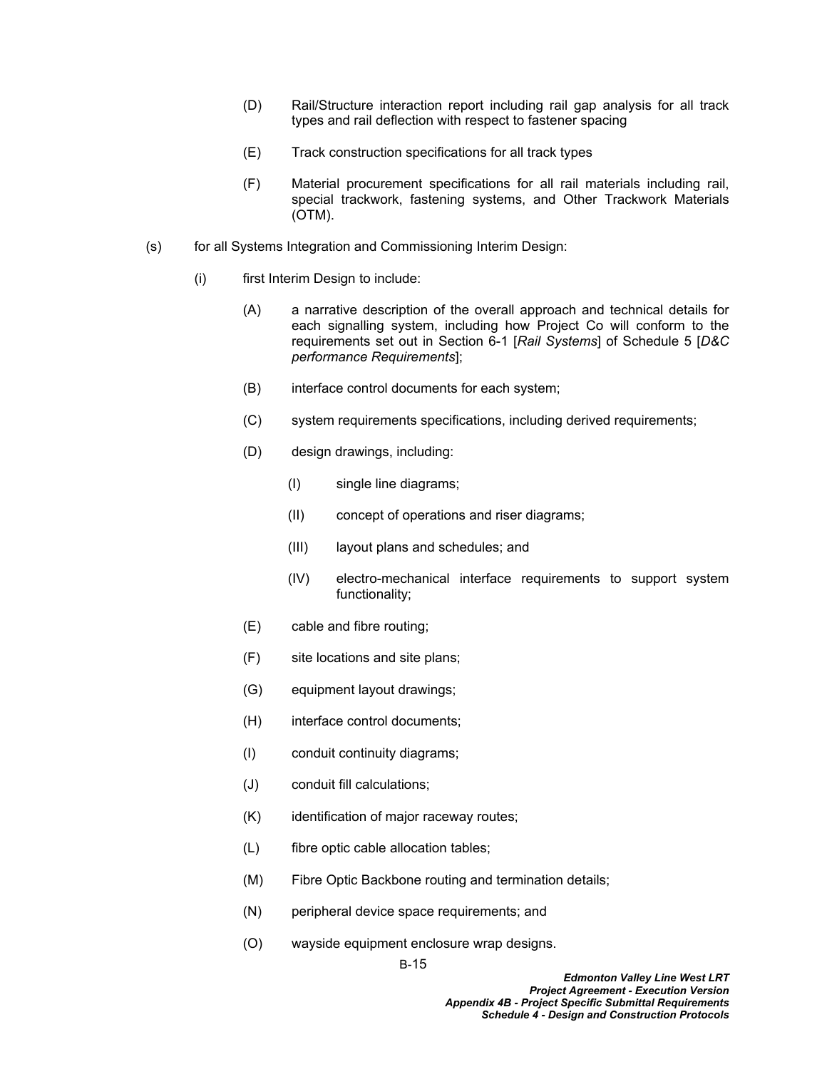- (D) Rail/Structure interaction report including rail gap analysis for all track types and rail deflection with respect to fastener spacing
- (E) Track construction specifications for all track types
- (F) Material procurement specifications for all rail materials including rail, special trackwork, fastening systems, and Other Trackwork Materials (OTM).
- (s) for all Systems Integration and Commissioning Interim Design:
	- (i) first Interim Design to include:
		- (A) a narrative description of the overall approach and technical details for each signalling system, including how Project Co will conform to the requirements set out in Section 6-1 [*Rail Systems*] of Schedule 5 [*D&C performance Requirements*];
		- (B) interface control documents for each system;
		- (C) system requirements specifications, including derived requirements;
		- (D) design drawings, including:
			- (I) single line diagrams;
			- (II) concept of operations and riser diagrams;
			- (III) layout plans and schedules; and
			- (IV) electro-mechanical interface requirements to support system functionality;
		- (E) cable and fibre routing;
		- (F) site locations and site plans;
		- (G) equipment layout drawings;
		- (H) interface control documents;
		- (I) conduit continuity diagrams;
		- (J) conduit fill calculations;
		- (K) identification of major raceway routes;
		- (L) fibre optic cable allocation tables;
		- (M) Fibre Optic Backbone routing and termination details;
		- (N) peripheral device space requirements; and
		- (O) wayside equipment enclosure wrap designs.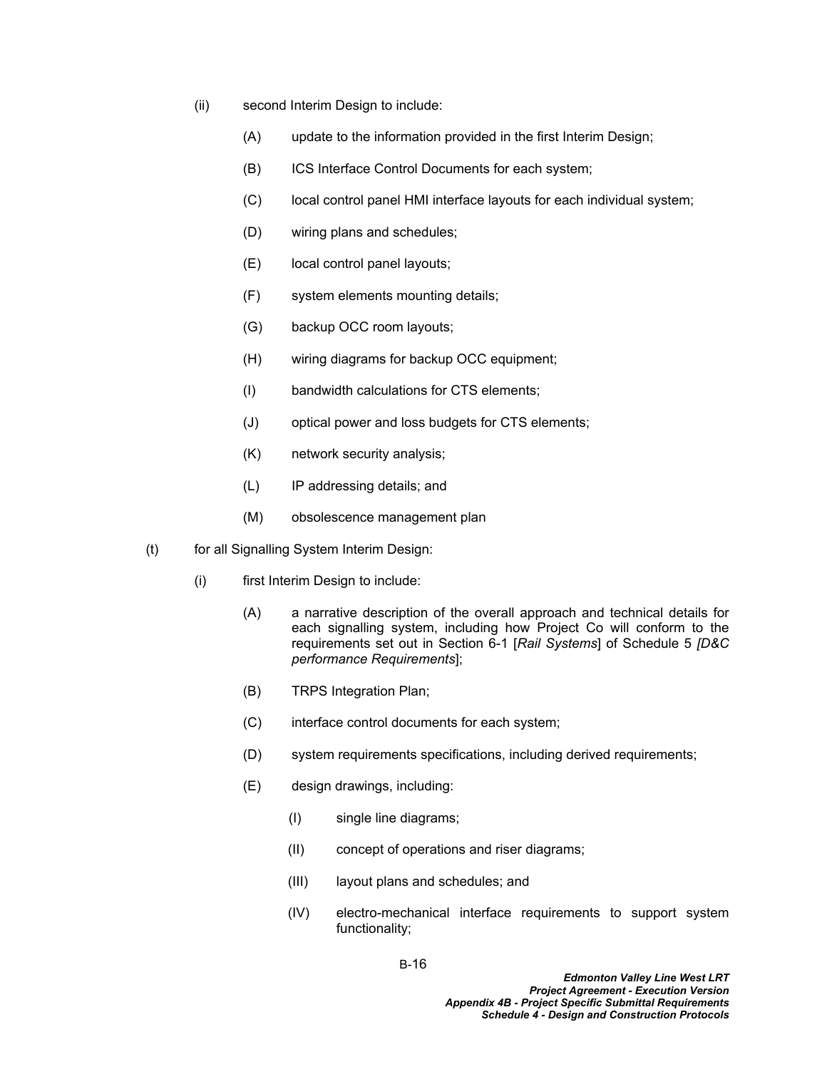- (ii) second Interim Design to include:
	- (A) update to the information provided in the first Interim Design;
	- (B) ICS Interface Control Documents for each system;
	- (C) local control panel HMI interface layouts for each individual system;
	- (D) wiring plans and schedules;
	- (E) local control panel layouts;
	- (F) system elements mounting details;
	- (G) backup OCC room layouts;
	- (H) wiring diagrams for backup OCC equipment;
	- (I) bandwidth calculations for CTS elements;
	- (J) optical power and loss budgets for CTS elements;
	- (K) network security analysis;
	- (L) IP addressing details; and
	- (M) obsolescence management plan
- (t) for all Signalling System Interim Design:
	- (i) first Interim Design to include:
		- (A) a narrative description of the overall approach and technical details for each signalling system, including how Project Co will conform to the requirements set out in Section 6-1 [*Rail Systems*] of Schedule 5 *[D&C performance Requirements*];
		- (B) TRPS Integration Plan;
		- (C) interface control documents for each system;
		- (D) system requirements specifications, including derived requirements;
		- (E) design drawings, including:
			- (I) single line diagrams;
			- (II) concept of operations and riser diagrams;
			- (III) layout plans and schedules; and
			- (IV) electro-mechanical interface requirements to support system functionality;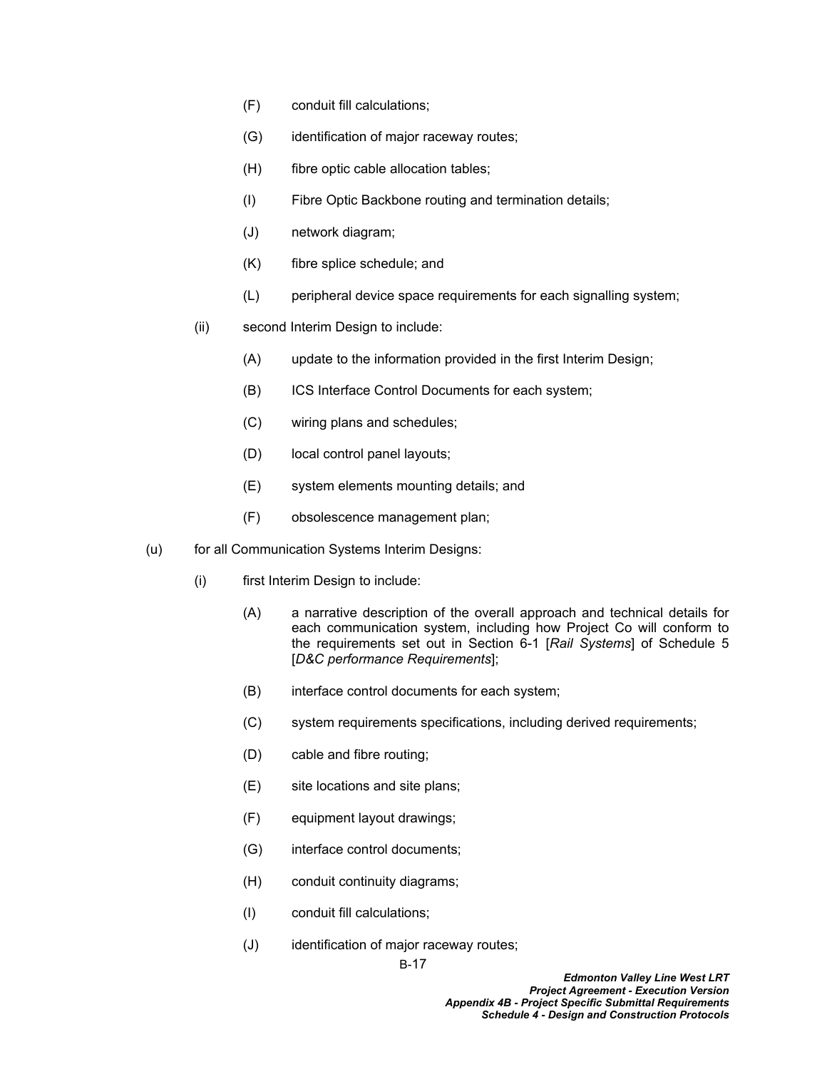- (F) conduit fill calculations;
- (G) identification of major raceway routes;
- (H) fibre optic cable allocation tables;
- (I) Fibre Optic Backbone routing and termination details;
- (J) network diagram;
- (K) fibre splice schedule; and
- (L) peripheral device space requirements for each signalling system;
- (ii) second Interim Design to include:
	- (A) update to the information provided in the first Interim Design;
	- (B) ICS Interface Control Documents for each system;
	- (C) wiring plans and schedules;
	- (D) local control panel layouts;
	- (E) system elements mounting details; and
	- (F) obsolescence management plan;
- (u) for all Communication Systems Interim Designs:
	- (i) first Interim Design to include:
		- (A) a narrative description of the overall approach and technical details for each communication system, including how Project Co will conform to the requirements set out in Section 6-1 [*Rail Systems*] of Schedule 5 [*D&C performance Requirements*];
		- (B) interface control documents for each system;
		- (C) system requirements specifications, including derived requirements;
		- (D) cable and fibre routing;
		- (E) site locations and site plans;
		- (F) equipment layout drawings;
		- (G) interface control documents;
		- (H) conduit continuity diagrams;
		- (I) conduit fill calculations;
		- (J) identification of major raceway routes;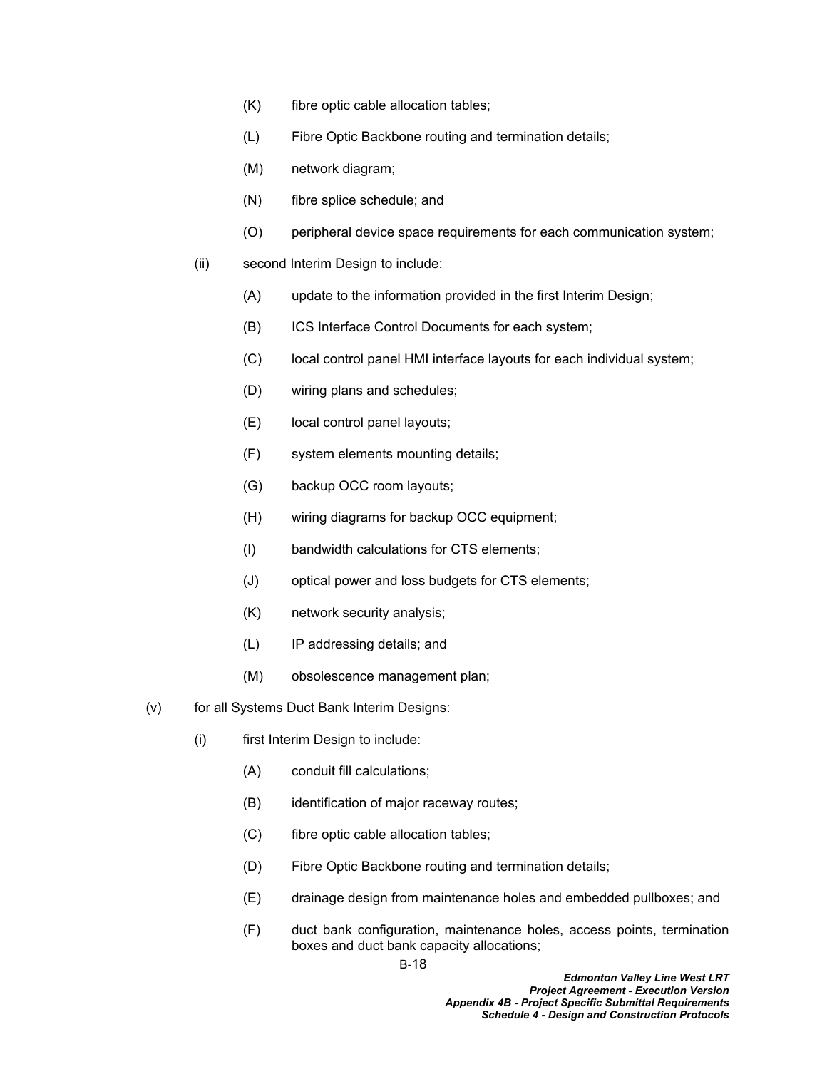- (K) fibre optic cable allocation tables;
- (L) Fibre Optic Backbone routing and termination details;
- (M) network diagram;
- (N) fibre splice schedule; and
- (O) peripheral device space requirements for each communication system;
- (ii) second Interim Design to include:
	- (A) update to the information provided in the first Interim Design;
	- (B) ICS Interface Control Documents for each system;
	- (C) local control panel HMI interface layouts for each individual system;
	- (D) wiring plans and schedules;
	- (E) local control panel layouts;
	- (F) system elements mounting details;
	- (G) backup OCC room layouts;
	- (H) wiring diagrams for backup OCC equipment;
	- (I) bandwidth calculations for CTS elements;
	- (J) optical power and loss budgets for CTS elements;
	- (K) network security analysis;
	- (L) IP addressing details; and
	- (M) obsolescence management plan;
- (v) for all Systems Duct Bank Interim Designs:
	- (i) first Interim Design to include:
		- (A) conduit fill calculations;
		- (B) identification of major raceway routes;
		- (C) fibre optic cable allocation tables;
		- (D) Fibre Optic Backbone routing and termination details;
		- (E) drainage design from maintenance holes and embedded pullboxes; and
		- (F) duct bank configuration, maintenance holes, access points, termination boxes and duct bank capacity allocations;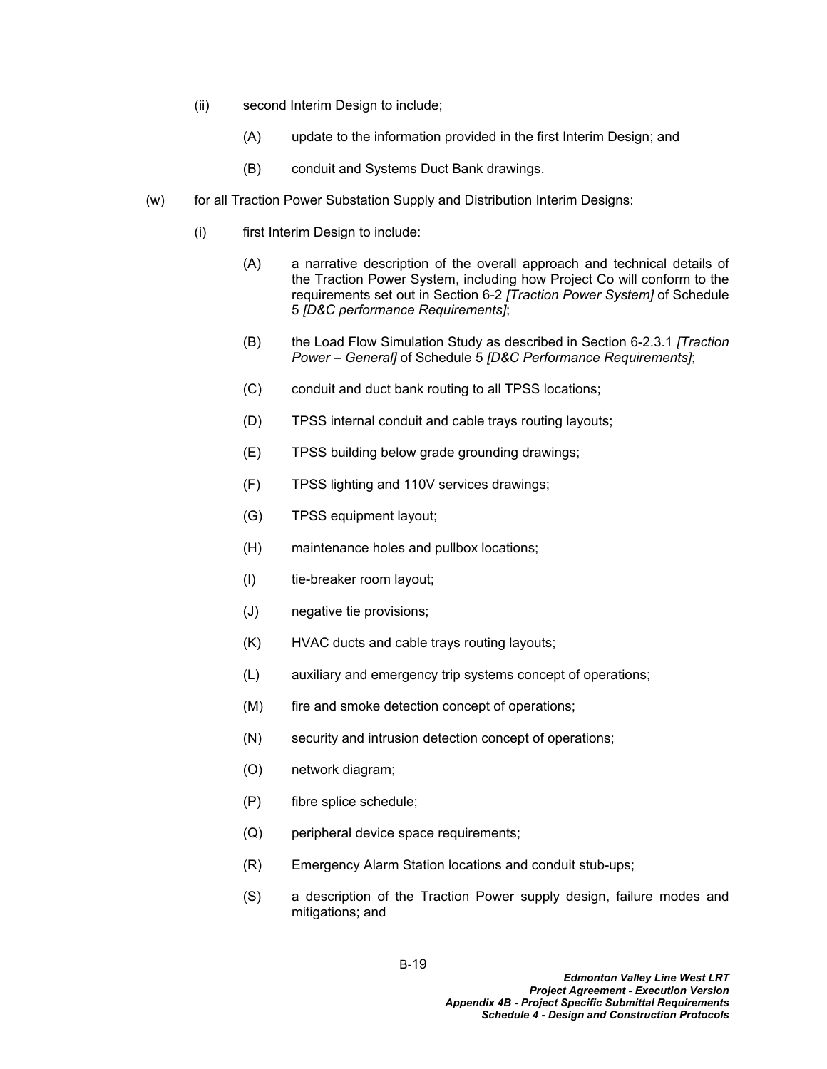- (ii) second Interim Design to include;
	- (A) update to the information provided in the first Interim Design; and
	- (B) conduit and Systems Duct Bank drawings.
- (w) for all Traction Power Substation Supply and Distribution Interim Designs:
	- (i) first Interim Design to include:
		- (A) a narrative description of the overall approach and technical details of the Traction Power System, including how Project Co will conform to the requirements set out in Section 6-2 *[Traction Power System]* of Schedule 5 *[D&C performance Requirements]*;
		- (B) the Load Flow Simulation Study as described in Section 6-2.3.1 *[Traction Power – General]* of Schedule 5 *[D&C Performance Requirements]*;
		- (C) conduit and duct bank routing to all TPSS locations;
		- (D) TPSS internal conduit and cable trays routing layouts;
		- (E) TPSS building below grade grounding drawings;
		- (F) TPSS lighting and 110V services drawings;
		- (G) TPSS equipment layout;
		- (H) maintenance holes and pullbox locations;
		- (I) tie-breaker room layout;
		- (J) negative tie provisions;
		- (K) HVAC ducts and cable trays routing layouts;
		- (L) auxiliary and emergency trip systems concept of operations;
		- (M) fire and smoke detection concept of operations;
		- (N) security and intrusion detection concept of operations;
		- (O) network diagram;
		- (P) fibre splice schedule;
		- (Q) peripheral device space requirements;
		- (R) Emergency Alarm Station locations and conduit stub-ups;
		- (S) a description of the Traction Power supply design, failure modes and mitigations; and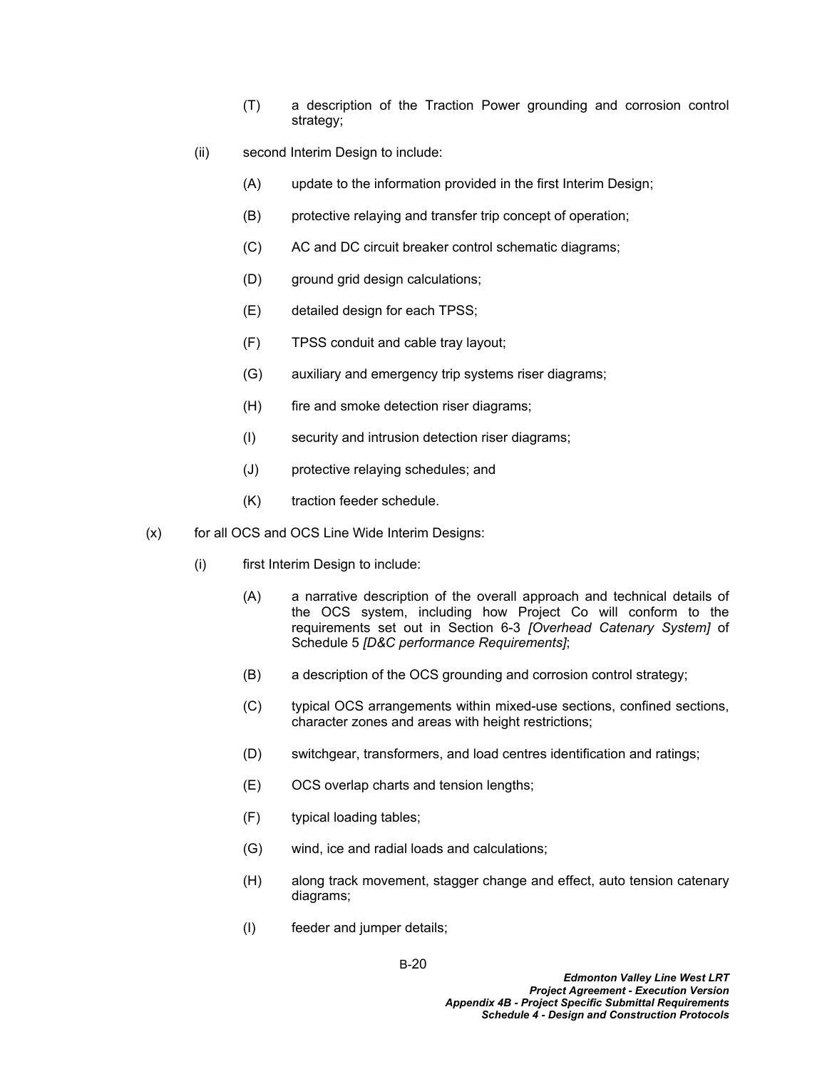- (T) a description of the Traction Power grounding and corrosion control strategy;
- (ii) second Interim Design to include:
	- (A) update to the information provided in the first Interim Design;
	- (B) protective relaying and transfer trip concept of operation;
	- (C) AC and DC circuit breaker control schematic diagrams;
	- (D) ground grid design calculations;
	- (E) detailed design for each TPSS;
	- (F) TPSS conduit and cable tray layout;
	- (G) auxiliary and emergency trip systems riser diagrams;
	- (H) fire and smoke detection riser diagrams;
	- (I) security and intrusion detection riser diagrams;
	- (J) protective relaying schedules; and
	- (K) traction feeder schedule.
- (x) for all OCS and OCS Line Wide Interim Designs:
	- (i) first Interim Design to include:
		- (A) a narrative description of the overall approach and technical details of the OCS system, including how Project Co will conform to the requirements set out in Section 6-3 *[Overhead Catenary System]* of Schedule 5 *[D&C performance Requirements]*;
		- (B) a description of the OCS grounding and corrosion control strategy;
		- (C) typical OCS arrangements within mixed-use sections, confined sections, character zones and areas with height restrictions;
		- (D) switchgear, transformers, and load centres identification and ratings;
		- (E) OCS overlap charts and tension lengths;
		- (F) typical loading tables;
		- (G) wind, ice and radial loads and calculations;
		- (H) along track movement, stagger change and effect, auto tension catenary diagrams;
		- (I) feeder and jumper details;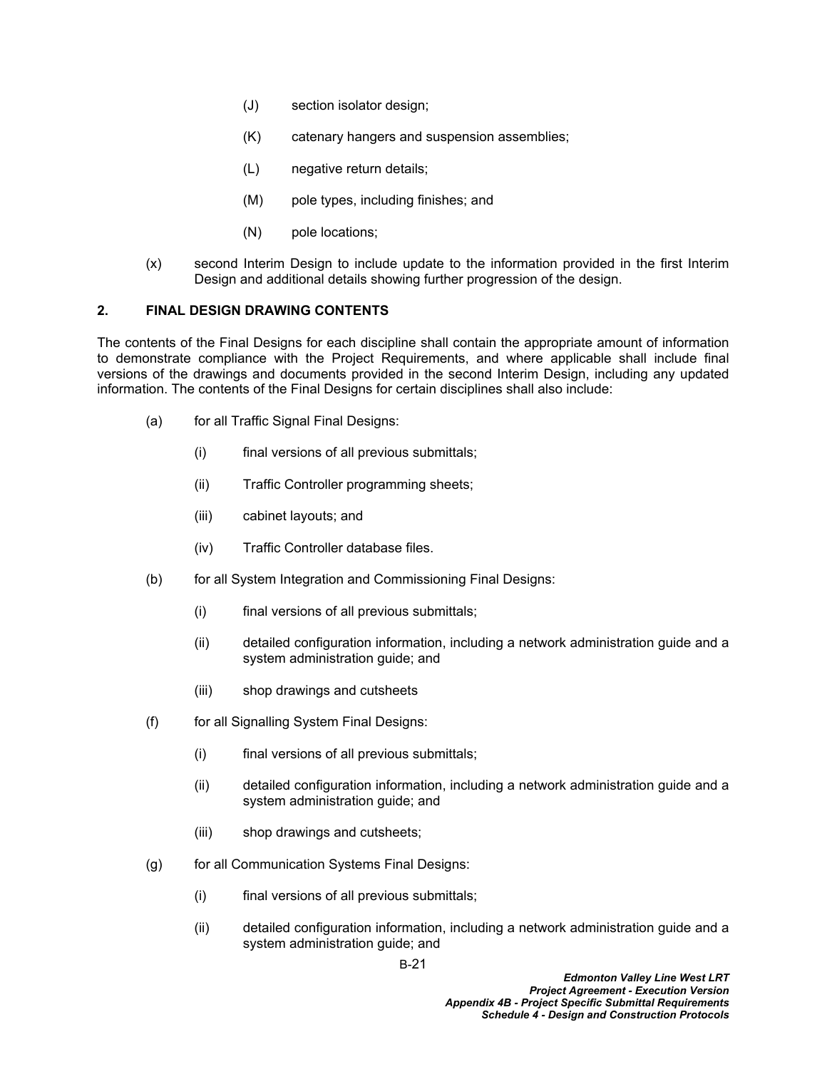- (J) section isolator design;
- (K) catenary hangers and suspension assemblies;
- (L) negative return details;
- (M) pole types, including finishes; and
- (N) pole locations;
- (x) second Interim Design to include update to the information provided in the first Interim Design and additional details showing further progression of the design.

## **2. FINAL DESIGN DRAWING CONTENTS**

The contents of the Final Designs for each discipline shall contain the appropriate amount of information to demonstrate compliance with the Project Requirements, and where applicable shall include final versions of the drawings and documents provided in the second Interim Design, including any updated information. The contents of the Final Designs for certain disciplines shall also include:

- (a) for all Traffic Signal Final Designs:
	- (i) final versions of all previous submittals;
	- (ii) Traffic Controller programming sheets;
	- (iii) cabinet layouts; and
	- (iv) Traffic Controller database files.
- (b) for all System Integration and Commissioning Final Designs:
	- (i) final versions of all previous submittals;
	- (ii) detailed configuration information, including a network administration guide and a system administration guide; and
	- (iii) shop drawings and cutsheets
- (f) for all Signalling System Final Designs:
	- (i) final versions of all previous submittals;
	- (ii) detailed configuration information, including a network administration guide and a system administration guide; and
	- (iii) shop drawings and cutsheets;
- (g) for all Communication Systems Final Designs:
	- (i) final versions of all previous submittals;
	- (ii) detailed configuration information, including a network administration guide and a system administration guide; and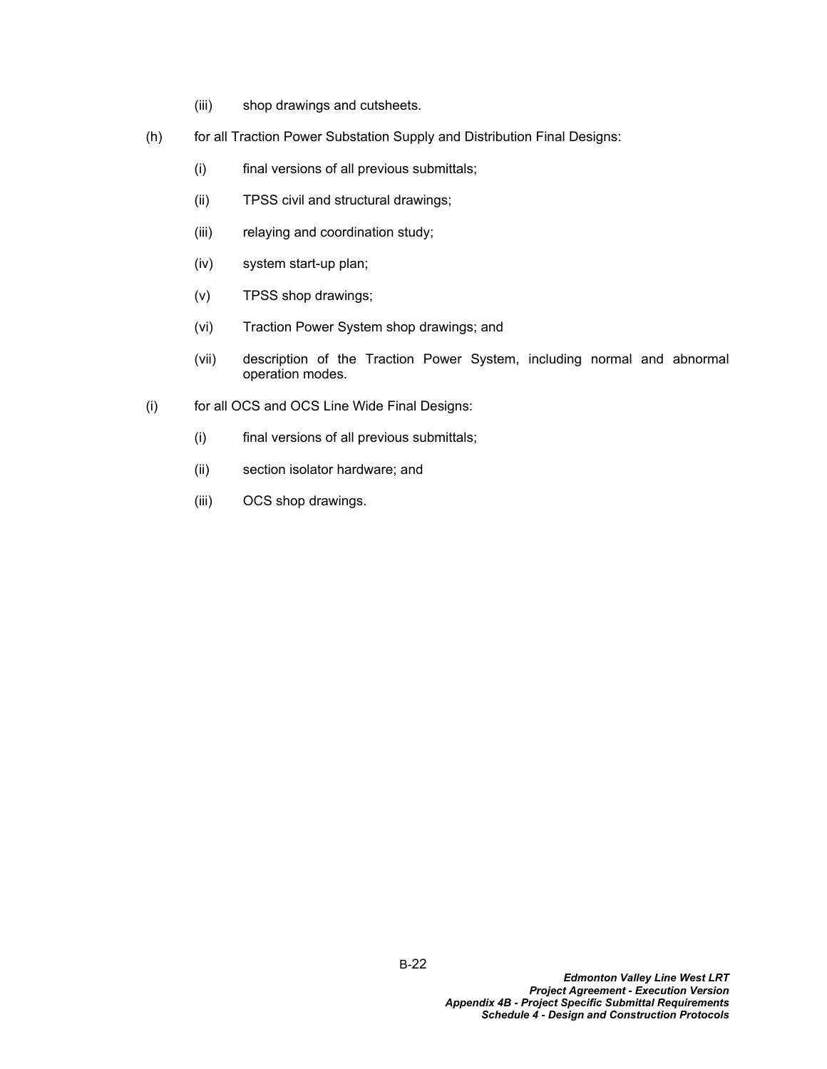- (iii) shop drawings and cutsheets.
- (h) for all Traction Power Substation Supply and Distribution Final Designs:
	- (i) final versions of all previous submittals;
	- (ii) TPSS civil and structural drawings;
	- (iii) relaying and coordination study;
	- (iv) system start-up plan;
	- (v) TPSS shop drawings;
	- (vi) Traction Power System shop drawings; and
	- (vii) description of the Traction Power System, including normal and abnormal operation modes.
- (i) for all OCS and OCS Line Wide Final Designs:
	- (i) final versions of all previous submittals;
	- (ii) section isolator hardware; and
	- (iii) OCS shop drawings.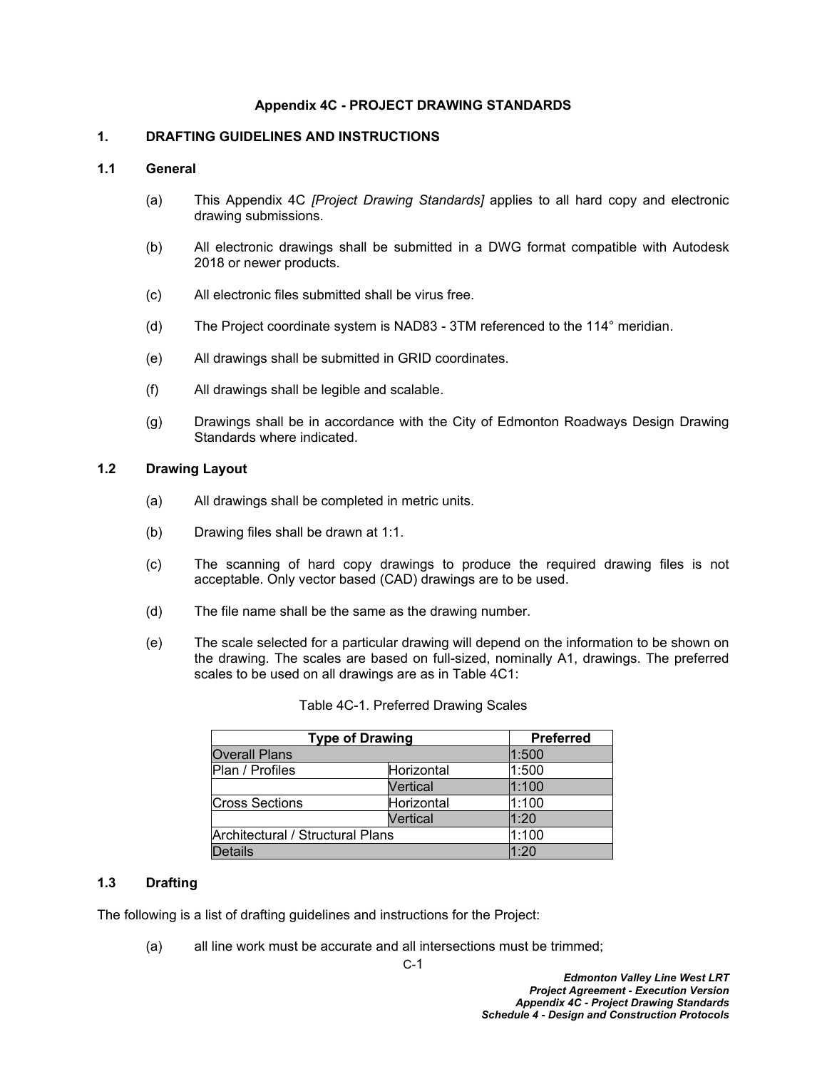### **Appendix 4C - PROJECT DRAWING STANDARDS**

### **1. DRAFTING GUIDELINES AND INSTRUCTIONS**

#### **1.1 General**

- (a) This Appendix 4C *[Project Drawing Standards]* applies to all hard copy and electronic drawing submissions.
- (b) All electronic drawings shall be submitted in a DWG format compatible with Autodesk 2018 or newer products.
- (c) All electronic files submitted shall be virus free.
- (d) The Project coordinate system is NAD83 3TM referenced to the 114° meridian.
- (e) All drawings shall be submitted in GRID coordinates.
- (f) All drawings shall be legible and scalable.
- (g) Drawings shall be in accordance with the City of Edmonton Roadways Design Drawing Standards where indicated.

### **1.2 Drawing Layout**

- (a) All drawings shall be completed in metric units.
- (b) Drawing files shall be drawn at 1:1.
- (c) The scanning of hard copy drawings to produce the required drawing files is not acceptable. Only vector based (CAD) drawings are to be used.
- (d) The file name shall be the same as the drawing number.
- (e) The scale selected for a particular drawing will depend on the information to be shown on the drawing. The scales are based on full-sized, nominally A1, drawings. The preferred scales to be used on all drawings are as in Table 4C1:

| <b>Type of Drawing</b>           | <b>Preferred</b> |       |
|----------------------------------|------------------|-------|
| <b>Overall Plans</b>             |                  | 1:500 |
| Plan / Profiles                  | Horizontal       | 1:500 |
|                                  | Vertical         | 1:100 |
| <b>Cross Sections</b>            | Horizontal       | 1:100 |
|                                  | Vertical         | 1:20  |
| Architectural / Structural Plans | 1:100            |       |
| Details                          |                  | 1:20  |

Table 4C-1. Preferred Drawing Scales

### **1.3 Drafting**

The following is a list of drafting guidelines and instructions for the Project:

(a) all line work must be accurate and all intersections must be trimmed;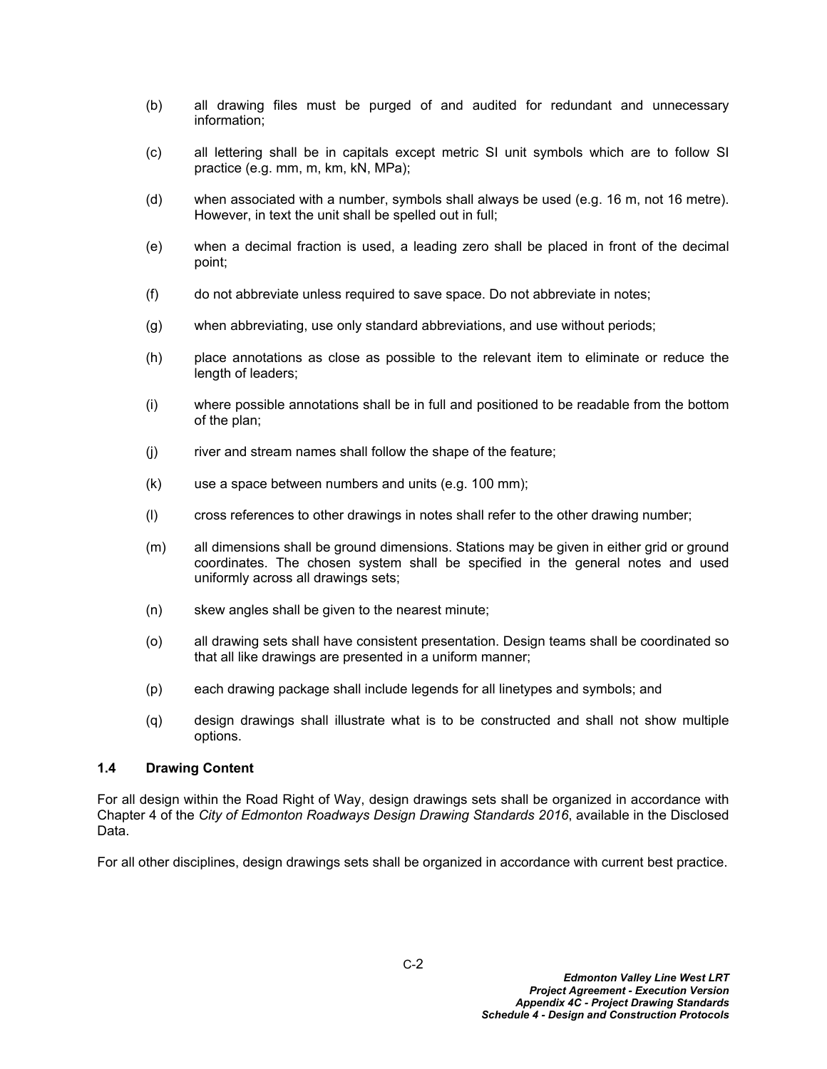- (b) all drawing files must be purged of and audited for redundant and unnecessary information;
- (c) all lettering shall be in capitals except metric SI unit symbols which are to follow SI practice (e.g. mm, m, km, kN, MPa);
- (d) when associated with a number, symbols shall always be used (e.g. 16 m, not 16 metre). However, in text the unit shall be spelled out in full;
- (e) when a decimal fraction is used, a leading zero shall be placed in front of the decimal point;
- (f) do not abbreviate unless required to save space. Do not abbreviate in notes;
- (g) when abbreviating, use only standard abbreviations, and use without periods;
- (h) place annotations as close as possible to the relevant item to eliminate or reduce the length of leaders;
- (i) where possible annotations shall be in full and positioned to be readable from the bottom of the plan;
- (j) river and stream names shall follow the shape of the feature;
- (k) use a space between numbers and units (e.g. 100 mm);
- (l) cross references to other drawings in notes shall refer to the other drawing number;
- (m) all dimensions shall be ground dimensions. Stations may be given in either grid or ground coordinates. The chosen system shall be specified in the general notes and used uniformly across all drawings sets;
- (n) skew angles shall be given to the nearest minute;
- (o) all drawing sets shall have consistent presentation. Design teams shall be coordinated so that all like drawings are presented in a uniform manner;
- (p) each drawing package shall include legends for all linetypes and symbols; and
- (q) design drawings shall illustrate what is to be constructed and shall not show multiple options.

### **1.4 Drawing Content**

For all design within the Road Right of Way, design drawings sets shall be organized in accordance with Chapter 4 of the *City of Edmonton Roadways Design Drawing Standards 2016*, available in the Disclosed Data.

For all other disciplines, design drawings sets shall be organized in accordance with current best practice.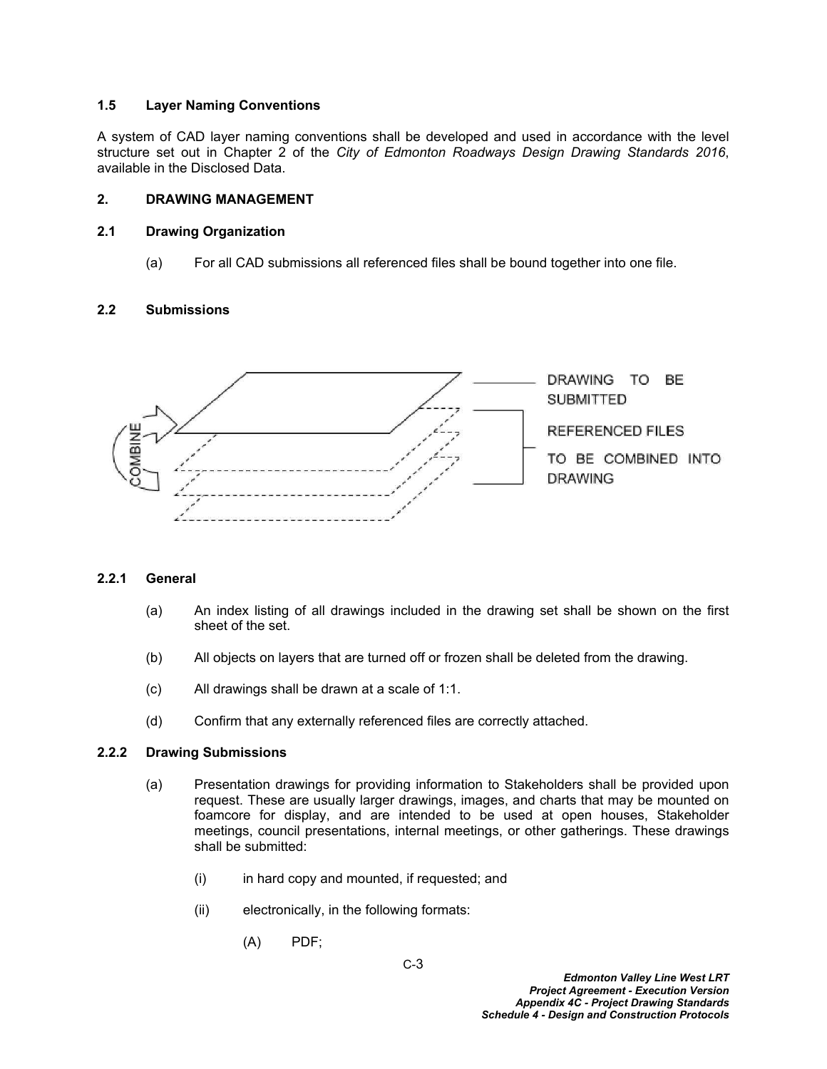## **1.5 Layer Naming Conventions**

A system of CAD layer naming conventions shall be developed and used in accordance with the level structure set out in Chapter 2 of the *City of Edmonton Roadways Design Drawing Standards 2016*, available in the Disclosed Data.

## **2. DRAWING MANAGEMENT**

## **2.1 Drawing Organization**

(a) For all CAD submissions all referenced files shall be bound together into one file.

## **2.2 Submissions**



## **2.2.1 General**

- (a) An index listing of all drawings included in the drawing set shall be shown on the first sheet of the set.
- (b) All objects on layers that are turned off or frozen shall be deleted from the drawing.
- (c) All drawings shall be drawn at a scale of 1:1.
- (d) Confirm that any externally referenced files are correctly attached.

### **2.2.2 Drawing Submissions**

- (a) Presentation drawings for providing information to Stakeholders shall be provided upon request. These are usually larger drawings, images, and charts that may be mounted on foamcore for display, and are intended to be used at open houses, Stakeholder meetings, council presentations, internal meetings, or other gatherings. These drawings shall be submitted:
	- $(i)$  in hard copy and mounted, if requested; and
	- (ii) electronically, in the following formats:
		- (A) PDF;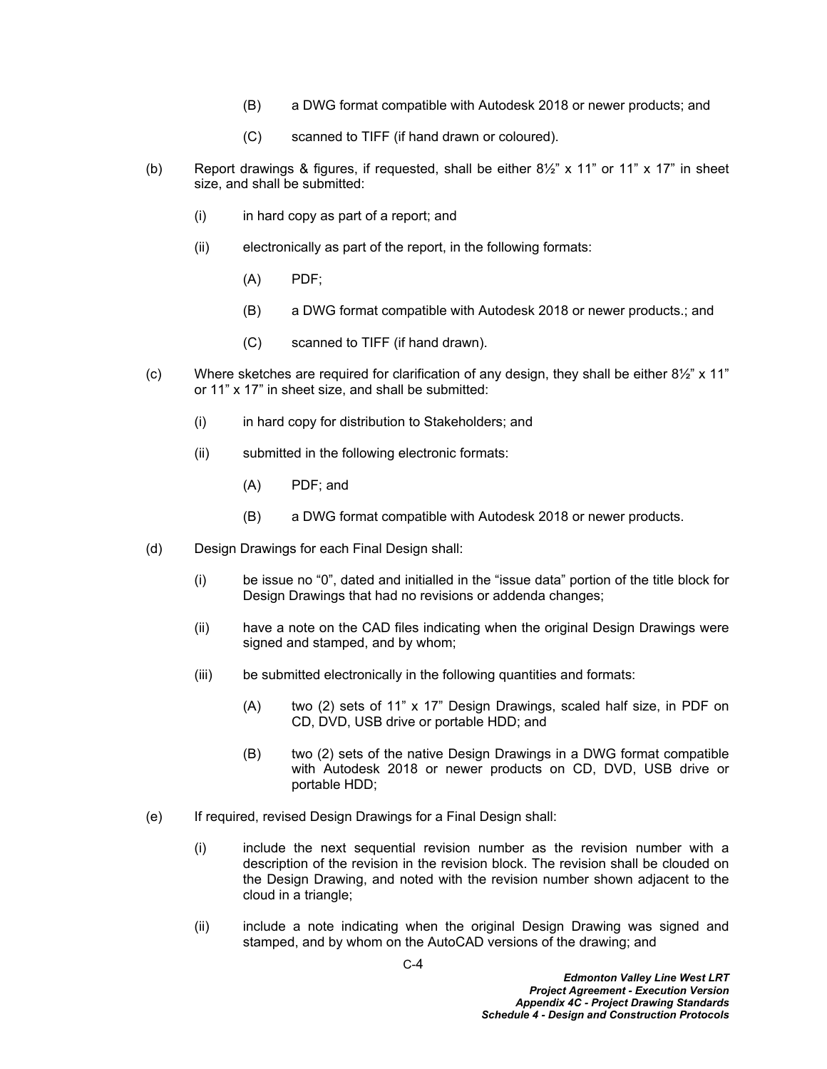- (B) a DWG format compatible with Autodesk 2018 or newer products; and
- (C) scanned to TIFF (if hand drawn or coloured).
- (b) Report drawings & figures, if requested, shall be either  $8\frac{1}{2}$ " x 11" or 11" x 17" in sheet size, and shall be submitted:
	- (i) in hard copy as part of a report; and
	- (ii) electronically as part of the report, in the following formats:
		- (A) PDF;
		- (B) a DWG format compatible with Autodesk 2018 or newer products.; and
		- (C) scanned to TIFF (if hand drawn).
- (c) Where sketches are required for clarification of any design, they shall be either  $8\frac{1}{2}$ " x 11" or 11" x 17" in sheet size, and shall be submitted:
	- (i) in hard copy for distribution to Stakeholders; and
	- (ii) submitted in the following electronic formats:
		- (A) PDF; and
		- (B) a DWG format compatible with Autodesk 2018 or newer products.
- (d) Design Drawings for each Final Design shall:
	- (i) be issue no "0", dated and initialled in the "issue data" portion of the title block for Design Drawings that had no revisions or addenda changes;
	- (ii) have a note on the CAD files indicating when the original Design Drawings were signed and stamped, and by whom;
	- (iii) be submitted electronically in the following quantities and formats:
		- (A) two (2) sets of 11" x 17" Design Drawings, scaled half size, in PDF on CD, DVD, USB drive or portable HDD; and
		- (B) two (2) sets of the native Design Drawings in a DWG format compatible with Autodesk 2018 or newer products on CD, DVD, USB drive or portable HDD;
- (e) If required, revised Design Drawings for a Final Design shall:
	- (i) include the next sequential revision number as the revision number with a description of the revision in the revision block. The revision shall be clouded on the Design Drawing, and noted with the revision number shown adjacent to the cloud in a triangle;
	- (ii) include a note indicating when the original Design Drawing was signed and stamped, and by whom on the AutoCAD versions of the drawing; and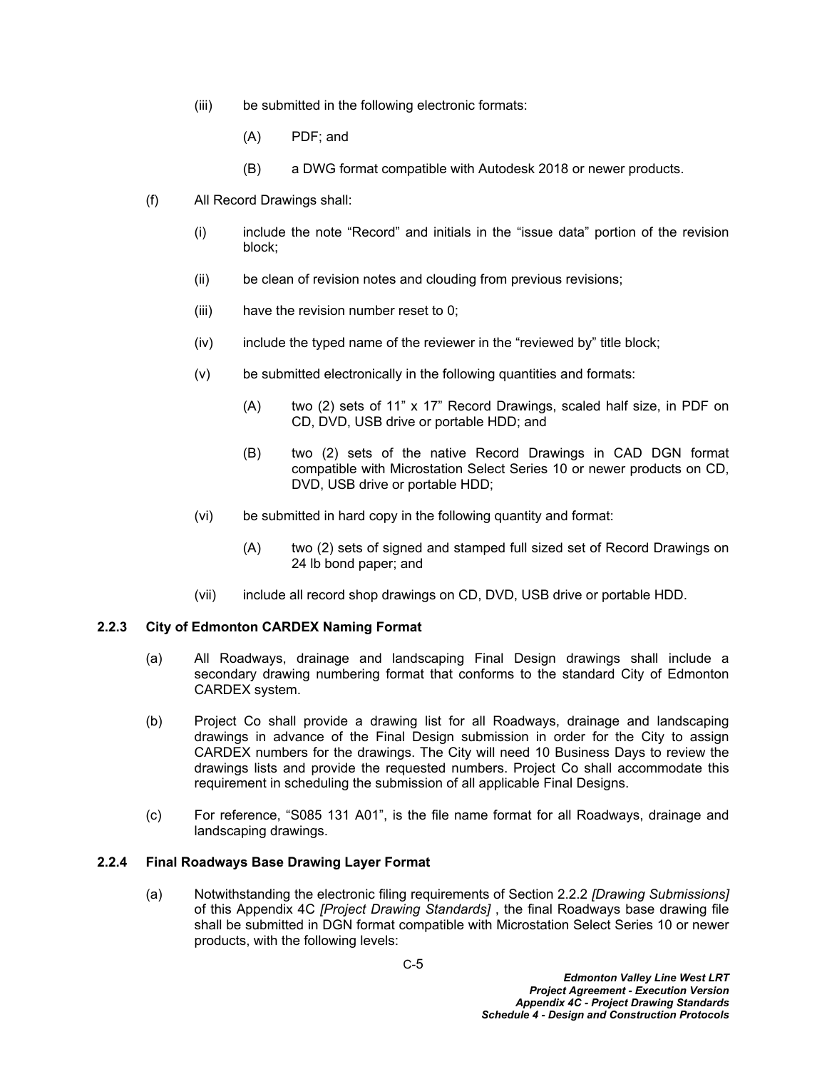- (iii) be submitted in the following electronic formats:
	- (A) PDF; and
	- (B) a DWG format compatible with Autodesk 2018 or newer products.
- (f) All Record Drawings shall:
	- (i) include the note "Record" and initials in the "issue data" portion of the revision block;
	- (ii) be clean of revision notes and clouding from previous revisions;
	- (iii) have the revision number reset to 0;
	- (iv) include the typed name of the reviewer in the "reviewed by" title block;
	- (v) be submitted electronically in the following quantities and formats:
		- (A) two (2) sets of 11" x 17" Record Drawings, scaled half size, in PDF on CD, DVD, USB drive or portable HDD; and
		- (B) two (2) sets of the native Record Drawings in CAD DGN format compatible with Microstation Select Series 10 or newer products on CD, DVD, USB drive or portable HDD;
	- (vi) be submitted in hard copy in the following quantity and format:
		- (A) two (2) sets of signed and stamped full sized set of Record Drawings on 24 lb bond paper; and
	- (vii) include all record shop drawings on CD, DVD, USB drive or portable HDD.

## **2.2.3 City of Edmonton CARDEX Naming Format**

- (a) All Roadways, drainage and landscaping Final Design drawings shall include a secondary drawing numbering format that conforms to the standard City of Edmonton CARDEX system.
- (b) Project Co shall provide a drawing list for all Roadways, drainage and landscaping drawings in advance of the Final Design submission in order for the City to assign CARDEX numbers for the drawings. The City will need 10 Business Days to review the drawings lists and provide the requested numbers. Project Co shall accommodate this requirement in scheduling the submission of all applicable Final Designs.
- (c) For reference, "S085 131 A01", is the file name format for all Roadways, drainage and landscaping drawings.

## **2.2.4 Final Roadways Base Drawing Layer Format**

(a) Notwithstanding the electronic filing requirements of Section 2.2.2 *[Drawing Submissions]* of this Appendix 4C *[Project Drawing Standards]* , the final Roadways base drawing file shall be submitted in DGN format compatible with Microstation Select Series 10 or newer products, with the following levels: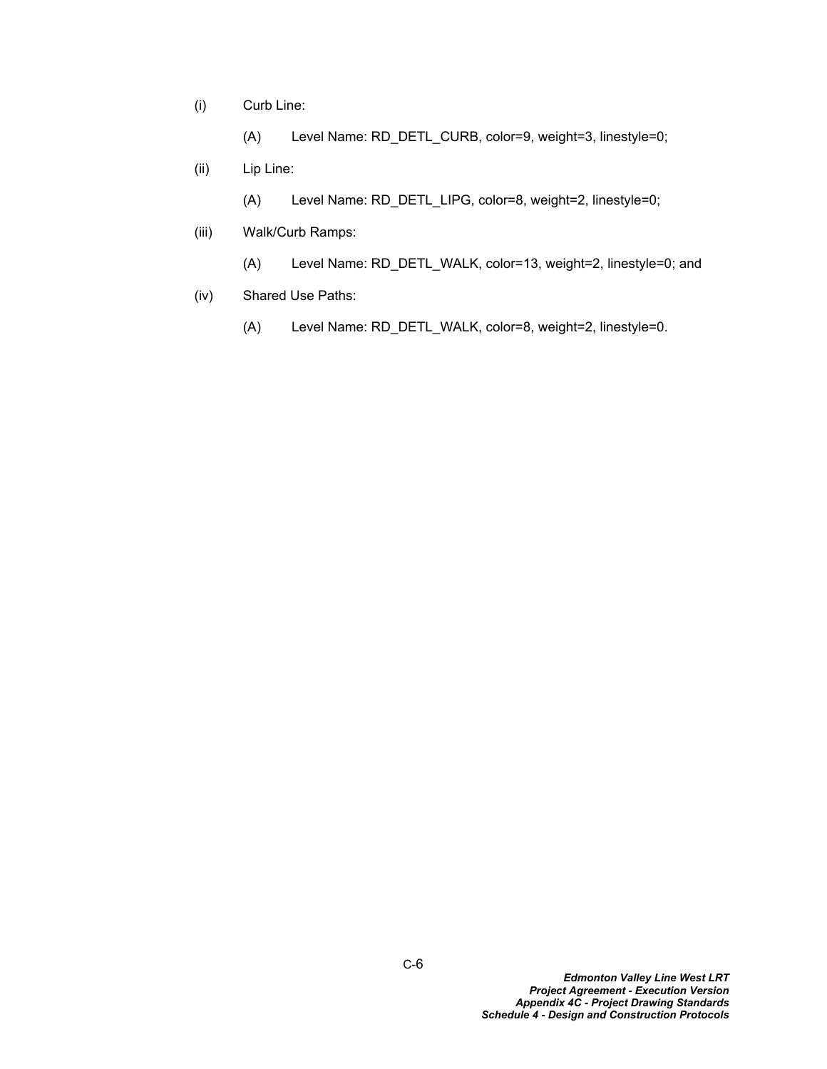(i) Curb Line:

(A) Level Name: RD\_DETL\_CURB, color=9, weight=3, linestyle=0;

(ii) Lip Line:

(A) Level Name: RD\_DETL\_LIPG, color=8, weight=2, linestyle=0;

- (iii) Walk/Curb Ramps:
	- (A) Level Name: RD\_DETL\_WALK, color=13, weight=2, linestyle=0; and
- (iv) Shared Use Paths:
	- (A) Level Name: RD\_DETL\_WALK, color=8, weight=2, linestyle=0.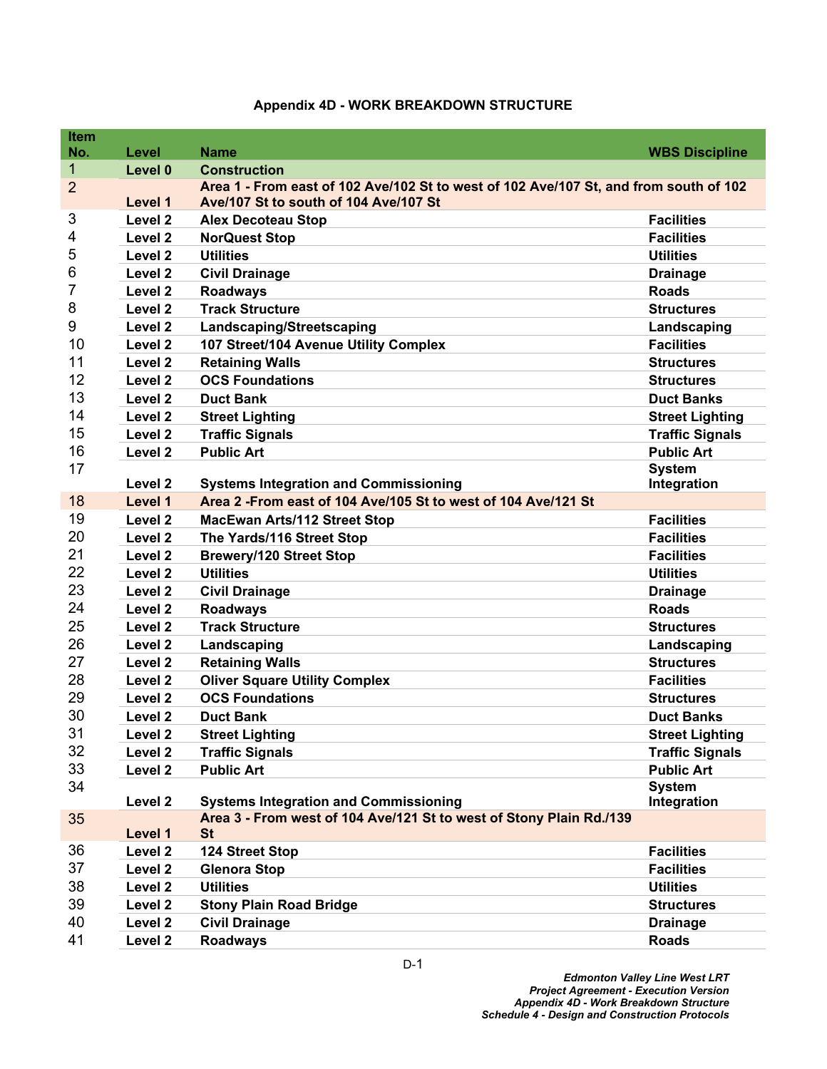| <b>Item</b>         |                    |                                                                                                              |                              |
|---------------------|--------------------|--------------------------------------------------------------------------------------------------------------|------------------------------|
| No.<br>$\mathbf{1}$ | Level              | <b>Name</b>                                                                                                  | <b>WBS Discipline</b>        |
| $\overline{2}$      | Level 0            | <b>Construction</b><br>Area 1 - From east of 102 Ave/102 St to west of 102 Ave/107 St, and from south of 102 |                              |
|                     | Level 1            | Ave/107 St to south of 104 Ave/107 St                                                                        |                              |
| 3                   | Level <sub>2</sub> | <b>Alex Decoteau Stop</b>                                                                                    | <b>Facilities</b>            |
| 4                   | Level <sub>2</sub> | <b>NorQuest Stop</b>                                                                                         | <b>Facilities</b>            |
| 5                   | Level <sub>2</sub> | <b>Utilities</b>                                                                                             | <b>Utilities</b>             |
| 6                   | Level <sub>2</sub> | <b>Civil Drainage</b>                                                                                        | <b>Drainage</b>              |
| 7                   | Level <sub>2</sub> | <b>Roadways</b>                                                                                              | <b>Roads</b>                 |
| 8                   | Level <sub>2</sub> | <b>Track Structure</b>                                                                                       | <b>Structures</b>            |
| 9                   | Level <sub>2</sub> | Landscaping/Streetscaping                                                                                    | Landscaping                  |
| 10                  | Level 2            | 107 Street/104 Avenue Utility Complex                                                                        | <b>Facilities</b>            |
| 11                  | Level <sub>2</sub> | <b>Retaining Walls</b>                                                                                       | <b>Structures</b>            |
| 12                  | Level <sub>2</sub> | <b>OCS Foundations</b>                                                                                       | <b>Structures</b>            |
| 13                  | Level <sub>2</sub> | <b>Duct Bank</b>                                                                                             | <b>Duct Banks</b>            |
| 14                  | Level <sub>2</sub> | <b>Street Lighting</b>                                                                                       | <b>Street Lighting</b>       |
| 15                  | Level <sub>2</sub> | <b>Traffic Signals</b>                                                                                       | <b>Traffic Signals</b>       |
| 16                  | Level <sub>2</sub> | <b>Public Art</b>                                                                                            | <b>Public Art</b>            |
| 17                  |                    |                                                                                                              | <b>System</b>                |
|                     | Level 2            | <b>Systems Integration and Commissioning</b>                                                                 | Integration                  |
| 18                  | Level 1            | Area 2 - From east of 104 Ave/105 St to west of 104 Ave/121 St                                               |                              |
| 19                  | Level <sub>2</sub> | <b>MacEwan Arts/112 Street Stop</b>                                                                          | <b>Facilities</b>            |
| 20                  | Level <sub>2</sub> | The Yards/116 Street Stop                                                                                    | <b>Facilities</b>            |
| 21                  | Level 2            | <b>Brewery/120 Street Stop</b>                                                                               | <b>Facilities</b>            |
| 22                  | Level <sub>2</sub> | <b>Utilities</b>                                                                                             | <b>Utilities</b>             |
| 23                  | Level <sub>2</sub> | <b>Civil Drainage</b>                                                                                        | <b>Drainage</b>              |
| 24                  | Level <sub>2</sub> | <b>Roadways</b>                                                                                              | <b>Roads</b>                 |
| 25                  | Level <sub>2</sub> | <b>Track Structure</b>                                                                                       | <b>Structures</b>            |
| 26                  | Level <sub>2</sub> | Landscaping                                                                                                  | Landscaping                  |
| 27                  | Level <sub>2</sub> | <b>Retaining Walls</b>                                                                                       | <b>Structures</b>            |
| 28                  | Level <sub>2</sub> | <b>Oliver Square Utility Complex</b>                                                                         | <b>Facilities</b>            |
| 29                  | Level <sub>2</sub> | <b>OCS Foundations</b>                                                                                       | <b>Structures</b>            |
| 30                  | Level 2            | <b>Duct Bank</b>                                                                                             | <b>Duct Banks</b>            |
| 31                  | Level <sub>2</sub> | <b>Street Lighting</b>                                                                                       | <b>Street Lighting</b>       |
| 32                  | Level 2            | <b>Traffic Signals</b>                                                                                       | <b>Traffic Signals</b>       |
| 33                  | Level <sub>2</sub> | <b>Public Art</b>                                                                                            | <b>Public Art</b>            |
| 34                  | Level 2            | <b>Systems Integration and Commissioning</b>                                                                 | <b>System</b><br>Integration |
| 35                  |                    | Area 3 - From west of 104 Ave/121 St to west of Stony Plain Rd./139                                          |                              |
|                     | Level 1            | <b>St</b>                                                                                                    |                              |
| 36                  | Level <sub>2</sub> | 124 Street Stop                                                                                              | <b>Facilities</b>            |
| 37                  | Level <sub>2</sub> | <b>Glenora Stop</b>                                                                                          | <b>Facilities</b>            |
| 38                  | Level 2            | <b>Utilities</b>                                                                                             | <b>Utilities</b>             |
| 39                  | Level <sub>2</sub> | <b>Stony Plain Road Bridge</b>                                                                               | <b>Structures</b>            |
| 40                  | Level <sub>2</sub> | <b>Civil Drainage</b>                                                                                        | <b>Drainage</b>              |
| 41                  | Level 2            | <b>Roadways</b>                                                                                              | <b>Roads</b>                 |

# **Appendix 4D - WORK BREAKDOWN STRUCTURE**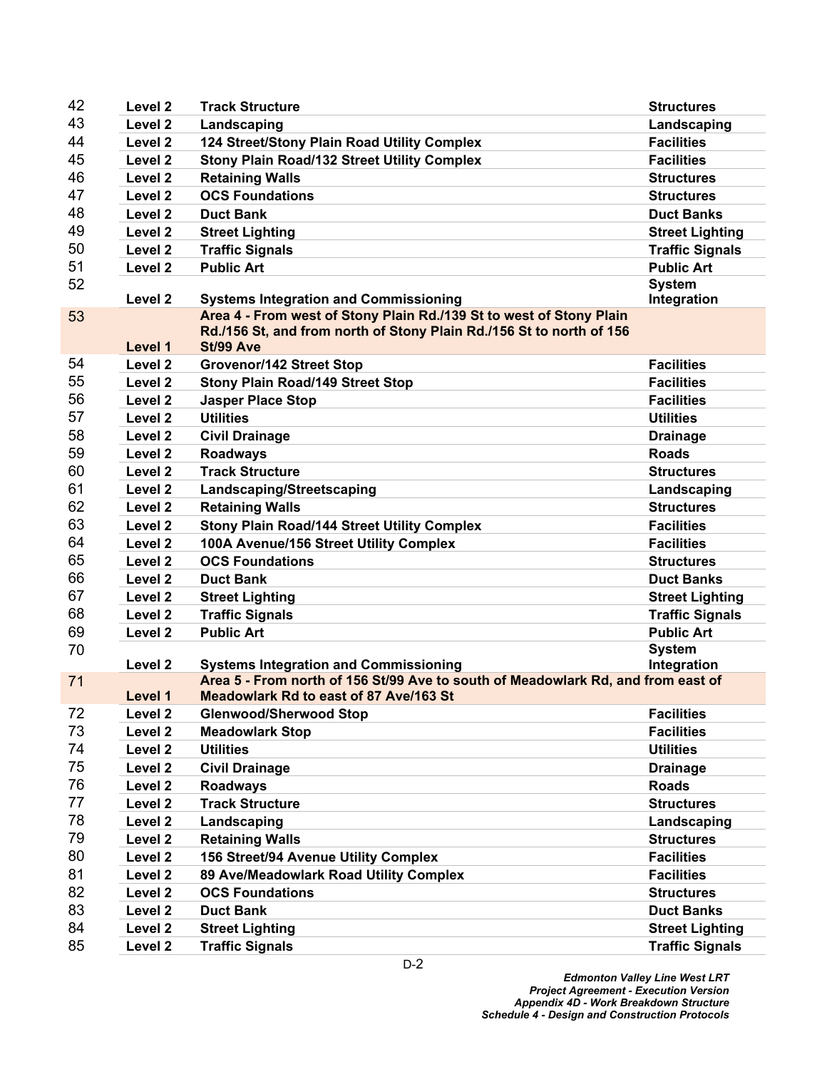| 42 | Level <sub>2</sub> | <b>Track Structure</b>                                                                                                                      | <b>Structures</b>      |
|----|--------------------|---------------------------------------------------------------------------------------------------------------------------------------------|------------------------|
| 43 | Level <sub>2</sub> | Landscaping                                                                                                                                 | Landscaping            |
| 44 | Level 2            | 124 Street/Stony Plain Road Utility Complex                                                                                                 | <b>Facilities</b>      |
| 45 | Level 2            | <b>Stony Plain Road/132 Street Utility Complex</b>                                                                                          | <b>Facilities</b>      |
| 46 | Level 2            | <b>Retaining Walls</b>                                                                                                                      | <b>Structures</b>      |
| 47 | Level <sub>2</sub> | <b>OCS Foundations</b>                                                                                                                      | <b>Structures</b>      |
| 48 | Level <sub>2</sub> | <b>Duct Bank</b>                                                                                                                            | <b>Duct Banks</b>      |
| 49 | Level <sub>2</sub> | <b>Street Lighting</b>                                                                                                                      | <b>Street Lighting</b> |
| 50 | Level 2            | <b>Traffic Signals</b>                                                                                                                      | <b>Traffic Signals</b> |
| 51 | Level 2            | <b>Public Art</b>                                                                                                                           | <b>Public Art</b>      |
| 52 |                    |                                                                                                                                             | <b>System</b>          |
|    | Level <sub>2</sub> | <b>Systems Integration and Commissioning</b>                                                                                                | Integration            |
| 53 |                    | Area 4 - From west of Stony Plain Rd./139 St to west of Stony Plain<br>Rd./156 St, and from north of Stony Plain Rd./156 St to north of 156 |                        |
|    | Level 1            | St/99 Ave                                                                                                                                   |                        |
| 54 | Level <sub>2</sub> | <b>Grovenor/142 Street Stop</b>                                                                                                             | <b>Facilities</b>      |
| 55 | Level 2            | <b>Stony Plain Road/149 Street Stop</b>                                                                                                     | <b>Facilities</b>      |
| 56 | Level <sub>2</sub> | <b>Jasper Place Stop</b>                                                                                                                    | <b>Facilities</b>      |
| 57 | Level 2            | <b>Utilities</b>                                                                                                                            | <b>Utilities</b>       |
| 58 | Level <sub>2</sub> | <b>Civil Drainage</b>                                                                                                                       | <b>Drainage</b>        |
| 59 | Level 2            | <b>Roadways</b>                                                                                                                             | <b>Roads</b>           |
| 60 | Level <sub>2</sub> | <b>Track Structure</b>                                                                                                                      | <b>Structures</b>      |
| 61 | Level 2            | Landscaping/Streetscaping                                                                                                                   | Landscaping            |
| 62 | Level 2            | <b>Retaining Walls</b>                                                                                                                      | <b>Structures</b>      |
| 63 | Level <sub>2</sub> | <b>Stony Plain Road/144 Street Utility Complex</b>                                                                                          | <b>Facilities</b>      |
| 64 | Level 2            | 100A Avenue/156 Street Utility Complex                                                                                                      | <b>Facilities</b>      |
| 65 | Level <sub>2</sub> | <b>OCS Foundations</b>                                                                                                                      | <b>Structures</b>      |
| 66 | Level 2            | <b>Duct Bank</b>                                                                                                                            | <b>Duct Banks</b>      |
| 67 | Level 2            | <b>Street Lighting</b>                                                                                                                      | <b>Street Lighting</b> |
| 68 | Level 2            | <b>Traffic Signals</b>                                                                                                                      | <b>Traffic Signals</b> |
| 69 | Level <sub>2</sub> | <b>Public Art</b>                                                                                                                           | <b>Public Art</b>      |
| 70 |                    |                                                                                                                                             | <b>System</b>          |
|    | Level <sub>2</sub> | <b>Systems Integration and Commissioning</b>                                                                                                | Integration            |
| 71 |                    | Area 5 - From north of 156 St/99 Ave to south of Meadowlark Rd, and from east of                                                            |                        |
|    | Level 1            | Meadowlark Rd to east of 87 Ave/163 St                                                                                                      |                        |
| 72 | Level <sub>2</sub> | <b>Glenwood/Sherwood Stop</b>                                                                                                               | <b>Facilities</b>      |
| 73 | Level <sub>2</sub> | <b>Meadowlark Stop</b>                                                                                                                      | <b>Facilities</b>      |
| 74 | Level <sub>2</sub> | <b>Utilities</b>                                                                                                                            | <b>Utilities</b>       |
| 75 | Level 2            | <b>Civil Drainage</b>                                                                                                                       | <b>Drainage</b>        |
| 76 | Level <sub>2</sub> | <b>Roadways</b>                                                                                                                             | <b>Roads</b>           |
| 77 | Level 2            | <b>Track Structure</b>                                                                                                                      | <b>Structures</b>      |
| 78 | Level <sub>2</sub> | Landscaping                                                                                                                                 | Landscaping            |
| 79 | Level <sub>2</sub> | <b>Retaining Walls</b>                                                                                                                      | <b>Structures</b>      |
| 80 | Level <sub>2</sub> | 156 Street/94 Avenue Utility Complex                                                                                                        | <b>Facilities</b>      |
| 81 | Level 2            | 89 Ave/Meadowlark Road Utility Complex                                                                                                      | <b>Facilities</b>      |
| 82 | Level 2            | <b>OCS Foundations</b>                                                                                                                      | <b>Structures</b>      |
| 83 | Level 2            | <b>Duct Bank</b>                                                                                                                            | <b>Duct Banks</b>      |
| 84 | Level 2            | <b>Street Lighting</b>                                                                                                                      | <b>Street Lighting</b> |
| 85 | Level <sub>2</sub> | <b>Traffic Signals</b>                                                                                                                      | <b>Traffic Signals</b> |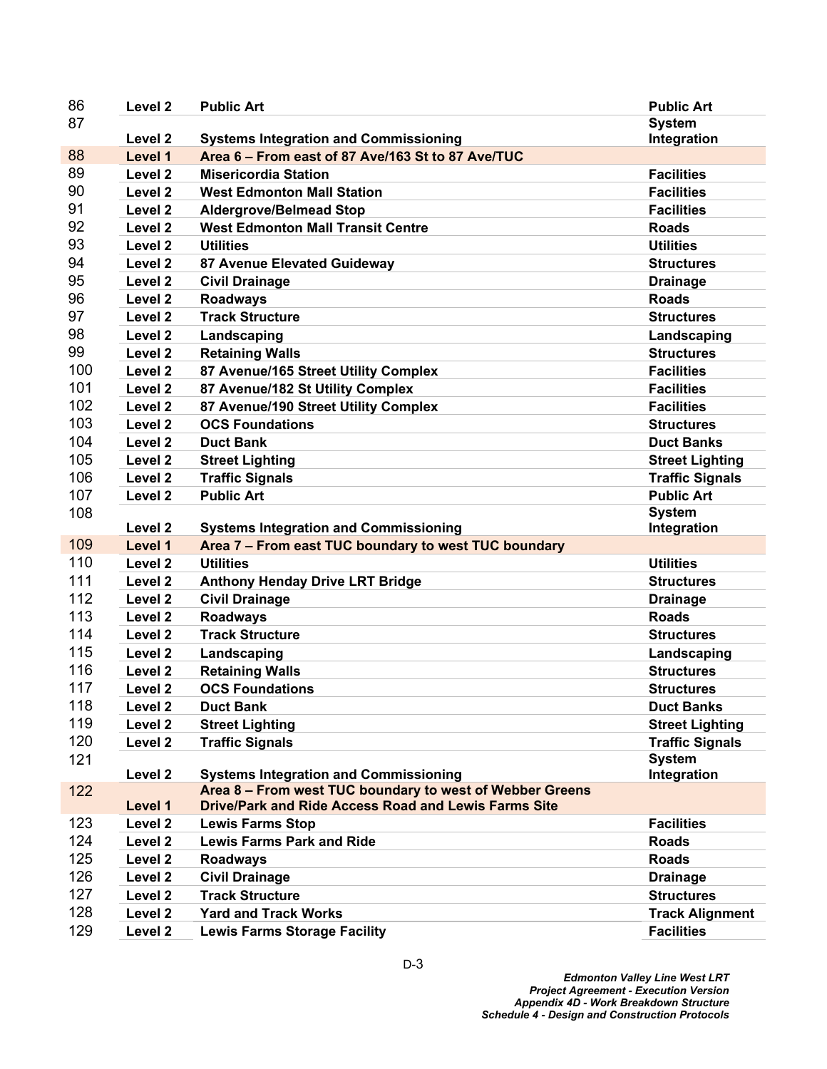| 86         | Level <sub>2</sub>                       | <b>Public Art</b>                                                  | <b>Public Art</b>                           |
|------------|------------------------------------------|--------------------------------------------------------------------|---------------------------------------------|
| 87         |                                          |                                                                    | <b>System</b>                               |
|            | Level <sub>2</sub>                       | <b>Systems Integration and Commissioning</b>                       | Integration                                 |
| 88         | Level 1                                  | Area 6 - From east of 87 Ave/163 St to 87 Ave/TUC                  |                                             |
| 89         | Level <sub>2</sub>                       | <b>Misericordia Station</b>                                        | <b>Facilities</b>                           |
| 90         | Level 2                                  | <b>West Edmonton Mall Station</b>                                  | <b>Facilities</b>                           |
| 91         | Level <sub>2</sub>                       | <b>Aldergrove/Belmead Stop</b>                                     | <b>Facilities</b>                           |
| 92         | Level <sub>2</sub>                       | <b>West Edmonton Mall Transit Centre</b>                           | <b>Roads</b>                                |
| 93         | Level <sub>2</sub>                       | <b>Utilities</b>                                                   | <b>Utilities</b>                            |
| 94         | Level <sub>2</sub>                       | 87 Avenue Elevated Guideway                                        | <b>Structures</b>                           |
| 95         | Level <sub>2</sub>                       | <b>Civil Drainage</b>                                              | <b>Drainage</b>                             |
| 96         | Level <sub>2</sub>                       | <b>Roadways</b>                                                    | <b>Roads</b>                                |
| 97         | Level <sub>2</sub>                       | <b>Track Structure</b>                                             | <b>Structures</b>                           |
| 98         | Level <sub>2</sub>                       | Landscaping                                                        | Landscaping                                 |
| 99         | Level <sub>2</sub>                       | <b>Retaining Walls</b>                                             | <b>Structures</b>                           |
| 100        | Level 2                                  | 87 Avenue/165 Street Utility Complex                               | <b>Facilities</b>                           |
| 101        | Level <sub>2</sub>                       | 87 Avenue/182 St Utility Complex                                   | <b>Facilities</b>                           |
| 102        | Level 2                                  | 87 Avenue/190 Street Utility Complex                               | <b>Facilities</b>                           |
| 103        | Level <sub>2</sub>                       | <b>OCS Foundations</b>                                             | <b>Structures</b>                           |
| 104        | Level <sub>2</sub>                       | <b>Duct Bank</b>                                                   | <b>Duct Banks</b>                           |
| 105        | Level <sub>2</sub>                       | <b>Street Lighting</b>                                             | <b>Street Lighting</b>                      |
| 106        | Level <sub>2</sub>                       | <b>Traffic Signals</b>                                             | <b>Traffic Signals</b>                      |
| 107        | Level <sub>2</sub>                       | <b>Public Art</b>                                                  | <b>Public Art</b>                           |
| 108        |                                          |                                                                    | <b>System</b>                               |
|            | Level <sub>2</sub>                       | <b>Systems Integration and Commissioning</b>                       | Integration                                 |
| 109        | Level 1                                  | Area 7 - From east TUC boundary to west TUC boundary               |                                             |
| 110        | Level <sub>2</sub>                       | <b>Utilities</b>                                                   | <b>Utilities</b>                            |
| 111        | Level <sub>2</sub>                       | <b>Anthony Henday Drive LRT Bridge</b>                             | <b>Structures</b>                           |
| 112        | Level <sub>2</sub>                       | <b>Civil Drainage</b>                                              | <b>Drainage</b>                             |
| 113        | Level 2                                  | <b>Roadways</b>                                                    | <b>Roads</b>                                |
| 114        | Level <sub>2</sub>                       | <b>Track Structure</b>                                             | <b>Structures</b>                           |
| 115        | Level 2                                  | Landscaping                                                        | Landscaping                                 |
| 116        | Level <sub>2</sub>                       | <b>Retaining Walls</b>                                             | <b>Structures</b>                           |
| 117        | Level <sub>2</sub>                       | <b>OCS Foundations</b>                                             | <b>Structures</b>                           |
| 118        | Level <sub>2</sub>                       | <b>Duct Bank</b>                                                   | <b>Duct Banks</b>                           |
| 119        | Level 2                                  | <b>Street Lighting</b>                                             | <b>Street Lighting</b>                      |
| 120        | Level <sub>2</sub>                       | <b>Traffic Signals</b>                                             | <b>Traffic Signals</b>                      |
| 121        |                                          |                                                                    | <b>System</b>                               |
|            | Level <sub>2</sub>                       | <b>Systems Integration and Commissioning</b>                       | Integration                                 |
| 122        |                                          | Area 8 - From west TUC boundary to west of Webber Greens           |                                             |
|            | Level 1                                  | <b>Drive/Park and Ride Access Road and Lewis Farms Site</b>        |                                             |
| 123        |                                          |                                                                    |                                             |
|            | Level 2                                  | <b>Lewis Farms Stop</b>                                            | <b>Facilities</b>                           |
| 124        | Level <sub>2</sub>                       | <b>Lewis Farms Park and Ride</b>                                   | <b>Roads</b>                                |
| 125        | Level <sub>2</sub>                       | <b>Roadways</b>                                                    | <b>Roads</b>                                |
| 126        | Level <sub>2</sub>                       | <b>Civil Drainage</b>                                              | <b>Drainage</b>                             |
| 127        | Level <sub>2</sub>                       | <b>Track Structure</b>                                             | <b>Structures</b>                           |
| 128<br>129 | Level <sub>2</sub><br>Level <sub>2</sub> | <b>Yard and Track Works</b><br><b>Lewis Farms Storage Facility</b> | <b>Track Alignment</b><br><b>Facilities</b> |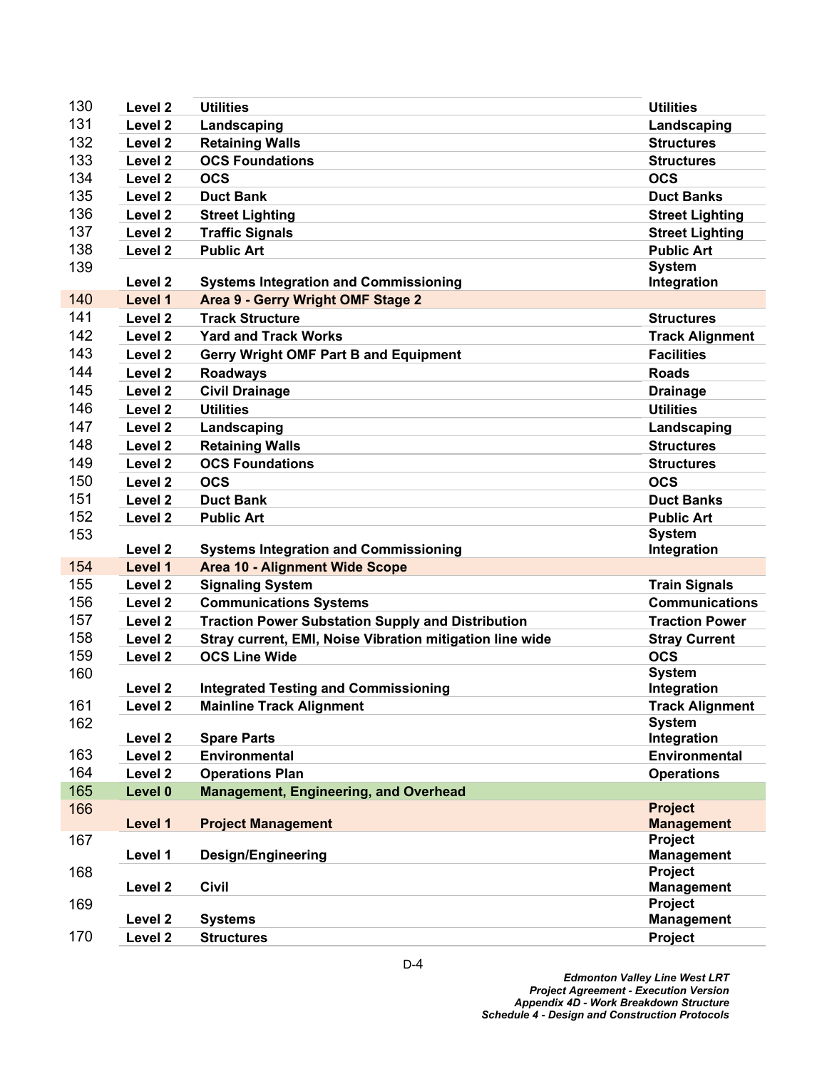| 130 | Level <sub>2</sub> | <b>Utilities</b>                                         | <b>Utilities</b>             |
|-----|--------------------|----------------------------------------------------------|------------------------------|
| 131 | Level 2            | Landscaping                                              | Landscaping                  |
| 132 | Level <sub>2</sub> | <b>Retaining Walls</b>                                   | <b>Structures</b>            |
| 133 | Level 2            | <b>OCS Foundations</b>                                   | <b>Structures</b>            |
| 134 | Level 2            | <b>OCS</b>                                               | <b>OCS</b>                   |
| 135 | Level <sub>2</sub> | <b>Duct Bank</b>                                         | <b>Duct Banks</b>            |
| 136 | Level 2            | <b>Street Lighting</b>                                   | <b>Street Lighting</b>       |
| 137 | Level 2            | <b>Traffic Signals</b>                                   | <b>Street Lighting</b>       |
| 138 | Level <sub>2</sub> | <b>Public Art</b>                                        | <b>Public Art</b>            |
| 139 |                    |                                                          | <b>System</b>                |
|     | Level 2            | <b>Systems Integration and Commissioning</b>             | Integration                  |
| 140 | Level 1            | Area 9 - Gerry Wright OMF Stage 2                        |                              |
| 141 | Level <sub>2</sub> | <b>Track Structure</b>                                   | <b>Structures</b>            |
| 142 | Level 2            | <b>Yard and Track Works</b>                              | <b>Track Alignment</b>       |
| 143 | Level 2            | <b>Gerry Wright OMF Part B and Equipment</b>             | <b>Facilities</b>            |
| 144 | Level 2            | <b>Roadways</b>                                          | <b>Roads</b>                 |
| 145 | Level <sub>2</sub> | <b>Civil Drainage</b>                                    | <b>Drainage</b>              |
| 146 | Level <sub>2</sub> | <b>Utilities</b>                                         | <b>Utilities</b>             |
| 147 | Level 2            | Landscaping                                              | Landscaping                  |
| 148 | Level <sub>2</sub> | <b>Retaining Walls</b>                                   | <b>Structures</b>            |
| 149 | Level <sub>2</sub> | <b>OCS Foundations</b>                                   | <b>Structures</b>            |
| 150 | Level <sub>2</sub> | <b>OCS</b>                                               | <b>OCS</b>                   |
| 151 | Level 2            | <b>Duct Bank</b>                                         | <b>Duct Banks</b>            |
| 152 | Level 2            | <b>Public Art</b>                                        | <b>Public Art</b>            |
| 153 |                    |                                                          | <b>System</b>                |
|     | Level 2            | <b>Systems Integration and Commissioning</b>             | Integration                  |
| 154 | Level 1            | <b>Area 10 - Alignment Wide Scope</b>                    |                              |
| 155 | Level <sub>2</sub> | <b>Signaling System</b>                                  | <b>Train Signals</b>         |
| 156 | Level 2            | <b>Communications Systems</b>                            | <b>Communications</b>        |
| 157 | Level 2            | <b>Traction Power Substation Supply and Distribution</b> | <b>Traction Power</b>        |
| 158 | Level 2            | Stray current, EMI, Noise Vibration mitigation line wide | <b>Stray Current</b>         |
| 159 | Level 2            | <b>OCS Line Wide</b>                                     | <b>OCS</b>                   |
| 160 |                    |                                                          | <b>System</b>                |
|     | Level 2            | <b>Integrated Testing and Commissioning</b>              | Integration                  |
| 161 | Level <sub>2</sub> | <b>Mainline Track Alignment</b>                          | <b>Track Alignment</b>       |
| 162 | Level <sub>2</sub> | <b>Spare Parts</b>                                       | <b>System</b><br>Integration |
| 163 | Level <sub>2</sub> | <b>Environmental</b>                                     | Environmental                |
| 164 | Level 2            | <b>Operations Plan</b>                                   | <b>Operations</b>            |
| 165 | Level 0            | <b>Management, Engineering, and Overhead</b>             |                              |
| 166 |                    |                                                          | <b>Project</b>               |
|     | Level 1            | <b>Project Management</b>                                | <b>Management</b>            |
| 167 |                    |                                                          | Project                      |
|     | Level 1            | <b>Design/Engineering</b>                                | <b>Management</b>            |
| 168 |                    |                                                          | Project                      |
|     | Level <sub>2</sub> | <b>Civil</b>                                             | <b>Management</b>            |
| 169 |                    |                                                          | Project                      |
|     | Level <sub>2</sub> | <b>Systems</b>                                           | <b>Management</b>            |
| 170 | Level <sub>2</sub> | <b>Structures</b>                                        | Project                      |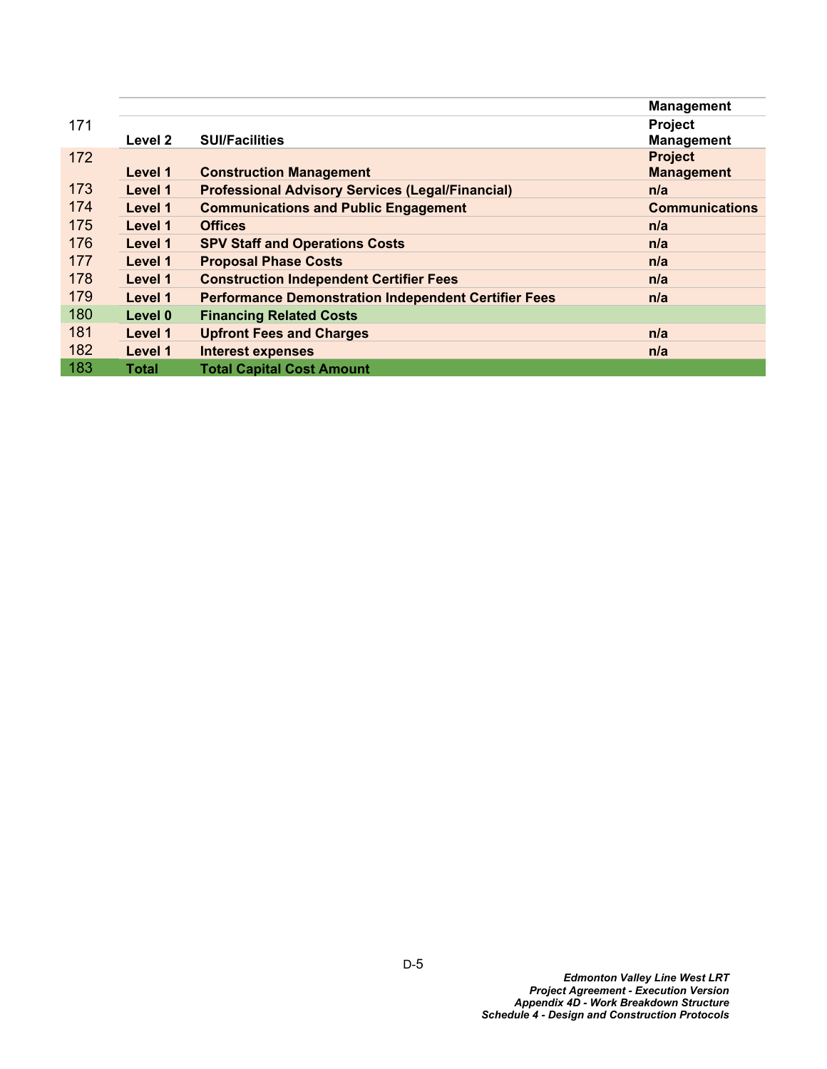|     |              |                                                             | <b>Management</b>     |
|-----|--------------|-------------------------------------------------------------|-----------------------|
| 171 |              |                                                             | <b>Project</b>        |
|     | Level 2      | <b>SUI/Facilities</b>                                       | <b>Management</b>     |
| 172 |              |                                                             | <b>Project</b>        |
|     | Level 1      | <b>Construction Management</b>                              | <b>Management</b>     |
| 173 | Level 1      | <b>Professional Advisory Services (Legal/Financial)</b>     | n/a                   |
| 174 | Level 1      | <b>Communications and Public Engagement</b>                 | <b>Communications</b> |
| 175 | Level 1      | <b>Offices</b>                                              | n/a                   |
| 176 | Level 1      | <b>SPV Staff and Operations Costs</b>                       | n/a                   |
| 177 | Level 1      | <b>Proposal Phase Costs</b>                                 | n/a                   |
| 178 | Level 1      | <b>Construction Independent Certifier Fees</b>              | n/a                   |
| 179 | Level 1      | <b>Performance Demonstration Independent Certifier Fees</b> | n/a                   |
| 180 | Level 0      | <b>Financing Related Costs</b>                              |                       |
| 181 | Level 1      | <b>Upfront Fees and Charges</b>                             | n/a                   |
| 182 | Level 1      | <b>Interest expenses</b>                                    | n/a                   |
| 183 | <b>Total</b> | <b>Total Capital Cost Amount</b>                            |                       |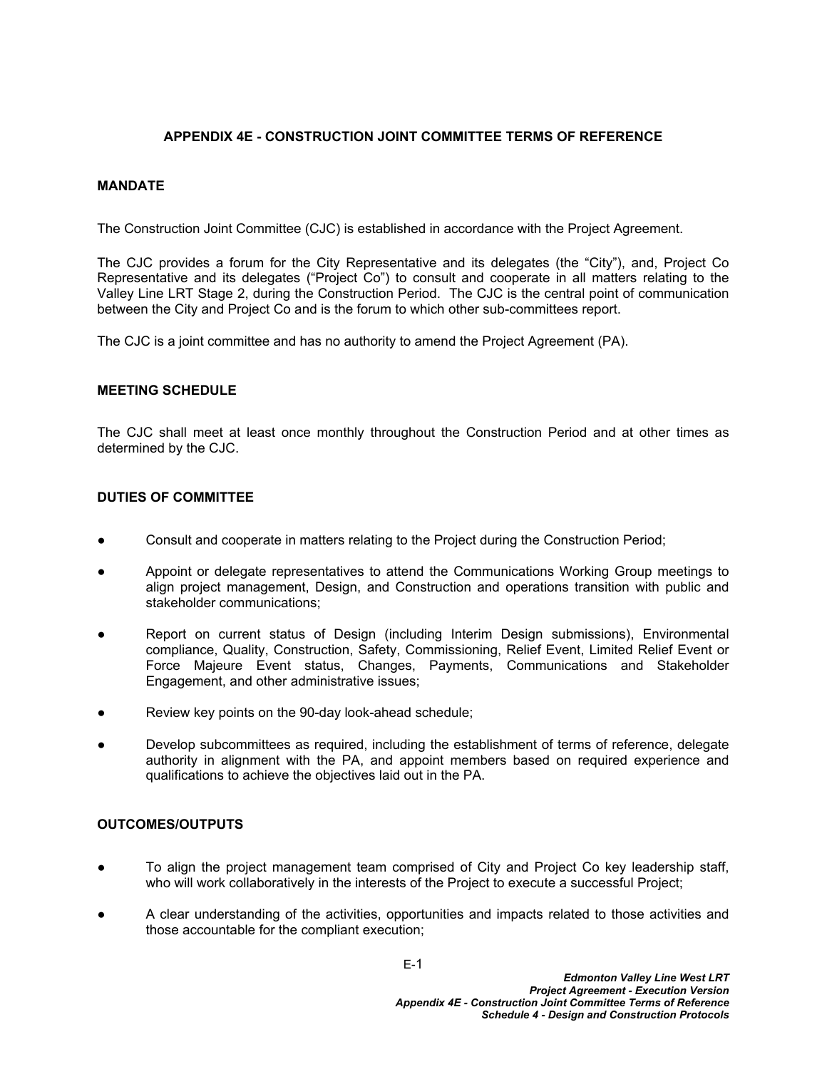# **APPENDIX 4E - CONSTRUCTION JOINT COMMITTEE TERMS OF REFERENCE**

## **MANDATE**

The Construction Joint Committee (CJC) is established in accordance with the Project Agreement.

The CJC provides a forum for the City Representative and its delegates (the "City"), and, Project Co Representative and its delegates ("Project Co") to consult and cooperate in all matters relating to the Valley Line LRT Stage 2, during the Construction Period. The CJC is the central point of communication between the City and Project Co and is the forum to which other sub-committees report.

The CJC is a joint committee and has no authority to amend the Project Agreement (PA).

### **MEETING SCHEDULE**

The CJC shall meet at least once monthly throughout the Construction Period and at other times as determined by the CJC.

## **DUTIES OF COMMITTEE**

- **●** Consult and cooperate in matters relating to the Project during the Construction Period;
- Appoint or delegate representatives to attend the Communications Working Group meetings to align project management, Design, and Construction and operations transition with public and stakeholder communications;
- Report on current status of Design (including Interim Design submissions), Environmental compliance, Quality, Construction, Safety, Commissioning, Relief Event, Limited Relief Event or Force Majeure Event status, Changes, Payments, Communications and Stakeholder Engagement, and other administrative issues;
- Review key points on the 90-day look-ahead schedule;
- Develop subcommittees as required, including the establishment of terms of reference, delegate authority in alignment with the PA, and appoint members based on required experience and qualifications to achieve the objectives laid out in the PA.

## **OUTCOMES/OUTPUTS**

- **●** To align the project management team comprised of City and Project Co key leadership staff, who will work collaboratively in the interests of the Project to execute a successful Project;
- A clear understanding of the activities, opportunities and impacts related to those activities and those accountable for the compliant execution;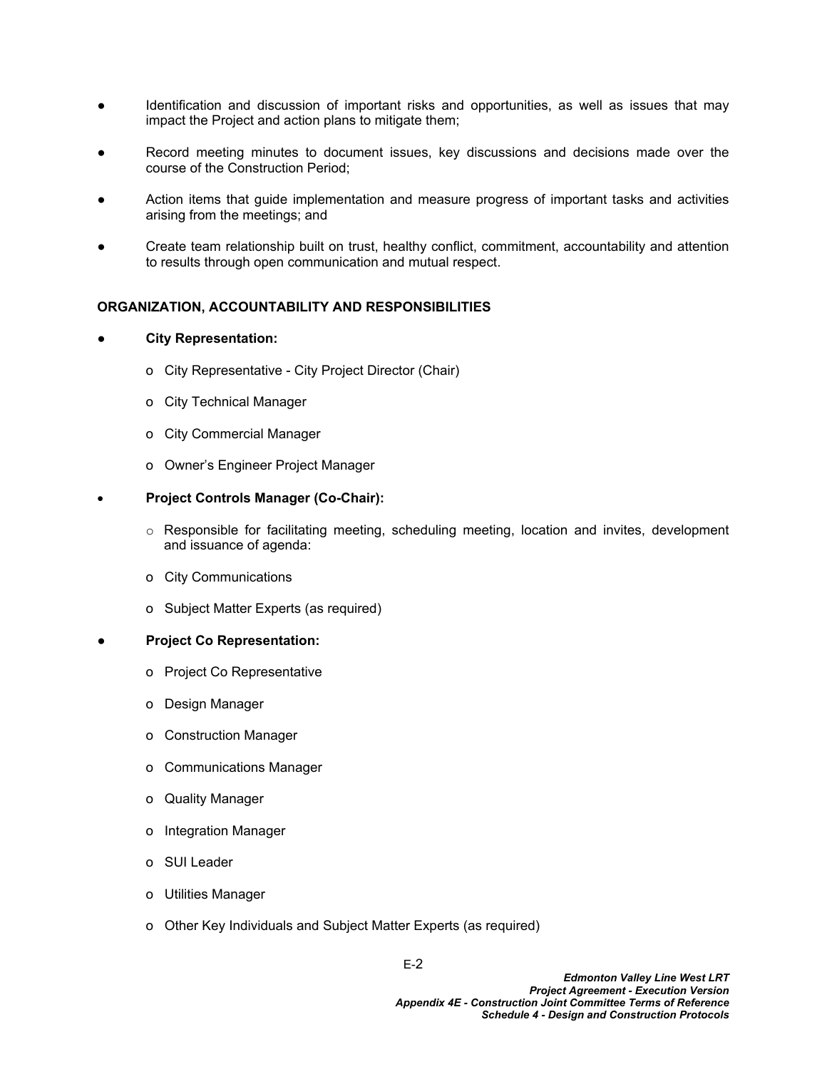- Identification and discussion of important risks and opportunities, as well as issues that may impact the Project and action plans to mitigate them;
- Record meeting minutes to document issues, key discussions and decisions made over the course of the Construction Period;
- Action items that guide implementation and measure progress of important tasks and activities arising from the meetings; and
- Create team relationship built on trust, healthy conflict, commitment, accountability and attention to results through open communication and mutual respect.

## **ORGANIZATION, ACCOUNTABILITY AND RESPONSIBILITIES**

### **● City Representation:**

- o City Representative City Project Director (Chair)
- o City Technical Manager
- o City Commercial Manager
- o Owner's Engineer Project Manager

### **Project Controls Manager (Co-Chair):**

- $\circ$  Responsible for facilitating meeting, scheduling meeting, location and invites, development and issuance of agenda:
- o City Communications
- o Subject Matter Experts (as required)

### **● Project Co Representation:**

- o Project Co Representative
- o Design Manager
- o Construction Manager
- o Communications Manager
- o Quality Manager
- o Integration Manager
- o SUI Leader
- o Utilities Manager
- o Other Key Individuals and Subject Matter Experts (as required)